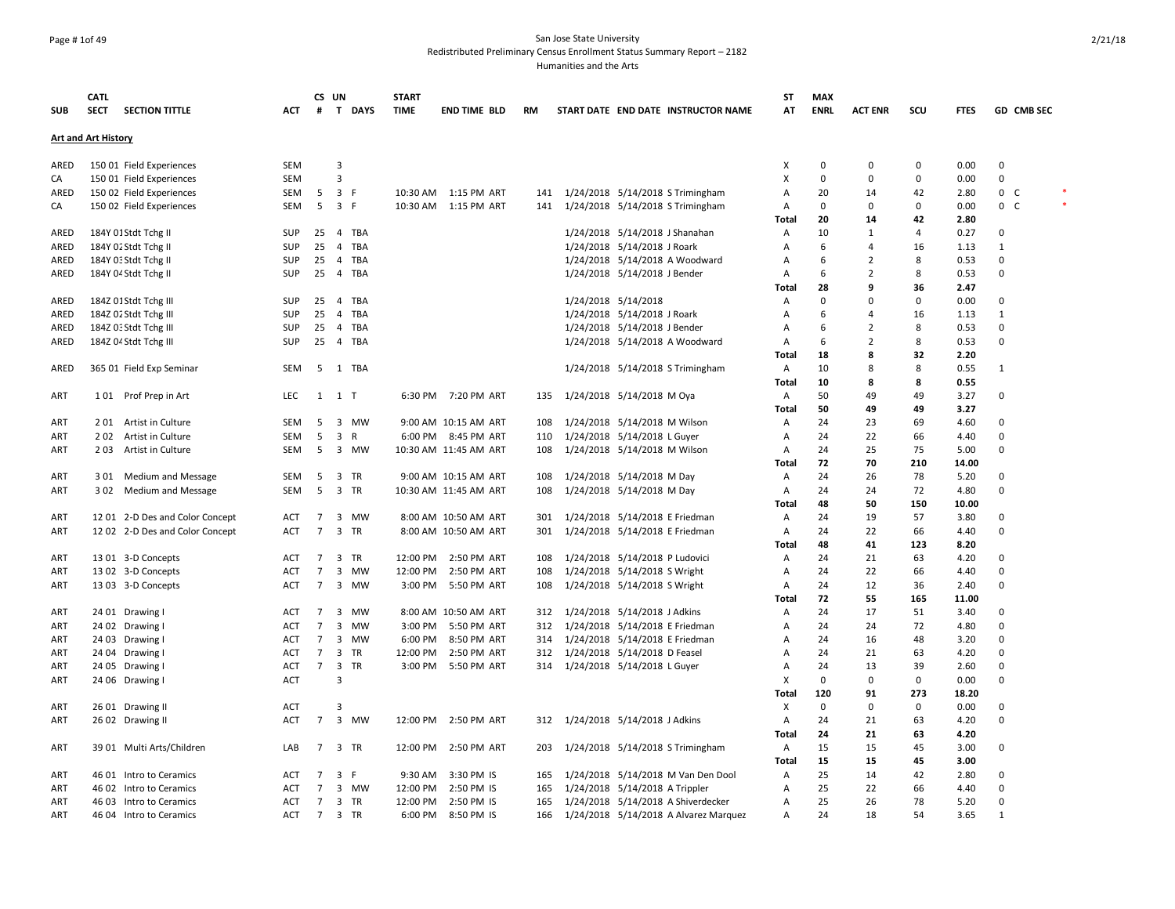# Page # 1of 49 San Jose State University Redistributed Preliminary Census Enrollment Status Summary Report – 2182 Humanities and the Arts

|                   | <b>CATL</b>                |                                 |                   |                 | CS UN                        |              | <b>START</b> |                        |           |                                  |                                |                                       | ST             | <b>MAX</b>  |                |                   |             |                  |
|-------------------|----------------------------|---------------------------------|-------------------|-----------------|------------------------------|--------------|--------------|------------------------|-----------|----------------------------------|--------------------------------|---------------------------------------|----------------|-------------|----------------|-------------------|-------------|------------------|
| <b>SUB</b>        | <b>SECT</b>                | <b>SECTION TITTLE</b>           | <b>ACT</b>        | #               |                              | T DAYS       | <b>TIME</b>  | <b>END TIME BLD</b>    | <b>RM</b> |                                  |                                | START DATE END DATE INSTRUCTOR NAME   | AT             | <b>ENRL</b> | <b>ACT ENR</b> | SCU               | <b>FTES</b> | GD CMB SEC       |
|                   | <b>Art and Art History</b> |                                 |                   |                 |                              |              |              |                        |           |                                  |                                |                                       |                |             |                |                   |             |                  |
|                   |                            |                                 |                   |                 |                              |              |              |                        |           |                                  |                                |                                       |                |             |                |                   |             |                  |
| ARED              |                            | 150 01 Field Experiences        | SEM               |                 | 3                            |              |              |                        |           |                                  |                                |                                       | х              | 0           | 0              | 0                 | 0.00        | 0                |
| CA                |                            | 150 01 Field Experiences        | <b>SEM</b>        |                 | 3                            |              |              |                        |           |                                  |                                |                                       | X              | 0           | 0              | $\Omega$          | 0.00        | $\mathbf 0$      |
| ARED              |                            | 150 02 Field Experiences        | <b>SEM</b>        | 5               |                              | 3 F          | 10:30 AM     | 1:15 PM ART            | 141       |                                  |                                | 1/24/2018 5/14/2018 S Trimingham      | A              | 20          | 14             | 42                | 2.80        | 0 C              |
| CA                |                            | 150 02 Field Experiences        | SEM               | 5               |                              | 3 F          |              | 10:30 AM   1:15 PM ART | 141       |                                  |                                | 1/24/2018 5/14/2018 S Trimingham      | Α              | $\Omega$    | 0              | 0                 | 0.00        | 0 <sup>o</sup>   |
|                   |                            |                                 |                   |                 |                              |              |              |                        |           |                                  |                                |                                       | Total          | 20          | 14             | 42                | 2.80        |                  |
| ARED              |                            | 184Y 01 Stdt Tchg II            | <b>SUP</b>        | 25              | $\overline{4}$               | TBA          |              |                        |           |                                  | 1/24/2018 5/14/2018 J Shanahan |                                       | Α              | 10          | 1              | $\overline{a}$    | 0.27        | $\Omega$         |
| ARED              |                            | 184Y 02 Stdt Tchg II            | SUP               | 25              | $\overline{4}$               | <b>TBA</b>   |              |                        |           |                                  | 1/24/2018 5/14/2018 J Roark    |                                       | A              | 6           | 4              | 16                | 1.13        | $\mathbf{1}$     |
| ARED              |                            | 184Y 0: Stdt Tchg II            | <b>SUP</b>        | 25              | $\overline{4}$               | TBA          |              |                        |           |                                  |                                | 1/24/2018 5/14/2018 A Woodward        | $\overline{A}$ | 6           | 2              | 8                 | 0.53        | $\Omega$         |
| ARED              |                            | 184Y 04 Stdt Tchg II            | <b>SUP</b>        | 25              |                              | 4 TBA        |              |                        |           |                                  | 1/24/2018 5/14/2018 J Bender   |                                       | Α              | 6           | 2              | 8                 | 0.53        | $\Omega$         |
|                   |                            |                                 |                   |                 |                              |              |              |                        |           |                                  |                                |                                       | Total          | 28          | 9              | 36                | 2.47        |                  |
| ARED              |                            | 184Z 01 Stdt Tchg III           | <b>SUP</b>        | 25              | $\overline{4}$               | TBA          |              |                        |           |                                  | 1/24/2018 5/14/2018            |                                       | Α              | $\Omega$    | $\Omega$       | $\Omega$          | 0.00        | 0                |
| ARED              |                            | 184Z 02 Stdt Tchg III           | <b>SUP</b>        | 25              | $\overline{4}$               | TBA          |              |                        |           |                                  | 1/24/2018 5/14/2018 J Roark    |                                       | A              | 6           | $\overline{a}$ | 16                | 1.13        | $\mathbf{1}$     |
| ARED              |                            | 184Z 03 Stdt Tchg III           | SUP               | 25              |                              | 4 TBA        |              |                        |           |                                  | 1/24/2018 5/14/2018 J Bender   |                                       | Α              | 6           | 2              | 8                 | 0.53        | $\mathbf 0$      |
| ARED              |                            | 184Z 04 Stdt Tchg III           | <b>SUP</b>        | 25              |                              | 4 TBA        |              |                        |           |                                  |                                | 1/24/2018 5/14/2018 A Woodward        | $\mathsf{A}$   | 6           | 2              | 8                 | 0.53        | 0                |
|                   |                            |                                 |                   |                 |                              |              |              |                        |           |                                  |                                |                                       | Total          | 18          | 8              | 32                | 2.20        |                  |
| ARED              |                            | 365 01 Field Exp Seminar        | SEM               | 5               |                              | 1 TBA        |              |                        |           |                                  |                                | 1/24/2018 5/14/2018 S Trimingham      | Α              | 10          | 8              | 8                 | 0.55        | 1                |
|                   |                            |                                 |                   |                 |                              |              |              |                        |           |                                  |                                |                                       | Total          | 10          | 8              | 8                 | 0.55        |                  |
| ART               |                            | 101 Prof Prep in Art            | LEC.              |                 | $1 \quad 1 \quad T$          |              |              | 6:30 PM 7:20 PM ART    | 135       |                                  | 1/24/2018 5/14/2018 M Oya      |                                       | $\mathsf{A}$   | 50          | 49             | 49                | 3.27        | 0                |
|                   |                            |                                 |                   |                 |                              |              |              |                        |           |                                  |                                |                                       | Total          | 50          | 49             | 49                | 3.27        |                  |
| ART               |                            | 201 Artist in Culture           | <b>SEM</b>        | 5               |                              | 3 MW         |              | 9:00 AM 10:15 AM ART   | 108       |                                  | 1/24/2018 5/14/2018 M Wilson   |                                       | Α              | 24          | 23             | 69                | 4.60        | 0                |
| ART               | 202                        | Artist in Culture               | <b>SEM</b>        | 5               | $\overline{\mathbf{3}}$      | $\mathsf{R}$ |              | 6:00 PM 8:45 PM ART    | 110       |                                  | 1/24/2018 5/14/2018 L Guyer    |                                       | A              | 24          | 22             | 66                | 4.40        | $\Omega$         |
| ART               | 203                        | Artist in Culture               | SEM               | 5               |                              | 3 MW         |              | 10:30 AM 11:45 AM ART  | 108       |                                  | 1/24/2018 5/14/2018 M Wilson   |                                       | A              | 24          | 25             | 75                | 5.00        | 0                |
|                   |                            |                                 |                   |                 |                              |              |              |                        |           |                                  |                                |                                       | Total          | 72          | 70             | 210               | 14.00       |                  |
| <b>ART</b>        | 3 0 1                      | <b>Medium and Message</b>       | <b>SEM</b>        | 5               |                              | 3 TR         |              | 9:00 AM 10:15 AM ART   | 108       |                                  | 1/24/2018 5/14/2018 M Day      |                                       | Α              | 24          | 26             | 78                | 5.20        | 0                |
| ART               | 302                        | Medium and Message              | SEM               | 5               |                              | 3 TR         |              | 10:30 AM 11:45 AM ART  | 108       |                                  | 1/24/2018 5/14/2018 M Day      |                                       | Α              | 24          | 24             | 72                | 4.80        | $\mathbf 0$      |
|                   |                            |                                 |                   |                 |                              |              |              |                        |           |                                  |                                |                                       | Total          | 48          | 50             | 150               | 10.00       |                  |
| ART               |                            | 12 01 2-D Des and Color Concept | ACT               | 7               |                              | 3 MW         |              | 8:00 AM 10:50 AM ART   | 301       |                                  | 1/24/2018 5/14/2018 E Friedman |                                       | Α              | 24          | 19             | 57                | 3.80        | 0                |
| ART               |                            | 12 02 2-D Des and Color Concept | <b>ACT</b>        | $\overline{7}$  |                              | 3 TR         |              | 8:00 AM 10:50 AM ART   | 301       |                                  | 1/24/2018 5/14/2018 E Friedman |                                       | Α              | 24          | 22             | 66                | 4.40        | 0                |
|                   |                            |                                 |                   |                 |                              |              |              |                        |           |                                  |                                |                                       | Total          | 48          | 41             | 123               | 8.20        |                  |
| <b>ART</b>        |                            | 13 01 3-D Concepts              | ACT               | $\overline{7}$  | 3                            | TR           | 12:00 PM     | 2:50 PM ART            | 108       |                                  | 1/24/2018 5/14/2018 P Ludovici |                                       | $\overline{A}$ | 24          | 21             | 63                | 4.20        | 0                |
| ART               |                            | 13 02 3-D Concepts              | <b>ACT</b>        | $\overline{7}$  |                              | 3 MW         | 12:00 PM     | 2:50 PM ART            | 108       |                                  | 1/24/2018 5/14/2018 S Wright   |                                       | A              | 24          | 22             | 66                | 4.40        | $\mathbf 0$      |
| ART               |                            | 13 03 3-D Concepts              | ACT               | $\overline{7}$  |                              | 3 MW         |              | 3:00 PM 5:50 PM ART    | 108       |                                  | 1/24/2018 5/14/2018 S Wright   |                                       | Α              | 24          | 12             | 36                | 2.40        | 0                |
|                   |                            |                                 |                   |                 |                              |              |              |                        |           |                                  |                                |                                       | <b>Total</b>   | 72          | 55             | 165               | 11.00       |                  |
| <b>ART</b>        |                            | 24 01 Drawing I                 | <b>ACT</b>        | $7\overline{ }$ |                              | 3 MW         |              | 8:00 AM 10:50 AM ART   |           | 312 1/24/2018 5/14/2018 J Adkins |                                |                                       | Α              | 24          | 17             | 51                | 3.40        | $\mathbf 0$      |
|                   |                            |                                 |                   | $\overline{7}$  | $\overline{\mathbf{3}}$      | MW           | 3:00 PM      | 5:50 PM ART            | 312       |                                  | 1/24/2018 5/14/2018 E Friedman |                                       | Α              | 24          | 24             | 72                | 4.80        | 0                |
| ART<br><b>ART</b> |                            | 24 02 Drawing I                 | ACT<br><b>ACT</b> | $\overline{7}$  | $\overline{\mathbf{3}}$      | MW           | 6:00 PM      | 8:50 PM ART            | 314       |                                  |                                |                                       | $\overline{A}$ | 24          | 16             | 48                | 3.20        | 0                |
|                   |                            | 24 03 Drawing I                 | <b>ACT</b>        | $\overline{7}$  |                              | 3 TR         |              |                        | 312       |                                  | 1/24/2018 5/14/2018 E Friedman |                                       | A              | 24          | 21             | 63                | 4.20        | $\mathbf 0$      |
| ART               |                            | 24 04 Drawing I                 |                   |                 |                              |              | 12:00 PM     | 2:50 PM ART            |           |                                  | 1/24/2018 5/14/2018 D Feasel   |                                       |                |             |                |                   |             |                  |
| ART               |                            | 24 05 Drawing I                 | ACT               | $\overline{7}$  | $\overline{\mathbf{3}}$<br>3 | <b>TR</b>    |              | 3:00 PM 5:50 PM ART    |           | 314 1/24/2018 5/14/2018 L Guyer  |                                |                                       | $\overline{A}$ | 24          | 13<br>0        | 39<br>$\mathbf 0$ | 2.60        | 0<br>$\mathbf 0$ |
| ART               |                            | 24 06 Drawing I                 | <b>ACT</b>        |                 |                              |              |              |                        |           |                                  |                                |                                       | X              | 0           |                |                   | 0.00        |                  |
|                   |                            |                                 |                   |                 |                              |              |              |                        |           |                                  |                                |                                       | <b>Total</b>   | 120         | 91             | 273               | 18.20       |                  |
| ART               |                            | 26 01 Drawing II                | ACT               |                 | 3                            |              |              |                        |           |                                  |                                |                                       | х              | $\Omega$    | 0              | 0                 | 0.00        | 0                |
| <b>ART</b>        |                            | 26 02 Drawing II                | <b>ACT</b>        | $7^{\circ}$     |                              | 3 MW         |              | 12:00 PM 2:50 PM ART   |           | 312 1/24/2018 5/14/2018 J Adkins |                                |                                       | $\overline{A}$ | 24          | 21             | 63                | 4.20        | 0                |
|                   |                            |                                 |                   |                 |                              |              |              |                        |           |                                  |                                |                                       | Total          | 24          | 21             | 63                | 4.20        |                  |
| ART               |                            | 39 01 Multi Arts/Children       | LAB               | $\overline{7}$  |                              | 3 TR         | 12:00 PM     | 2:50 PM ART            | 203       |                                  |                                | 1/24/2018 5/14/2018 S Trimingham      | A              | 15          | 15             | 45                | 3.00        | 0                |
|                   |                            |                                 |                   |                 |                              |              |              |                        |           |                                  |                                |                                       | Total          | 15          | 15             | 45                | 3.00        |                  |
| ART               |                            | 46 01 Intro to Ceramics         | ACT               | 7               | $\overline{\mathbf{3}}$      | F            | 9:30 AM      | 3:30 PM IS             | 165       |                                  |                                | 1/24/2018 5/14/2018 M Van Den Dool    | Α              | 25          | 14             | 42                | 2.80        | 0                |
| ART               | 46 02                      | Intro to Ceramics               | ACT               | $\overline{7}$  |                              | 3 MW         | 12:00 PM     | 2:50 PM IS             | 165       |                                  | 1/24/2018 5/14/2018 A Trippler |                                       | Α              | 25          | 22             | 66                | 4.40        | 0                |
| <b>ART</b>        |                            | 46 03 Intro to Ceramics         | ACT               | $\overline{7}$  |                              | 3 TR         | 12:00 PM     | 2:50 PM IS             | 165       |                                  |                                | 1/24/2018 5/14/2018 A Shiverdecker    | $\overline{A}$ | 25          | 26             | 78                | 5.20        | $\Omega$         |
| ART               |                            | 46 04 Intro to Ceramics         | <b>ACT</b>        | $7\overline{ }$ |                              | 3 TR         | 6:00 PM      | 8:50 PM IS             | 166       |                                  |                                | 1/24/2018 5/14/2018 A Alvarez Marquez | Α              | 24          | 18             | 54                | 3.65        | $\mathbf{1}$     |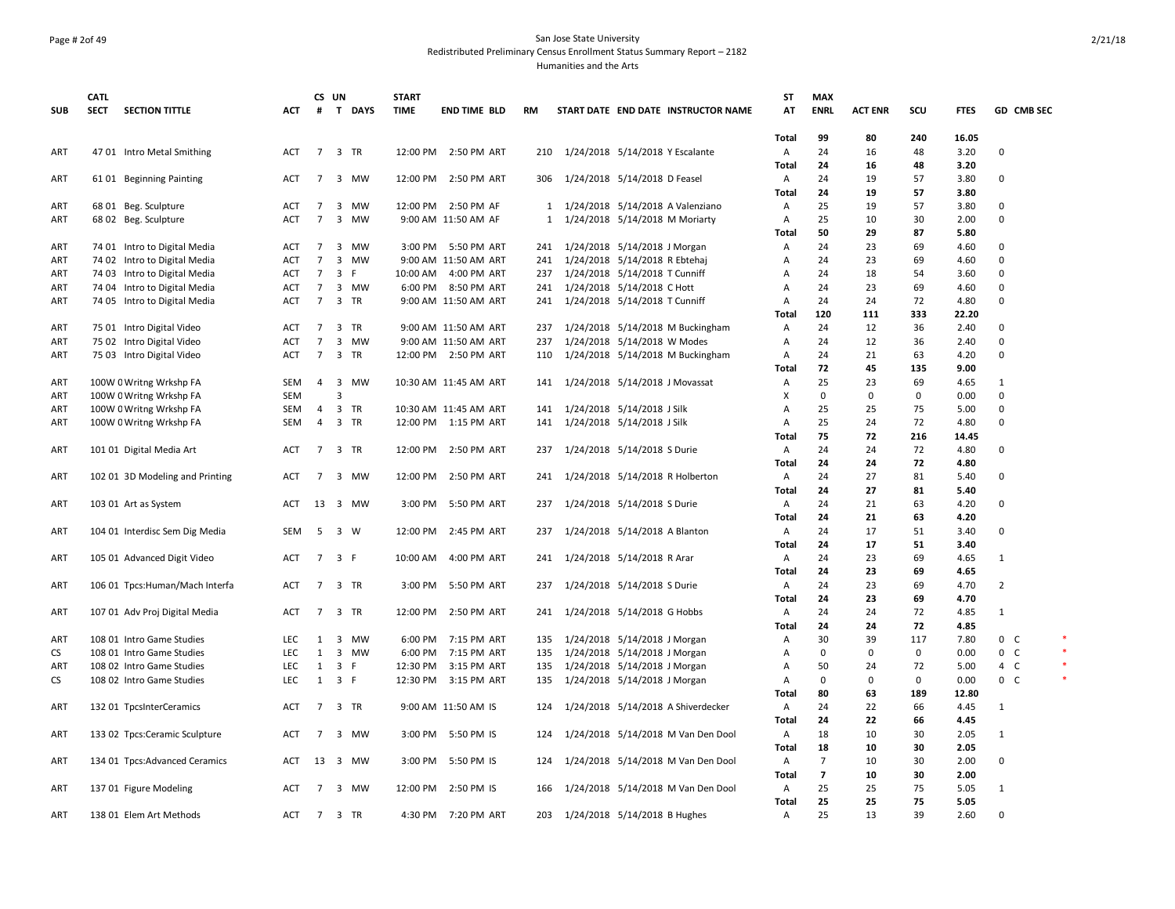# Page # 2of 49 San Jose State University Redistributed Preliminary Census Enrollment Status Summary Report – 2182 Humanities and the Arts

|            | <b>CATL</b> |                                 |            |                 | CS UN                   |           | <b>START</b> |                       |           |                                      | ST           | <b>MAX</b>     |                |             |             |                |
|------------|-------------|---------------------------------|------------|-----------------|-------------------------|-----------|--------------|-----------------------|-----------|--------------------------------------|--------------|----------------|----------------|-------------|-------------|----------------|
| <b>SUB</b> | <b>SECT</b> | <b>SECTION TITTLE</b>           | ACT        | #               |                         | T DAYS    | <b>TIME</b>  | <b>END TIME BLD</b>   | <b>RM</b> | START DATE END DATE INSTRUCTOR NAME  | AT           | <b>ENRL</b>    | <b>ACT ENR</b> | SCU         | <b>FTES</b> | GD CMB SEC     |
|            |             |                                 |            |                 |                         |           |              |                       |           |                                      | Total        | 99             | 80             | 240         | 16.05       |                |
| ART        |             | 47 01 Intro Metal Smithing      | ACT        |                 |                         | 7 3 TR    | 12:00 PM     | 2:50 PM ART           | 210       | 1/24/2018 5/14/2018 Y Escalante      | A            | 24             | 16             | 48          | 3.20        | 0              |
|            |             |                                 |            |                 |                         |           |              |                       |           |                                      | Total        | 24             | 16             | 48          | 3.20        |                |
| ART        |             | 61 01 Beginning Painting        | ACT        |                 |                         | 7 3 MW    |              | 12:00 PM 2:50 PM ART  |           | 306 1/24/2018 5/14/2018 D Feasel     | Α            | 24             | 19             | 57          | 3.80        | $\Omega$       |
|            |             |                                 |            |                 |                         |           |              |                       |           |                                      | Total        | 24             | 19             | 57          | 3.80        |                |
| ART        |             | 68 01 Beg. Sculpture            | <b>ACT</b> | $\overline{7}$  |                         | 3 MW      |              | 12:00 PM 2:50 PM AF   |           | 1 1/24/2018 5/14/2018 A Valenziano   | Α            | 25             | 19             | 57          | 3.80        | 0              |
| ART        |             | 68 02 Beg. Sculpture            | ACT        | $7\overline{ }$ |                         | 3 MW      |              | 9:00 AM 11:50 AM AF   |           | 1 1/24/2018 5/14/2018 M Moriarty     | Α            | 25             | 10             | 30          | 2.00        | 0              |
|            |             |                                 |            |                 |                         |           |              |                       |           |                                      | Total        | 50             | 29             | 87          | 5.80        |                |
| ART        |             | 74 01 Intro to Digital Media    | ACT        | $\overline{7}$  |                         | 3 MW      |              | 3:00 PM 5:50 PM ART   |           | 241 1/24/2018 5/14/2018 J Morgan     | Α            | 24             | 23             | 69          | 4.60        | 0              |
| ART        |             | 74 02 Intro to Digital Media    | ACT        | $\overline{7}$  |                         | 3 MW      |              | 9:00 AM 11:50 AM ART  | 241       | 1/24/2018 5/14/2018 R Ebtehaj        | Α            | 24             | 23             | 69          | 4.60        | $\Omega$       |
| ART        |             | 74 03 Intro to Digital Media    | <b>ACT</b> | $\overline{7}$  | $\overline{\mathbf{3}}$ | F         |              | 10:00 AM  4:00 PM ART | 237       | 1/24/2018 5/14/2018 T Cunniff        | Α            | 24             | 18             | 54          | 3.60        | 0              |
| ART        |             | 74 04 Intro to Digital Media    | ACT        | $7\overline{ }$ |                         | 3 MW      |              | 6:00 PM 8:50 PM ART   | 241       | 1/24/2018 5/14/2018 C Hott           | Α            | 24             | 23             | 69          | 4.60        | 0              |
| ART        |             | 74 05 Intro to Digital Media    | <b>ACT</b> | $7^{\circ}$     |                         | 3 TR      |              | 9:00 AM 11:50 AM ART  | 241       | 1/24/2018 5/14/2018 T Cunniff        | Α            | 24             | 24             | 72          | 4.80        | 0              |
|            |             |                                 |            |                 |                         |           |              |                       |           |                                      | Total        | 120            | 111            | 333         | 22.20       |                |
| ART        |             | 75 01 Intro Digital Video       | ACT        | $\overline{7}$  |                         | 3 TR      |              | 9:00 AM 11:50 AM ART  |           | 237 1/24/2018 5/14/2018 M Buckingham | Α            | 24             | 12             | 36          | 2.40        | 0              |
| ART        |             | 75 02 Intro Digital Video       | <b>ACT</b> | $\overline{7}$  | 3                       | MW        |              | 9:00 AM 11:50 AM ART  | 237       | 1/24/2018 5/14/2018 W Modes          | Α            | 24             | 12             | 36          | 2.40        | $\Omega$       |
| ART        |             | 75 03 Intro Digital Video       | ACT        | $7\overline{ }$ |                         | 3 TR      |              | 12:00 PM 2:50 PM ART  | 110       | 1/24/2018 5/14/2018 M Buckingham     | Α            | 24             | 21             | 63          | 4.20        | 0              |
|            |             |                                 |            |                 |                         |           |              |                       |           |                                      | Total        | 72             | 45             | 135         | 9.00        |                |
| ART        |             | 100W C Writng Wrkshp FA         | SEM        | $\overline{4}$  | $\overline{\mathbf{3}}$ | <b>MW</b> |              | 10:30 AM 11:45 AM ART | 141       | 1/24/2018 5/14/2018 J Movassat       | Α            | 25             | 23             | 69          | 4.65        | $\mathbf{1}$   |
| ART        |             | 100W C Writng Wrkshp FA         | <b>SEM</b> |                 | 3                       |           |              |                       |           |                                      | x            | 0              | 0              | 0           | 0.00        | 0              |
| ART        |             | 100W C Writng Wrkshp FA         | SEM        |                 |                         | 4 3 TR    |              | 10:30 AM 11:45 AM ART | 141       | 1/24/2018 5/14/2018 J Silk           | Α            | 25             | 25             | 75          | 5.00        | 0              |
| ART        |             | 100W C Writng Wrkshp FA         | SEM        | 4               |                         | 3 TR      |              | 12:00 PM 1:15 PM ART  | 141       | 1/24/2018 5/14/2018 J Silk           | Α            | 25             | 24             | 72          | 4.80        | 0              |
|            |             |                                 |            |                 |                         |           |              |                       |           |                                      | Total        | 75             | 72             | 216         | 14.45       |                |
| ART        |             | 101 01 Digital Media Art        | ACT        | $\overline{7}$  |                         | 3 TR      | 12:00 PM     | 2:50 PM ART           | 237       | 1/24/2018 5/14/2018 S Durie          | Α            | 24             | 24             | 72          | 4.80        | 0              |
|            |             |                                 |            |                 |                         |           |              |                       |           |                                      | Total        | 24             | 24             | 72          | 4.80        |                |
| ART        |             | 102 01 3D Modeling and Printing | ACT        | $7^{\circ}$     |                         | 3 MW      |              | 12:00 PM 2:50 PM ART  | 241       | 1/24/2018 5/14/2018 R Holberton      | Α            | 24             | 27             | 81          | 5.40        | $\mathbf 0$    |
|            |             |                                 |            |                 |                         |           |              |                       |           |                                      | Total        | 24             | 27             | 81          | 5.40        |                |
| ART        |             | 103 01 Art as System            | ACT        |                 |                         | 13 3 MW   | 3:00 PM      | 5:50 PM ART           | 237       | 1/24/2018 5/14/2018 S Durie          | Α            | 24             | 21             | 63          | 4.20        | $\mathbf 0$    |
|            |             |                                 |            |                 |                         |           |              |                       |           |                                      | Total        | 24             | 21             | 63          | 4.20        |                |
| ART        |             | 104 01 Interdisc Sem Dig Media  | SEM        | 5               |                         | 3 W       |              | 12:00 PM 2:45 PM ART  | 237       | 1/24/2018 5/14/2018 A Blanton        | Α            | 24             | 17             | 51          | 3.40        | 0              |
|            |             |                                 |            |                 |                         |           |              |                       |           |                                      | Total        | 24             | 17             | 51          | 3.40        |                |
| ART        |             | 105 01 Advanced Digit Video     | ACT        | $\overline{7}$  |                         | 3 F       | 10:00 AM     | 4:00 PM ART           | 241       | 1/24/2018 5/14/2018 R Arar           | Α            | 24             | 23             | 69          | 4.65        | $\mathbf{1}$   |
|            |             |                                 |            |                 |                         |           |              |                       |           |                                      | <b>Total</b> | 24             | 23             | 69          | 4.65        |                |
| ART        |             | 106 01 Tpcs: Human/Mach Interfa | ACT        |                 |                         | 7 3 TR    | 3:00 PM      | 5:50 PM ART           | 237       | 1/24/2018 5/14/2018 S Durie          | Α            | 24             | 23             | 69          | 4.70        | $\overline{2}$ |
|            |             |                                 |            |                 |                         |           |              |                       |           |                                      | Total        | 24             | 23             | 69          | 4.70        |                |
| ART        |             | 107 01 Adv Proj Digital Media   | ACT        | 7               |                         | 3 TR      | 12:00 PM     | 2:50 PM ART           |           | 241 1/24/2018 5/14/2018 G Hobbs      | Α            | 24             | 24             | 72          | 4.85        | $\mathbf{1}$   |
|            |             |                                 |            |                 |                         |           |              |                       |           |                                      | Total        | 24             | 24             | 72          | 4.85        |                |
| ART        |             | 108 01 Intro Game Studies       | LEC        | 1               |                         | 3 MW      | 6:00 PM      | 7:15 PM ART           | 135       | 1/24/2018 5/14/2018 J Morgan         | Α            | 30             | 39             | 117         | 7.80        | 0 C            |
| <b>CS</b>  |             | 108 01 Intro Game Studies       | LEC        | 1               |                         | 3 MW      | 6:00 PM      | 7:15 PM ART           | 135       | 1/24/2018 5/14/2018 J Morgan         | Α            | 0              | 0              | $\mathbf 0$ | 0.00        | 0 C            |
| ART        |             | 108 02 Intro Game Studies       | LEC        | 1               |                         | 3 F       | 12:30 PM     | 3:15 PM ART           | 135       | 1/24/2018 5/14/2018 J Morgan         | Α            | 50             | 24             | 72          | 5.00        | 4 C            |
| CS         |             | 108 02 Intro Game Studies       | <b>LEC</b> | 1               |                         | 3 F       | 12:30 PM     | 3:15 PM ART           | 135       | 1/24/2018 5/14/2018 J Morgan         | Α            | 0              | 0              | $\mathbf 0$ | 0.00        | $0-$           |
|            |             |                                 |            |                 |                         |           |              |                       |           |                                      | <b>Total</b> | 80             | 63             | 189         | 12.80       |                |
| ART        |             | 132 01 TpcsInterCeramics        | ACT        | $\overline{7}$  |                         | 3 TR      |              | 9:00 AM 11:50 AM IS   | 124       | 1/24/2018 5/14/2018 A Shiverdecker   | A            | 24             | 22             | 66          | 4.45        | $\mathbf{1}$   |
|            |             |                                 |            |                 |                         |           |              |                       |           |                                      | Total        | 24             | 22             | 66          | 4.45        |                |
| ART        |             | 133 02 Tpcs:Ceramic Sculpture   | ACT        | 7               |                         | 3 MW      |              | 3:00 PM 5:50 PM IS    | 124       | 1/24/2018 5/14/2018 M Van Den Dool   | Α            | 18             | 10             | 30          | 2.05        | $\mathbf{1}$   |
|            |             |                                 |            |                 |                         |           |              |                       |           |                                      | Total        | 18             | 10             | 30          | 2.05        |                |
| ART        |             | 134 01 Tpcs:Advanced Ceramics   | ACT        | 13              |                         | 3 MW      |              | 3:00 PM 5:50 PM IS    | 124       | 1/24/2018 5/14/2018 M Van Den Dool   | Α            | $\overline{7}$ | 10             | 30          | 2.00        | 0              |
|            |             |                                 |            |                 |                         |           |              |                       |           |                                      | Total        | $\overline{7}$ | 10             | 30          | 2.00        |                |
| ART        |             | 137 01 Figure Modeling          | <b>ACT</b> | $\overline{7}$  |                         | 3 MW      | 12:00 PM     | 2:50 PM IS            | 166       | 1/24/2018 5/14/2018 M Van Den Dool   | Α            | 25             | 25             | 75          | 5.05        | $\mathbf{1}$   |
|            |             |                                 |            |                 |                         |           |              |                       |           |                                      | Total        | 25             | 25             | 75          | 5.05        |                |
| ART        |             | 138 01 Elem Art Methods         | ACT        |                 |                         | 7 3 TR    |              | 4:30 PM 7:20 PM ART   | 203       | 1/24/2018 5/14/2018 B Hughes         | Α            | 25             | 13             | 39          | 2.60        | $\mathbf 0$    |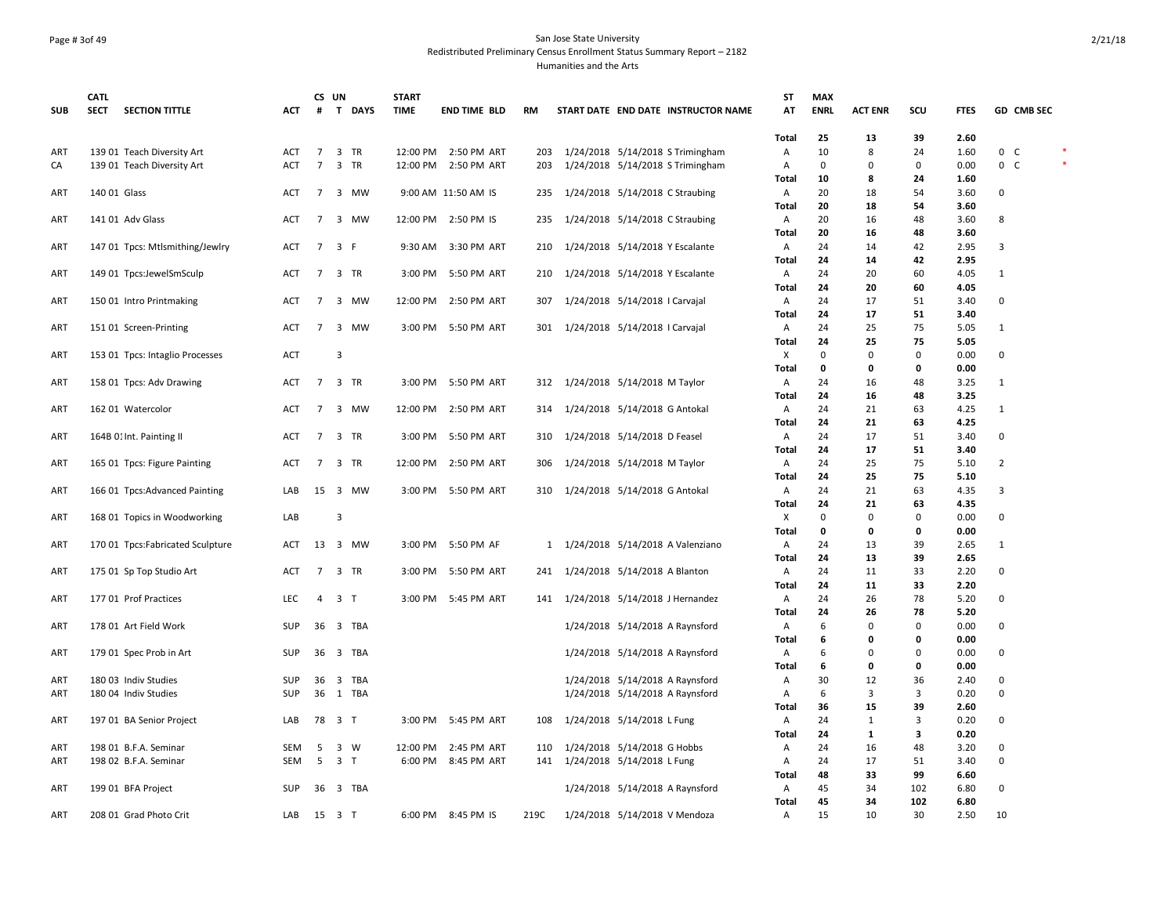# Page # 3of 49 San Jose State University Redistributed Preliminary Census Enrollment Status Summary Report – 2182 Humanities and the Arts

|            | <b>CATL</b>  |                                              |            |                 | CS UN |                | <b>START</b> |                     |      |                                   |                                 |                                                                    | ST           | <b>MAX</b>  |                |                         |              |                |            |        |
|------------|--------------|----------------------------------------------|------------|-----------------|-------|----------------|--------------|---------------------|------|-----------------------------------|---------------------------------|--------------------------------------------------------------------|--------------|-------------|----------------|-------------------------|--------------|----------------|------------|--------|
| <b>SUB</b> | <b>SECT</b>  | <b>SECTION TITTLE</b>                        | ACT        | #               |       | T DAYS         | <b>TIME</b>  | <b>END TIME BLD</b> | RM   |                                   |                                 | START DATE END DATE INSTRUCTOR NAME                                | AT           | <b>ENRL</b> | <b>ACT ENR</b> | scu                     | <b>FTES</b>  |                | GD CMB SEC |        |
|            |              |                                              |            |                 |       |                |              |                     |      |                                   |                                 |                                                                    | Total        | 25          | 13             | 39                      | 2.60         |                |            |        |
| ART        |              | 139 01 Teach Diversity Art                   | ACT        | $7\overline{ }$ |       | 3 TR           | 12:00 PM     | 2:50 PM ART         | 203  |                                   |                                 | 1/24/2018 5/14/2018 S Trimingham                                   | Α            | 10          | 8              | 24                      | 1.60         | 0 <sub>c</sub> |            |        |
| CA         |              | 139 01 Teach Diversity Art                   | <b>ACT</b> | $\overline{7}$  |       | 3 TR           | 12:00 PM     | 2:50 PM ART         | 203  |                                   |                                 | 1/24/2018 5/14/2018 S Trimingham                                   | Α            | $\mathbf 0$ | 0              | 0                       | 0.00         | 0 <sub>c</sub> |            | $\ast$ |
|            |              |                                              |            |                 |       |                |              |                     |      |                                   |                                 |                                                                    | <b>Total</b> | 10          | 8              | 24                      | 1.60         |                |            |        |
| ART        | 140 01 Glass |                                              | <b>ACT</b> |                 |       | 7 3 MW         |              | 9:00 AM 11:50 AM IS | 235  |                                   | 1/24/2018 5/14/2018 C Straubing |                                                                    | Α            | 20          | 18             | 54                      | 3.60         | $\mathbf 0$    |            |        |
|            |              |                                              |            |                 |       |                |              |                     |      |                                   |                                 |                                                                    | Total        | 20          | 18             | 54                      | 3.60         |                |            |        |
| ART        |              | 141 01 Adv Glass                             | ACT        | $7^{\circ}$     |       | 3 MW           |              | 12:00 PM 2:50 PM IS | 235  | 1/24/2018 5/14/2018 C Straubing   |                                 |                                                                    | A            | 20          | 16             | 48                      | 3.60         | 8              |            |        |
|            |              |                                              |            |                 |       |                |              |                     |      |                                   |                                 |                                                                    | <b>Total</b> | 20          | 16             | 48                      | 3.60         |                |            |        |
| ART        |              | 147 01 Tpcs: Mtlsmithing/Jewlry              | <b>ACT</b> | $\overline{7}$  |       | 3 F            | 9:30 AM      | 3:30 PM ART         | 210  |                                   | 1/24/2018 5/14/2018 Y Escalante |                                                                    | Α            | 24          | 14             | 42                      | 2.95         | 3              |            |        |
|            |              |                                              |            |                 |       |                |              |                     |      |                                   |                                 |                                                                    | Total        | 24          | 14             | 42                      | 2.95         |                |            |        |
| ART        |              | 149 01 Tpcs:JewelSmSculp                     | ACT        | 7               |       | 3 TR           | 3:00 PM      | 5:50 PM ART         | 210  |                                   | 1/24/2018 5/14/2018 Y Escalante |                                                                    | A            | 24          | 20             | 60                      | 4.05         | 1              |            |        |
|            |              |                                              |            |                 |       |                |              |                     |      |                                   |                                 |                                                                    | <b>Total</b> | 24          | 20             | 60                      | 4.05         |                |            |        |
| ART        |              | 150 01 Intro Printmaking                     | ACT        | 7               |       | 3 MW           | 12:00 PM     | 2:50 PM ART         | 307  |                                   | 1/24/2018 5/14/2018   Carvajal  |                                                                    | Α            | 24          | 17             | 51                      | 3.40         | 0              |            |        |
|            |              |                                              |            |                 |       |                |              |                     |      |                                   |                                 |                                                                    | Total        | 24          | 17             | 51                      | 3.40         |                |            |        |
| ART        |              | 151 01 Screen-Printing                       | ACT        | $7\overline{ }$ |       | 3 MW           | 3:00 PM      | 5:50 PM ART         | 301  | 1/24/2018 5/14/2018   Carvajal    |                                 |                                                                    | A            | 24          | 25             | 75                      | 5.05         | 1              |            |        |
|            |              |                                              |            |                 |       |                |              |                     |      |                                   |                                 |                                                                    | Total        | 24          | 25             | 75                      | 5.05         |                |            |        |
| ART        |              | 153 01 Tpcs: Intaglio Processes              | ACT        |                 | 3     |                |              |                     |      |                                   |                                 |                                                                    | х            | $\mathbf 0$ | 0              | $\mathbf 0$             | 0.00         | 0              |            |        |
|            |              |                                              |            |                 |       |                |              |                     |      |                                   |                                 |                                                                    | Total        | 0           | 0              | 0                       | 0.00         |                |            |        |
| ART        |              | 158 01 Tpcs: Adv Drawing                     | ACT        | $\overline{7}$  |       | 3 TR           | 3:00 PM      | 5:50 PM ART         | 312  | 1/24/2018 5/14/2018 M Taylor      |                                 |                                                                    | Α            | 24          | 16             | 48                      | 3.25         | $\mathbf{1}$   |            |        |
|            |              |                                              |            |                 |       |                |              |                     |      |                                   |                                 |                                                                    | <b>Total</b> | 24          | 16             | 48                      | 3.25         |                |            |        |
| ART        |              | 162 01 Watercolor                            | ACT        | 7               |       | 3 MW           | 12:00 PM     | 2:50 PM ART         | 314  | 1/24/2018 5/14/2018 G Antokal     |                                 |                                                                    | Α            | 24          | 21             | 63                      | 4.25         | 1              |            |        |
|            |              |                                              |            |                 |       |                |              |                     |      |                                   |                                 |                                                                    | Total        | 24          | 21             | 63                      | 4.25         |                |            |        |
| ART        |              | 164B 01 Int. Painting II                     | ACT        | $7^{\circ}$     |       | 3 TR           | 3:00 PM      | 5:50 PM ART         | 310  | 1/24/2018 5/14/2018 D Feasel      |                                 |                                                                    | Α            | 24          | 17             | 51                      | 3.40         | 0              |            |        |
|            |              |                                              |            |                 |       |                |              |                     |      |                                   |                                 |                                                                    | Total        | 24          | 17             | 51                      | 3.40         |                |            |        |
| ART        |              | 165 01 Tpcs: Figure Painting                 | ACT        | $\overline{7}$  |       | 3 TR           | 12:00 PM     | 2:50 PM ART         | 306  | 1/24/2018 5/14/2018 M Taylor      |                                 |                                                                    | Α            | 24          | 25             | 75                      | 5.10         | $\overline{2}$ |            |        |
|            |              |                                              |            |                 |       |                |              |                     |      |                                   |                                 |                                                                    | Total        | 24          | 25             | 75                      | 5.10         |                |            |        |
| ART        |              | 166 01 Tpcs:Advanced Painting                | LAB        | 15              |       | 3 MW           |              | 3:00 PM 5:50 PM ART | 310  | 1/24/2018 5/14/2018 G Antokal     |                                 |                                                                    | Α            | 24          | 21             | 63                      | 4.35         | 3              |            |        |
|            |              |                                              |            |                 |       |                |              |                     |      |                                   |                                 |                                                                    | Total        | 24          | 21             | 63                      | 4.35         |                |            |        |
| ART        |              | 168 01 Topics in Woodworking                 | LAB        |                 | 3     |                |              |                     |      |                                   |                                 |                                                                    | X            | $\mathbf 0$ | 0              | $\mathbf 0$             | 0.00         | 0              |            |        |
|            |              |                                              |            |                 |       |                |              |                     |      |                                   |                                 |                                                                    | Total        | 0           | 0              | 0                       | 0.00         |                |            |        |
| ART        |              | 170 01 Tpcs:Fabricated Sculpture             | ACT        |                 |       | 13 3 MW        |              | 3:00 PM 5:50 PM AF  |      |                                   |                                 | 1 1/24/2018 5/14/2018 A Valenziano                                 | Α            | 24          | 13             | 39                      | 2.65         | $\mathbf{1}$   |            |        |
|            |              |                                              |            |                 |       |                |              |                     |      |                                   |                                 |                                                                    | Total        | 24          | 13             | 39                      | 2.65         |                |            |        |
| ART        |              | 175 01 Sp Top Studio Art                     | ACT        | $\overline{7}$  |       | 3 TR           |              | 3:00 PM 5:50 PM ART |      | 241 1/24/2018 5/14/2018 A Blanton |                                 |                                                                    | Α            | 24          | 11             | 33                      | 2.20         | 0              |            |        |
|            |              |                                              |            |                 |       |                |              |                     |      |                                   |                                 |                                                                    | Total        | 24          | 11             | 33                      | 2.20         |                |            |        |
| ART        |              | 177 01 Prof Practices                        | <b>LEC</b> | $\overline{4}$  |       | 3 <sub>T</sub> | 3:00 PM      | 5:45 PM ART         | 141  | 1/24/2018 5/14/2018 J Hernandez   |                                 |                                                                    | Α            | 24          | 26             | 78                      | 5.20         | $\mathbf 0$    |            |        |
|            |              |                                              |            |                 |       |                |              |                     |      |                                   |                                 |                                                                    | Total        | 24          | 26             | 78                      | 5.20         |                |            |        |
| ART        |              | 178 01 Art Field Work                        | SUP        | 36              |       | 3 TBA          |              |                     |      |                                   |                                 | 1/24/2018 5/14/2018 A Raynsford                                    | A            | 6           | 0              | $\Omega$<br>$\mathbf 0$ | 0.00         | 0              |            |        |
|            |              |                                              |            |                 |       | 36 3 TBA       |              |                     |      |                                   |                                 |                                                                    | Total        | 6           | 0              |                         | 0.00         |                |            |        |
| ART        |              | 179 01 Spec Prob in Art                      | SUP        |                 |       |                |              |                     |      |                                   |                                 | 1/24/2018 5/14/2018 A Raynsford                                    | Α            | 6           | 0              | 0<br>0                  | 0.00         | 0              |            |        |
|            |              |                                              | SUP        |                 |       |                |              |                     |      |                                   |                                 |                                                                    | Total        | 6           | 0<br>12        | 36                      | 0.00<br>2.40 | 0              |            |        |
| ART<br>ART |              | 180 03 Indiv Studies<br>180 04 Indiv Studies | <b>SUP</b> | 36<br>36        |       | 3 TBA<br>1 TBA |              |                     |      |                                   |                                 | 1/24/2018 5/14/2018 A Raynsford<br>1/24/2018 5/14/2018 A Raynsford | Α<br>Α       | 30<br>6     | 3              | 3                       | 0.20         | 0              |            |        |
|            |              |                                              |            |                 |       |                |              |                     |      |                                   |                                 |                                                                    |              | 36          | 15             | 39                      | 2.60         |                |            |        |
| ART        |              | 197 01 BA Senior Project                     | LAB        | 78              | 3 T   |                | 3:00 PM      | 5:45 PM ART         | 108  | 1/24/2018 5/14/2018 L Fung        |                                 |                                                                    | Total<br>A   | 24          | 1              | 3                       | 0.20         | 0              |            |        |
|            |              |                                              |            |                 |       |                |              |                     |      |                                   |                                 |                                                                    | Total        | 24          | 1              | 3                       | 0.20         |                |            |        |
| ART        |              | 198 01 B.F.A. Seminar                        | SEM        | 5               |       | 3 W            | 12:00 PM     | 2:45 PM ART         | 110  |                                   | 1/24/2018 5/14/2018 G Hobbs     |                                                                    | Α            | 24          | 16             | 48                      | 3.20         | 0              |            |        |
| ART        |              | 198 02 B.F.A. Seminar                        | SEM        | 5               |       | 3 <sub>T</sub> |              | 6:00 PM 8:45 PM ART | 141  | 1/24/2018 5/14/2018 L Fung        |                                 |                                                                    | Α            | 24          | 17             | 51                      | 3.40         | 0              |            |        |
|            |              |                                              |            |                 |       |                |              |                     |      |                                   |                                 |                                                                    | Total        | 48          | 33             | 99                      | 6.60         |                |            |        |
| ART        |              | 199 01 BFA Project                           | SUP        | 36              |       | 3 TBA          |              |                     |      |                                   |                                 | 1/24/2018 5/14/2018 A Raynsford                                    | Α            | 45          | 34             | 102                     | 6.80         | $\mathbf 0$    |            |        |
|            |              |                                              |            |                 |       |                |              |                     |      |                                   |                                 |                                                                    | <b>Total</b> | 45          | 34             | 102                     | 6.80         |                |            |        |
| ART        |              | 208 01 Grad Photo Crit                       | LAB        | 15 3 T          |       |                |              | 6:00 PM 8:45 PM IS  | 219C |                                   | 1/24/2018 5/14/2018 V Mendoza   |                                                                    | Α            | 15          | 10             | 30                      | 2.50         | 10             |            |        |
|            |              |                                              |            |                 |       |                |              |                     |      |                                   |                                 |                                                                    |              |             |                |                         |              |                |            |        |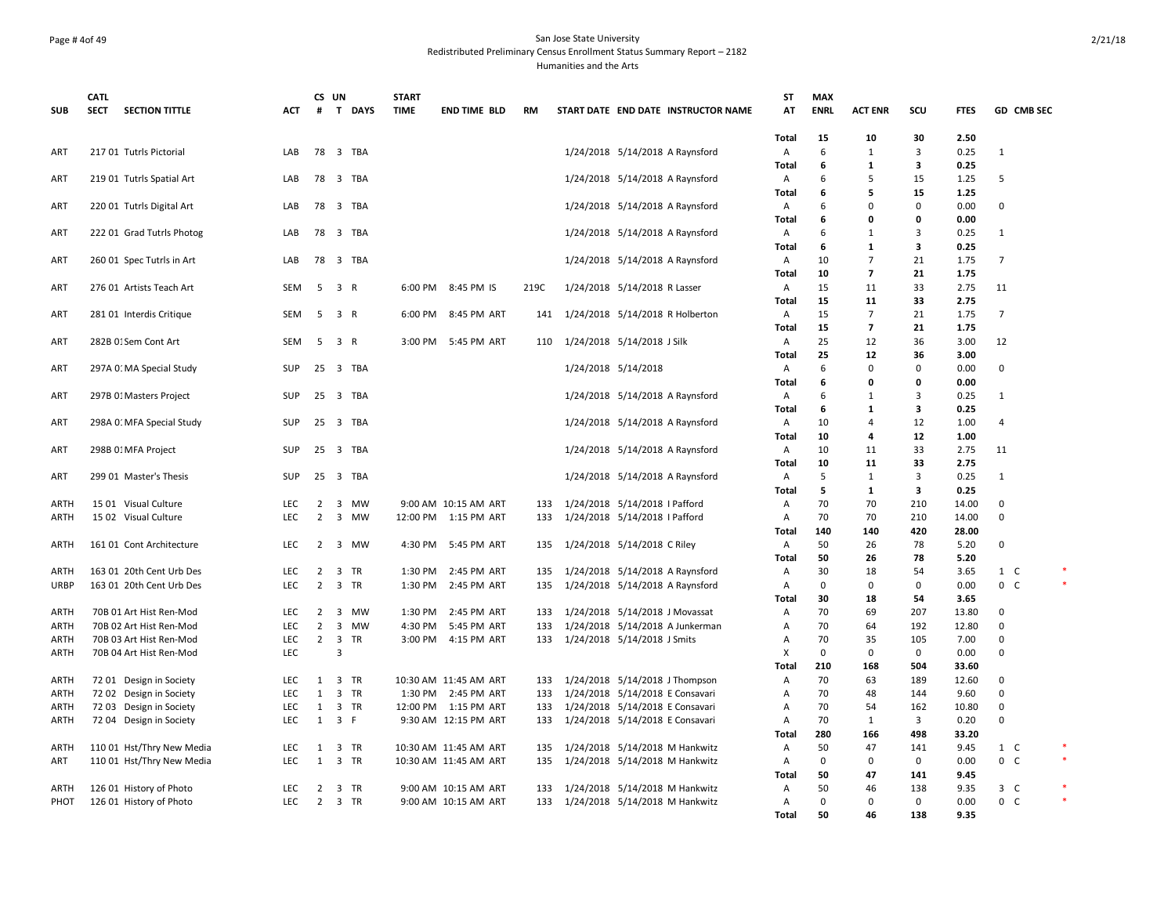# Page # 4of 49 San Jose State University Redistributed Preliminary Census Enrollment Status Summary Report – 2182 Humanities and the Arts

|              | <b>CATL</b>                                        |                          |                | CS UN                   |                | <b>START</b> |                                              |      |                                                                      | <b>ST</b>  | <b>MAX</b>  |                     |                |              |                       |  |
|--------------|----------------------------------------------------|--------------------------|----------------|-------------------------|----------------|--------------|----------------------------------------------|------|----------------------------------------------------------------------|------------|-------------|---------------------|----------------|--------------|-----------------------|--|
| <b>SUB</b>   | <b>SECT</b><br><b>SECTION TITTLE</b>               | <b>ACT</b>               | #              |                         | T DAYS         | <b>TIME</b>  | <b>END TIME BLD</b>                          | RM   | START DATE END DATE INSTRUCTOR NAME                                  | AT         | <b>ENRL</b> | <b>ACT ENR</b>      | scu            | <b>FTES</b>  | GD CMB SEC            |  |
|              |                                                    |                          |                |                         |                |              |                                              |      |                                                                      | Total      | 15          | 10                  | 30             | 2.50         |                       |  |
| ART          | 217 01 Tutrls Pictorial                            | LAB                      |                |                         | 78 3 TBA       |              |                                              |      | 1/24/2018 5/14/2018 A Raynsford                                      | Α          | 6           | 1                   | 3              | 0.25         | $\mathbf{1}$          |  |
|              |                                                    |                          |                |                         |                |              |                                              |      |                                                                      | Total      | 6           | $\mathbf{1}$        | 3              | 0.25         |                       |  |
| ART          | 219 01 Tutrls Spatial Art                          | LAB                      | 78             |                         | 3 TBA          |              |                                              |      | 1/24/2018 5/14/2018 A Raynsford                                      | Α          | 6           | 5                   | 15             | 1.25         | 5                     |  |
|              |                                                    |                          |                |                         |                |              |                                              |      |                                                                      | Total      | 6           | 5                   | 15             | 1.25         |                       |  |
| ART          | 220 01 Tutrls Digital Art                          | LAB                      | 78             |                         | 3 TBA          |              |                                              |      | 1/24/2018 5/14/2018 A Raynsford                                      | A          | 6           | $\Omega$            | 0              | 0.00         | 0                     |  |
|              |                                                    |                          |                |                         |                |              |                                              |      |                                                                      | Total      | 6           | 0                   | 0<br>3         | 0.00         |                       |  |
| ART          | 222 01 Grad Tutrls Photog                          | LAB                      | 78             |                         | 3 TBA          |              |                                              |      | 1/24/2018 5/14/2018 A Raynsford                                      | Α          | 6<br>6      | 1                   | 3              | 0.25<br>0.25 | $\mathbf{1}$          |  |
| ART          | 260 01 Spec Tutrls in Art                          | LAB                      | 78             |                         | 3 TBA          |              |                                              |      | 1/24/2018 5/14/2018 A Raynsford                                      | Total<br>Α | 10          | 1<br>$\overline{7}$ | 21             | 1.75         | 7                     |  |
|              |                                                    |                          |                |                         |                |              |                                              |      |                                                                      | Total      | 10          | $\overline{7}$      | 21             | 1.75         |                       |  |
| ART          | 276 01 Artists Teach Art                           | <b>SEM</b>               | 5              |                         | 3 R            |              | 6:00 PM 8:45 PM IS                           | 219C | 1/24/2018 5/14/2018 R Lasser                                         | Α          | 15          | 11                  | 33             | 2.75         | 11                    |  |
|              |                                                    |                          |                |                         |                |              |                                              |      |                                                                      | Total      | 15          | 11                  | 33             | 2.75         |                       |  |
| ART          | 281 01 Interdis Critique                           | SEM                      | 5              |                         | 3 R            | 6:00 PM      | 8:45 PM ART                                  | 141  | 1/24/2018 5/14/2018 R Holberton                                      | Α          | 15          | $\overline{7}$      | 21             | 1.75         | $\overline{7}$        |  |
|              |                                                    |                          |                |                         |                |              |                                              |      |                                                                      | Total      | 15          | $\overline{7}$      | 21             | 1.75         |                       |  |
| ART          | 282B 01Sem Cont Art                                | SEM                      | 5              |                         | 3 R            | 3:00 PM      | 5:45 PM ART                                  | 110  | 1/24/2018 5/14/2018 J Silk                                           | Α          | 25          | 12                  | 36             | 3.00         | 12                    |  |
|              |                                                    |                          |                |                         |                |              |                                              |      |                                                                      | Total      | 25          | 12                  | 36             | 3.00         |                       |  |
| ART          | 297A 0: MA Special Study                           | <b>SUP</b>               |                |                         | 25 3 TBA       |              |                                              |      | 1/24/2018 5/14/2018                                                  | Α          | 6           | 0                   | $\Omega$       | 0.00         | 0                     |  |
|              |                                                    |                          |                |                         |                |              |                                              |      |                                                                      | Total      | 6           | 0                   | 0              | 0.00         |                       |  |
| ART          | 297B 01 Masters Project                            | SUP                      |                |                         | 25 3 TBA       |              |                                              |      | 1/24/2018 5/14/2018 A Raynsford                                      | Α          | 6           | $\mathbf{1}$        | 3              | 0.25         | $\mathbf{1}$          |  |
|              |                                                    |                          |                |                         |                |              |                                              |      |                                                                      | Total      | 6           | 1                   | 3              | 0.25         |                       |  |
| ART          | 298A 0. MFA Special Study                          | SUP                      | 25             |                         | 3 TBA          |              |                                              |      | 1/24/2018 5/14/2018 A Raynsford                                      | A          | 10          | 4                   | 12             | 1.00         | 4                     |  |
|              |                                                    |                          |                |                         |                |              |                                              |      |                                                                      | Total      | 10          | 4                   | 12             | 1.00         |                       |  |
| ART          | 298B 01 MFA Project                                | SUP                      | 25             |                         | 3 TBA          |              |                                              |      | 1/24/2018 5/14/2018 A Raynsford                                      | A          | 10          | 11                  | 33             | 2.75         | 11                    |  |
|              |                                                    |                          |                |                         |                |              |                                              |      |                                                                      | Total      | 10          | 11                  | 33             | 2.75         |                       |  |
| ART          | 299 01 Master's Thesis                             | SUP                      |                |                         | 25 3 TBA       |              |                                              |      | 1/24/2018 5/14/2018 A Raynsford                                      | A          | 5           | 1                   | 3              | 0.25         | $\mathbf{1}$          |  |
|              |                                                    |                          |                |                         |                |              |                                              |      |                                                                      | Total      | 5           | 1                   | 3              | 0.25         |                       |  |
| ARTH         | 15 01 Visual Culture                               | <b>LEC</b>               | $\overline{2}$ | $\overline{\mathbf{3}}$ | MW             |              | 9:00 AM 10:15 AM ART                         | 133  | 1/24/2018 5/14/2018   Pafford                                        | Α          | 70          | 70                  | 210            | 14.00        | 0                     |  |
| ARTH         | 15 02 Visual Culture                               | LEC                      | $\overline{2}$ | $\overline{\mathbf{3}}$ | MW             |              | 12:00 PM 1:15 PM ART                         | 133  | 1/24/2018 5/14/2018   Pafford                                        | Α          | 70          | 70                  | 210            | 14.00        | 0                     |  |
|              |                                                    | <b>LEC</b>               |                |                         |                |              |                                              |      |                                                                      | Total      | 140         | 140                 | 420<br>78      | 28.00        | 0                     |  |
| <b>ARTH</b>  | 161 01 Cont Architecture                           |                          |                |                         | 2 3 MW         |              | 4:30 PM 5:45 PM ART                          | 135  | 1/24/2018 5/14/2018 C Riley                                          | Α<br>Total | 50<br>50    | 26<br>26            | 78             | 5.20<br>5.20 |                       |  |
| <b>ARTH</b>  | 163 01 20th Cent Urb Des                           | LEC                      | $\overline{2}$ |                         | 3 TR           |              | 1:30 PM 2:45 PM ART                          | 135  | 1/24/2018 5/14/2018 A Raynsford                                      | Α          | 30          | 18                  | 54             | 3.65         | $1\quad C$            |  |
| URBP         | 163 01 20th Cent Urb Des                           | <b>LEC</b>               | $\overline{2}$ |                         | 3 TR           | 1:30 PM      | 2:45 PM ART                                  | 135  | 1/24/2018 5/14/2018 A Raynsford                                      | Α          | 0           | $\mathbf 0$         | 0              | 0.00         | 0 C                   |  |
|              |                                                    |                          |                |                         |                |              |                                              |      |                                                                      | Total      | 30          | 18                  | 54             | 3.65         |                       |  |
| <b>ARTH</b>  | 70B 01 Art Hist Ren-Mod                            | <b>LEC</b>               |                |                         | 2 3 MW         | 1:30 PM      | 2:45 PM ART                                  |      | 133 1/24/2018 5/14/2018 J Movassat                                   | Α          | 70          | 69                  | 207            | 13.80        | 0                     |  |
| <b>ARTH</b>  | 70B 02 Art Hist Ren-Mod                            | <b>LEC</b>               | $\overline{2}$ | 3                       | MW             | 4:30 PM      | 5:45 PM ART                                  | 133  | 1/24/2018 5/14/2018 A Junkerman                                      | Α          | 70          | 64                  | 192            | 12.80        | $\mathbf 0$           |  |
| <b>ARTH</b>  | 70B 03 Art Hist Ren-Mod                            | <b>LEC</b>               | $\overline{2}$ | $\overline{\mathbf{3}}$ | <b>TR</b>      |              | 3:00 PM 4:15 PM ART                          |      | 133 1/24/2018 5/14/2018 J Smits                                      | Α          | 70          | 35                  | 105            | 7.00         | 0                     |  |
| <b>ARTH</b>  | 70B 04 Art Hist Ren-Mod                            | <b>LEC</b>               |                | $\overline{3}$          |                |              |                                              |      |                                                                      | x          | 0           | $\mathbf 0$         | $\mathbf 0$    | 0.00         | 0                     |  |
|              |                                                    |                          |                |                         |                |              |                                              |      |                                                                      | Total      | 210         | 168                 | 504            | 33.60        |                       |  |
| <b>ARTH</b>  | 72 01 Design in Society                            | LEC                      | 1              |                         | 3 TR           |              | 10:30 AM 11:45 AM ART                        | 133  | 1/24/2018 5/14/2018 J Thompson                                       | Α          | 70          | 63                  | 189            | 12.60        | 0                     |  |
| <b>ARTH</b>  | 72 02 Design in Society                            | <b>LEC</b>               | 1              |                         | 3 TR           |              | 1:30 PM 2:45 PM ART                          | 133  | 1/24/2018 5/14/2018 E Consavari                                      | Α          | 70          | 48                  | 144            | 9.60         | 0                     |  |
| <b>ARTH</b>  | 72 03 Design in Society                            | <b>LEC</b>               | $\mathbf{1}$   |                         | 3 TR           |              | 12:00 PM 1:15 PM ART                         | 133  | 1/24/2018 5/14/2018 E Consavari                                      | Α          | 70          | 54                  | 162            | 10.80        | $\mathbf 0$           |  |
| ARTH         | 72 04 Design in Society                            | <b>LEC</b>               |                | $1 \quad 3 \quad F$     |                |              | 9:30 AM 12:15 PM ART                         |      | 133 1/24/2018 5/14/2018 E Consavari                                  | Α          | 70          | 1                   | $\overline{3}$ | 0.20         | 0                     |  |
|              |                                                    |                          |                |                         |                |              |                                              |      |                                                                      | Total      | 280         | 166                 | 498            | 33.20        |                       |  |
| <b>ARTH</b>  | 110 01 Hst/Thry New Media                          | <b>LEC</b>               | 1              |                         | 3 TR           |              | 10:30 AM 11:45 AM ART                        | 135  | 1/24/2018 5/14/2018 M Hankwitz                                       | Α          | 50          | 47                  | 141            | 9.45         | $1 \quad C$           |  |
| ART          | 110 01 Hst/Thry New Media                          | <b>LEC</b>               | 1              |                         | 3 TR           |              | 10:30 AM 11:45 AM ART                        | 135  | 1/24/2018 5/14/2018 M Hankwitz                                       | A          | $\Omega$    | 0                   | $\mathbf 0$    | 0.00         | $0-$                  |  |
|              |                                                    |                          |                |                         |                |              |                                              |      |                                                                      | Total      | 50          | 47                  | 141            | 9.45         |                       |  |
| ARTH<br>PHOT | 126 01 History of Photo<br>126 01 History of Photo | <b>LEC</b><br><b>LEC</b> | $\overline{2}$ |                         | 3 TR<br>2 3 TR |              | 9:00 AM 10:15 AM ART<br>9:00 AM 10:15 AM ART | 133  | 1/24/2018 5/14/2018 M Hankwitz<br>133 1/24/2018 5/14/2018 M Hankwitz | Α<br>Α     | 50<br>0     | 46<br>0             | 138<br>0       | 9.35<br>0.00 | 3 <sup>C</sup><br>0 C |  |
|              |                                                    |                          |                |                         |                |              |                                              |      |                                                                      | Total      | 50          | 46                  | 138            | 9.35         |                       |  |
|              |                                                    |                          |                |                         |                |              |                                              |      |                                                                      |            |             |                     |                |              |                       |  |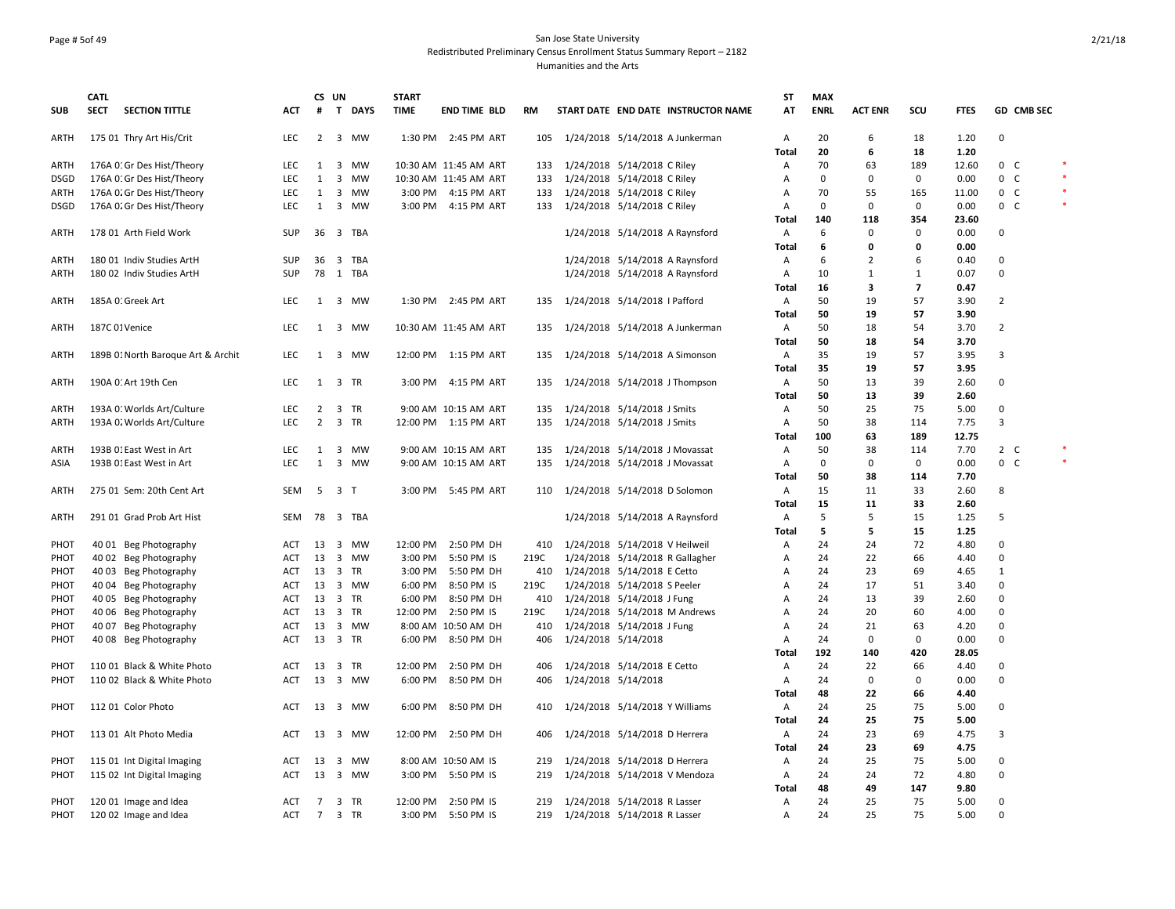# Page # 5of 49 San Jose State University Redistributed Preliminary Census Enrollment Status Summary Report – 2182 Humanities and the Arts

|             | <b>CATL</b>    |                                                          |            | CS UN          |                         |         | <b>START</b> |                       |      |                     |                                                                |                                     | ST           | <b>MAX</b>  |                |                |              |                         |                |        |
|-------------|----------------|----------------------------------------------------------|------------|----------------|-------------------------|---------|--------------|-----------------------|------|---------------------|----------------------------------------------------------------|-------------------------------------|--------------|-------------|----------------|----------------|--------------|-------------------------|----------------|--------|
| <b>SUB</b>  | <b>SECT</b>    | <b>SECTION TITTLE</b>                                    | <b>ACT</b> | #              |                         | T DAYS  | <b>TIME</b>  | <b>END TIME BLD</b>   | RM   |                     |                                                                | START DATE END DATE INSTRUCTOR NAME | AT           | <b>ENRL</b> | <b>ACT ENR</b> | SCU            | <b>FTES</b>  |                         | GD CMB SEC     |        |
| <b>ARTH</b> |                | 175 01 Thry Art His/Crit                                 | <b>LEC</b> | 2              |                         | 3 MW    |              | 1:30 PM 2:45 PM ART   | 105  |                     |                                                                | 1/24/2018 5/14/2018 A Junkerman     | A            | 20          | 6              | 18             | 1.20         | $\Omega$                |                |        |
|             |                |                                                          |            |                |                         |         |              |                       |      |                     |                                                                |                                     | <b>Total</b> | 20          | 6              | 18             | 1.20         |                         |                |        |
| ARTH        |                | 176A 0: Gr Des Hist/Theory                               | LEC        | 1              | 3                       | MW      |              | 10:30 AM 11:45 AM ART | 133  |                     | 1/24/2018 5/14/2018 C Riley                                    |                                     | Α            | 70          | 63             | 189            | 12.60        |                         | 0 <sup>o</sup> |        |
| <b>DSGD</b> |                | 176A 0: Gr Des Hist/Theory                               | LEC        | $\mathbf{1}$   | $\overline{\mathbf{3}}$ | MW      |              | 10:30 AM 11:45 AM ART | 133  |                     | 1/24/2018 5/14/2018 C Riley                                    |                                     | Α            | 0           | 0              | $\pmb{0}$      | 0.00         |                         | 0 C            |        |
| ARTH        |                | 176A 0. Gr Des Hist/Theory                               | LEC        | 1              |                         | 3 MW    |              | 3:00 PM 4:15 PM ART   | 133  |                     | 1/24/2018 5/14/2018 C Riley                                    |                                     | Α            | 70          | 55             | 165            | 11.00        |                         | $0\quad C$     | $\ast$ |
| DSGD        |                | 176A 0. Gr Des Hist/Theory                               | <b>LEC</b> | 1              |                         | 3 MW    |              | 3:00 PM 4:15 PM ART   | 133  |                     | 1/24/2018 5/14/2018 C Riley                                    |                                     | Α            | $\Omega$    | 0              | 0              | 0.00         |                         | 0 <sup>o</sup> | $\ast$ |
|             |                |                                                          |            |                |                         |         |              |                       |      |                     |                                                                |                                     | <b>Total</b> | 140         | 118            | 354            | 23.60        |                         |                |        |
| ARTH        |                | 178 01 Arth Field Work                                   | SUP        | 36             |                         | 3 TBA   |              |                       |      |                     |                                                                | 1/24/2018 5/14/2018 A Raynsford     | Α            | 6           | 0              | 0              | 0.00         | $\Omega$                |                |        |
|             |                |                                                          |            |                |                         |         |              |                       |      |                     |                                                                |                                     | Total        | 6           | 0              | 0              | 0.00         |                         |                |        |
| <b>ARTH</b> |                | 180 01 Indiv Studies ArtH                                | <b>SUP</b> | 36             |                         | 3 TBA   |              |                       |      |                     |                                                                | 1/24/2018 5/14/2018 A Raynsford     | Α            | 6           | 2              | 6              | 0.40         | $\Omega$                |                |        |
| ARTH        |                | 180 02 Indiv Studies ArtH                                | <b>SUP</b> | 78             | 1                       | TBA     |              |                       |      |                     |                                                                | 1/24/2018 5/14/2018 A Raynsford     | Α            | 10          | $\mathbf{1}$   | $\mathbf{1}$   | 0.07         | $\Omega$                |                |        |
|             |                |                                                          |            |                |                         |         |              |                       |      |                     |                                                                |                                     | Total        | 16          | 3              | $\overline{7}$ | 0.47         |                         |                |        |
| ARTH        |                | 185A 0. Greek Art                                        | <b>LEC</b> |                |                         | 1 3 MW  |              | 1:30 PM 2:45 PM ART   | 135  |                     | 1/24/2018 5/14/2018   Pafford                                  |                                     | Α            | 50          | 19             | 57             | 3.90         | 2                       |                |        |
|             |                |                                                          |            |                |                         |         |              |                       |      |                     |                                                                |                                     | <b>Total</b> | 50          | 19             | 57             | 3.90         |                         |                |        |
| ARTH        | 187C 01 Venice |                                                          | LEC        | 1              |                         | 3 MW    |              | 10:30 AM 11:45 AM ART | 135  |                     |                                                                | 1/24/2018 5/14/2018 A Junkerman     | Α            | 50          | 18             | 54             | 3.70         | $\overline{2}$          |                |        |
|             |                |                                                          |            |                |                         |         |              |                       |      |                     |                                                                |                                     | Total        | 50          | 18             | 54             | 3.70         |                         |                |        |
| <b>ARTH</b> |                | 189B 01 North Baroque Art & Archit                       | <b>LEC</b> | 1              |                         | 3 MW    |              | 12:00 PM 1:15 PM ART  | 135  |                     | 1/24/2018 5/14/2018 A Simonson                                 |                                     | Α            | 35          | 19             | 57             | 3.95         | 3                       |                |        |
|             |                |                                                          |            |                |                         |         |              |                       |      |                     |                                                                |                                     | Total        | 35          | 19             | 57             | 3.95         |                         |                |        |
| ARTH        |                | 190A 0: Art 19th Cen                                     | <b>LEC</b> | 1              |                         | 3 TR    | 3:00 PM      | 4:15 PM ART           | 135  |                     |                                                                | 1/24/2018 5/14/2018 J Thompson      | Α            | 50          | 13             | 39             | 2.60         | $\Omega$                |                |        |
|             |                |                                                          |            |                |                         |         |              |                       |      |                     |                                                                |                                     | Total        | 50          | 13             | 39             | 2.60         |                         |                |        |
| <b>ARTH</b> |                | 193A 0: Worlds Art/Culture                               | <b>LEC</b> |                |                         | 2 3 TR  |              | 9:00 AM 10:15 AM ART  | 135  |                     | 1/24/2018 5/14/2018 J Smits                                    |                                     | Α            | 50          | 25             | 75             | 5.00         | $\Omega$                |                |        |
| ARTH        |                | 193A 0. Worlds Art/Culture                               | <b>LEC</b> | $\overline{2}$ |                         | 3 TR    |              | 12:00 PM 1:15 PM ART  | 135  |                     | 1/24/2018 5/14/2018 J Smits                                    |                                     | Α            | 50          | 38             | 114            | 7.75         | $\overline{\mathbf{3}}$ |                |        |
|             |                |                                                          |            |                |                         |         |              |                       |      |                     |                                                                |                                     | Total        | 100         | 63             | 189            | 12.75        |                         |                |        |
| ARTH        |                | 193B 01 East West in Art                                 | <b>LEC</b> | 1              |                         | 3 MW    |              | 9:00 AM 10:15 AM ART  | 135  |                     | 1/24/2018 5/14/2018 J Movassat                                 |                                     | Α            | 50          | 38             | 114            | 7.70         |                         | $2\quad C$     |        |
| ASIA        |                | 193B 01 East West in Art                                 | LEC        | 1              |                         | 3 MW    |              | 9:00 AM 10:15 AM ART  | 135  |                     | 1/24/2018 5/14/2018 J Movassat                                 |                                     | Α            | $\mathbf 0$ | 0              | 0              | 0.00         |                         | $0\quad C$     |        |
|             |                |                                                          |            |                |                         |         |              |                       |      |                     |                                                                |                                     | Total        | 50          | 38             | 114            | 7.70         |                         |                |        |
| <b>ARTH</b> |                | 275 01 Sem: 20th Cent Art                                | SEM        | 5              | 3 <sub>T</sub>          |         |              | 3:00 PM 5:45 PM ART   | 110  |                     | 1/24/2018 5/14/2018 D Solomon                                  |                                     | Α            | 15          | 11             | 33             | 2.60         | 8                       |                |        |
|             |                |                                                          |            |                |                         |         |              |                       |      |                     |                                                                |                                     | <b>Total</b> | 15          | 11             | 33             | 2.60         |                         |                |        |
| ARTH        |                | 291 01 Grad Prob Art Hist                                | SEM        | 78             |                         | 3 TBA   |              |                       |      |                     |                                                                | 1/24/2018 5/14/2018 A Raynsford     | Α            | 5           | 5              | 15             | 1.25         | 5                       |                |        |
|             |                |                                                          |            |                |                         |         |              |                       |      |                     |                                                                |                                     | <b>Total</b> | 5           | 5              | 15             | 1.25         |                         |                |        |
| PHOT        |                | 40 01 Beg Photography                                    | ACT        |                |                         | 13 3 MW | 12:00 PM     | 2:50 PM DH            | 410  |                     | 1/24/2018 5/14/2018 V Heilweil                                 |                                     | Α            | 24          | 24             | 72             | 4.80         | $\Omega$                |                |        |
| PHOT        |                | 40 02 Beg Photography                                    | <b>ACT</b> | 13             |                         | 3 MW    | 3:00 PM      | 5:50 PM IS            | 219C |                     | 1/24/2018 5/14/2018 R Gallagher                                |                                     | Α            | 24          | 22             | 66             | 4.40         | $\Omega$                |                |        |
| PHOT        |                | 40 03 Beg Photography                                    | ACT        | 13             |                         | 3 TR    | 3:00 PM      | 5:50 PM DH            | 410  |                     | 1/24/2018 5/14/2018 E Cetto                                    |                                     | Α            | 24          | 23             | 69             | 4.65         | 1                       |                |        |
| PHOT        |                | 40 04 Beg Photography                                    | <b>ACT</b> | 13             |                         | 3 MW    | 6:00 PM      | 8:50 PM IS            | 219C |                     | 1/24/2018 5/14/2018 S Peeler                                   |                                     | A            | 24          | 17             | 51             | 3.40         | $\Omega$                |                |        |
| PHOT        |                | 40 05 Beg Photography                                    | <b>ACT</b> | 13             |                         | 3 TR    | 6:00 PM      | 8:50 PM DH            | 410  |                     | 1/24/2018 5/14/2018 J Fung                                     |                                     | Α            | 24          | 13             | 39             | 2.60         | 0                       |                |        |
| PHOT        |                | 40 06 Beg Photography                                    | ACT        | 13             |                         | 3 TR    |              | 12:00 PM 2:50 PM IS   | 219C |                     | 1/24/2018 5/14/2018 M Andrews                                  |                                     | Α            | 24          | 20             | 60             | 4.00         | $\Omega$                |                |        |
| PHOT        |                | 40 07 Beg Photography                                    | <b>ACT</b> | 13             |                         | 3 MW    |              | 8:00 AM 10:50 AM DH   | 410  |                     | 1/24/2018 5/14/2018 J Fung                                     |                                     | Α            | 24          | 21             | 63             | 4.20         | $\Omega$                |                |        |
| PHOT        |                | 40 08 Beg Photography                                    | ACT        | 13             | $\overline{\mathbf{3}}$ | TR      | 6:00 PM      | 8:50 PM DH            | 406  |                     | 1/24/2018 5/14/2018                                            |                                     | Α            | 24          | 0              | 0              | 0.00         | $\Omega$                |                |        |
|             |                |                                                          |            |                |                         |         |              |                       |      |                     |                                                                |                                     | <b>Total</b> | 192         | 140            | 420            | 28.05        |                         |                |        |
| PHOT        |                | 110 01 Black & White Photo                               | <b>ACT</b> | 13             |                         | 3 TR    | 12:00 PM     | 2:50 PM DH            | 406  |                     | 1/24/2018 5/14/2018 E Cetto                                    |                                     | Α            | 24          | 22             | 66             | 4.40         | 0                       |                |        |
| PHOT        |                | 110 02 Black & White Photo                               | <b>ACT</b> | 13             |                         | 3 MW    | 6:00 PM      | 8:50 PM DH            | 406  | 1/24/2018 5/14/2018 |                                                                |                                     | Α            | 24          | 0              | 0              | 0.00         | $\Omega$                |                |        |
|             |                |                                                          |            |                |                         |         |              |                       |      |                     |                                                                |                                     | Total        | 48          | 22             | 66             | 4.40         |                         |                |        |
| PHOT        |                | 112 01 Color Photo                                       | ACT        | 13             |                         | 3 MW    | 6:00 PM      | 8:50 PM DH            | 410  |                     | 1/24/2018 5/14/2018 Y Williams                                 |                                     | Α            | 24          | 25             | 75             | 5.00         | 0                       |                |        |
|             |                |                                                          |            |                |                         |         |              |                       |      |                     |                                                                |                                     | Total        | 24          | 25             | 75             | 5.00         |                         |                |        |
| PHOT        |                | 113 01 Alt Photo Media                                   | <b>ACT</b> | 13             |                         | 3 MW    |              | 12:00 PM 2:50 PM DH   | 406  |                     | 1/24/2018 5/14/2018 D Herrera                                  |                                     | Α            | 24          | 23             | 69             | 4.75         | 3                       |                |        |
|             |                |                                                          |            |                |                         |         |              |                       |      |                     |                                                                |                                     |              | 24          | 23             | 69             | 4.75         |                         |                |        |
| PHOT        |                |                                                          | <b>ACT</b> | 13             | $\overline{\mathbf{3}}$ | MW      |              | 8:00 AM 10:50 AM IS   | 219  |                     |                                                                |                                     | Total<br>Α   | 24          | 25             | 75             | 5.00         | $\Omega$                |                |        |
| PHOT        |                | 115 01 Int Digital Imaging<br>115 02 Int Digital Imaging | ACT        | 13             |                         | 3 MW    | 3:00 PM      | 5:50 PM IS            | 219  |                     | 1/24/2018 5/14/2018 D Herrera<br>1/24/2018 5/14/2018 V Mendoza |                                     | Α            | 24          | 24             | 72             | 4.80         | 0                       |                |        |
|             |                |                                                          |            |                |                         |         |              |                       |      |                     |                                                                |                                     | <b>Total</b> | 48          | 49             | 147            |              |                         |                |        |
| PHOT        |                |                                                          |            | $\overline{7}$ |                         | 3 TR    | 12:00 PM     | 2:50 PM IS            | 219  |                     |                                                                |                                     | Α            | 24          | 25             | 75             | 9.80<br>5.00 | 0                       |                |        |
|             |                | 120 01 Image and Idea                                    | ACT        | 7              |                         |         |              |                       |      |                     | 1/24/2018 5/14/2018 R Lasser                                   |                                     |              | 24          | 25             | 75             | 5.00         | $\Omega$                |                |        |
| PHOT        |                | 120 02 Image and Idea                                    | ACT        |                |                         | 3 TR    | 3:00 PM      | 5:50 PM IS            | 219  |                     | 1/24/2018 5/14/2018 R Lasser                                   |                                     | Α            |             |                |                |              |                         |                |        |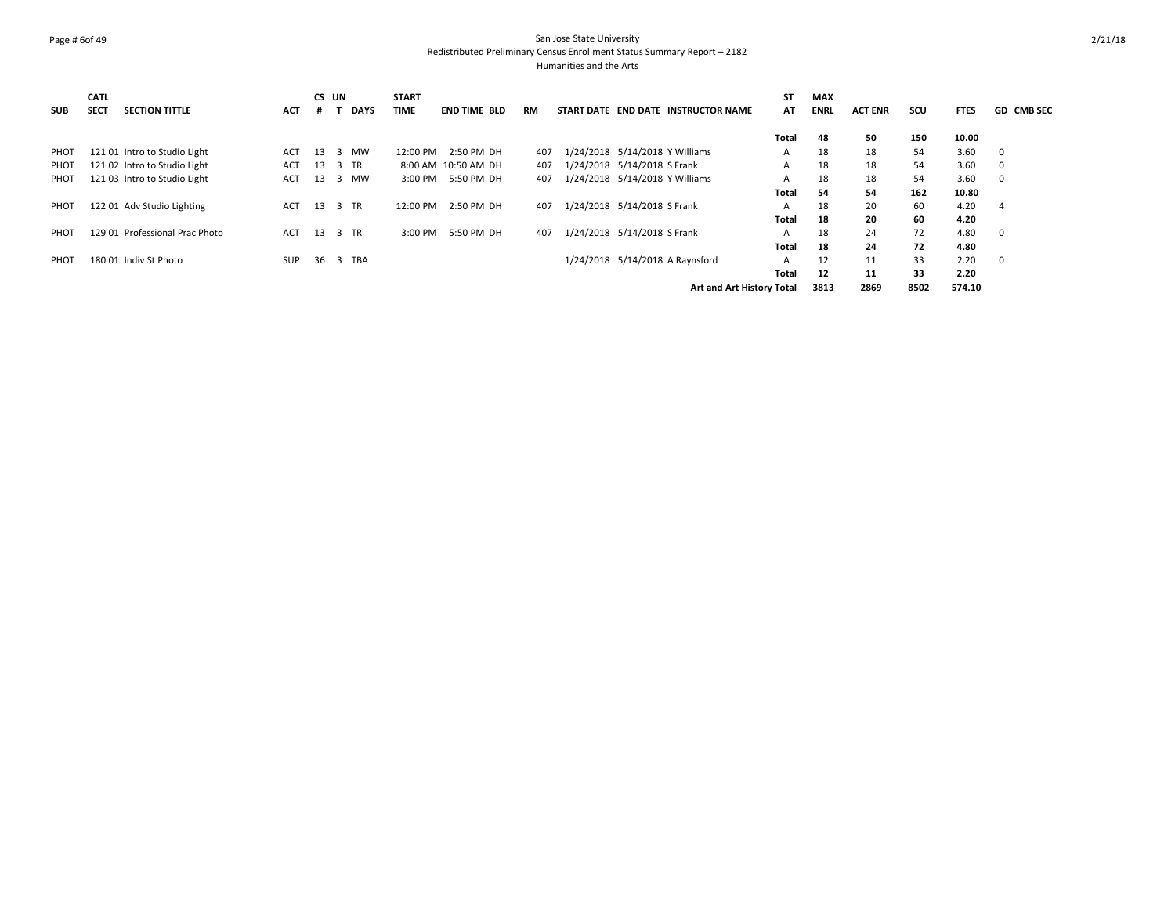# Page # 6of 49 San Jose State University Redistributed Preliminary Census Enrollment Status Summary Report – 2182 Humanities and the Arts

|            | <b>CATL</b> |                                |            | CS UN   |                         |             | <b>START</b> |                     |           |                                     | SΤ    | <b>MAX</b>  |                |      |             |                   |
|------------|-------------|--------------------------------|------------|---------|-------------------------|-------------|--------------|---------------------|-----------|-------------------------------------|-------|-------------|----------------|------|-------------|-------------------|
| <b>SUB</b> | <b>SECT</b> | <b>SECTION TITTLE</b>          | <b>ACT</b> |         |                         | <b>DAYS</b> | <b>TIME</b>  | <b>END TIME BLD</b> | <b>RM</b> | START DATE END DATE INSTRUCTOR NAME | AT    | <b>ENRL</b> | <b>ACT ENR</b> | scu  | <b>FTES</b> | <b>GD CMB SEC</b> |
|            |             |                                |            |         |                         |             |              |                     |           |                                     | Total | 48          | 50             | 150  | 10.00       |                   |
| PHOT       |             | 121 01 Intro to Studio Light   | ACT        | 13      | -3                      | MW          | 12:00 PM     | 2:50 PM DH          | 407       | 1/24/2018 5/14/2018 Y Williams      | A     | 18          | 18             | 54   | 3.60        | 0                 |
| PHOT       |             | 121 02 Intro to Studio Light   | ACT        | 13 3 TR |                         |             |              | 8:00 AM 10:50 AM DH | 407       | 1/24/2018 5/14/2018 S Frank         | A     | 18          | 18             | 54   | 3.60        | $\mathbf 0$       |
| PHOT       |             | 121 03 Intro to Studio Light   | ACT        | 13      | 3                       | MW          |              | 3:00 PM 5:50 PM DH  | 407       | 1/24/2018 5/14/2018 Y Williams      | A     | 18          | 18             | 54   | 3.60        | $\Omega$          |
|            |             |                                |            |         |                         |             |              |                     |           |                                     | Total | 54          | 54             | 162  | 10.80       |                   |
| PHOT       |             | 122 01 Adv Studio Lighting     | ACT        | 13 3    |                         | TR          | 12:00 PM     | 2:50 PM DH          | 407       | 1/24/2018 5/14/2018 S Frank         | A     | 18          | 20             | 60   | 4.20        | 4                 |
|            |             |                                |            |         |                         |             |              |                     |           |                                     | Total | 18          | 20             | 60   | 4.20        |                   |
| PHOT       |             | 129 01 Professional Prac Photo | <b>ACT</b> | 13      | $\overline{\mathbf{3}}$ | <b>TR</b>   | 3:00 PM      | 5:50 PM DH          | 407       | 1/24/2018 5/14/2018 S Frank         | A     | 18          | 24             | 72   | 4.80        | $\mathbf 0$       |
|            |             |                                |            |         |                         |             |              |                     |           |                                     | Total | 18          | 24             | 72   | 4.80        |                   |
| PHOT       |             | 180 01 Indiv St Photo          | <b>SUP</b> | 36      | 3                       | TBA         |              |                     |           | 1/24/2018 5/14/2018 A Raynsford     | A     | 12          | 11             | 33   | 2.20        | 0                 |
|            |             |                                |            |         |                         |             |              |                     |           |                                     | Total | 12          | 11             | 33   | 2.20        |                   |
|            |             |                                |            |         |                         |             |              |                     |           | Art and Art History Total           |       | 3813        | 2869           | 8502 | 574.10      |                   |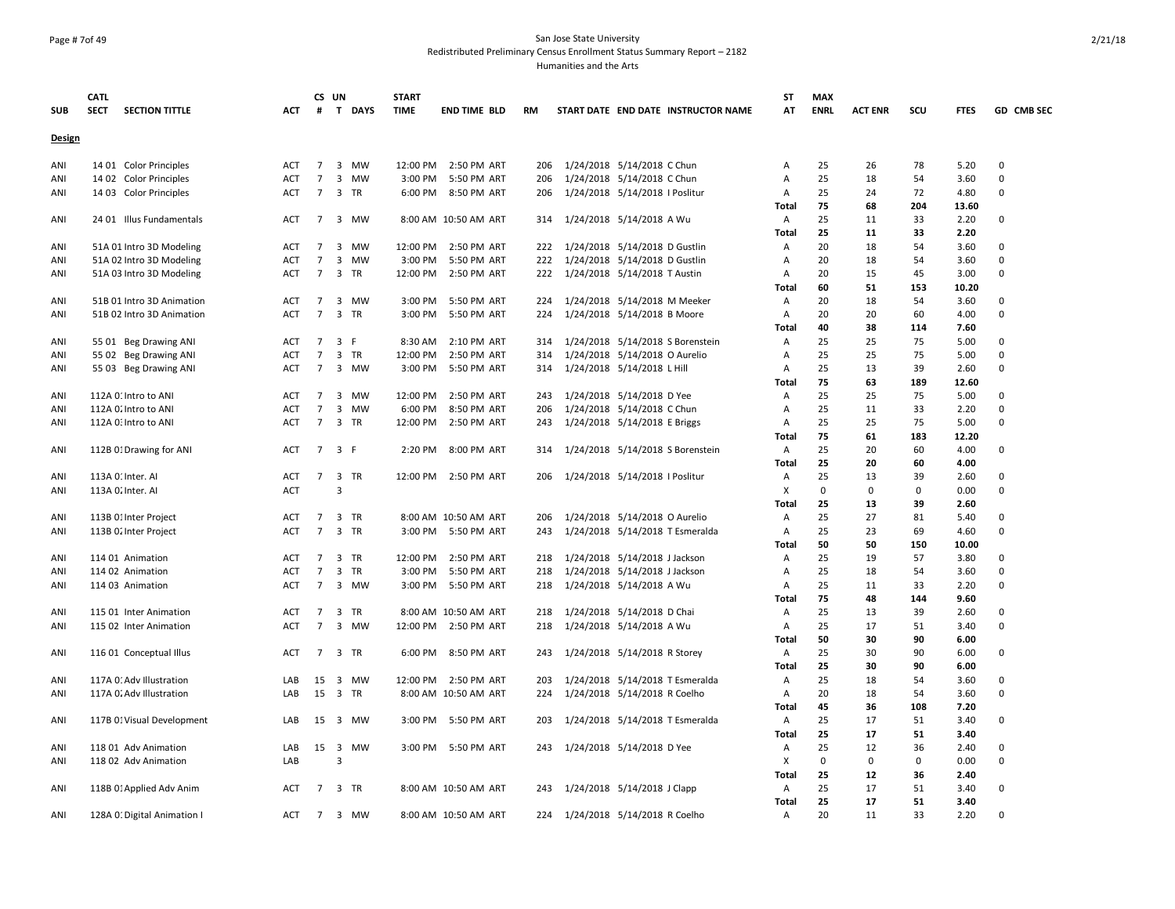# Page # 7of 49 San Jose State University Redistributed Preliminary Census Enrollment Status Summary Report – 2182 Humanities and the Arts

|               | <b>CATL</b>                          |            |                 | CS UN                                              |           | <b>START</b> |                      |           |                                  |                                     | ST                             | <b>MAX</b>  |                |             |              |                   |
|---------------|--------------------------------------|------------|-----------------|----------------------------------------------------|-----------|--------------|----------------------|-----------|----------------------------------|-------------------------------------|--------------------------------|-------------|----------------|-------------|--------------|-------------------|
| <b>SUB</b>    | <b>SECT</b><br><b>SECTION TITTLE</b> | ACT        | #               |                                                    | T DAYS    | <b>TIME</b>  | <b>END TIME BLD</b>  | <b>RM</b> |                                  | START DATE END DATE INSTRUCTOR NAME | AT                             | <b>ENRL</b> | <b>ACT ENR</b> | SCU         | <b>FTES</b>  | <b>GD CMB SEC</b> |
| <b>Design</b> |                                      |            |                 |                                                    |           |              |                      |           |                                  |                                     |                                |             |                |             |              |                   |
| ANI           | 14 01 Color Principles               | ACT        | $\overline{7}$  | $\overline{\mathbf{3}}$                            | MW        | 12:00 PM     | 2:50 PM ART          | 206       | 1/24/2018 5/14/2018 C Chun       |                                     | Α                              | 25          | 26             | 78          | 5.20         | 0                 |
| ANI           | 14 02 Color Principles               | ACT        | $\overline{7}$  | $\overline{\mathbf{3}}$                            | MW        | 3:00 PM      | 5:50 PM ART          | 206       | 1/24/2018 5/14/2018 C Chun       |                                     | Α                              | 25          | 18             | 54          | 3.60         | 0                 |
| ANI           | 14 03 Color Principles               | <b>ACT</b> | $7^{\circ}$     | $\overline{\mathbf{3}}$                            | TR        |              | 6:00 PM 8:50 PM ART  | 206       | 1/24/2018 5/14/2018   Poslitur   |                                     | Α                              | 25          | 24             | 72          | 4.80         | $\Omega$          |
|               |                                      |            |                 |                                                    |           |              |                      |           |                                  |                                     | Total                          | 75          | 68             | 204         | 13.60        |                   |
| ANI           | 24 01 Illus Fundamentals             | ACT        | $\overline{7}$  |                                                    | 3 MW      |              | 8:00 AM 10:50 AM ART | 314       | 1/24/2018 5/14/2018 A Wu         |                                     | A                              | 25          | 11             | 33          | 2.20         | $\Omega$          |
|               |                                      |            |                 |                                                    |           |              |                      |           |                                  |                                     | Total                          | 25          | 11             | 33          | 2.20         |                   |
| ANI           | 51A 01 Intro 3D Modeling             | ACT        | $\overline{7}$  | $\overline{\mathbf{3}}$                            | MW        | 12:00 PM     | 2:50 PM ART          | 222       | 1/24/2018 5/14/2018 D Gustlin    |                                     | Α                              | 20          | 18             | 54          | 3.60         | $\Omega$          |
| ANI           | 51A 02 Intro 3D Modeling             | ACT        | $\overline{7}$  | $\overline{\mathbf{3}}$                            | MW        | 3:00 PM      | 5:50 PM ART          | 222       | 1/24/2018 5/14/2018 D Gustlin    |                                     | A                              | 20          | 18             | 54          | 3.60         | $\mathbf 0$       |
| ANI           | 51A 03 Intro 3D Modeling             | ACT        | $\overline{7}$  | $\overline{\mathbf{3}}$                            | TR        | 12:00 PM     | 2:50 PM ART          | 222       | 1/24/2018 5/14/2018 T Austin     |                                     | Α                              | 20          | 15             | 45          | 3.00         | 0                 |
|               |                                      |            |                 |                                                    |           |              |                      |           |                                  |                                     | Total                          | 60          | 51             | 153         | 10.20        |                   |
| ANI           | 51B 01 Intro 3D Animation            | ACT        | 7               | $\overline{\mathbf{3}}$                            | MW        | 3:00 PM      | 5:50 PM ART          | 224       | 1/24/2018 5/14/2018 M Meeker     |                                     | A                              | 20          | 18             | 54          | 3.60         | 0                 |
| ANI           | 51B 02 Intro 3D Animation            | ACT        | $\overline{7}$  |                                                    | 3 TR      | 3:00 PM      | 5:50 PM ART          | 224       | 1/24/2018 5/14/2018 B Moore      |                                     | A                              | 20          | 20             | 60          | 4.00         | 0                 |
|               |                                      |            |                 |                                                    |           |              |                      |           |                                  |                                     | <b>Total</b>                   | 40          | 38             | 114         | 7.60         |                   |
| ANI           | 55 01 Beg Drawing ANI                | ACT        | 7               | 3                                                  | F         | 8:30 AM      | 2:10 PM ART          | 314       |                                  | 1/24/2018 5/14/2018 S Borenstein    | A                              | 25          | 25             | 75          | 5.00         | $\mathbf 0$       |
| ANI           | 55 02 Beg Drawing ANI                | ACT        | $7^{\circ}$     | $\overline{\mathbf{3}}$                            | TR        | 12:00 PM     | 2:50 PM ART          | 314       | 1/24/2018 5/14/2018 O Aurelio    |                                     | Α                              | 25          | 25             | 75          | 5.00         | $\Omega$          |
| ANI           | 55 03 Beg Drawing ANI                | ACT        | $7^{\circ}$     |                                                    | 3 MW      | 3:00 PM      | 5:50 PM ART          | 314       | 1/24/2018 5/14/2018 L Hill       |                                     | A                              | 25          | 13             | 39          | 2.60         | 0                 |
|               |                                      |            |                 |                                                    |           |              |                      |           |                                  |                                     | <b>Total</b>                   | 75          | 63             | 189         | 12.60        |                   |
| ANI           | 112A 0. Intro to ANI                 | ACT        | $\overline{7}$  | $\overline{\mathbf{3}}$                            | MW        | 12:00 PM     | 2:50 PM ART          | 243       | 1/24/2018 5/14/2018 D Yee        |                                     | A                              | 25          | 25             | 75          | 5.00         | $\Omega$          |
| ANI           | 112A 0. Intro to ANI                 | ACT        | $\overline{7}$  | $\overline{\mathbf{3}}$                            | <b>MW</b> | 6:00 PM      | 8:50 PM ART          | 206       | 1/24/2018 5/14/2018 C Chun       |                                     | Α                              | 25          | 11             | 33          | 2.20         | $\Omega$          |
| ANI           | 112A 0. Intro to ANI                 | ACT        | $\overline{7}$  |                                                    | 3 TR      | 12:00 PM     | 2:50 PM ART          | 243       | 1/24/2018 5/14/2018 E Briggs     |                                     | Α                              | 25          | 25             | 75          | 5.00         | 0                 |
|               |                                      |            |                 |                                                    |           |              |                      |           |                                  |                                     | Total                          | 75          | 61             | 183         | 12.20        |                   |
| ANI           | 112B 01 Drawing for ANI              | ACT        | $\overline{7}$  | 3 F                                                |           | 2:20 PM      | 8:00 PM ART          | 314       |                                  | 1/24/2018 5/14/2018 S Borenstein    | A                              | 25          | 20             | 60          | 4.00         | 0                 |
|               |                                      |            |                 |                                                    |           |              |                      |           |                                  |                                     | Total                          | 25          | 20             | 60          | 4.00         |                   |
| ANI           | 113A 0. Inter. AI                    | ACT        | 7               | $\overline{\mathbf{3}}$                            | TR        |              | 12:00 PM 2:50 PM ART | 206       | 1/24/2018 5/14/2018   Poslitur   |                                     | A                              | 25          | 13             | 39          | 2.60         | 0                 |
| ANI           | 113A 0. Inter. AI                    | <b>ACT</b> |                 | 3                                                  |           |              |                      |           |                                  |                                     | X                              | $\mathbf 0$ | 0              | 0           | 0.00         | 0                 |
|               |                                      |            |                 |                                                    |           |              |                      |           |                                  |                                     | <b>Total</b>                   | 25          | 13             | 39          | 2.60         |                   |
| ANI           | 113B 01 Inter Project                | ACT        | $7^{\circ}$     |                                                    | 3 TR      |              | 8:00 AM 10:50 AM ART | 206       | 1/24/2018 5/14/2018 O Aurelio    |                                     | А                              | 25          | 27             | 81          | 5.40         | $\mathbf 0$       |
| ANI           | 113B 02 Inter Project                | ACT        | $\overline{7}$  |                                                    | 3 TR      |              | 3:00 PM 5:50 PM ART  | 243       |                                  | 1/24/2018 5/14/2018 T Esmeralda     | A                              | 25          | 23             | 69          | 4.60         | 0                 |
|               |                                      |            |                 |                                                    |           |              |                      |           |                                  |                                     | <b>Total</b>                   | 50          | 50             | 150         | 10.00        |                   |
| ANI           | 114 01 Animation                     | ACT        | 7               | 3                                                  | TR        | 12:00 PM     | 2:50 PM ART          | 218       | 1/24/2018 5/14/2018 J Jackson    |                                     | A                              | 25          | 19             | 57          | 3.80         | $\mathbf 0$       |
| ANI           | 114 02 Animation                     | ACT        | $7^{\circ}$     | $\overline{\mathbf{3}}$                            | TR        | 3:00 PM      | 5:50 PM ART          | 218       | 1/24/2018 5/14/2018 J Jackson    |                                     | Α                              | 25          | 18             | 54          | 3.60         | $\Omega$          |
| ANI           | 114 03 Animation                     | <b>ACT</b> | $7^{\circ}$     |                                                    | 3 MW      |              | 3:00 PM 5:50 PM ART  | 218       | 1/24/2018 5/14/2018 A Wu         |                                     | $\mathsf{A}$                   | 25          | 11             | 33          | 2.20         | $\Omega$          |
|               |                                      |            |                 |                                                    |           |              |                      |           |                                  |                                     | <b>Total</b>                   | 75          | 48             | 144         | 9.60         |                   |
| ANI           | 115 01 Inter Animation               | ACT        | $\overline{7}$  | $\overline{\mathbf{3}}$                            | TR        |              | 8:00 AM 10:50 AM ART | 218       | 1/24/2018 5/14/2018 D Chai       |                                     | A                              | 25          | 13             | 39          | 2.60         | $\Omega$          |
| ANI           | 115 02 Inter Animation               | ACT        | $\overline{7}$  | $\overline{\mathbf{3}}$                            | <b>MW</b> |              | 12:00 PM 2:50 PM ART | 218       | 1/24/2018 5/14/2018 A Wu         |                                     | Α                              | 25          | 17             | 51          | 3.40         | $\Omega$          |
|               |                                      |            |                 |                                                    |           |              |                      |           |                                  |                                     | Total                          | 50          | 30             | 90          | 6.00         |                   |
| ANI           | 116 01 Conceptual Illus              | ACT        | $7\overline{ }$ |                                                    | 3 TR      | 6:00 PM      | 8:50 PM ART          | 243       | 1/24/2018 5/14/2018 R Storey     |                                     | Α                              | 25          | 30             | 90          | 6.00         | $\Omega$          |
|               |                                      |            |                 |                                                    |           |              |                      |           |                                  |                                     | <b>Total</b>                   | 25          | 30             | 90          | 6.00         |                   |
| ANI           | 117A 0. Adv Illustration             | LAB        | 15              | $\overline{\mathbf{3}}$<br>$\overline{\mathbf{3}}$ | MW        |              | 12:00 PM 2:50 PM ART | 203       |                                  | 1/24/2018 5/14/2018 T Esmeralda     | Α                              | 25<br>20    | 18             | 54          | 3.60         | $\Omega$          |
| ANI           | 117A 0. Adv Illustration             | LAB        | 15              |                                                    | TR        |              | 8:00 AM 10:50 AM ART | 224       | 1/24/2018 5/14/2018 R Coelho     |                                     | A                              |             | 18             | 54<br>108   | 3.60         | 0                 |
| ANI           |                                      | LAB        |                 |                                                    | 15 3 MW   |              |                      | 203       |                                  |                                     | <b>Total</b><br>$\overline{A}$ | 45<br>25    | 36<br>17       | 51          | 7.20<br>3.40 | $\Omega$          |
|               | 117B 01 Visual Development           |            |                 |                                                    |           |              | 3:00 PM 5:50 PM ART  |           |                                  | 1/24/2018 5/14/2018 T Esmeralda     |                                | 25          | 17             | 51          | 3.40         |                   |
|               | 118 01 Adv Animation                 |            | 15              |                                                    | MW        |              | 3:00 PM 5:50 PM ART  | 243       |                                  |                                     | Total                          | 25          | 12             | 36          | 2.40         | 0                 |
| ANI           | 118 02 Adv Animation                 | LAB<br>LAB |                 | $\overline{\mathbf{3}}$<br>3                       |           |              |                      |           | 1/24/2018 5/14/2018 D Yee        |                                     | A<br>X                         | $\mathbf 0$ | $\Omega$       | $\mathbf 0$ | 0.00         | 0                 |
| ANI           |                                      |            |                 |                                                    |           |              |                      |           |                                  |                                     | <b>Total</b>                   | 25          | 12             | 36          | 2.40         |                   |
| ANI           | 118B 01 Applied Adv Anim             | ACT        |                 | 7 3 TR                                             |           |              | 8:00 AM 10:50 AM ART | 243       | 1/24/2018 5/14/2018 J Clapp      |                                     | $\mathsf{A}$                   | 25          | 17             | 51          | 3.40         | $\Omega$          |
|               |                                      |            |                 |                                                    |           |              |                      |           |                                  |                                     | <b>Total</b>                   | 25          | 17             | 51          | 3.40         |                   |
| ANI           | 128A O. Digital Animation I          | ACT        | $7^{\circ}$     |                                                    | 3 MW      |              | 8:00 AM 10:50 AM ART |           | 224 1/24/2018 5/14/2018 R Coelho |                                     | Α                              | 20          | 11             | 33          | 2.20         | $\Omega$          |
|               |                                      |            |                 |                                                    |           |              |                      |           |                                  |                                     |                                |             |                |             |              |                   |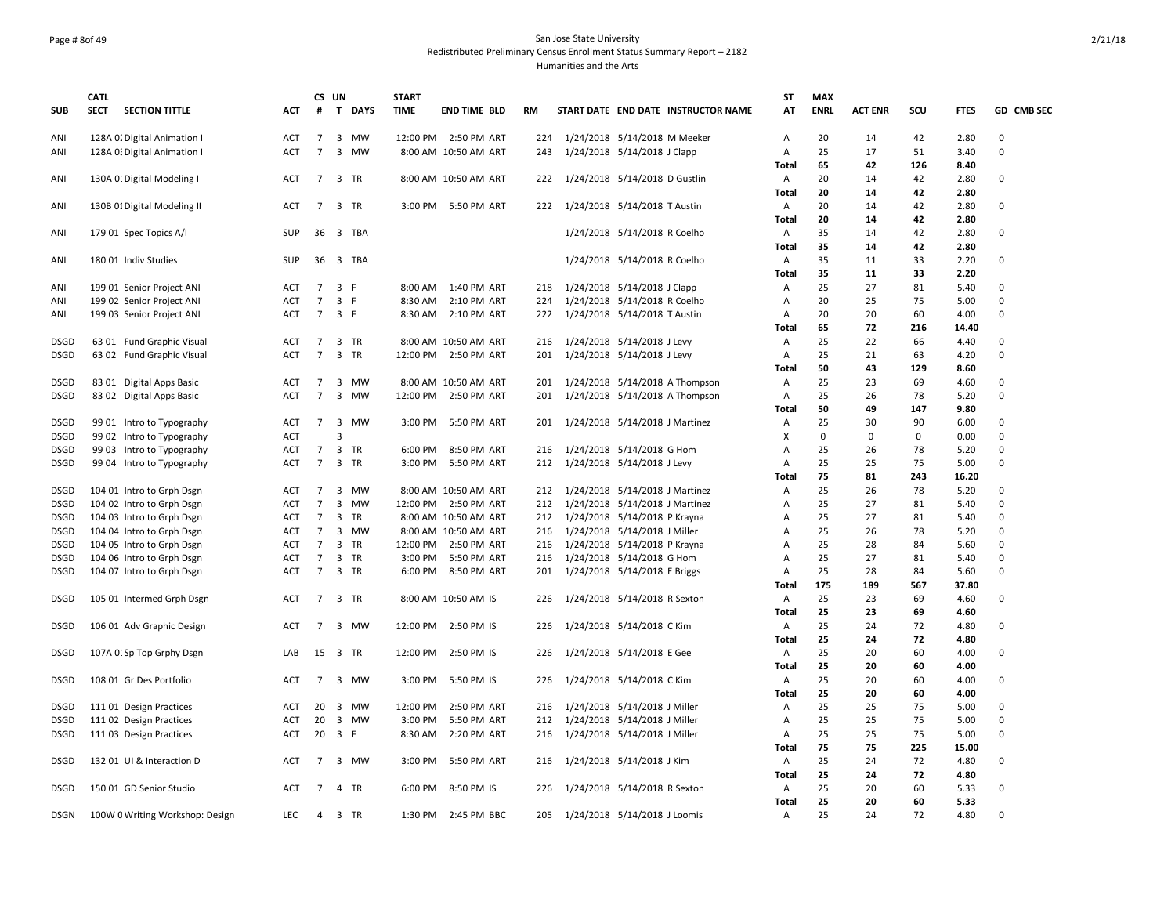### Page # 8of 49 San Jose State University Redistributed Preliminary Census Enrollment Status Summary Report – 2182 Humanities and the Arts

|             | <b>CATL</b>                          |            |                 | CS UN                   |             | <b>START</b> |                      |           |                                     | SΤ           | <b>MAX</b>  |                |             |             |             |
|-------------|--------------------------------------|------------|-----------------|-------------------------|-------------|--------------|----------------------|-----------|-------------------------------------|--------------|-------------|----------------|-------------|-------------|-------------|
| <b>SUB</b>  | <b>SECT</b><br><b>SECTION TITTLE</b> | АСТ        | #               | $\mathbf{T}$            | <b>DAYS</b> | <b>TIME</b>  | <b>END TIME BLD</b>  | <b>RM</b> | START DATE END DATE INSTRUCTOR NAME | AT           | <b>ENRL</b> | <b>ACT ENR</b> | SCU         | <b>FTES</b> | GD CMB SEC  |
| ANI         | 128A O. Digital Animation I          | ACT        | 7               | $\overline{\mathbf{3}}$ | MW          |              | 12:00 PM 2:50 PM ART | 224       | 1/24/2018 5/14/2018 M Meeker        | А            | 20          | 14             | 42          | 2.80        | $\mathbf 0$ |
| ANI         | 128A O: Digital Animation I          | <b>ACT</b> | $\overline{7}$  | 3                       | <b>MW</b>   |              | 8:00 AM 10:50 AM ART | 243       | 1/24/2018 5/14/2018 J Clapp         | Α            | 25          | 17             | 51          | 3.40        | $\Omega$    |
|             |                                      |            |                 |                         |             |              |                      |           |                                     | <b>Total</b> | 65          | 42             | 126         | 8.40        |             |
| ANI         | 130A 0. Digital Modeling I           | ACT        | $7\overline{ }$ |                         | 3 TR        |              | 8:00 AM 10:50 AM ART | 222       | 1/24/2018 5/14/2018 D Gustlin       | Α            | 20          | 14             | 42          | 2.80        | $\mathbf 0$ |
|             |                                      |            |                 |                         |             |              |                      |           |                                     | Total        | 20          | 14             | 42          | 2.80        |             |
| ANI         | 130B 01 Digital Modeling II          | ACT        | 7               | 3                       | <b>TR</b>   |              | 3:00 PM 5:50 PM ART  | 222       | 1/24/2018 5/14/2018 T Austin        | A            | 20          | 14             | 42          | 2.80        | $\Omega$    |
|             |                                      |            |                 |                         |             |              |                      |           |                                     | <b>Total</b> | 20          | 14             | 42          | 2.80        |             |
| ANI         | 179 01 Spec Topics A/I               | <b>SUP</b> | 36 <sub>3</sub> |                         | TBA         |              |                      |           | 1/24/2018 5/14/2018 R Coelho        | Α            | 35          | 14             | 42          | 2.80        | $\mathbf 0$ |
|             |                                      |            |                 |                         |             |              |                      |           |                                     | Total        | 35          | 14             | 42          | 2.80        |             |
| ANI         | 180 01 Indiv Studies                 | <b>SUP</b> |                 |                         | 36 3 TBA    |              |                      |           | 1/24/2018 5/14/2018 R Coelho        | Α            | 35          | 11             | 33          | 2.20        | $\mathbf 0$ |
|             |                                      |            |                 |                         |             |              |                      |           |                                     | Total        | 35          | 11             | 33          | 2.20        |             |
| ANI         | 199 01 Senior Project ANI            | <b>ACT</b> | $\overline{7}$  | 3 F                     |             |              | 8:00 AM 1:40 PM ART  | 218       | 1/24/2018 5/14/2018 J Clapp         | Α            | 25          | 27             | 81          | 5.40        | $\Omega$    |
| ANI         | 199 02 Senior Project ANI            | ACT        | $\overline{7}$  | 3 F                     |             | 8:30 AM      | 2:10 PM ART          | 224       | 1/24/2018 5/14/2018 R Coelho        | Α            | 20          | 25             | 75          | 5.00        | $\Omega$    |
| ANI         | 199 03 Senior Project ANI            | ACT        | $\overline{7}$  | 3 F                     |             | 8:30 AM      | 2:10 PM ART          | 222       | 1/24/2018 5/14/2018 T Austin        | А            | 20          | 20             | 60          | 4.00        | $\mathbf 0$ |
|             |                                      |            |                 |                         |             |              |                      |           |                                     | Total        | 65          | 72             | 216         | 14.40       |             |
| <b>DSGD</b> | 63 01 Fund Graphic Visual            | <b>ACT</b> | $7^{\circ}$     | $\overline{\mathbf{3}}$ | TR          |              | 8:00 AM 10:50 AM ART | 216       | 1/24/2018 5/14/2018 J Levy          | Α            | 25          | 22             | 66          | 4.40        | $\Omega$    |
| <b>DSGD</b> | 63 02 Fund Graphic Visual            | ACT        | $\overline{7}$  | $\overline{3}$          | TR          |              | 12:00 PM 2:50 PM ART | 201       | 1/24/2018 5/14/2018 J Levy          | Α            | 25          | 21             | 63          | 4.20        | $\mathbf 0$ |
|             |                                      |            |                 |                         |             |              |                      |           |                                     | <b>Total</b> | 50          | 43             | 129         | 8.60        |             |
| <b>DSGD</b> | 83 01 Digital Apps Basic             | ACT        | 7               | 3                       | MW          |              | 8:00 AM 10:50 AM ART | 201       | 1/24/2018 5/14/2018 A Thompson      | Α            | 25          | 23             | 69          | 4.60        | $\Omega$    |
| <b>DSGD</b> | 83 02 Digital Apps Basic             | <b>ACT</b> | $\overline{7}$  | $\overline{3}$          | MW          |              | 12:00 PM 2:50 PM ART | 201       | 1/24/2018 5/14/2018 A Thompson      | Α            | 25          | 26             | 78          | 5.20        | $\mathbf 0$ |
|             |                                      |            |                 |                         |             |              |                      |           |                                     | Total        | 50          | 49             | 147         | 9.80        |             |
| <b>DSGD</b> | 99 01 Intro to Typography            | <b>ACT</b> | $\overline{7}$  | 3                       | <b>MW</b>   | 3:00 PM      | 5:50 PM ART          | 201       | 1/24/2018 5/14/2018 J Martinez      | А            | 25          | 30             | 90          | 6.00        | $\Omega$    |
| <b>DSGD</b> | 99 02 Intro to Typography            | <b>ACT</b> |                 | 3                       |             |              |                      |           |                                     | X            | $\mathbf 0$ | 0              | $\mathbf 0$ | 0.00        | $\mathbf 0$ |
| <b>DSGD</b> | 99 03 Intro to Typography            | ACT        | $7\overline{ }$ | $\overline{\mathbf{3}}$ | TR          | 6:00 PM      | 8:50 PM ART          | 216       | 1/24/2018 5/14/2018 G Hom           | А            | 25          | 26             | 78          | 5.20        | $\mathbf 0$ |
| <b>DSGD</b> | 99 04 Intro to Typography            | ACT        | $\overline{7}$  |                         | 3 TR        | 3:00 PM      | 5:50 PM ART          | 212       | 1/24/2018 5/14/2018 J Levy          | А            | 25          | 25             | 75          | 5.00        | $\Omega$    |
|             |                                      |            |                 |                         |             |              |                      |           |                                     | <b>Total</b> | 75          | 81             | 243         | 16.20       |             |
| <b>DSGD</b> | 104 01 Intro to Grph Dsgn            | ACT        | 7               | 3                       | МW          |              | 8:00 AM 10:50 AM ART | 212       | 1/24/2018 5/14/2018 J Martinez      | Α            | 25          | 26             | 78          | 5.20        | $\mathbf 0$ |
| <b>DSGD</b> | 104 02 Intro to Grph Dsgn            | <b>ACT</b> | $\overline{7}$  | 3                       | MW          |              | 12:00 PM 2:50 PM ART | 212       | 1/24/2018 5/14/2018 J Martinez      | A            | 25          | 27             | 81          | 5.40        | $\Omega$    |
| <b>DSGD</b> | 104 03 Intro to Grph Dsgn            | ACT        | $\overline{7}$  | $\overline{3}$          | TR          |              | 8:00 AM 10:50 AM ART | 212       | 1/24/2018 5/14/2018 P Krayna        | Α            | 25          | 27             | 81          | 5.40        | $\Omega$    |
| <b>DSGD</b> | 104 04 Intro to Grph Dsgn            | ACT        | $\overline{7}$  | 3                       | <b>MW</b>   |              | 8:00 AM 10:50 AM ART | 216       | 1/24/2018 5/14/2018 J Miller        | А            | 25          | 26             | 78          | 5.20        | $\Omega$    |
| <b>DSGD</b> | 104 05 Intro to Grph Dsgn            | ACT        | $\overline{7}$  | $\overline{3}$          | TR          | 12:00 PM     | 2:50 PM ART          | 216       | 1/24/2018 5/14/2018 P Krayna        | A            | 25          | 28             | 84          | 5.60        | $\Omega$    |
| <b>DSGD</b> | 104 06 Intro to Grph Dsgn            | <b>ACT</b> | $\overline{7}$  | 3                       | <b>TR</b>   | 3:00 PM      | 5:50 PM ART          | 216       | 1/24/2018 5/14/2018 G Hom           | Α            | 25          | 27             | 81          | 5.40        | $\Omega$    |
| <b>DSGD</b> | 104 07 Intro to Grph Dsgn            | ACT        | $\overline{7}$  |                         | 3 TR        | 6:00 PM      | 8:50 PM ART          | 201       | 1/24/2018 5/14/2018 E Briggs        | Α            | 25          | 28             | 84          | 5.60        | $\mathbf 0$ |
|             |                                      |            |                 |                         |             |              |                      |           |                                     | <b>Total</b> | 175         | 189            | 567         | 37.80       |             |
| <b>DSGD</b> | 105 01 Intermed Grph Dsgn            | ACT        | 7               | $\overline{\mathbf{3}}$ | TR          |              | 8:00 AM 10:50 AM IS  | 226       | 1/24/2018 5/14/2018 R Sexton        | Α            | 25          | 23             | 69          | 4.60        | $\Omega$    |
|             |                                      |            |                 |                         |             |              |                      |           |                                     | <b>Total</b> | 25          | 23             | 69          | 4.60        |             |
| <b>DSGD</b> | 106 01 Adv Graphic Design            | ACT        | 7               |                         | 3 MW        |              | 12:00 PM 2:50 PM IS  | 226       | 1/24/2018 5/14/2018 C Kim           | Α            | 25          | 24             | 72          | 4.80        | $\mathbf 0$ |
|             |                                      |            |                 |                         |             |              |                      |           |                                     | <b>Total</b> | 25          | 24             | 72          | 4.80        |             |
| <b>DSGD</b> | 107A 0: Sp Top Grphy Dsgn            | LAB        |                 |                         | 15 3 TR     |              | 12:00 PM 2:50 PM IS  | 226       | 1/24/2018 5/14/2018 E Gee           | Α            | 25          | 20             | 60          | 4.00        | $\mathbf 0$ |
|             |                                      |            |                 |                         |             |              |                      |           |                                     | Total        | 25          | 20             | 60          | 4.00        |             |
| <b>DSGD</b> | 108 01 Gr Des Portfolio              | ACT        | 7               | 3                       | MW          | 3:00 PM      | 5:50 PM IS           | 226       | 1/24/2018 5/14/2018 C Kim           | Α            | 25          | 20             | 60          | 4.00        | $\Omega$    |
|             |                                      |            |                 |                         |             |              |                      |           |                                     | <b>Total</b> | 25          | 20             | 60          | 4.00        |             |
| <b>DSGD</b> | 111 01 Design Practices              | ACT        | 20              | $\overline{\mathbf{3}}$ | МW          | 12:00 PM     | 2:50 PM ART          | 216       | 1/24/2018 5/14/2018 J Miller        | Α            | 25          | 25             | 75          | 5.00        | $\mathbf 0$ |
| <b>DSGD</b> | 111 02 Design Practices              | <b>ACT</b> | 20              | $\overline{\mathbf{3}}$ | <b>MW</b>   | 3:00 PM      | 5:50 PM ART          | 212       | 1/24/2018 5/14/2018 J Miller        | Α            | 25          | 25             | 75          | 5.00        | $\mathbf 0$ |
| <b>DSGD</b> | 111 03 Design Practices              | ACT        |                 | 20 3 F                  |             |              | 8:30 AM 2:20 PM ART  | 216       | 1/24/2018 5/14/2018 J Miller        | Α            | 25          | 25             | 75          | 5.00        | $\Omega$    |
|             |                                      |            |                 |                         |             |              |                      |           |                                     | Total        | 75          | 75             | 225         | 15.00       |             |
| <b>DSGD</b> | 132 01 UI & Interaction D            | ACT        | $\overline{7}$  |                         | 3 MW        |              | 3:00 PM 5:50 PM ART  | 216       | 1/24/2018 5/14/2018 J Kim           | Α            | 25          | 24             | 72          | 4.80        | $\Omega$    |
|             |                                      |            |                 |                         |             |              |                      |           |                                     | Total        | 25          | 24             | 72          | 4.80        |             |
| <b>DSGD</b> | 150 01 GD Senior Studio              | ACT        | $\overline{7}$  | 4                       | TR          | 6:00 PM      | 8:50 PM IS           | 226       | 1/24/2018 5/14/2018 R Sexton        | Α            | 25          | 20             | 60          | 5.33        | 0           |
|             |                                      |            |                 |                         |             |              |                      |           |                                     | <b>Total</b> | 25          | 20             | 60          | 5.33        |             |
| <b>DSGN</b> | 100W C Writing Workshop: Design      | <b>LEC</b> | $\overline{4}$  |                         | 3 TR        |              | 1:30 PM 2:45 PM BBC  | 205       | 1/24/2018 5/14/2018 J Loomis        | Α            | 25          | 24             | 72          | 4.80        | $\Omega$    |
|             |                                      |            |                 |                         |             |              |                      |           |                                     |              |             |                |             |             |             |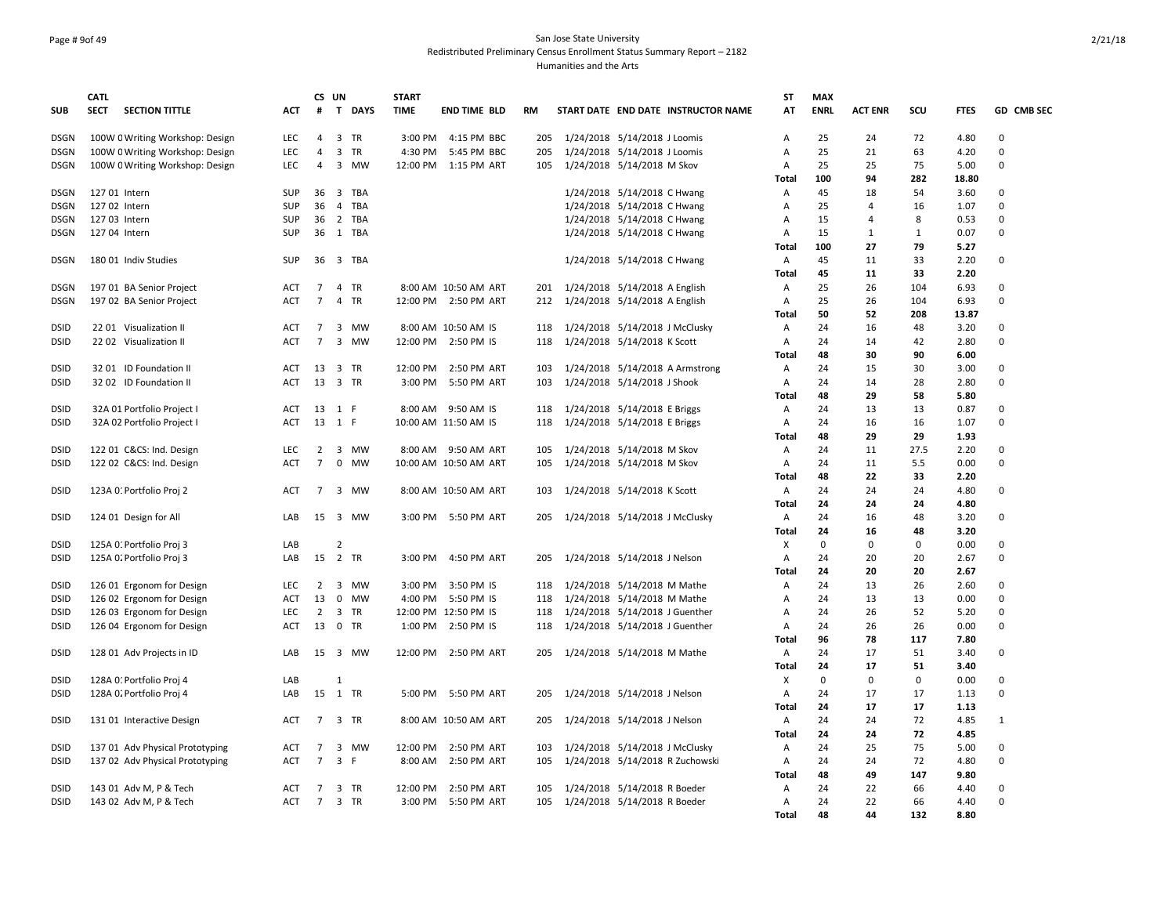### Page # 9of 49 San Jose State University Redistributed Preliminary Census Enrollment Status Summary Report – 2182 Humanities and the Arts

|             | <b>CATL</b>                          |            |                | CS UN                   |             | <b>START</b> |                       |     |                                     | ST           | <b>MAX</b>  |                |             |              |              |
|-------------|--------------------------------------|------------|----------------|-------------------------|-------------|--------------|-----------------------|-----|-------------------------------------|--------------|-------------|----------------|-------------|--------------|--------------|
| <b>SUB</b>  | <b>SECT</b><br><b>SECTION TITTLE</b> | ACT        | #              | $\mathbf{T}$            | <b>DAYS</b> | <b>TIME</b>  | <b>END TIME BLD</b>   | RM  | START DATE END DATE INSTRUCTOR NAME | AT           | <b>ENRL</b> | <b>ACT ENR</b> | SCU         | <b>FTES</b>  | GD CMB SEC   |
| DSGN        | 100W C Writing Workshop: Design      | LEC        | 4              | 3                       | TR          | 3:00 PM      | 4:15 PM BBC           | 205 | 1/24/2018 5/14/2018 J Loomis        | Α            | 25          | 24             | 72          | 4.80         | 0            |
| <b>DSGN</b> | 100W C Writing Workshop: Design      | LEC        | $\overline{4}$ | 3                       | <b>TR</b>   | 4:30 PM      | 5:45 PM BBC           | 205 | 1/24/2018 5/14/2018 J Loomis        | А            | 25          | 21             | 63          | 4.20         | $\Omega$     |
| <b>DSGN</b> | 100W C Writing Workshop: Design      | <b>LEC</b> | 4              | 3                       | <b>MW</b>   | 12:00 PM     | 1:15 PM ART           | 105 | 1/24/2018 5/14/2018 M Skov          | А            | 25          | 25             | 75          | 5.00         | 0            |
|             |                                      |            |                |                         |             |              |                       |     |                                     | Total        | 100         | 94             | 282         | 18.80        |              |
| DSGN        | 127 01 Intern                        | <b>SUP</b> |                | 36 <sub>3</sub>         | TBA         |              |                       |     | 1/24/2018 5/14/2018 C Hwang         | Α            | 45          | 18             | 54          | 3.60         | 0            |
| <b>DSGN</b> | 127 02 Intern                        | <b>SUP</b> | 36             | $\overline{4}$          | <b>TBA</b>  |              |                       |     | 1/24/2018 5/14/2018 C Hwang         | A            | 25          | 4              | 16          | 1.07         | $\Omega$     |
| <b>DSGN</b> | 127 03 Intern                        | <b>SUP</b> |                | 36 <sub>2</sub>         | <b>TBA</b>  |              |                       |     | 1/24/2018 5/14/2018 C Hwang         | А            | 15          | 4              | 8           | 0.53         | 0            |
| DSGN        | 127 04 Intern                        | <b>SUP</b> |                |                         | 36 1 TBA    |              |                       |     | 1/24/2018 5/14/2018 C Hwang         | Α            | 15          | $\mathbf{1}$   | 1           | 0.07         | 0            |
|             |                                      |            |                |                         |             |              |                       |     |                                     | Total        | 100         | 27             | 79          | 5.27         |              |
| <b>DSGN</b> | 180 01 Indiv Studies                 | <b>SUP</b> |                |                         | 36 3 TBA    |              |                       |     | 1/24/2018 5/14/2018 C Hwang         | Α            | 45          | 11             | 33          | 2.20         | $\Omega$     |
|             |                                      |            |                |                         |             |              |                       |     |                                     | Total        | 45          | 11             | 33          | 2.20         |              |
| <b>DSGN</b> | 197 01 BA Senior Project             | ACT        | $\overline{7}$ | 4                       | <b>TR</b>   |              | 8:00 AM 10:50 AM ART  | 201 | 1/24/2018 5/14/2018 A English       | Α            | 25          | 26             | 104         | 6.93         | $\mathbf 0$  |
| <b>DSGN</b> | 197 02 BA Senior Project             | <b>ACT</b> | $\overline{7}$ | $\overline{4}$          | <b>TR</b>   |              | 12:00 PM 2:50 PM ART  | 212 | 1/24/2018 5/14/2018 A English       | A            | 25          | 26             | 104         | 6.93         | 0            |
|             |                                      |            |                |                         |             |              |                       |     |                                     | <b>Total</b> | 50          | 52             | 208         | 13.87        |              |
| <b>DSID</b> | 22 01 Visualization II               | ACT        | 7              | 3                       | МW          |              | 8:00 AM 10:50 AM IS   | 118 | 1/24/2018 5/14/2018 J McClusky      | Α            | 24          | 16             | 48          | 3.20         | 0            |
| <b>DSID</b> | 22 02 Visualization II               | ACT        | $\overline{7}$ | 3                       | <b>MW</b>   |              | 12:00 PM 2:50 PM IS   | 118 | 1/24/2018 5/14/2018 K Scott         | А            | 24          | 14             | 42          | 2.80         | $\mathbf 0$  |
|             |                                      |            |                |                         |             |              |                       |     |                                     | <b>Total</b> | 48          | 30             | 90          | 6.00         |              |
| <b>DSID</b> | 32 01 ID Foundation II               | ACT        |                | $13 \quad 3$            | <b>TR</b>   | 12:00 PM     | 2:50 PM ART           | 103 | 1/24/2018 5/14/2018 A Armstrong     | Α            | 24          | 15             | 30          | 3.00         | $\mathbf 0$  |
| <b>DSID</b> | 32 02 ID Foundation II               | <b>ACT</b> | 13             | $\overline{\mathbf{3}}$ | <b>TR</b>   | 3:00 PM      | 5:50 PM ART           | 103 | 1/24/2018 5/14/2018 J Shook         | A            | 24          | 14             | 28          | 2.80         | $\mathbf 0$  |
|             |                                      |            |                |                         |             |              |                       |     |                                     | Total        | 48          | 29             | 58          | 5.80         |              |
| <b>DSID</b> | 32A 01 Portfolio Project I           | <b>ACT</b> |                | 13 1 F                  |             |              | 8:00 AM 9:50 AM IS    | 118 | 1/24/2018 5/14/2018 E Briggs        | Α            | 24          | 13             | 13          | 0.87         | 0            |
| <b>DSID</b> | 32A 02 Portfolio Project I           | <b>ACT</b> |                | 13 1 F                  |             |              | 10:00 AM 11:50 AM IS  | 118 | 1/24/2018 5/14/2018 E Briggs        | Α            | 24          | 16             | 16          | 1.07         | $\mathbf 0$  |
|             |                                      |            |                |                         |             |              |                       |     |                                     | <b>Total</b> | 48          | 29             | 29          | 1.93         |              |
| <b>DSID</b> | 122 01 C&CS: Ind. Design             | <b>LEC</b> | $\overline{2}$ | $\overline{\mathbf{3}}$ | MW          |              | 8:00 AM 9:50 AM ART   | 105 | 1/24/2018 5/14/2018 M Skov          | Α            | 24          | 11             | 27.5        | 2.20         | 0            |
| <b>DSID</b> | 122 02 C&CS: Ind. Design             | <b>ACT</b> | $\overline{7}$ | 0                       | MW          |              | 10:00 AM 10:50 AM ART | 105 | 1/24/2018 5/14/2018 M Skov          | Α            | 24          | 11             | 5.5         | 0.00         | $\mathbf 0$  |
|             |                                      |            |                |                         |             |              |                       |     |                                     | Total        | 48          | 22             | 33          | 2.20         |              |
| <b>DSID</b> | 123A 0: Portfolio Proj 2             | <b>ACT</b> | $\overline{7}$ | 3                       | <b>MW</b>   |              | 8:00 AM 10:50 AM ART  | 103 | 1/24/2018 5/14/2018 K Scott         | $\mathsf{A}$ | 24          | 24             | 24          | 4.80         | 0            |
|             |                                      |            |                |                         |             |              |                       |     |                                     | Total        | 24          | 24             | 24          | 4.80         |              |
| <b>DSID</b> | 124 01 Design for All                | LAB        | 15             | $\overline{\mathbf{3}}$ | MW          | 3:00 PM      | 5:50 PM ART           | 205 | 1/24/2018 5/14/2018 J McClusky      | Α            | 24<br>24    | 16<br>16       | 48<br>48    | 3.20         | 0            |
|             |                                      |            |                | $\overline{2}$          |             |              |                       |     |                                     | Total        |             |                | $\mathbf 0$ | 3.20         | $\mathbf 0$  |
| <b>DSID</b> | 125A 0: Portfolio Proj 3             | LAB        |                | 15 2                    | TR          |              | 4:50 PM ART           | 205 |                                     | Х<br>А       | 0<br>24     | 0<br>20        | 20          | 0.00<br>2.67 | 0            |
| <b>DSID</b> | 125A 0. Portfolio Proj 3             | LAB        |                |                         |             | 3:00 PM      |                       |     | 1/24/2018 5/14/2018 J Nelson        | <b>Total</b> | 24          | 20             | 20          | 2.67         |              |
| <b>DSID</b> | 126 01 Ergonom for Design            | LEC        | 2              | $\overline{\mathbf{3}}$ | MW          | 3:00 PM      | 3:50 PM IS            | 118 | 1/24/2018 5/14/2018 M Mathe         | А            | 24          | 13             | 26          | 2.60         | 0            |
| <b>DSID</b> | 126 02 Ergonom for Design            | <b>ACT</b> | 13             | $\overline{0}$          | <b>MW</b>   | 4:00 PM      | 5:50 PM IS            | 118 | 1/24/2018 5/14/2018 M Mathe         | A            | 24          | 13             | 13          | 0.00         | $\Omega$     |
| <b>DSID</b> | 126 03 Ergonom for Design            | LEC        | $\overline{2}$ | $\overline{\mathbf{3}}$ | TR          |              | 12:00 PM 12:50 PM IS  | 118 | 1/24/2018 5/14/2018 J Guenther      | А            | 24          | 26             | 52          | 5.20         | $\Omega$     |
| <b>DSID</b> | 126 04 Ergonom for Design            | <b>ACT</b> | 13             | $\overline{\mathbf{0}}$ | <b>TR</b>   | 1:00 PM      | 2:50 PM IS            | 118 | 1/24/2018 5/14/2018 J Guenther      | A            | 24          | 26             | 26          | 0.00         | 0            |
|             |                                      |            |                |                         |             |              |                       |     |                                     | Total        | 96          | 78             | 117         | 7.80         |              |
| <b>DSID</b> | 128 01 Adv Projects in ID            | LAB        |                | $15 \quad 3$            | MW          |              | 12:00 PM 2:50 PM ART  | 205 | 1/24/2018 5/14/2018 M Mathe         | A            | 24          | 17             | 51          | 3.40         | 0            |
|             |                                      |            |                |                         |             |              |                       |     |                                     | Total        | 24          | 17             | 51          | 3.40         |              |
| <b>DSID</b> | 128A 0: Portfolio Proj 4             | LAB        |                | $\mathbf{1}$            |             |              |                       |     |                                     | Χ            | $\mathbf 0$ | 0              | $\mathbf 0$ | 0.00         | $\mathbf 0$  |
| <b>DSID</b> | 128A 0. Portfolio Proj 4             | LAB        |                |                         | 15 1 TR     |              | 5:00 PM 5:50 PM ART   | 205 | 1/24/2018 5/14/2018 J Nelson        | Α            | 24          | 17             | 17          | 1.13         | $\mathbf 0$  |
|             |                                      |            |                |                         |             |              |                       |     |                                     | <b>Total</b> | 24          | 17             | 17          | 1.13         |              |
| <b>DSID</b> | 131 01 Interactive Design            | <b>ACT</b> | $\overline{7}$ |                         | 3 TR        |              | 8:00 AM 10:50 AM ART  | 205 | 1/24/2018 5/14/2018 J Nelson        | Α            | 24          | 24             | 72          | 4.85         | $\mathbf{1}$ |
|             |                                      |            |                |                         |             |              |                       |     |                                     | Total        | 24          | 24             | 72          | 4.85         |              |
| <b>DSID</b> | 137 01 Adv Physical Prototyping      | ACT        | 7              | 3                       | мw          | 12:00 PM     | 2:50 PM ART           | 103 | 1/24/2018 5/14/2018 J McClusky      | Α            | 24          | 25             | 75          | 5.00         | 0            |
| <b>DSID</b> | 137 02 Adv Physical Prototyping      | <b>ACT</b> | $\overline{7}$ | $\overline{3}$          | -F          | 8:00 AM      | 2:50 PM ART           | 105 | 1/24/2018 5/14/2018 R Zuchowski     | Α            | 24          | 24             | 72          | 4.80         | 0            |
|             |                                      |            |                |                         |             |              |                       |     |                                     | Total        | 48          | 49             | 147         | 9.80         |              |
| <b>DSID</b> | 143 01 Adv M, P & Tech               | ACT        | $\overline{7}$ | 3                       | TR          | 12:00 PM     | 2:50 PM ART           | 105 | 1/24/2018 5/14/2018 R Boeder        | Α            | 24          | 22             | 66          | 4.40         | $\mathbf 0$  |
| <b>DSID</b> | 143 02 Adv M, P & Tech               | ACT        | $\overline{7}$ |                         | 3 TR        | 3:00 PM      | 5:50 PM ART           | 105 | 1/24/2018 5/14/2018 R Boeder        | A            | 24          | 22             | 66          | 4.40         | 0            |
|             |                                      |            |                |                         |             |              |                       |     |                                     | Total        | 48          | 44             | 132         | 8.80         |              |
|             |                                      |            |                |                         |             |              |                       |     |                                     |              |             |                |             |              |              |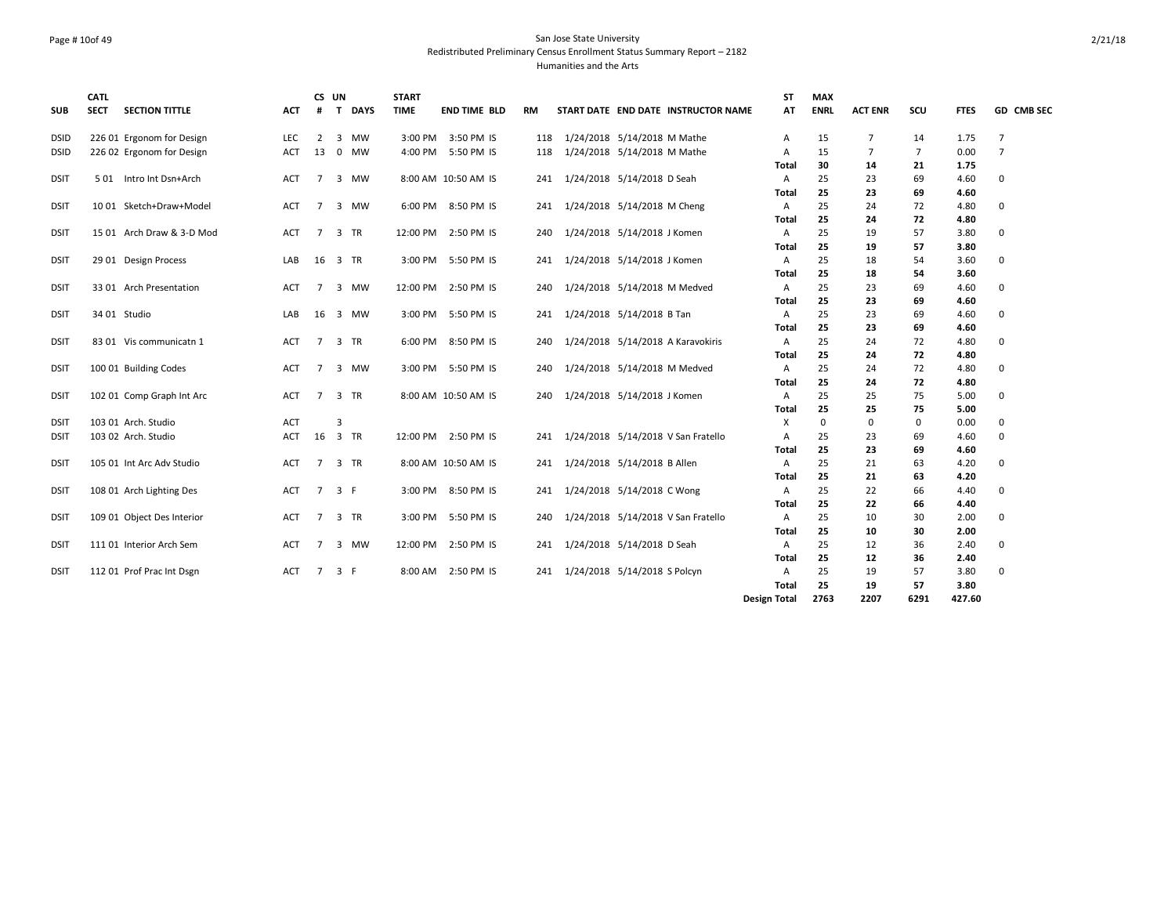### Page # 10of 49 San Jose State University Redistributed Preliminary Census Enrollment Status Summary Report – 2182 Humanities and the Arts

| <b>SUB</b>  | <b>CATL</b><br><b>SECT</b> | <b>SECTION TITTLE</b>      | <b>ACT</b> | CS UN<br>#     | $\mathbf{T}$            | <b>DAYS</b> | <b>START</b><br><b>TIME</b> | <b>END TIME BLD</b> | RM  |                              | START DATE END DATE INSTRUCTOR NAME | <b>ST</b><br>AT     | <b>MAX</b><br><b>ENRL</b> | <b>ACT ENR</b> | SCU            | <b>FTES</b> | GD CMB SEC     |
|-------------|----------------------------|----------------------------|------------|----------------|-------------------------|-------------|-----------------------------|---------------------|-----|------------------------------|-------------------------------------|---------------------|---------------------------|----------------|----------------|-------------|----------------|
| <b>DSID</b> |                            | 226 01 Ergonom for Design  | LEC        | $\overline{2}$ | 3                       | MW          |                             | 3:00 PM 3:50 PM IS  | 118 | 1/24/2018 5/14/2018 M Mathe  |                                     | Α                   | 15                        | $\overline{7}$ | 14             | 1.75        | $\overline{7}$ |
| <b>DSID</b> |                            | 226 02 Ergonom for Design  | <b>ACT</b> | 13             | 0                       | <b>MW</b>   |                             | 4:00 PM 5:50 PM IS  | 118 | 1/24/2018 5/14/2018 M Mathe  |                                     | A                   | 15                        | $\overline{7}$ | $\overline{7}$ | 0.00        | $\overline{7}$ |
|             |                            |                            |            |                |                         |             |                             |                     |     |                              |                                     | Total               | 30                        | 14             | 21             | 1.75        |                |
| <b>DSIT</b> |                            | 501 Intro Int Dsn+Arch     | <b>ACT</b> | $\overline{7}$ | $\overline{3}$          | MW          |                             | 8:00 AM 10:50 AM IS | 241 | 1/24/2018 5/14/2018 D Seah   |                                     | A                   | 25                        | 23             | 69             | 4.60        | $\Omega$       |
|             |                            |                            |            |                |                         |             |                             |                     |     |                              |                                     | Total               | 25                        | 23             | 69             | 4.60        |                |
| <b>DSIT</b> |                            | 10 01 Sketch+Draw+Model    | ACT        | $\overline{7}$ | 3                       | MW          |                             | 6:00 PM 8:50 PM IS  | 241 | 1/24/2018 5/14/2018 M Cheng  |                                     | Α                   | 25                        | 24             | 72             | 4.80        | $\Omega$       |
|             |                            |                            |            |                |                         |             |                             |                     |     |                              |                                     | Total               | 25                        | 24             | 72             | 4.80        |                |
| <b>DSIT</b> |                            | 15 01 Arch Draw & 3-D Mod  | ACT        | $\overline{7}$ | 3                       | <b>TR</b>   |                             | 12:00 PM 2:50 PM IS | 240 | 1/24/2018 5/14/2018 J Komen  |                                     | A                   | 25                        | 19             | 57             | 3.80        | $\Omega$       |
|             |                            |                            |            |                |                         |             |                             |                     |     |                              |                                     | Total               | 25                        | 19             | 57             | 3.80        |                |
| <b>DSIT</b> |                            | 29 01 Design Process       | LAB        | 16             | $\overline{\mathbf{3}}$ | TR          |                             | 3:00 PM 5:50 PM IS  | 241 | 1/24/2018 5/14/2018 J Komen  |                                     | A                   | 25                        | 18             | 54             | 3.60        | $\mathbf 0$    |
|             |                            |                            |            |                |                         |             |                             |                     |     |                              |                                     | Total               | 25                        | 18             | 54             | 3.60        |                |
| <b>DSIT</b> |                            | 33 01 Arch Presentation    | <b>ACT</b> | $\overline{7}$ | 3                       | <b>MW</b>   |                             | 12:00 PM 2:50 PM IS | 240 |                              | 1/24/2018 5/14/2018 M Medved        | A                   | 25                        | 23             | 69             | 4.60        | $\mathbf 0$    |
|             |                            |                            |            |                |                         |             |                             |                     |     |                              |                                     | <b>Total</b>        | 25                        | 23             | 69             | 4.60        |                |
| <b>DSIT</b> |                            | 34 01 Studio               | LAB        | 16             | 3                       | MW          |                             | 3:00 PM 5:50 PM IS  | 241 | 1/24/2018 5/14/2018 B Tan    |                                     | A                   | 25                        | 23             | 69             | 4.60        | $\mathbf 0$    |
|             |                            |                            |            |                |                         |             |                             |                     |     |                              |                                     | Total               | 25                        | 23             | 69             | 4.60        |                |
| <b>DSIT</b> |                            | 83 01 Vis communicatn 1    | ACT        | $\overline{7}$ | 3                       | <b>TR</b>   |                             | 6:00 PM 8:50 PM IS  | 240 |                              | 1/24/2018 5/14/2018 A Karavokiris   | A                   | 25                        | 24             | 72             | 4.80        | $\Omega$       |
|             |                            |                            |            |                |                         |             |                             |                     |     |                              |                                     | Total               | 25                        | 24             | 72             | 4.80        |                |
| <b>DSIT</b> |                            | 100 01 Building Codes      | <b>ACT</b> | $\overline{7}$ | 3                       | MW          |                             | 3:00 PM 5:50 PM IS  | 240 |                              | 1/24/2018 5/14/2018 M Medved        | Α                   | 25                        | 24             | 72             | 4.80        | $\mathbf 0$    |
|             |                            |                            |            |                |                         |             |                             |                     |     |                              |                                     | <b>Total</b>        | 25                        | 24             | 72             | 4.80        |                |
| <b>DSIT</b> |                            | 102 01 Comp Graph Int Arc  | <b>ACT</b> | $\overline{7}$ | $\overline{3}$          | TR          |                             | 8:00 AM 10:50 AM IS | 240 | 1/24/2018 5/14/2018 J Komen  |                                     | Α                   | 25                        | 25             | 75             | 5.00        | $\mathbf 0$    |
|             |                            |                            |            |                |                         |             |                             |                     |     |                              |                                     | Total               | 25                        | 25             | 75             | 5.00        |                |
| <b>DSIT</b> |                            | 103 01 Arch. Studio        | <b>ACT</b> |                | з                       |             |                             |                     |     |                              |                                     | X                   | 0                         | $\Omega$       | $\mathbf 0$    | 0.00        | $\mathbf 0$    |
| <b>DSIT</b> |                            | 103 02 Arch. Studio        | <b>ACT</b> |                |                         | 16 3 TR     |                             | 12:00 PM 2:50 PM IS | 241 |                              | 1/24/2018 5/14/2018 V San Fratello  | A                   | 25                        | 23             | 69             | 4.60        | $\Omega$       |
|             |                            |                            |            |                |                         |             |                             |                     |     |                              |                                     | Total               | 25                        | 23             | 69             | 4.60        |                |
| <b>DSIT</b> |                            | 105 01 Int Arc Adv Studio  | <b>ACT</b> | $\overline{7}$ |                         | 3 TR        |                             | 8:00 AM 10:50 AM IS | 241 | 1/24/2018 5/14/2018 B Allen  |                                     | A                   | 25                        | 21             | 63             | 4.20        | $\mathbf 0$    |
|             |                            |                            |            |                |                         |             |                             |                     |     |                              |                                     | Total               | 25                        | 21             | 63             | 4.20        |                |
| <b>DSIT</b> |                            | 108 01 Arch Lighting Des   | <b>ACT</b> | $\overline{7}$ | 3 F                     |             |                             | 3:00 PM 8:50 PM IS  | 241 | 1/24/2018 5/14/2018 C Wong   |                                     | Α                   | 25                        | 22             | 66             | 4.40        | $\mathbf 0$    |
|             |                            |                            |            |                |                         |             |                             |                     |     |                              |                                     | <b>Total</b>        | 25                        | 22             | 66             | 4.40        |                |
| <b>DSIT</b> |                            | 109 01 Object Des Interior | ACT        | 7              | 3                       | <b>TR</b>   | 3:00 PM                     | 5:50 PM IS          | 240 |                              | 1/24/2018 5/14/2018 V San Fratello  | Α                   | 25                        | 10             | 30             | 2.00        | $\mathbf 0$    |
|             |                            |                            |            |                |                         |             |                             |                     |     |                              |                                     | Total               | 25                        | 10             | 30             | 2.00        |                |
| <b>DSIT</b> |                            | 111 01 Interior Arch Sem   | ACT        | $\overline{7}$ | 3                       | <b>MW</b>   | 12:00 PM                    | 2:50 PM IS          | 241 | 1/24/2018 5/14/2018 D Seah   |                                     | Α                   | 25                        | 12             | 36             | 2.40        | $\Omega$       |
|             |                            |                            |            |                |                         |             |                             |                     |     |                              |                                     | Total               | 25                        | 12             | 36             | 2.40        |                |
| <b>DSIT</b> |                            | 112 01 Prof Prac Int Dsgn  | <b>ACT</b> | $\overline{7}$ | 3 F                     |             | 8:00 AM                     | 2:50 PM IS          | 241 | 1/24/2018 5/14/2018 S Polcyn |                                     | Α                   | 25                        | 19             | 57             | 3.80        | $\mathbf 0$    |
|             |                            |                            |            |                |                         |             |                             |                     |     |                              |                                     | Total               | 25                        | 19             | 57             | 3.80        |                |
|             |                            |                            |            |                |                         |             |                             |                     |     |                              |                                     | <b>Design Total</b> | 2763                      | 2207           | 6291           | 427.60      |                |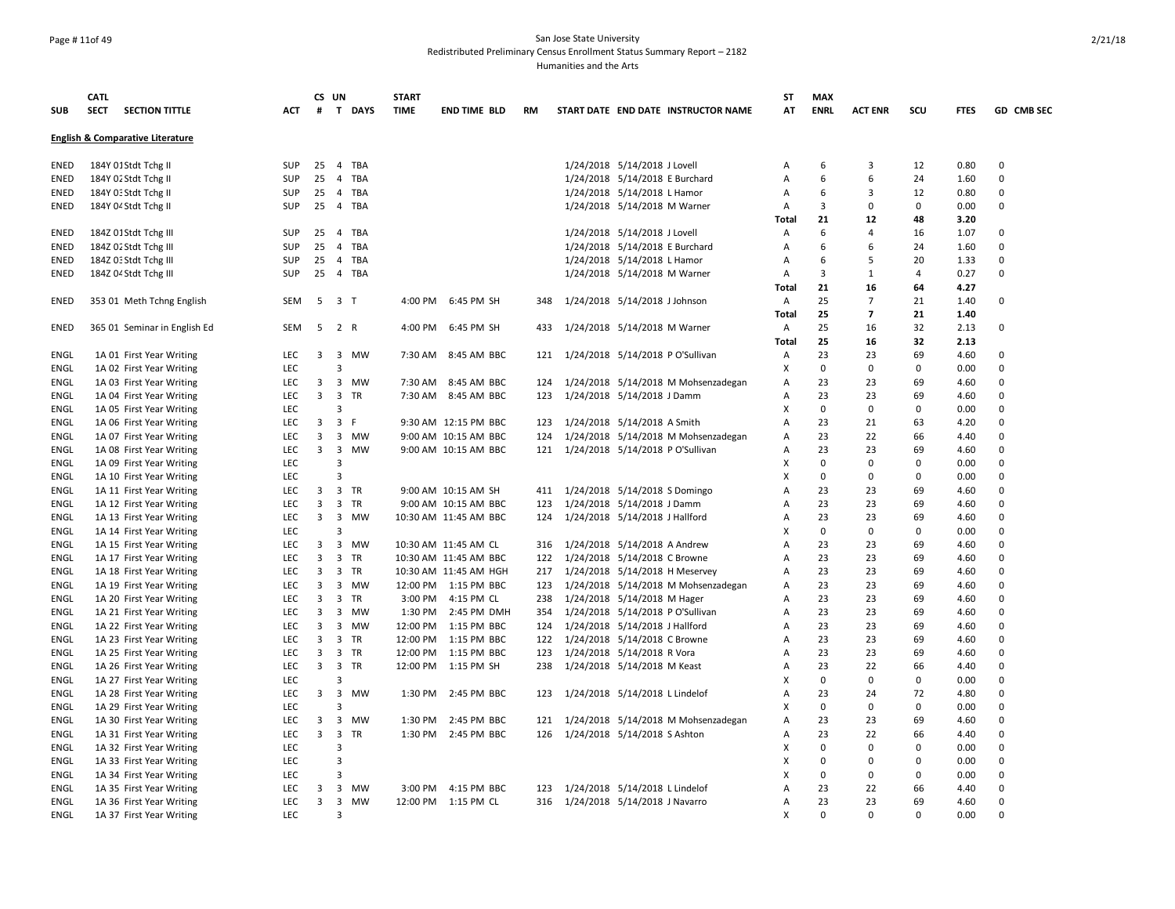### Page # 11of 49 San Jose State University Redistributed Preliminary Census Enrollment Status Summary Report – 2182 Humanities and the Arts

|             | <b>CATL</b> |                                             |            |                | CS UN                   |           | <b>START</b> |                       |           |                                      | ST         | <b>MAX</b>  |                |                |             |            |
|-------------|-------------|---------------------------------------------|------------|----------------|-------------------------|-----------|--------------|-----------------------|-----------|--------------------------------------|------------|-------------|----------------|----------------|-------------|------------|
| <b>SUB</b>  | <b>SECT</b> | <b>SECTION TITTLE</b>                       | ACT        | #              |                         | T DAYS    | <b>TIME</b>  | <b>END TIME BLD</b>   | <b>RM</b> | START DATE END DATE INSTRUCTOR NAME  | AT         | <b>ENRL</b> | <b>ACT ENR</b> | scu            | <b>FTES</b> | GD CMB SEC |
|             |             | <b>English &amp; Comparative Literature</b> |            |                |                         |           |              |                       |           |                                      |            |             |                |                |             |            |
| ENED        |             | 184Y 01 Stdt Tchg II                        | SUP        |                |                         | 25 4 TBA  |              |                       |           | 1/24/2018 5/14/2018 J Lovell         | A          | 6           | 3              | 12             | 0.80        | 0          |
| ENED        |             | 184Y 02 Stdt Tchg II                        | <b>SUP</b> | 25             | $\overline{4}$          | TBA       |              |                       |           | 1/24/2018 5/14/2018 E Burchard       | Α          | 6           | 6              | 24             | 1.60        | $\Omega$   |
| ENED        |             | 184Y 0: Stdt Tchg II                        | <b>SUP</b> |                |                         | 25 4 TBA  |              |                       |           | 1/24/2018 5/14/2018 L Hamor          | Α          | 6           | 3              | 12             | 0.80        | $\Omega$   |
| ENED        |             | 184Y 04 Stdt Tchg II                        | <b>SUP</b> | 25             |                         | 4 TBA     |              |                       |           | 1/24/2018 5/14/2018 M Warner         | Α          | 3           | $\Omega$       | $\mathbf 0$    | 0.00        | $\Omega$   |
|             |             |                                             |            |                |                         |           |              |                       |           |                                      | Total      | 21          | 12             | 48             | 3.20        |            |
| ENED        |             | 184Z 01 Stdt Tchg III                       | SUP        | 25             | 4                       | TBA       |              |                       |           | 1/24/2018 5/14/2018 J Lovell         | Α          | 6           | $\overline{4}$ | 16             | 1.07        | $\Omega$   |
| ENED        |             | 184Z 02 Stdt Tchg III                       | SUP        | 25             | $\overline{4}$          | TBA       |              |                       |           | 1/24/2018 5/14/2018 E Burchard       | A          | 6           | 6              | 24             | 1.60        | $\Omega$   |
| ENED        |             | 184Z 03 Stdt Tchg III                       | SUP        | 25             | $\overline{4}$          | TBA       |              |                       |           | 1/24/2018 5/14/2018 L Hamor          | Α          | 6           | 5              | 20             | 1.33        | $\Omega$   |
| ENED        |             | 184Z 04 Stdt Tchg III                       | SUP        | 25             |                         | 4 TBA     |              |                       |           | 1/24/2018 5/14/2018 M Warner         | Α          | 3           | $\mathbf{1}$   | $\overline{4}$ | 0.27        | $\Omega$   |
|             |             |                                             |            |                |                         |           |              |                       |           |                                      | Total      | 21          | 16             | 64             | 4.27        |            |
|             |             |                                             |            | 5              | 3 <sub>T</sub>          |           |              | 6:45 PM SH            | 348       |                                      |            | 25          | $\overline{7}$ | 21             | 1.40        | $\Omega$   |
| ENED        |             | 353 01 Meth Tchng English                   | SEM        |                |                         |           | 4:00 PM      |                       |           | 1/24/2018 5/14/2018 J Johnson        | Α<br>Total | 25          | $\overline{7}$ | 21             | 1.40        |            |
|             |             |                                             | SEM        |                | 5 2 R                   |           | 4:00 PM      |                       | 433       | 1/24/2018 5/14/2018 M Warner         |            | 25          | 16             | 32             |             | $\Omega$   |
| ENED        |             | 365 01 Seminar in English Ed                |            |                |                         |           |              | 6:45 PM SH            |           |                                      | Α          |             |                |                | 2.13        |            |
|             |             |                                             |            |                |                         |           |              |                       |           |                                      | Total      | 25          | 16             | 32             | 2.13        |            |
| ENGL        |             | 1A 01 First Year Writing                    | <b>LEC</b> | 3              |                         | 3 MW      |              | 7:30 AM 8:45 AM BBC   | 121       | 1/24/2018 5/14/2018 PO'Sullivan      | Α          | 23          | 23             | 69             | 4.60        | $\Omega$   |
| ENGL        |             | 1A 02 First Year Writing                    | <b>LEC</b> |                | 3                       |           |              |                       |           |                                      | Х          | $\Omega$    | $\Omega$       | 0              | 0.00        | $\Omega$   |
| ENGL        |             | 1A 03 First Year Writing                    | <b>LEC</b> | 3              |                         | 3 MW      | 7:30 AM      | 8:45 AM BBC           | 124       | 1/24/2018 5/14/2018 M Mohsenzadegan  | Α          | 23          | 23             | 69             | 4.60        | $\Omega$   |
| <b>ENGL</b> |             | 1A 04 First Year Writing                    | <b>LEC</b> | 3              | $\overline{3}$          | TR        |              | 7:30 AM 8:45 AM BBC   | 123       | 1/24/2018 5/14/2018 J Damm           | Α          | 23          | 23             | 69             | 4.60        | $\Omega$   |
| ENGL        |             | 1A 05 First Year Writing                    | LEC        |                | 3                       |           |              |                       |           |                                      | X          | $\mathbf 0$ | $\Omega$       | 0              | 0.00        | 0          |
| ENGL        |             | 1A 06 First Year Writing                    | <b>LEC</b> | 3              | $\overline{\mathbf{3}}$ | -F        |              | 9:30 AM 12:15 PM BBC  | 123       | 1/24/2018 5/14/2018 A Smith          | A          | 23          | 21             | 63             | 4.20        | $\Omega$   |
| ENGL        |             | 1A 07 First Year Writing                    | <b>LEC</b> | 3              | $\overline{\mathbf{3}}$ | MW        |              | 9:00 AM 10:15 AM BBC  | 124       | 1/24/2018 5/14/2018 M Mohsenzadegan  | Α          | 23          | 22             | 66             | 4.40        | $\Omega$   |
| ENGL        |             | 1A 08 First Year Writing                    | LEC        | 3              | $\overline{\mathbf{3}}$ | MW        |              | 9:00 AM 10:15 AM BBC  |           | 121 1/24/2018 5/14/2018 P O'Sullivan | Α          | 23          | 23             | 69             | 4.60        | $\Omega$   |
| ENGL        |             | 1A 09 First Year Writing                    | LEC        |                | 3                       |           |              |                       |           |                                      | x          | $\mathbf 0$ | $\Omega$       | $\overline{0}$ | 0.00        | $\Omega$   |
| ENGL        |             | 1A 10 First Year Writing                    | LEC        |                | 3                       |           |              |                       |           |                                      | X          | $\Omega$    | $\Omega$       | 0              | 0.00        | $\Omega$   |
| ENGL        |             | 1A 11 First Year Writing                    | LEC        | 3              |                         | 3 TR      |              | 9:00 AM 10:15 AM SH   | 411       | 1/24/2018 5/14/2018 S Domingo        | A          | 23          | 23             | 69             | 4.60        | $\Omega$   |
| <b>ENGL</b> |             | 1A 12 First Year Writing                    | <b>LEC</b> | 3              | $\overline{\mathbf{3}}$ | TR        |              | 9:00 AM 10:15 AM BBC  | 123       | 1/24/2018 5/14/2018 J Damm           | A          | 23          | 23             | 69             | 4.60        | $\Omega$   |
| <b>ENGL</b> |             | 1A 13 First Year Writing                    | <b>LEC</b> | 3              | $\overline{\mathbf{3}}$ | MW        |              | 10:30 AM 11:45 AM BBC | 124       | 1/24/2018 5/14/2018 J Hallford       | Α          | 23          | 23             | 69             | 4.60        | $\Omega$   |
| ENGL        |             | 1A 14 First Year Writing                    | LEC        |                | 3                       |           |              |                       |           |                                      | X          | 0           | $\mathbf 0$    | $\mathbf 0$    | 0.00        | $\Omega$   |
| ENGL        |             | 1A 15 First Year Writing                    | LEC        | 3              |                         | 3 MW      |              | 10:30 AM 11:45 AM CL  | 316       | 1/24/2018 5/14/2018 A Andrew         | A          | 23          | 23             | 69             | 4.60        | $\Omega$   |
| ENGL        |             | 1A 17 First Year Writing                    | LEC        | 3              | $\overline{\mathbf{3}}$ | TR        |              | 10:30 AM 11:45 AM BBC | 122       | 1/24/2018 5/14/2018 C Browne         | Α          | 23          | 23             | 69             | 4.60        | $\Omega$   |
| ENGL        |             | 1A 18 First Year Writing                    | <b>LEC</b> | $\overline{3}$ |                         | 3 TR      |              | 10:30 AM 11:45 AM HGH | 217       | 1/24/2018 5/14/2018 H Meservey       | A          | 23          | 23             | 69             | 4.60        | $\Omega$   |
| ENGL        |             | 1A 19 First Year Writing                    | <b>LEC</b> | 3              | $\overline{\mathbf{3}}$ | MW        |              | 12:00 PM 1:15 PM BBC  | 123       | 1/24/2018 5/14/2018 M Mohsenzadegan  | Α          | 23          | 23             | 69             | 4.60        | 0          |
| ENGL        |             | 1A 20 First Year Writing                    | LEC        | 3              | $\overline{\mathbf{3}}$ | TR        | 3:00 PM      | 4:15 PM CL            | 238       | 1/24/2018 5/14/2018 M Hager          | Α          | 23          | 23             | 69             | 4.60        | $\Omega$   |
| ENGL        |             | 1A 21 First Year Writing                    | LEC        | 3              |                         | 3 MW      | 1:30 PM      | 2:45 PM DMH           | 354       | 1/24/2018 5/14/2018 P O'Sullivan     | A          | 23          | 23             | 69             | 4.60        | $\Omega$   |
| ENGL        |             | 1A 22 First Year Writing                    | <b>LEC</b> | 3              | $\overline{\mathbf{3}}$ | MW        | 12:00 PM     | 1:15 PM BBC           | 124       | 1/24/2018 5/14/2018 J Hallford       | A          | 23          | 23             | 69             | 4.60        | $\Omega$   |
| ENGL        |             | 1A 23 First Year Writing                    | <b>LEC</b> | 3              |                         | 3 TR      | 12:00 PM     | 1:15 PM BBC           | 122       | 1/24/2018 5/14/2018 C Browne         | A          | 23          | 23             | 69             | 4.60        | $\Omega$   |
| ENGL        |             | 1A 25 First Year Writing                    | <b>LEC</b> | 3              |                         | 3 TR      |              | 12:00 PM 1:15 PM BBC  | 123       | 1/24/2018 5/14/2018 R Vora           | Α          | 23          | 23             | 69             | 4.60        | $\Omega$   |
| ENGL        |             | 1A 26 First Year Writing                    | LEC        | 3              |                         | 3 TR      | 12:00 PM     | 1:15 PM SH            | 238       | 1/24/2018 5/14/2018 M Keast          | Α          | 23          | 22             | 66             | 4.40        | $\Omega$   |
| ENGL        |             | 1A 27 First Year Writing                    | <b>LEC</b> |                | 3                       |           |              |                       |           |                                      | x          | $\mathbf 0$ | 0              | 0              | 0.00        | $\Omega$   |
| ENGL        |             | 1A 28 First Year Writing                    | <b>LEC</b> | 3              | $\overline{\mathbf{3}}$ | <b>MW</b> | 1:30 PM      | 2:45 PM BBC           | 123       | 1/24/2018 5/14/2018 L Lindelof       | A          | 23          | 24             | 72             | 4.80        | $\Omega$   |
| ENGL        |             | 1A 29 First Year Writing                    | <b>LEC</b> |                | 3                       |           |              |                       |           |                                      | X          | $\Omega$    | $\Omega$       | $\mathbf 0$    | 0.00        | $\Omega$   |
| ENGL        |             | 1A 30 First Year Writing                    | LEC        | 3              | $\overline{\mathbf{3}}$ | MW        | 1:30 PM      | 2:45 PM BBC           | 121       | 1/24/2018 5/14/2018 M Mohsenzadegan  | Α          | 23          | 23             | 69             | 4.60        | $\Omega$   |
| ENGL        |             | 1A 31 First Year Writing                    | LEC        | $\overline{3}$ | $\overline{\mathbf{3}}$ | <b>TR</b> | 1:30 PM      | 2:45 PM BBC           | 126       | 1/24/2018 5/14/2018 S Ashton         | Α          | 23          | 22             | 66             | 4.40        | $\Omega$   |
| ENGL        |             | 1A 32 First Year Writing                    | <b>LEC</b> |                | 3                       |           |              |                       |           |                                      | x          | $\Omega$    | $\Omega$       | $\mathbf 0$    | 0.00        | $\Omega$   |
| ENGL        |             | 1A 33 First Year Writing                    | <b>LEC</b> |                | 3                       |           |              |                       |           |                                      | X          | $\Omega$    | $\Omega$       | $\mathbf 0$    | 0.00        | $\Omega$   |
| ENGL        |             | 1A 34 First Year Writing                    | <b>LEC</b> |                | 3                       |           |              |                       |           |                                      | X          | $\Omega$    | $\Omega$       | $\mathbf 0$    | 0.00        | $\Omega$   |
| ENGL        |             | 1A 35 First Year Writing                    | LEC        | 3              |                         | 3 MW      |              | 3:00 PM 4:15 PM BBC   | 123       | 1/24/2018 5/14/2018 L Lindelof       | A          | 23          | 22             | 66             | 4.40        | $\Omega$   |
| ENGL        |             | 1A 36 First Year Writing                    | <b>LEC</b> | 3              | $\overline{3}$          | <b>MW</b> |              | 12:00 PM 1:15 PM CL   | 316       | 1/24/2018 5/14/2018 J Navarro        | A          | 23          | 23             | 69             | 4.60        | $\Omega$   |
| ENGL        |             | 1A 37 First Year Writing                    | LEC        |                | 3                       |           |              |                       |           |                                      | X          | $\Omega$    | $\Omega$       | $\Omega$       | 0.00        | $\Omega$   |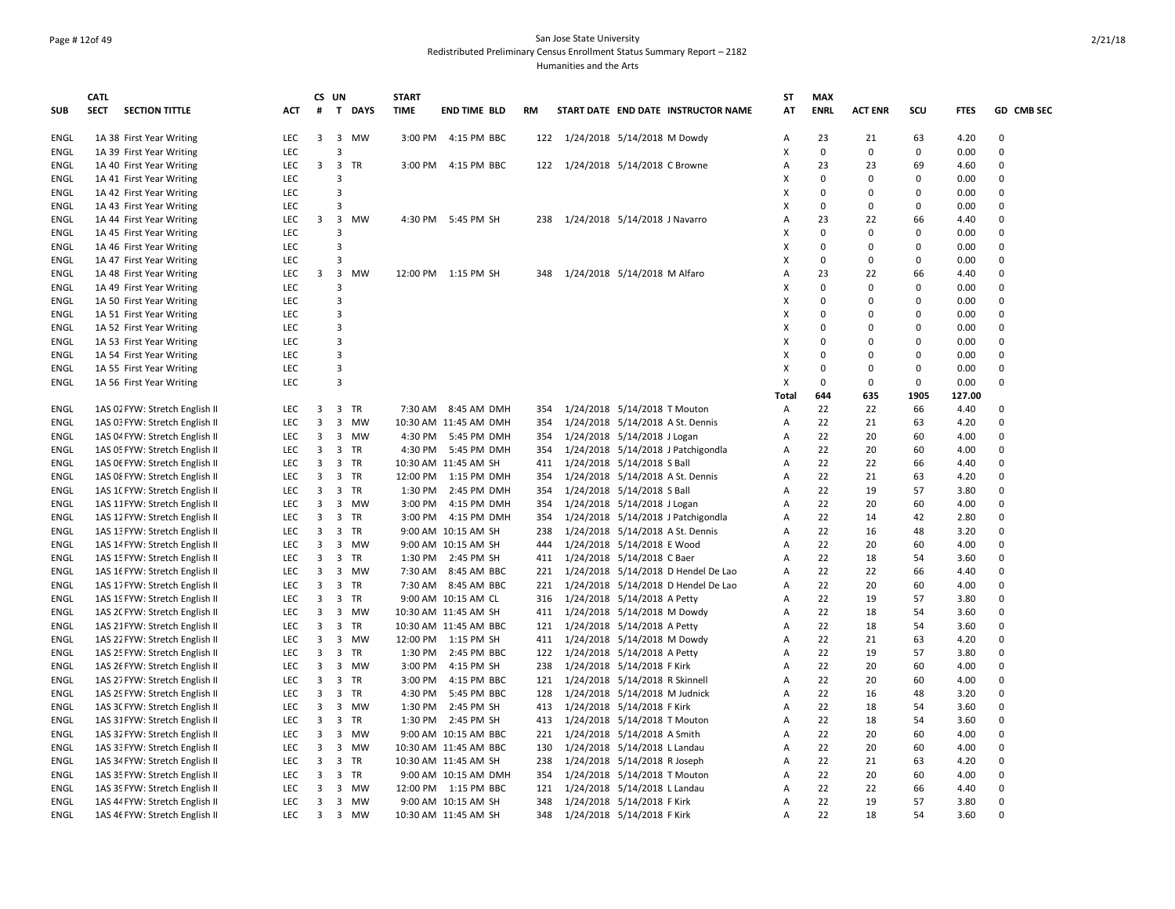### Page # 12of 49 San Jose State University Redistributed Preliminary Census Enrollment Status Summary Report – 2182 Humanities and the Arts

|             | <b>CATL</b> |                                |            | CS | UN                      |             | <b>START</b> |                       |     |                                     | ST           | <b>MAX</b>  |                |             |             |             |
|-------------|-------------|--------------------------------|------------|----|-------------------------|-------------|--------------|-----------------------|-----|-------------------------------------|--------------|-------------|----------------|-------------|-------------|-------------|
| <b>SUB</b>  | <b>SECT</b> | <b>SECTION TITTLE</b>          | ACT        | #  | T                       | <b>DAYS</b> | <b>TIME</b>  | <b>END TIME BLD</b>   | RM  | START DATE END DATE INSTRUCTOR NAME | AT           | <b>ENRL</b> | <b>ACT ENR</b> | scu         | <b>FTES</b> | GD CMB SEC  |
| <b>ENGL</b> |             | 1A 38 First Year Writing       | <b>LEC</b> | 3  | $\overline{\mathbf{3}}$ | <b>MW</b>   |              | 3:00 PM 4:15 PM BBC   |     | 122 1/24/2018 5/14/2018 M Dowdy     | А            | 23          | 21             | 63          | 4.20        | $\Omega$    |
| ENGL        |             | 1A 39 First Year Writing       | LEC        |    | 3                       |             |              |                       |     |                                     | X            | $\mathbf 0$ | 0              | $\mathbf 0$ | 0.00        | $\Omega$    |
| <b>ENGL</b> |             | 1A 40 First Year Writing       | <b>LEC</b> |    | $3 \quad 3$             | <b>TR</b>   |              | 3:00 PM 4:15 PM BBC   |     | 122 1/24/2018 5/14/2018 C Browne    | A            | 23          | 23             | 69          | 4.60        | $\mathbf 0$ |
| <b>ENGL</b> |             | 1A 41 First Year Writing       | LEC        |    | 3                       |             |              |                       |     |                                     | X            | 0           | $\Omega$       | $\Omega$    | 0.00        | $\Omega$    |
| <b>ENGL</b> |             | 1A 42 First Year Writing       | LEC        |    | 3                       |             |              |                       |     |                                     | X            | $\mathbf 0$ | $\Omega$       | $\mathbf 0$ | 0.00        | $\mathbf 0$ |
| ENGL        |             | 1A 43 First Year Writing       | LEC        |    | 3                       |             |              |                       |     |                                     | X            | 0           | $\Omega$       | 0           | 0.00        | $\mathbf 0$ |
| ENGL        |             | 1A 44 First Year Writing       | <b>LEC</b> | 3  | $\overline{\mathbf{3}}$ | MW          |              | 4:30 PM 5:45 PM SH    |     | 238 1/24/2018 5/14/2018 J Navarro   | A            | 23          | 22             | 66          | 4.40        | $\mathbf 0$ |
| <b>ENGL</b> |             | 1A 45 First Year Writing       | <b>LEC</b> |    | 3                       |             |              |                       |     |                                     | X            | $\mathbf 0$ | $\Omega$       | $\mathbf 0$ | 0.00        | $\Omega$    |
| <b>ENGL</b> |             | 1A 46 First Year Writing       | <b>LEC</b> |    | 3                       |             |              |                       |     |                                     | X            | $\Omega$    | $\Omega$       | $\Omega$    | 0.00        | $\Omega$    |
| <b>ENGL</b> |             | 1A 47 First Year Writing       | <b>LEC</b> |    | 3                       |             |              |                       |     |                                     | X            | $\Omega$    | $\Omega$       | $\mathbf 0$ | 0.00        | $\Omega$    |
| <b>ENGL</b> |             | 1A 48 First Year Writing       | <b>LEC</b> | 3  | $\overline{\mathbf{3}}$ | MW          |              | 12:00 PM 1:15 PM SH   | 348 | 1/24/2018 5/14/2018 M Alfaro        | A            | 23          | 22             | 66          | 4.40        | $\mathbf 0$ |
| ENGL        |             | 1A 49 First Year Writing       | <b>LEC</b> |    | 3                       |             |              |                       |     |                                     | x            | 0           | $\Omega$       | 0           | 0.00        | $\mathbf 0$ |
| ENGL        |             | 1A 50 First Year Writing       | LEC        |    | 3                       |             |              |                       |     |                                     | X            | $\Omega$    | $\Omega$       | $\Omega$    | 0.00        | $\mathbf 0$ |
| <b>ENGL</b> |             | 1A 51 First Year Writing       | LEC        |    | 3                       |             |              |                       |     |                                     | X            | $\Omega$    | $\Omega$       | $\mathbf 0$ | 0.00        | $\Omega$    |
| ENGL        |             | 1A 52 First Year Writing       | LEC        |    | 3                       |             |              |                       |     |                                     | X            | $\mathbf 0$ | $\Omega$       | $\Omega$    | 0.00        | $\Omega$    |
| ENGL        |             | 1A 53 First Year Writing       | LEC        |    | 3                       |             |              |                       |     |                                     | Χ            | $\mathbf 0$ | $\Omega$       | $\mathbf 0$ | 0.00        | $\mathbf 0$ |
| <b>ENGL</b> |             | 1A 54 First Year Writing       | LEC        |    | 3                       |             |              |                       |     |                                     | X            | $\Omega$    | $\Omega$       | 0           | 0.00        | $\Omega$    |
| ENGL        |             | 1A 55 First Year Writing       | LEC        |    | 3                       |             |              |                       |     |                                     | Χ            | $\mathbf 0$ | $\Omega$       | $\mathbf 0$ | 0.00        | $\mathbf 0$ |
| <b>ENGL</b> |             | 1A 56 First Year Writing       | <b>LEC</b> |    | 3                       |             |              |                       |     |                                     | x            | $\Omega$    | $\Omega$       | $\mathbf 0$ | 0.00        | $\Omega$    |
|             |             |                                |            |    |                         |             |              |                       |     |                                     | <b>Total</b> | 644         | 635            | 1905        | 127.00      |             |
| <b>ENGL</b> |             | 1AS 02 FYW: Stretch English II | LEC.       | 3  | $\overline{\mathbf{3}}$ | <b>TR</b>   |              | 7:30 AM 8:45 AM DMH   | 354 | 1/24/2018 5/14/2018 T Mouton        | Α            | 22          | 22             | 66          | 4.40        | $\Omega$    |
| ENGL        |             | 1AS 03 FYW: Stretch English II | <b>LEC</b> | 3  | 3                       | <b>MW</b>   |              | 10:30 AM 11:45 AM DMH | 354 | 1/24/2018 5/14/2018 A St. Dennis    | A            | 22          | 21             | 63          | 4.20        | $\Omega$    |
| ENGL        |             | 1AS 04 FYW: Stretch English II | LEC        | 3  | $\overline{\mathbf{3}}$ | MW          |              | 4:30 PM 5:45 PM DMH   | 354 | 1/24/2018 5/14/2018 J Logan         | Α            | 22          | 20             | 60          | 4.00        | $\Omega$    |
| ENGL        |             | 1AS 05 FYW: Stretch English II | LEC        | 3  | 3                       | TR          |              | 4:30 PM 5:45 PM DMH   | 354 | 1/24/2018 5/14/2018 J Patchigondla  | A            | 22          | 20             | 60          | 4.00        | $\mathbf 0$ |
| <b>ENGL</b> |             | 1AS Of FYW: Stretch English II | <b>LEC</b> | 3  |                         | 3 TR        |              | 10:30 AM 11:45 AM SH  |     | 411 1/24/2018 5/14/2018 S Ball      | A            | 22          | 22             | 66          | 4.40        | $\mathbf 0$ |
| ENGL        |             | 1AS 08 FYW: Stretch English II | <b>LEC</b> | 3  | 3                       | <b>TR</b>   |              | 12:00 PM 1:15 PM DMH  | 354 | 1/24/2018 5/14/2018 A St. Dennis    | A            | 22          | 21             | 63          | 4.20        | $\mathbf 0$ |
| <b>ENGL</b> |             | 1AS 1(FYW: Stretch English II  | <b>LEC</b> | 3  | 3                       | TR          |              | 1:30 PM 2:45 PM DMH   | 354 | 1/24/2018 5/14/2018 S Ball          | A            | 22          | 19             | 57          | 3.80        | $\Omega$    |
| <b>ENGL</b> |             |                                | <b>LEC</b> | 3  | $\overline{\mathbf{3}}$ | <b>MW</b>   |              |                       |     |                                     | A            | 22          | 20             | 60          |             | $\Omega$    |
|             |             | 1AS 11FYW: Stretch English II  |            |    |                         |             |              | 3:00 PM 4:15 PM DMH   | 354 | 1/24/2018 5/14/2018 J Logan         |              |             |                |             | 4.00        | $\Omega$    |
| ENGL        |             | 1AS 12 FYW: Stretch English II | LEC        | 3  | $\overline{3}$          | TR          |              | 3:00 PM 4:15 PM DMH   | 354 | 1/24/2018 5/14/2018 J Patchigondla  | Α            | 22          | 14             | 42          | 2.80        | $\mathbf 0$ |
| ENGL        |             | 1AS 13 FYW: Stretch English II | LEC        | 3  | 3                       | TR          |              | 9:00 AM 10:15 AM SH   | 238 | 1/24/2018 5/14/2018 A St. Dennis    | A            | 22          | 16             | 48          | 3.20        |             |
| ENGL        |             | 1AS 14 FYW: Stretch English II | <b>LEC</b> | 3  |                         | 3 MW        |              | 9:00 AM 10:15 AM SH   | 444 | 1/24/2018 5/14/2018 E Wood          | A            | 22          | 20             | 60          | 4.00        | $\Omega$    |
| ENGL        |             | 1AS 15 FYW: Stretch English II | <b>LEC</b> | 3  | $\overline{\mathbf{3}}$ | <b>TR</b>   |              | 1:30 PM 2:45 PM SH    |     | 411 1/24/2018 5/14/2018 C Baer      | A            | 22          | 18             | 54          | 3.60        | $\Omega$    |
| <b>ENGL</b> |             | 1AS 16 FYW: Stretch English II | <b>LEC</b> | 3  |                         | 3 MW        |              | 7:30 AM 8:45 AM BBC   | 221 | 1/24/2018 5/14/2018 D Hendel De Lao | A            | 22          | 22             | 66          | 4.40        | $\mathbf 0$ |
| <b>ENGL</b> |             | 1AS 17 FYW: Stretch English II | <b>LEC</b> | 3  | $\overline{\mathbf{3}}$ | <b>TR</b>   |              | 7:30 AM 8:45 AM BBC   | 221 | 1/24/2018 5/14/2018 D Hendel De Lao | A            | 22          | 20             | 60          | 4.00        | $\Omega$    |
| ENGL        |             | 1AS 19 FYW: Stretch English II | <b>LEC</b> | 3  |                         | 3 TR        |              | 9:00 AM 10:15 AM CL   | 316 | 1/24/2018 5/14/2018 A Petty         | A            | 22          | 19             | 57          | 3.80        | $\Omega$    |
| <b>ENGL</b> |             | 1AS 2C FYW: Stretch English II | LEC        | 3  |                         | 3 MW        |              | 10:30 AM 11:45 AM SH  |     | 411 1/24/2018 5/14/2018 M Dowdy     | A            | 22          | 18             | 54          | 3.60        | $\Omega$    |
| ENGL        |             | 1AS 21 FYW: Stretch English II | LEC        | 3  | 3                       | TR          |              | 10:30 AM 11:45 AM BBC | 121 | 1/24/2018 5/14/2018 A Petty         | A            | 22          | 18             | 54          | 3.60        | $\mathbf 0$ |
| <b>ENGL</b> |             | 1AS 22 FYW: Stretch English II | LEC        | 3  | 3                       | MW          |              | 12:00 PM 1:15 PM SH   | 411 | 1/24/2018 5/14/2018 M Dowdy         | Α            | 22          | 21             | 63          | 4.20        | $\mathbf 0$ |
| ENGL        |             | 1AS 25 FYW: Stretch English II | LEC        | 3  | $\overline{\mathbf{3}}$ | TR          |              | 1:30 PM 2:45 PM BBC   | 122 | 1/24/2018 5/14/2018 A Petty         | A            | 22          | 19             | 57          | 3.80        | $\mathbf 0$ |
| <b>ENGL</b> |             | 1AS 26 FYW: Stretch English II | LEC        | 3  | $\overline{3}$          | <b>MW</b>   |              | 3:00 PM 4:15 PM SH    | 238 | 1/24/2018 5/14/2018 F Kirk          | A            | 22          | 20             | 60          | 4.00        | $\Omega$    |
| <b>ENGL</b> |             | 1AS 27 FYW: Stretch English II | <b>LEC</b> | 3  | $\overline{\mathbf{3}}$ | <b>TR</b>   |              | 3:00 PM 4:15 PM BBC   | 121 | 1/24/2018 5/14/2018 R Skinnell      | A            | 22          | 20             | 60          | 4.00        | $\Omega$    |
| ENGL        |             | 1AS 29 FYW: Stretch English II | LEC        | 3  | $\overline{3}$          | TR          |              | 4:30 PM 5:45 PM BBC   | 128 | 1/24/2018 5/14/2018 M Judnick       | A            | 22          | 16             | 48          | 3.20        | $\mathbf 0$ |
| ENGL        |             | 1AS 3C FYW: Stretch English II | <b>LEC</b> | 3  | 3                       | MW          |              | 1:30 PM 2:45 PM SH    | 413 | 1/24/2018 5/14/2018 F Kirk          | A            | 22          | 18             | 54          | 3.60        | $\mathbf 0$ |
| ENGL        |             | 1AS 31 FYW: Stretch English II | <b>LEC</b> | 3  | $\overline{3}$          | TR          |              | 1:30 PM 2:45 PM SH    | 413 | 1/24/2018 5/14/2018 T Mouton        | A            | 22          | 18             | 54          | 3.60        | $\mathbf 0$ |
| <b>ENGL</b> |             | 1AS 32 FYW: Stretch English II | <b>LEC</b> | 3  | 3                       | <b>MW</b>   |              | 9:00 AM 10:15 AM BBC  | 221 | 1/24/2018 5/14/2018 A Smith         | A            | 22          | 20             | 60          | 4.00        | $\Omega$    |
| <b>ENGL</b> |             | 1AS 3: FYW: Stretch English II | <b>LEC</b> | 3  | $\overline{\mathbf{3}}$ | <b>MW</b>   |              | 10:30 AM 11:45 AM BBC | 130 | 1/24/2018 5/14/2018 L Landau        | A            | 22          | 20             | 60          | 4.00        | $\Omega$    |
| ENGL        |             | 1AS 34 FYW: Stretch English II | <b>LEC</b> | 3  | $\overline{\mathbf{3}}$ | TR          |              | 10:30 AM 11:45 AM SH  | 238 | 1/24/2018 5/14/2018 R Joseph        | A            | 22          | 21             | 63          | 4.20        | $\mathbf 0$ |
| ENGL        |             | 1AS 35 FYW: Stretch English II | <b>LEC</b> | 3  | 3                       | TR          |              | 9:00 AM 10:15 AM DMH  | 354 | 1/24/2018 5/14/2018 T Mouton        | Α            | 22          | 20             | 60          | 4.00        | $\Omega$    |
| <b>ENGL</b> |             | 1AS 39 FYW: Stretch English II | LEC        | 3  | 3                       | MW          |              | 12:00 PM 1:15 PM BBC  | 121 | 1/24/2018 5/14/2018 L Landau        | A            | 22          | 22             | 66          | 4.40        | $\Omega$    |
| <b>ENGL</b> |             | 1AS 44 FYW: Stretch English II | LEC        | 3  | 3                       | MW          |              | 9:00 AM 10:15 AM SH   | 348 | 1/24/2018 5/14/2018 F Kirk          | Α            | 22          | 19             | 57          | 3.80        | $\Omega$    |
| <b>ENGL</b> |             | 1AS 46 FYW: Stretch English II | <b>LEC</b> | 3  |                         | 3 MW        |              | 10:30 AM 11:45 AM SH  |     | 348 1/24/2018 5/14/2018 F Kirk      | A            | 22          | 18             | 54          | 3.60        | $\Omega$    |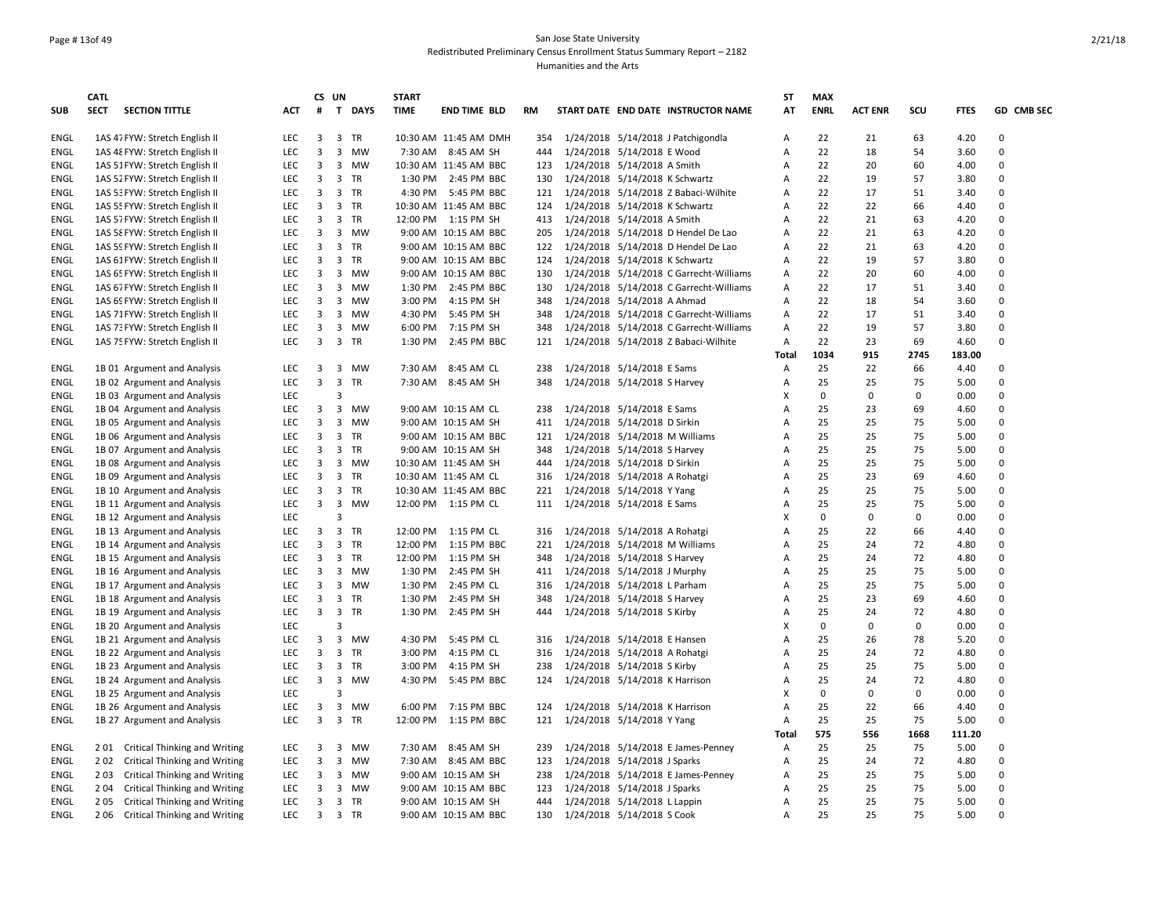### Page # 13of 49 San Jose State University Redistributed Preliminary Census Enrollment Status Summary Report – 2182 Humanities and the Arts

|             | <b>CATL</b> |                                      |            |                         | CS UN                   |           | <b>START</b> |                       |           |                                         | <b>ST</b>    | <b>MAX</b>  |                |             |             |            |
|-------------|-------------|--------------------------------------|------------|-------------------------|-------------------------|-----------|--------------|-----------------------|-----------|-----------------------------------------|--------------|-------------|----------------|-------------|-------------|------------|
| <b>SUB</b>  | <b>SECT</b> | <b>SECTION TITTLE</b>                | <b>ACT</b> | $\#$                    |                         | T DAYS    | <b>TIME</b>  | <b>END TIME BLD</b>   | <b>RM</b> | START DATE END DATE INSTRUCTOR NAME     | AT           | <b>ENRL</b> | <b>ACT ENR</b> | SCU         | <b>FTES</b> | GD CMB SEC |
| <b>ENGL</b> |             | 1AS 47 FYW: Stretch English II       | LEC        | 3                       |                         | 3 TR      |              | 10:30 AM 11:45 AM DMH | 354       | 1/24/2018 5/14/2018 J Patchigondla      | А            | 22          | 21             | 63          | 4.20        | 0          |
| ENGL        |             | 1AS 48 FYW: Stretch English II       | <b>LEC</b> | 3                       | 3                       | <b>MW</b> |              | 7:30 AM 8:45 AM SH    | 444       | 1/24/2018 5/14/2018 E Wood              | Α            | 22          | 18             | 54          | 3.60        | 0          |
| ENGL        |             | 1AS 51 FYW: Stretch English II       | <b>LEC</b> | 3                       | $\overline{3}$          | <b>MW</b> |              | 10:30 AM 11:45 AM BBC | 123       | 1/24/2018 5/14/2018 A Smith             | Α            | 22          | 20             | 60          | 4.00        | 0          |
| ENGL        |             | 1AS 52 FYW: Stretch English II       | <b>LEC</b> | $\overline{\mathbf{3}}$ | $\overline{\mathbf{3}}$ | TR        |              | 1:30 PM 2:45 PM BBC   | 130       | 1/24/2018 5/14/2018 K Schwartz          | A            | 22          | 19             | 57          | 3.80        | $\Omega$   |
| <b>ENGL</b> |             | 1AS 53 FYW: Stretch English II       | <b>LEC</b> | 3                       | $\overline{3}$          | TR        | 4:30 PM      | 5:45 PM BBC           | 121       | 1/24/2018 5/14/2018 Z Babaci-Wilhite    | Α            | 22          | 17             | 51          | 3.40        | 0          |
| <b>ENGL</b> |             | 1AS 55 FYW: Stretch English II       | <b>LEC</b> | 3                       | 3                       | TR        |              | 10:30 AM 11:45 AM BBC | 124       | 1/24/2018 5/14/2018 K Schwartz          | Α            | 22          | 22             | 66          | 4.40        | 0          |
| <b>ENGL</b> |             | 1AS 57 FYW: Stretch English II       | <b>LEC</b> | 3                       | $\overline{\mathbf{3}}$ | TR        |              | 12:00 PM 1:15 PM SH   | 413       | 1/24/2018 5/14/2018 A Smith             | Α            | 22          | 21             | 63          | 4.20        | 0          |
| <b>ENGL</b> |             | 1AS 58 FYW: Stretch English II       | <b>LEC</b> | 3                       | 3                       | <b>MW</b> |              | 9:00 AM 10:15 AM BBC  | 205       | 1/24/2018 5/14/2018 D Hendel De Lao     | A            | 22          | 21             | 63          | 4.20        | 0          |
| ENGL        |             | 1AS 59 FYW: Stretch English II       | LEC        | 3                       |                         | 3 TR      |              | 9:00 AM 10:15 AM BBC  | 122       | 1/24/2018 5/14/2018 D Hendel De Lao     | А            | 22          | 21             | 63          | 4.20        | 0          |
| <b>ENGL</b> |             | 1AS 61 FYW: Stretch English II       | <b>LEC</b> | 3                       | $\overline{3}$          | <b>TR</b> |              | 9:00 AM 10:15 AM BBC  | 124       | 1/24/2018 5/14/2018 K Schwartz          | A            | 22          | 19             | 57          | 3.80        | 0          |
| ENGL        |             | 1AS 65 FYW: Stretch English II       | LEC        | 3                       | 3                       | <b>MW</b> |              | 9:00 AM 10:15 AM BBC  | 130       | 1/24/2018 5/14/2018 C Garrecht-Williams | Α            | 22          | 20             | 60          | 4.00        | $\Omega$   |
| ENGL        |             | 1AS 67 FYW: Stretch English II       | <b>LEC</b> | 3                       | 3                       | MW        |              | 1:30 PM 2:45 PM BBC   | 130       | 1/24/2018 5/14/2018 C Garrecht-Williams | Α            | 22          | 17             | 51          | 3.40        | 0          |
| <b>ENGL</b> |             | 1AS 69 FYW: Stretch English II       | <b>LEC</b> | 3                       | 3                       | <b>MW</b> | 3:00 PM      | 4:15 PM SH            | 348       | 1/24/2018 5/14/2018 A Ahmad             | А            | 22          | 18             | 54          | 3.60        | 0          |
| <b>ENGL</b> |             | 1AS 71 FYW: Stretch English II       | LEC        | 3                       | 3                       | MW        | 4:30 PM      | 5:45 PM SH            | 348       | 1/24/2018 5/14/2018 C Garrecht-Williams | А            | 22          | 17             | 51          | 3.40        | 0          |
| <b>ENGL</b> |             | 1AS 73 FYW: Stretch English II       | <b>LEC</b> | 3                       | $\overline{3}$          | MW        | 6:00 PM      | 7:15 PM SH            | 348       | 1/24/2018 5/14/2018 C Garrecht-Williams | А            | 22          | 19             | 57          | 3.80        | 0          |
| ENGL        |             | 1AS 75 FYW: Stretch English II       | <b>LEC</b> | 3                       | $\overline{3}$          | TR        | 1:30 PM      | 2:45 PM BBC           | 121       | 1/24/2018 5/14/2018 Z Babaci-Wilhite    | А            | 22          | 23             | 69          | 4.60        | 0          |
|             |             |                                      |            |                         |                         |           |              |                       |           |                                         | <b>Total</b> | 1034        | 915            | 2745        | 183.00      |            |
| <b>ENGL</b> |             | 1B 01 Argument and Analysis          | <b>LEC</b> | 3                       | $\overline{3}$          | <b>MW</b> | 7:30 AM      | 8:45 AM CL            | 238       | 1/24/2018 5/14/2018 E Sams              | Α            | 25          | 22             | 66          | 4.40        | 0          |
| ENGL        |             | 1B 02 Argument and Analysis          | LEC        | $\overline{\mathbf{3}}$ | $\overline{\mathbf{3}}$ | TR        | 7:30 AM      | 8:45 AM SH            | 348       | 1/24/2018 5/14/2018 S Harvey            | Α            | 25          | 25             | 75          | 5.00        | 0          |
| ENGL        |             | 1B 03 Argument and Analysis          | LEC        |                         | $\overline{3}$          |           |              |                       |           |                                         | X            | $\mathbf 0$ | 0              | $\mathbf 0$ | 0.00        | 0          |
| ENGL        |             | 1B 04 Argument and Analysis          | LEC        | 3                       | $\overline{3}$          | <b>MW</b> |              | 9:00 AM 10:15 AM CL   | 238       | 1/24/2018 5/14/2018 E Sams              | A            | 25          | 23             | 69          | 4.60        | 0          |
| ENGL        |             | 1B 05 Argument and Analysis          | LEC        | 3                       | $\overline{3}$          | <b>MW</b> |              | 9:00 AM 10:15 AM SH   | 411       | 1/24/2018 5/14/2018 D Sirkin            | Α            | 25          | 25             | 75          | 5.00        | 0          |
| <b>ENGL</b> |             | 1B 06 Argument and Analysis          | <b>LEC</b> | 3                       | $\overline{\mathbf{3}}$ | TR        |              | 9:00 AM 10:15 AM BBC  | 121       | 1/24/2018 5/14/2018 M Williams          | A            | 25          | 25             | 75          | 5.00        | 0          |
| <b>ENGL</b> |             | 1B 07 Argument and Analysis          | LEC        | 3                       | 3                       | TR        |              | 9:00 AM 10:15 AM SH   | 348       | 1/24/2018 5/14/2018 S Harvey            | Α            | 25          | 25             | 75          | 5.00        | 0          |
| ENGL        |             | 1B 08 Argument and Analysis          | <b>LEC</b> | 3                       | 3                       | MW        |              | 10:30 AM 11:45 AM SH  | 444       | 1/24/2018 5/14/2018 D Sirkin            | Α            | 25          | 25             | 75          | 5.00        | 0          |
| ENGL        |             | 1B 09 Argument and Analysis          | <b>LEC</b> | $\overline{3}$          | $\overline{\mathbf{3}}$ | <b>TR</b> |              | 10:30 AM 11:45 AM CL  | 316       | 1/24/2018 5/14/2018 A Rohatgi           | Α            | 25          | 23             | 69          | 4.60        | 0          |
| ENGL        |             | 1B 10 Argument and Analysis          | LEC        | $\overline{\mathbf{3}}$ | $\overline{3}$          | <b>TR</b> |              | 10:30 AM 11:45 AM BBC | 221       | 1/24/2018 5/14/2018 Y Yang              | Α            | 25          | 25             | 75          | 5.00        | 0          |
| <b>ENGL</b> |             | 1B 11 Argument and Analysis          | LEC        | $\overline{3}$          | $\overline{\mathbf{3}}$ | MW        |              | 12:00 PM 1:15 PM CL   | 111       | 1/24/2018 5/14/2018 E Sams              | Α            | 25          | 25             | 75          | 5.00        | 0          |
| <b>ENGL</b> |             | 1B 12 Argument and Analysis          | <b>LEC</b> |                         | $\overline{3}$          |           |              |                       |           |                                         | X            | $\mathbf 0$ | 0              | $\Omega$    | 0.00        | 0          |
| ENGL        |             | 1B 13 Argument and Analysis          | <b>LEC</b> | 3                       |                         | 3 TR      | 12:00 PM     | 1:15 PM CL            | 316       | 1/24/2018 5/14/2018 A Rohatgi           | Α            | 25          | 22             | 66          | 4.40        | 0          |
| <b>ENGL</b> |             | 1B 14 Argument and Analysis          | <b>LEC</b> | $\overline{3}$          | $\overline{3}$          | <b>TR</b> | 12:00 PM     | 1:15 PM BBC           | 221       | 1/24/2018 5/14/2018 M Williams          | A            | 25          | 24             | 72          | 4.80        | $\Omega$   |
| ENGL        |             | 1B 15 Argument and Analysis          | LEC        | 3                       | $\overline{3}$          | <b>TR</b> | 12:00 PM     | 1:15 PM SH            | 348       | 1/24/2018 5/14/2018 S Harvey            | А            | 25          | 24             | 72          | 4.80        | 0          |
| <b>ENGL</b> |             | 1B 16 Argument and Analysis          | <b>LEC</b> | 3                       | 3                       | <b>MW</b> | 1:30 PM      | 2:45 PM SH            | 411       | 1/24/2018 5/14/2018 J Murphy            | A            | 25          | 25             | 75          | 5.00        | 0          |
| <b>ENGL</b> |             | 1B 17 Argument and Analysis          | <b>LEC</b> | 3                       | $\overline{3}$          | <b>MW</b> | 1:30 PM      | 2:45 PM CL            | 316       | 1/24/2018 5/14/2018 L Parham            | A            | 25          | 25             | 75          | 5.00        | 0          |
| ENGL        |             | 1B 18 Argument and Analysis          | <b>LEC</b> | 3                       | 3                       | <b>TR</b> | 1:30 PM      | 2:45 PM SH            | 348       | 1/24/2018 5/14/2018 S Harvey            | А            | 25          | 23             | 69          | 4.60        | 0          |
| <b>ENGL</b> |             | 1B 19 Argument and Analysis          | LEC        | $\overline{\mathbf{3}}$ |                         | 3 TR      | 1:30 PM      | 2:45 PM SH            | 444       | 1/24/2018 5/14/2018 S Kirby             | Α            | 25          | 24             | 72          | 4.80        | 0          |
| ENGL        |             | 1B 20 Argument and Analysis          | <b>LEC</b> |                         | $\overline{3}$          |           |              |                       |           |                                         | X            | $\mathbf 0$ | $\mathbf 0$    | $\Omega$    | 0.00        | 0          |
| ENGL        |             | 1B 21 Argument and Analysis          | <b>LEC</b> | 3                       | $\overline{3}$          | MW        | 4:30 PM      | 5:45 PM CL            | 316       | 1/24/2018 5/14/2018 E Hansen            | Α            | 25          | 26             | 78          | 5.20        | 0          |
| <b>ENGL</b> |             | 1B 22 Argument and Analysis          | <b>LEC</b> | $\overline{3}$          | $\overline{\mathbf{3}}$ | TR        | 3:00 PM      | 4:15 PM CL            | 316       | 1/24/2018 5/14/2018 A Rohatgi           | Α            | 25          | 24             | 72          | 4.80        | 0          |
| ENGL        |             | 1B 23 Argument and Analysis          | <b>LEC</b> | 3                       | $\overline{\mathbf{3}}$ | TR        | 3:00 PM      | 4:15 PM SH            | 238       | 1/24/2018 5/14/2018 S Kirby             | Α            | 25          | 25             | 75          | 5.00        | 0          |
| <b>ENGL</b> |             | 1B 24 Argument and Analysis          | <b>LEC</b> | 3                       | 3                       | <b>MW</b> | 4:30 PM      | 5:45 PM BBC           | 124       | 1/24/2018 5/14/2018 K Harrison          | A            | 25          | 24             | 72          | 4.80        | 0          |
| <b>ENGL</b> |             | 1B 25 Argument and Analysis          | LEC        |                         | $\overline{3}$          |           |              |                       |           |                                         | X            | $\mathbf 0$ | $\mathbf 0$    | 0           | 0.00        | 0          |
| ENGL        |             | 1B 26 Argument and Analysis          | <b>LEC</b> | 3                       | $\overline{\mathbf{3}}$ | <b>MW</b> | 6:00 PM      | 7:15 PM BBC           | 124       | 1/24/2018 5/14/2018 K Harrison          | A            | 25          | 22             | 66          | 4.40        | 0          |
| ENGL        |             | 1B 27 Argument and Analysis          | LEC        | 3                       |                         | 3 TR      | 12:00 PM     | 1:15 PM BBC           | 121       | 1/24/2018 5/14/2018 Y Yang              | А            | 25          | 25             | 75          | 5.00        | $\Omega$   |
|             |             |                                      |            |                         |                         |           |              |                       |           |                                         | Total        | 575         | 556            | 1668        | 111.20      |            |
| ENGL        |             | 201 Critical Thinking and Writing    | <b>LEC</b> | 3                       | 3                       | <b>MW</b> | 7:30 AM      | 8:45 AM SH            | 239       | 1/24/2018 5/14/2018 E James-Penney      | A            | 25          | 25             | 75          | 5.00        | $\Omega$   |
| <b>ENGL</b> | 202         | Critical Thinking and Writing        | <b>LEC</b> | 3                       | $\overline{3}$          | <b>MW</b> |              | 7:30 AM 8:45 AM BBC   | 123       | 1/24/2018 5/14/2018 J Sparks            | А            | 25          | 24             | 72          | 4.80        | 0          |
| ENGL        | 203         | Critical Thinking and Writing        | <b>LEC</b> | 3                       | 3                       | MW        |              | 9:00 AM 10:15 AM SH   | 238       | 1/24/2018 5/14/2018 E James-Penney      | Α            | 25          | 25             | 75          | 5.00        | 0          |
| <b>ENGL</b> | 2 0 4       | Critical Thinking and Writing        | <b>LEC</b> | 3                       | 3                       | <b>MW</b> |              | 9:00 AM 10:15 AM BBC  | 123       | 1/24/2018 5/14/2018 J Sparks            | Α            | 25          | 25             | 75          | 5.00        | 0          |
| <b>ENGL</b> | 205         | Critical Thinking and Writing        | <b>LEC</b> | 3                       | 3                       | TR        |              | 9:00 AM 10:15 AM SH   | 444       | 1/24/2018 5/14/2018 L Lappin            | Α            | 25          | 25             | 75          | 5.00        | 0          |
| ENGL        | 206         | <b>Critical Thinking and Writing</b> | <b>LEC</b> | $\overline{\mathbf{3}}$ |                         | 3 TR      |              | 9:00 AM 10:15 AM BBC  | 130       | 1/24/2018 5/14/2018 S Cook              | A            | 25          | 25             | 75          | 5.00        | 0          |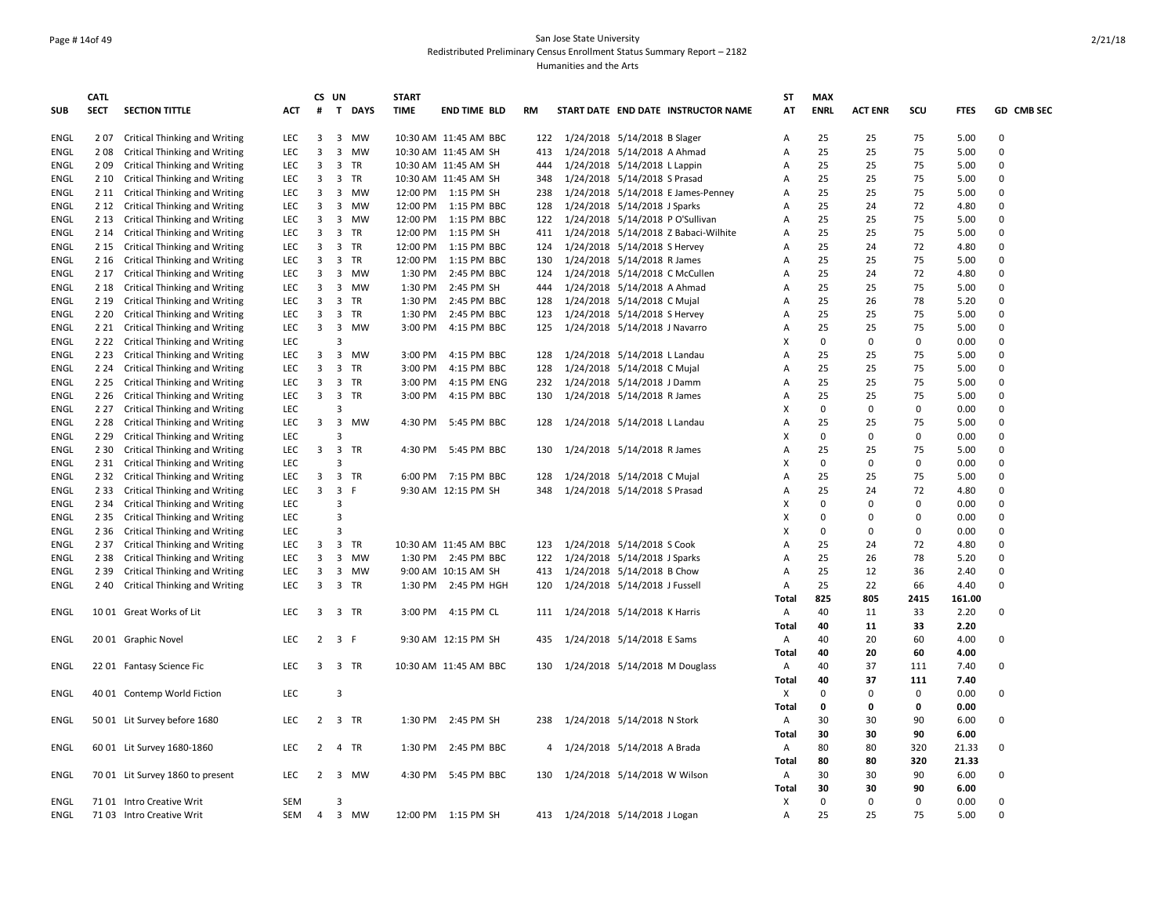### Page # 14of 49 San Jose State University Redistributed Preliminary Census Enrollment Status Summary Report – 2182 Humanities and the Arts

| <b>SUB</b>  | <b>CATL</b><br><b>SECT</b> | <b>SECTION TITTLE</b>                | ACT        | #              | CS UN<br>T              | <b>DAYS</b> | <b>START</b><br><b>TIME</b> | <b>END TIME BLD</b>   | <b>RM</b> | START DATE END DATE INSTRUCTOR NAME  | ST<br>AT     | <b>MAX</b><br><b>ENRL</b> | <b>ACT ENR</b> | SCU         | <b>FTES</b> | GD CMB SEC  |
|-------------|----------------------------|--------------------------------------|------------|----------------|-------------------------|-------------|-----------------------------|-----------------------|-----------|--------------------------------------|--------------|---------------------------|----------------|-------------|-------------|-------------|
| <b>ENGL</b> | 207                        | Critical Thinking and Writing        | LEC        | 3              | 3                       | MW          |                             | 10:30 AM 11:45 AM BBC | 122       | 1/24/2018 5/14/2018 B Slager         | Α            | 25                        | 25             | 75          | 5.00        | $\mathbf 0$ |
| ENGL        | 208                        | Critical Thinking and Writing        | LEC        | 3              | 3                       | MW          |                             | 10:30 AM 11:45 AM SH  | 413       | 1/24/2018 5/14/2018 A Ahmad          | A            | 25                        | 25             | 75          | 5.00        | $\mathbf 0$ |
| <b>ENGL</b> | 209                        | Critical Thinking and Writing        | <b>LEC</b> | 3              | 3                       | <b>TR</b>   |                             | 10:30 AM 11:45 AM SH  | 444       | 1/24/2018 5/14/2018 L Lappin         | A            | 25                        | 25             | 75          | 5.00        | $\Omega$    |
| ENGL        | 2 10                       | Critical Thinking and Writing        | LEC        | 3              | 3                       | TR          |                             | 10:30 AM 11:45 AM SH  | 348       | 1/24/2018 5/14/2018 S Prasad         | A            | 25                        | 25             | 75          | 5.00        | $\Omega$    |
| ENGL        | 2 1 1                      | Critical Thinking and Writing        | LEC        | 3              | 3                       | <b>MW</b>   |                             | 12:00 PM 1:15 PM SH   | 238       | 1/24/2018 5/14/2018 E James-Penney   | A            | 25                        | 25             | 75          | 5.00        | $\mathbf 0$ |
| ENGL        | 2 1 2                      | Critical Thinking and Writing        | LEC        | 3              | 3                       | MW          | 12:00 PM                    | 1:15 PM BBC           | 128       | 1/24/2018 5/14/2018 J Sparks         | A            | 25                        | 24             | 72          | 4.80        | $\mathbf 0$ |
| ENGL        | 2 1 3                      | Critical Thinking and Writing        | LEC        | 3              | 3                       | MW          |                             | 12:00 PM 1:15 PM BBC  | 122       | 1/24/2018 5/14/2018 P O'Sullivan     | A            | 25                        | 25             | 75          | 5.00        | $\Omega$    |
| ENGL        | 2 1 4                      | Critical Thinking and Writing        | LEC        | 3              | 3                       | TR          | 12:00 PM                    | 1:15 PM SH            | 411       | 1/24/2018 5/14/2018 Z Babaci-Wilhite | А            | 25                        | 25             | 75          | 5.00        | $\Omega$    |
| ENGL        | 2 1 5                      | <b>Critical Thinking and Writing</b> | LEC        | 3              | 3                       | TR          |                             | 12:00 PM 1:15 PM BBC  | 124       | 1/24/2018 5/14/2018 S Hervey         | A            | 25                        | 24             | 72          | 4.80        | $\mathbf 0$ |
| <b>ENGL</b> | 2 1 6                      | <b>Critical Thinking and Writing</b> | <b>LEC</b> | 3              | 3                       | <b>TR</b>   | 12:00 PM                    | 1:15 PM BBC           | 130       | 1/24/2018 5/14/2018 R James          | A            | 25                        | 25             | 75          | 5.00        | $\Omega$    |
| ENGL        | 2 1 7                      | Critical Thinking and Writing        | LEC        | 3              | 3                       | <b>MW</b>   | 1:30 PM                     | 2:45 PM BBC           | 124       | 1/24/2018 5/14/2018 C McCullen       | Α            | 25                        | 24             | 72          | 4.80        | $\mathbf 0$ |
| ENGL        | 2 1 8                      | Critical Thinking and Writing        | LEC        | 3              | 3                       | мw          | 1:30 PM                     | 2:45 PM SH            | 444       | 1/24/2018 5/14/2018 A Ahmad          | A            | 25                        | 25             | 75          | 5.00        | $\Omega$    |
| <b>ENGL</b> | 2 1 9                      | <b>Critical Thinking and Writing</b> | LEC        | 3              | 3                       | TR          | 1:30 PM                     | 2:45 PM BBC           | 128       | 1/24/2018 5/14/2018 C Mujal          | A            | 25                        | 26             | 78          | 5.20        | $\mathbf 0$ |
| ENGL        | 2 2 0                      | Critical Thinking and Writing        | LEC        | 3              | 3                       | TR          | 1:30 PM                     | 2:45 PM BBC           | 123       | 1/24/2018 5/14/2018 S Hervey         | A            | 25                        | 25             | 75          | 5.00        | $\mathbf 0$ |
| <b>ENGL</b> | 2 2 1                      | <b>Critical Thinking and Writing</b> | <b>LEC</b> | 3              | 3                       | MW          | 3:00 PM                     | 4:15 PM BBC           | 125       | 1/24/2018 5/14/2018 J Navarro        | A            | 25                        | 25             | 75          | 5.00        | $\Omega$    |
| ENGL        | 2 2 2                      | Critical Thinking and Writing        | LEC        |                | 3                       |             |                             |                       |           |                                      | X            | 0                         | 0              | $\mathbf 0$ | 0.00        | $\mathbf 0$ |
| ENGL        | 2 2 3                      | Critical Thinking and Writing        | LEC        | 3              | 3                       | MW          | 3:00 PM                     | 4:15 PM BBC           | 128       | 1/24/2018 5/14/2018 L Landau         | A            | 25                        | 25             | 75          | 5.00        | $\mathbf 0$ |
| <b>ENGL</b> | 2 2 4                      | Critical Thinking and Writing        | LEC        | 3              | 3                       | TR          | 3:00 PM                     | 4:15 PM BBC           | 128       | 1/24/2018 5/14/2018 C Mujal          | Α            | 25                        | 25             | 75          | 5.00        | $\mathbf 0$ |
| ENGL        | 2 2 5                      | Critical Thinking and Writing        | LEC        | 3              | 3                       | <b>TR</b>   | 3:00 PM                     | 4:15 PM ENG           | 232       | 1/24/2018 5/14/2018 J Damm           | A            | 25                        | 25             | 75          | 5.00        | $\Omega$    |
| <b>ENGL</b> | 2 2 6                      | <b>Critical Thinking and Writing</b> | LEC        | 3              | $\overline{3}$          | <b>TR</b>   | 3:00 PM                     | 4:15 PM BBC           | 130       | 1/24/2018 5/14/2018 R James          | A            | 25                        | 25             | 75          | 5.00        | $\Omega$    |
| ENGL        | 2 2 7                      | Critical Thinking and Writing        | LEC        |                | 3                       |             |                             |                       |           |                                      | X            | 0                         | 0              | 0           | 0.00        | $\mathbf 0$ |
| ENGL        | 2 2 8                      | Critical Thinking and Writing        | LEC        | 3              | $\overline{\mathbf{3}}$ | <b>MW</b>   | 4:30 PM                     | 5:45 PM BBC           | 128       | 1/24/2018 5/14/2018 L Landau         | A            | 25                        | 25             | 75          | 5.00        | $\Omega$    |
| ENGL        | 2 2 9                      | <b>Critical Thinking and Writing</b> | LEC        |                | 3                       |             |                             |                       |           |                                      | X            | 0                         | 0              | 0           | 0.00        | $\mathbf 0$ |
| ENGL        | 2 3 0                      | Critical Thinking and Writing        | LEC        | 3              | $\overline{\mathbf{3}}$ | TR          | 4:30 PM                     | 5:45 PM BBC           | 130       | 1/24/2018 5/14/2018 R James          | A            | 25                        | 25             | 75          | 5.00        | $\mathbf 0$ |
| ENGL        | 2 3 1                      | Critical Thinking and Writing        | LEC        |                | $\mathbf{a}$            |             |                             |                       |           |                                      | X            | $\Omega$                  | $\Omega$       | 0           | 0.00        | $\Omega$    |
| ENGL        | 2 3 2                      | Critical Thinking and Writing        | LEC        | 3              | $\overline{3}$          | TR          |                             | 6:00 PM 7:15 PM BBC   | 128       | 1/24/2018 5/14/2018 C Mujal          | A            | 25                        | 25             | 75          | 5.00        | $\Omega$    |
| ENGL        | 2 3 3                      | Critical Thinking and Writing        | <b>LEC</b> | 3              | 3                       | E           |                             | 9:30 AM 12:15 PM SH   | 348       | 1/24/2018 5/14/2018 S Prasad         | A            | 25                        | 24             | 72          | 4.80        | $\Omega$    |
| ENGL        | 2 3 4                      | Critical Thinking and Writing        | LEC        |                | 3                       |             |                             |                       |           |                                      | X            | 0                         | 0              | $\mathbf 0$ | 0.00        | $\mathbf 0$ |
| ENGL        | 2 3 5                      | Critical Thinking and Writing        | <b>LEC</b> |                | 3                       |             |                             |                       |           |                                      | X            | $\Omega$                  | $\Omega$       | 0           | 0.00        | $\mathbf 0$ |
| <b>ENGL</b> | 2 3 6                      | Critical Thinking and Writing        | LEC        |                | $\mathbf{a}$            |             |                             |                       |           |                                      | X            | $\Omega$                  | $\Omega$       | 0           | 0.00        | $\Omega$    |
| ENGL        | 2 3 7                      | Critical Thinking and Writing        | LEC        | 3              | 3                       | TR          |                             | 10:30 AM 11:45 AM BBC | 123       | 1/24/2018 5/14/2018 S Cook           | A            | 25                        | 24             | 72          | 4.80        | $\Omega$    |
| <b>ENGL</b> | 2 3 8                      | Critical Thinking and Writing        | <b>LEC</b> | 3              | 3                       | <b>MW</b>   |                             | 1:30 PM 2:45 PM BBC   | 122       | 1/24/2018 5/14/2018 J Sparks         | A            | 25                        | 26             | 78          | 5.20        | $\mathbf 0$ |
| ENGL        | 2 3 9                      | Critical Thinking and Writing        | LEC        | 3              | 3                       | мw          |                             | 9:00 AM 10:15 AM SH   | 413       | 1/24/2018 5/14/2018 B Chow           | A            | 25                        | 12             | 36          | 2.40        | $\mathbf 0$ |
| ENGL        | 2 4 0                      | Critical Thinking and Writing        | <b>LEC</b> | 3              |                         | 3 TR        |                             | 1:30 PM 2:45 PM HGH   | 120       | 1/24/2018 5/14/2018 J Fussell        | Α            | 25                        | 22             | 66          | 4.40        | $\Omega$    |
|             |                            |                                      |            |                |                         |             |                             |                       |           |                                      | <b>Total</b> | 825                       | 805            | 2415        | 161.00      |             |
| ENGL        |                            | 10 01 Great Works of Lit             | LEC        | 3              |                         | 3 TR        |                             | 3:00 PM 4:15 PM CL    | 111       | 1/24/2018 5/14/2018 K Harris         | Α            | 40                        | 11             | 33          | 2.20        | $\Omega$    |
|             |                            |                                      |            |                |                         |             |                             |                       |           |                                      | <b>Total</b> | 40                        | 11             | 33          | 2.20        |             |
| ENGL        |                            | 20 01 Graphic Novel                  | LEC        | $\overline{2}$ | $\overline{\mathbf{3}}$ | -F          |                             | 9:30 AM 12:15 PM SH   | 435       | 1/24/2018 5/14/2018 E Sams           | Α            | 40                        | 20             | 60          | 4.00        | $\mathbf 0$ |
|             |                            |                                      |            |                |                         |             |                             |                       |           |                                      | Total        | 40                        | 20             | 60          | 4.00        |             |
|             |                            |                                      | LEC        |                |                         | TR          |                             |                       |           |                                      |              | 40                        | 37             |             |             | $\mathbf 0$ |
| ENGL        |                            | 22 01 Fantasy Science Fic            |            | 3              | $\overline{\mathbf{3}}$ |             |                             | 10:30 AM 11:45 AM BBC | 130       | 1/24/2018 5/14/2018 M Douglass       | Α            |                           |                | 111         | 7.40        |             |
|             |                            |                                      |            |                | 3                       |             |                             |                       |           |                                      | Total        | 40<br>$\Omega$            | 37<br>$\Omega$ | 111         | 7.40        | $\Omega$    |
| <b>ENGL</b> |                            | 40 01 Contemp World Fiction          | LEC        |                |                         |             |                             |                       |           |                                      | х            |                           |                | 0           | 0.00        |             |
|             |                            |                                      |            |                |                         |             |                             |                       |           |                                      | Total        | 0                         | 0              | 0           | 0.00        |             |
| ENGL        |                            | 50 01 Lit Survey before 1680         | <b>LEC</b> | $\overline{2}$ |                         | 3 TR        |                             | 1:30 PM 2:45 PM SH    | 238       | 1/24/2018 5/14/2018 N Stork          | Α            | 30                        | 30             | 90          | 6.00        | $\Omega$    |
|             |                            |                                      |            |                |                         |             |                             |                       |           |                                      | Total        | 30                        | 30             | 90          | 6.00        |             |
| ENGL        |                            | 60 01 Lit Survey 1680-1860           | LEC        | 2              | $\overline{4}$          | <b>TR</b>   | 1:30 PM                     | 2:45 PM BBC           | 4         | 1/24/2018 5/14/2018 A Brada          | Α            | 80                        | 80             | 320         | 21.33       | $\Omega$    |
|             |                            |                                      |            |                |                         |             |                             |                       |           |                                      | <b>Total</b> | 80                        | 80             | 320         | 21.33       |             |
| ENGL        |                            | 70 01 Lit Survey 1860 to present     | LEC        | 2              | 3                       | MW          | 4:30 PM                     | 5:45 PM BBC           | 130       | 1/24/2018 5/14/2018 W Wilson         | Α            | 30                        | 30             | 90          | 6.00        | $\mathbf 0$ |
|             |                            |                                      |            |                |                         |             |                             |                       |           |                                      | Total        | 30                        | 30             | 90          | 6.00        |             |
| ENGL        |                            | 71 01 Intro Creative Writ            | SEM        |                | 3                       |             |                             |                       |           |                                      | X            | $\Omega$                  | 0              | 0           | 0.00        | $\mathbf 0$ |
| ENGL        |                            | 71 03 Intro Creative Writ            | SEM        |                | $4 \quad 3$             | MW          |                             | 12:00 PM 1:15 PM SH   |           | 413 1/24/2018 5/14/2018 J Logan      | A            | 25                        | 25             | 75          | 5.00        | $\Omega$    |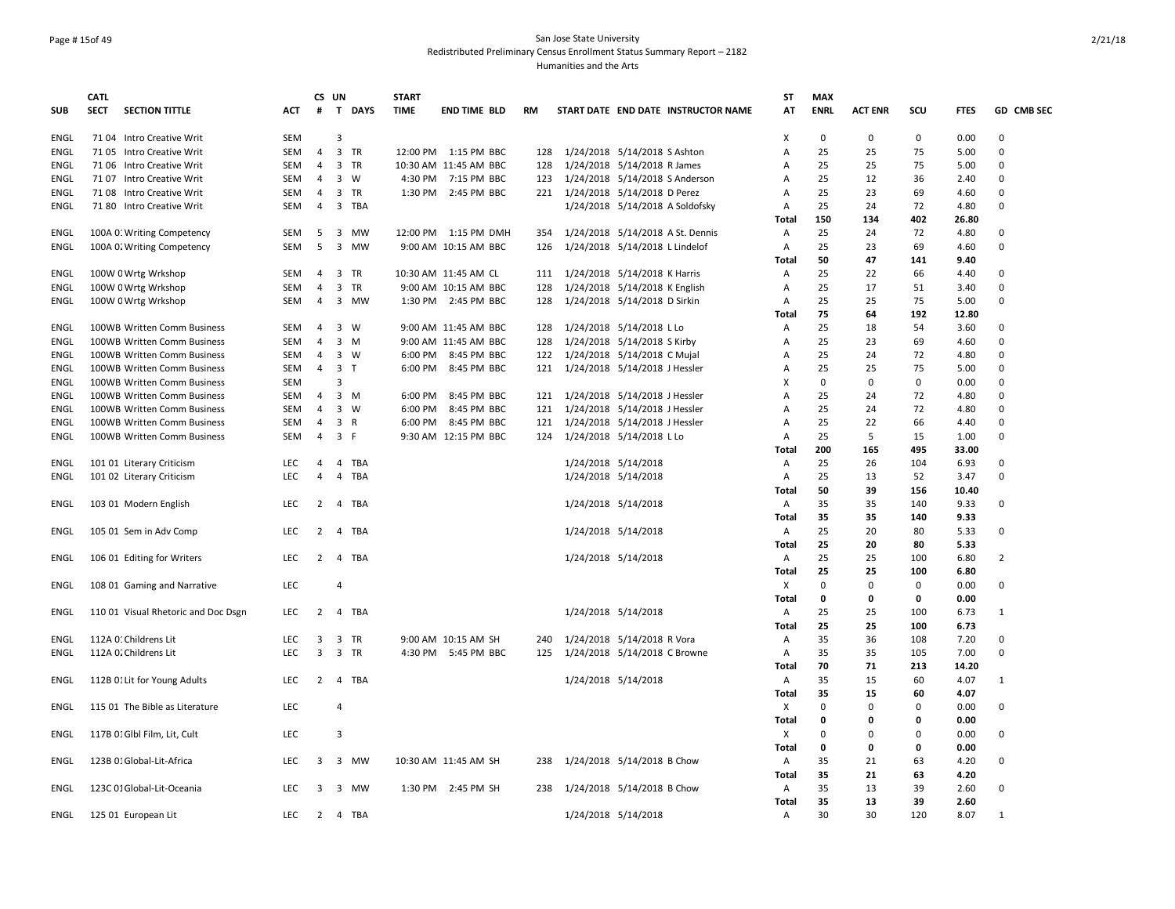### Page # 15of 49 San Jose State University Redistributed Preliminary Census Enrollment Status Summary Report – 2182 Humanities and the Arts

|             | <b>CATL</b> |                                     |            |                | CS UN                   |              | <b>START</b> |                       |     |                                     | <b>ST</b>    | <b>MAX</b>  |                |             |             |                |
|-------------|-------------|-------------------------------------|------------|----------------|-------------------------|--------------|--------------|-----------------------|-----|-------------------------------------|--------------|-------------|----------------|-------------|-------------|----------------|
| <b>SUB</b>  | <b>SECT</b> | <b>SECTION TITTLE</b>               | ACT        | #              |                         | T DAYS       | <b>TIME</b>  | <b>END TIME BLD</b>   | RM  | START DATE END DATE INSTRUCTOR NAME | AT           | <b>ENRL</b> | <b>ACT ENR</b> | scu         | <b>FTES</b> | GD CMB SEC     |
| ENGL        |             | 71 04 Intro Creative Writ           | <b>SEM</b> |                | 3                       |              |              |                       |     |                                     | X            | $\mathbf 0$ | $\Omega$       | 0           | 0.00        | $\Omega$       |
| ENGL        |             | 71 05 Intro Creative Writ           | SEM        | $\overline{4}$ | $\overline{\mathbf{3}}$ | TR           |              | 12:00 PM 1:15 PM BBC  | 128 | 1/24/2018 5/14/2018 S Ashton        | A            | 25          | 25             | 75          | 5.00        | $\Omega$       |
| ENGL        | 71 06       | Intro Creative Writ                 | <b>SEM</b> | 4              | $\overline{\mathbf{3}}$ | <b>TR</b>    |              | 10:30 AM 11:45 AM BBC | 128 | 1/24/2018 5/14/2018 R James         | Α            | 25          | 25             | 75          | 5.00        | $\Omega$       |
| ENGL        | 71 07       | Intro Creative Writ                 | SEM        | 4              | $\overline{\mathbf{3}}$ | W            | 4:30 PM      | 7:15 PM BBC           | 123 | 1/24/2018 5/14/2018 S Anderson      | Α            | 25          | 12             | 36          | 2.40        | $\mathbf 0$    |
| ENGL        |             | 71 08 Intro Creative Writ           | SEM        | 4              | $\overline{\mathbf{3}}$ | TR           | 1:30 PM      | 2:45 PM BBC           | 221 | 1/24/2018 5/14/2018 D Perez         | Α            | 25          | 23             | 69          | 4.60        | $\mathbf 0$    |
| ENGL        |             | 71 80 Intro Creative Writ           | <b>SEM</b> | $\overline{4}$ | $\overline{\mathbf{3}}$ | TBA          |              |                       |     | 1/24/2018 5/14/2018 A Soldofsky     | A            | 25          | 24             | 72          | 4.80        | $\Omega$       |
|             |             |                                     |            |                |                         |              |              |                       |     |                                     | <b>Total</b> | 150         | 134            | 402         | 26.80       |                |
| <b>ENGL</b> |             | 100A 0. Writing Competency          | SEM        | 5              | $\overline{3}$          | <b>MW</b>    |              | 12:00 PM 1:15 PM DMH  | 354 | 1/24/2018 5/14/2018 A St. Dennis    | Α            | 25          | 24             | 72          | 4.80        | $\mathbf 0$    |
| ENGL        |             | 100A 0. Writing Competency          | SEM        | 5              | $\overline{\mathbf{3}}$ | MW           |              | 9:00 AM 10:15 AM BBC  | 126 | 1/24/2018 5/14/2018 L Lindelof      | Α            | 25          | 23             | 69          | 4.60        | $\mathbf 0$    |
|             |             |                                     |            |                |                         |              |              |                       |     |                                     | Total        | 50          | 47             | 141         | 9.40        |                |
| ENGL        |             | 100W C Wrtg Wrkshop                 | SEM        | 4              | $\overline{\mathbf{3}}$ | TR           |              | 10:30 AM 11:45 AM CL  | 111 | 1/24/2018 5/14/2018 K Harris        | Α            | 25          | 22             | 66          | 4.40        | $\Omega$       |
| ENGL        |             | 100W C Wrtg Wrkshop                 | SEM        | 4              | $\overline{\mathbf{3}}$ | TR           |              | 9:00 AM 10:15 AM BBC  | 128 | 1/24/2018 5/14/2018 K English       | A            | 25          | 17             | 51          | 3.40        | $\mathbf 0$    |
| ENGL        |             | 100W C Wrtg Wrkshop                 | <b>SEM</b> | 4              | $\overline{\mathbf{3}}$ | <b>MW</b>    |              | 1:30 PM 2:45 PM BBC   | 128 | 1/24/2018 5/14/2018 D Sirkin        | A            | 25          | 25             | 75          | 5.00        | $\Omega$       |
|             |             |                                     |            |                |                         |              |              |                       |     |                                     | <b>Total</b> | 75          | 64             | 192         | 12.80       |                |
| <b>ENGL</b> |             | 100WB Written Comm Business         | SEM        | 4              | $\overline{\mathbf{3}}$ | W            |              | 9:00 AM 11:45 AM BBC  | 128 | 1/24/2018 5/14/2018 L Lo            | Α            | 25          | 18             | 54          | 3.60        | $\mathbf 0$    |
| ENGL        |             | 100WB Written Comm Business         | SEM        | 4              | $\overline{\mathbf{3}}$ | M            |              | 9:00 AM 11:45 AM BBC  | 128 | 1/24/2018 5/14/2018 S Kirby         | Α            | 25          | 23             | 69          | 4.60        | $\mathbf 0$    |
| ENGL        |             | 100WB Written Comm Business         | <b>SEM</b> | 4              | $\overline{\mathbf{3}}$ | W            | 6:00 PM      | 8:45 PM BBC           | 122 | 1/24/2018 5/14/2018 C Mujal         | A            | 25          | 24             | 72          | 4.80        | $\Omega$       |
| ENGL        |             | 100WB Written Comm Business         | <b>SEM</b> | $\overline{4}$ | 3 <sub>1</sub>          |              | 6:00 PM      | 8:45 PM BBC           | 121 | 1/24/2018 5/14/2018 J Hessler       | Α            | 25          | 25             | 75          | 5.00        | $\Omega$       |
| ENGL        |             | 100WB Written Comm Business         | SEM        |                | 3                       |              |              |                       |     |                                     | X            | $\mathbf 0$ | $\Omega$       | $\mathbf 0$ | 0.00        | $\Omega$       |
| ENGL        |             | 100WB Written Comm Business         | SEM        | 4              | $\overline{\mathbf{3}}$ | M            | 6:00 PM      | 8:45 PM BBC           | 121 | 1/24/2018 5/14/2018 J Hessler       | A            | 25          | 24             | 72          | 4.80        | $\mathbf 0$    |
| ENGL        |             | 100WB Written Comm Business         | <b>SEM</b> | 4              | $\overline{\mathbf{3}}$ | W            | 6:00 PM      | 8:45 PM BBC           | 121 | 1/24/2018 5/14/2018 J Hessler       | A            | 25          | 24             | 72          | 4.80        | $\Omega$       |
| ENGL        |             | 100WB Written Comm Business         | SEM        | 4              | $\overline{3}$          | $\mathsf{R}$ | 6:00 PM      | 8:45 PM BBC           | 121 | 1/24/2018 5/14/2018 J Hessler       | Α            | 25          | 22             | 66          | 4.40        | $\mathbf 0$    |
| ENGL        |             | 100WB Written Comm Business         | <b>SEM</b> | $\overline{4}$ | 3 F                     |              |              | 9:30 AM 12:15 PM BBC  | 124 | 1/24/2018 5/14/2018 L Lo            | A            | 25          | 5              | 15          | 1.00        | $\Omega$       |
|             |             |                                     |            |                |                         |              |              |                       |     |                                     | Total        | 200         | 165            | 495         | 33.00       |                |
| ENGL        |             | 101 01 Literary Criticism           | LEC.       | 4              | $\overline{4}$          | <b>TBA</b>   |              |                       |     | 1/24/2018 5/14/2018                 | Α            | 25          | 26             | 104         | 6.93        | $\Omega$       |
| <b>ENGL</b> |             | 101 02 Literary Criticism           | <b>LEC</b> | 4              | $\overline{4}$          | TBA          |              |                       |     | 1/24/2018 5/14/2018                 | A            | 25          | 13             | 52          | 3.47        | $\mathbf 0$    |
|             |             |                                     |            |                |                         |              |              |                       |     |                                     | <b>Total</b> | 50          | 39             | 156         | 10.40       |                |
| ENGL        |             | 103 01 Modern English               | <b>LEC</b> | 2              | $\overline{4}$          | TBA          |              |                       |     | 1/24/2018 5/14/2018                 | Α            | 35          | 35             | 140         | 9.33        | $\Omega$       |
|             |             |                                     |            |                |                         |              |              |                       |     |                                     | Total        | 35          | 35             | 140         | 9.33        |                |
| ENGL        |             | 105 01 Sem in Adv Comp              | <b>LEC</b> | 2              |                         | 4 TBA        |              |                       |     | 1/24/2018 5/14/2018                 | Α            | 25          | 20             | 80          | 5.33        | $\mathbf 0$    |
|             |             |                                     |            |                |                         |              |              |                       |     |                                     | <b>Total</b> | 25          | 20             | 80          | 5.33        |                |
| ENGL        |             | 106 01 Editing for Writers          | <b>LEC</b> | 2              | $\overline{4}$          | <b>TBA</b>   |              |                       |     | 1/24/2018 5/14/2018                 | Α            | 25          | 25             | 100         | 6.80        | $\overline{2}$ |
|             |             |                                     |            |                |                         |              |              |                       |     |                                     | <b>Total</b> | 25          | 25             | 100         | 6.80        |                |
| ENGL        |             | 108 01 Gaming and Narrative         | <b>LEC</b> |                | $\overline{4}$          |              |              |                       |     |                                     | Χ            | $\mathbf 0$ | $\Omega$       | 0           | 0.00        | $\mathbf 0$    |
|             |             |                                     |            |                |                         |              |              |                       |     |                                     | Total        | 0           | O              | 0           | 0.00        |                |
| ENGL        |             | 110 01 Visual Rhetoric and Doc Dsgn | <b>LEC</b> | 2              |                         | 4 TBA        |              |                       |     | 1/24/2018 5/14/2018                 | Α            | 25          | 25             | 100         | 6.73        | $\mathbf{1}$   |
|             |             |                                     |            |                |                         |              |              |                       |     |                                     | Total        | 25          | 25             | 100         | 6.73        |                |
| ENGL        |             | 112A O. Childrens Lit               | <b>LEC</b> | 3              | 3                       | TR           |              | 9:00 AM 10:15 AM SH   | 240 | 1/24/2018 5/14/2018 R Vora          | Α            | 35          | 36             | 108         | 7.20        | $\Omega$       |
| ENGL        |             | 112A O. Childrens Lit               | <b>LEC</b> | 3              |                         | 3 TR         |              | 4:30 PM 5:45 PM BBC   | 125 | 1/24/2018 5/14/2018 C Browne        | Α            | 35          | 35             | 105         | 7.00        | $\Omega$       |
|             |             |                                     |            |                |                         |              |              |                       |     |                                     | Total        | 70          | 71             | 213         | 14.20       |                |
| ENGL        |             | 112B 01 Lit for Young Adults        | LEC        | 2              | $\overline{4}$          | TBA          |              |                       |     | 1/24/2018 5/14/2018                 | Α            | 35          | 15             | 60          | 4.07        | 1              |
|             |             |                                     |            |                |                         |              |              |                       |     |                                     | Total        | 35          | 15             | 60          | 4.07        |                |
| ENGL        |             | 115 01 The Bible as Literature      | <b>LEC</b> |                | $\overline{4}$          |              |              |                       |     |                                     | X            | $\mathbf 0$ | $\Omega$       | 0           | 0.00        | $\Omega$       |
|             |             |                                     |            |                |                         |              |              |                       |     |                                     | Total        | 0           | 0              | $\mathbf 0$ | 0.00        |                |
| ENGL        |             | 117B 01 Glbl Film, Lit, Cult        | <b>LEC</b> |                | 3                       |              |              |                       |     |                                     | Х            | 0           | $\Omega$       | 0           | 0.00        | $\mathbf 0$    |
|             |             |                                     |            |                |                         |              |              |                       |     |                                     | <b>Total</b> | 0           | O              | 0           | 0.00        |                |
| ENGL        |             | 123B 01 Global-Lit-Africa           | <b>LEC</b> | 3              |                         | 3 MW         |              | 10:30 AM 11:45 AM SH  | 238 | 1/24/2018 5/14/2018 B Chow          | Α            | 35          | 21             | 63          | 4.20        | $\Omega$       |
|             |             |                                     |            |                |                         |              |              |                       |     |                                     | Total        | 35          | 21             | 63          | 4.20        |                |
| ENGL        |             | 123C 01 Global-Lit-Oceania          | <b>LEC</b> | 3              |                         | 3 MW         |              | 1:30 PM 2:45 PM SH    | 238 | 1/24/2018 5/14/2018 B Chow          | Α            | 35          | 13             | 39          | 2.60        | $\mathbf 0$    |
|             |             |                                     |            |                |                         |              |              |                       |     |                                     | <b>Total</b> | 35          | 13             | 39          | 2.60        |                |
| ENGL        |             | 125 01 European Lit                 | LEC        | $\overline{2}$ |                         | 4 TBA        |              |                       |     | 1/24/2018 5/14/2018                 | Α            | 30          | 30             | 120         | 8.07        | $\mathbf{1}$   |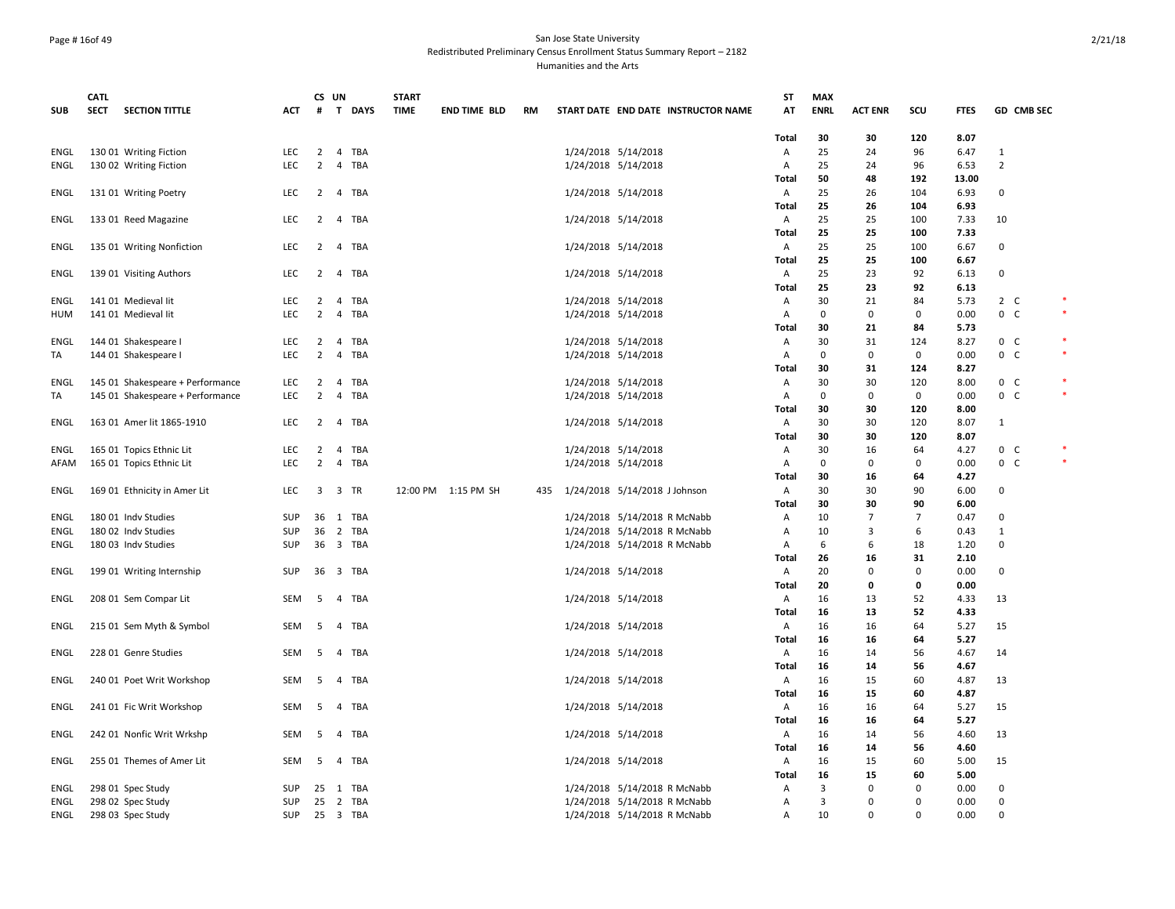### Page # 16of 49 San Jose State University Redistributed Preliminary Census Enrollment Status Summary Report – 2182 Humanities and the Arts

|            | <b>CATL</b>                          |            |                | CS UN          |             | <b>START</b> |                     |     |                                     | ST             | <b>MAX</b>  |                |                |             |                |        |
|------------|--------------------------------------|------------|----------------|----------------|-------------|--------------|---------------------|-----|-------------------------------------|----------------|-------------|----------------|----------------|-------------|----------------|--------|
| <b>SUB</b> | <b>SECT</b><br><b>SECTION TITTLE</b> | ACT        | #              | T              | <b>DAYS</b> | <b>TIME</b>  | <b>END TIME BLD</b> | RM  | START DATE END DATE INSTRUCTOR NAME | AT             | <b>ENRL</b> | <b>ACT ENR</b> | scu            | <b>FTES</b> | GD CMB SEC     |        |
|            |                                      |            |                |                |             |              |                     |     |                                     | <b>Total</b>   | 30          | 30             | 120            | 8.07        |                |        |
| ENGL       | 130 01 Writing Fiction               | <b>LEC</b> | $\overline{2}$ |                | 4 TBA       |              |                     |     | 1/24/2018 5/14/2018                 | Α              | 25          | 24             | 96             | 6.47        | 1              |        |
| ENGL       | 130 02 Writing Fiction               | <b>LEC</b> | $\overline{2}$ |                | 4 TBA       |              |                     |     | 1/24/2018 5/14/2018                 | Α              | 25          | 24             | 96             | 6.53        | $\overline{2}$ |        |
|            |                                      |            |                |                |             |              |                     |     |                                     | Total          | 50          | 48             | 192            | 13.00       |                |        |
| ENGL       | 131 01 Writing Poetry                | <b>LEC</b> | $\overline{2}$ |                | 4 TBA       |              |                     |     | 1/24/2018 5/14/2018                 | Α              | 25          | 26             | 104            | 6.93        | $\Omega$       |        |
|            |                                      |            |                |                |             |              |                     |     |                                     |                | 25          | 26             | 104            | 6.93        |                |        |
|            |                                      |            |                |                |             |              |                     |     |                                     | Total          |             |                |                |             |                |        |
| ENGL       | 133 01 Reed Magazine                 | <b>LEC</b> | $\overline{2}$ |                | 4 TBA       |              |                     |     | 1/24/2018 5/14/2018                 | Α              | 25          | 25             | 100            | 7.33        | 10             |        |
|            |                                      |            |                |                |             |              |                     |     |                                     | Total          | 25          | 25             | 100            | 7.33        |                |        |
| ENGL       | 135 01 Writing Nonfiction            | <b>LEC</b> | 2              | $\overline{4}$ | TBA         |              |                     |     | 1/24/2018 5/14/2018                 | Α              | 25          | 25             | 100            | 6.67        | $\Omega$       |        |
|            |                                      |            |                |                |             |              |                     |     |                                     | Total          | 25          | 25             | 100            | 6.67        |                |        |
| ENGL       | 139 01 Visiting Authors              | <b>LEC</b> | $\overline{2}$ | $\overline{4}$ | TBA         |              |                     |     | 1/24/2018 5/14/2018                 | Α              | 25          | 23             | 92             | 6.13        | 0              |        |
|            |                                      |            |                |                |             |              |                     |     |                                     | Total          | 25          | 23             | 92             | 6.13        |                |        |
| ENGL       | 141 01 Medieval lit                  | LEC        | $\overline{2}$ |                | 4 TBA       |              |                     |     | 1/24/2018 5/14/2018                 | Α              | 30          | 21             | 84             | 5.73        | $2\degree$ C   |        |
| HUM        | 141 01 Medieval lit                  | LEC        | $\overline{2}$ | 4              | TBA         |              |                     |     | 1/24/2018 5/14/2018                 | Α              | 0           | 0              | 0              | 0.00        | $0\quad C$     | $\ast$ |
|            |                                      |            |                |                |             |              |                     |     |                                     | <b>Total</b>   | 30          | 21             | 84             | 5.73        |                |        |
| ENGL       | 144 01 Shakespeare                   | <b>LEC</b> | 2              | $\overline{4}$ | TBA         |              |                     |     | 1/24/2018 5/14/2018                 | Α              | 30          | 31             | 124            | 8.27        | $0\quad C$     | $\ast$ |
| TA         | 144 01 Shakespeare I                 | LEC        | $\overline{2}$ | $\overline{4}$ | TBA         |              |                     |     | 1/24/2018 5/14/2018                 | Α              | $\Omega$    | 0              | 0              | 0.00        | 0 C            | $\ast$ |
|            |                                      |            |                |                |             |              |                     |     |                                     | Total          | 30          | 31             | 124            | 8.27        |                |        |
| ENGL       | 145 01 Shakespeare + Performance     | <b>LEC</b> | 2              | 4              | TBA         |              |                     |     | 1/24/2018 5/14/2018                 | Α              | 30          | 30             | 120            | 8.00        | $0\quad C$     | $\ast$ |
| <b>TA</b>  | 145 01 Shakespeare + Performance     | <b>LEC</b> | $\overline{2}$ | $\overline{4}$ | TBA         |              |                     |     | 1/24/2018 5/14/2018                 | Α              | 0           | 0              | $\mathbf 0$    | 0.00        | $0-$           |        |
|            |                                      |            |                |                |             |              |                     |     |                                     | <b>Total</b>   | 30          | 30             | 120            | 8.00        |                |        |
| ENGL       | 163 01 Amer lit 1865-1910            | <b>LEC</b> | 2              | $\overline{4}$ | TBA         |              |                     |     | 1/24/2018 5/14/2018                 | A              | 30          | 30             | 120            | 8.07        | $\mathbf{1}$   |        |
|            |                                      |            |                |                |             |              |                     |     |                                     | Total          | 30          | 30             | 120            | 8.07        |                |        |
| ENGL       | 165 01 Topics Ethnic Lit             | <b>LEC</b> | $\overline{2}$ |                | 4 TBA       |              |                     |     | 1/24/2018 5/14/2018                 | Α              | 30          | 16             | 64             | 4.27        | $0\quad C$     |        |
| AFAM       | 165 01 Topics Ethnic Lit             | LEC        | $\overline{2}$ | 4              | <b>TBA</b>  |              |                     |     | 1/24/2018 5/14/2018                 | Α              | 0           | 0              | 0              | 0.00        | $0-$           |        |
|            |                                      |            |                |                |             |              |                     |     |                                     | Total          | 30          | 16             | 64             | 4.27        |                |        |
| ENGL       | 169 01 Ethnicity in Amer Lit         | <b>LEC</b> | 3              |                | 3 TR        |              | 12:00 PM 1:15 PM SH | 435 | 1/24/2018 5/14/2018 J Johnson       | Α              | 30          | 30             | 90             | 6.00        | $\Omega$       |        |
|            |                                      |            |                |                |             |              |                     |     |                                     | <b>Total</b>   | 30          | 30             | 90             | 6.00        |                |        |
|            |                                      | SUP        | 36             |                | 1 TBA       |              |                     |     |                                     |                |             | $\overline{7}$ | $\overline{7}$ | 0.47        | 0              |        |
| ENGL       | 180 01 Indv Studies                  |            |                |                |             |              |                     |     | 1/24/2018 5/14/2018 R McNabb        | Α              | 10          | 3              |                |             |                |        |
| ENGL       | 180 02 Indv Studies                  | SUP        | 36             | $\overline{2}$ | <b>TBA</b>  |              |                     |     | 1/24/2018 5/14/2018 R McNabb        | Α              | 10          |                | 6              | 0.43        | $\mathbf{1}$   |        |
| ENGL       | 180 03 Indv Studies                  | SUP        | 36             |                | 3 TBA       |              |                     |     | 1/24/2018 5/14/2018 R McNabb        | Α              | 6           | 6              | 18             | 1.20        | $\Omega$       |        |
|            |                                      |            |                |                |             |              |                     |     |                                     | Total          | 26          | 16             | 31             | 2.10        |                |        |
| ENGL       | 199 01 Writing Internship            | SUP        | 36             |                | 3 TBA       |              |                     |     | 1/24/2018 5/14/2018                 | Α              | 20          | 0              | 0              | 0.00        | 0              |        |
|            |                                      |            |                |                |             |              |                     |     |                                     | <b>Total</b>   | 20          | 0              | 0              | 0.00        |                |        |
| ENGL       | 208 01 Sem Compar Lit                | <b>SEM</b> | 5              | 4              | TBA         |              |                     |     | 1/24/2018 5/14/2018                 | A              | 16          | 13             | 52             | 4.33        | 13             |        |
|            |                                      |            |                |                |             |              |                     |     |                                     | <b>Total</b>   | 16          | 13             | 52             | 4.33        |                |        |
| ENGL       | 215 01 Sem Myth & Symbol             | SEM        | 5              | 4              | TBA         |              |                     |     | 1/24/2018 5/14/2018                 | Α              | 16          | 16             | 64             | 5.27        | 15             |        |
|            |                                      |            |                |                |             |              |                     |     |                                     | Total          | 16          | 16             | 64             | 5.27        |                |        |
| ENGL       | 228 01 Genre Studies                 | SEM        | 5              |                | 4 TBA       |              |                     |     | 1/24/2018 5/14/2018                 | A              | 16          | 14             | 56             | 4.67        | 14             |        |
|            |                                      |            |                |                |             |              |                     |     |                                     | <b>Total</b>   | 16          | 14             | 56             | 4.67        |                |        |
| ENGL       | 240 01 Poet Writ Workshop            | SEM        | 5              | 4              | TBA         |              |                     |     | 1/24/2018 5/14/2018                 | Α              | 16          | 15             | 60             | 4.87        | 13             |        |
|            |                                      |            |                |                |             |              |                     |     |                                     | Total          | 16          | 15             | 60             | 4.87        |                |        |
| ENGL       | 241 01 Fic Writ Workshop             | <b>SEM</b> | 5              | $\overline{4}$ | TBA         |              |                     |     | 1/24/2018 5/14/2018                 | Α              | 16          | 16             | 64             | 5.27        | 15             |        |
|            |                                      |            |                |                |             |              |                     |     |                                     | <b>Total</b>   | 16          | 16             | 64             | 5.27        |                |        |
| ENGL       | 242 01 Nonfic Writ Wrkshp            | SEM        | 5              | 4              | TBA         |              |                     |     | 1/24/2018 5/14/2018                 | Α              | 16          | 14             | 56             | 4.60        | 13             |        |
|            |                                      |            |                |                |             |              |                     |     |                                     | Total          | 16          | 14             | 56             | 4.60        |                |        |
| ENGL       | 255 01 Themes of Amer Lit            | <b>SEM</b> | 5              |                | 4 TBA       |              |                     |     | 1/24/2018 5/14/2018                 | Α              | 16          | 15             | 60             | 5.00        | 15             |        |
|            |                                      |            |                |                |             |              |                     |     |                                     | <b>Total</b>   | 16          | 15             | 60             | 5.00        |                |        |
| ENGL       | 298 01 Spec Study                    | SUP        | 25             |                | 1 TBA       |              |                     |     | 1/24/2018 5/14/2018 R McNabb        | Α              | 3           | 0              | $\Omega$       | 0.00        | $\Omega$       |        |
| ENGL       | 298 02 Spec Study                    | <b>SUP</b> | 25             |                | 2 TBA       |              |                     |     | 1/24/2018 5/14/2018 R McNabb        | $\overline{A}$ | 3           | 0              | 0              | 0.00        | $\Omega$       |        |
| ENGL       |                                      | <b>SUP</b> |                |                |             |              |                     |     |                                     | A              | 10          | $\Omega$       | $\Omega$       | 0.00        | $\Omega$       |        |
|            | 298 03 Spec Study                    |            | 25             |                | 3 TBA       |              |                     |     | 1/24/2018 5/14/2018 R McNabb        |                |             |                |                |             |                |        |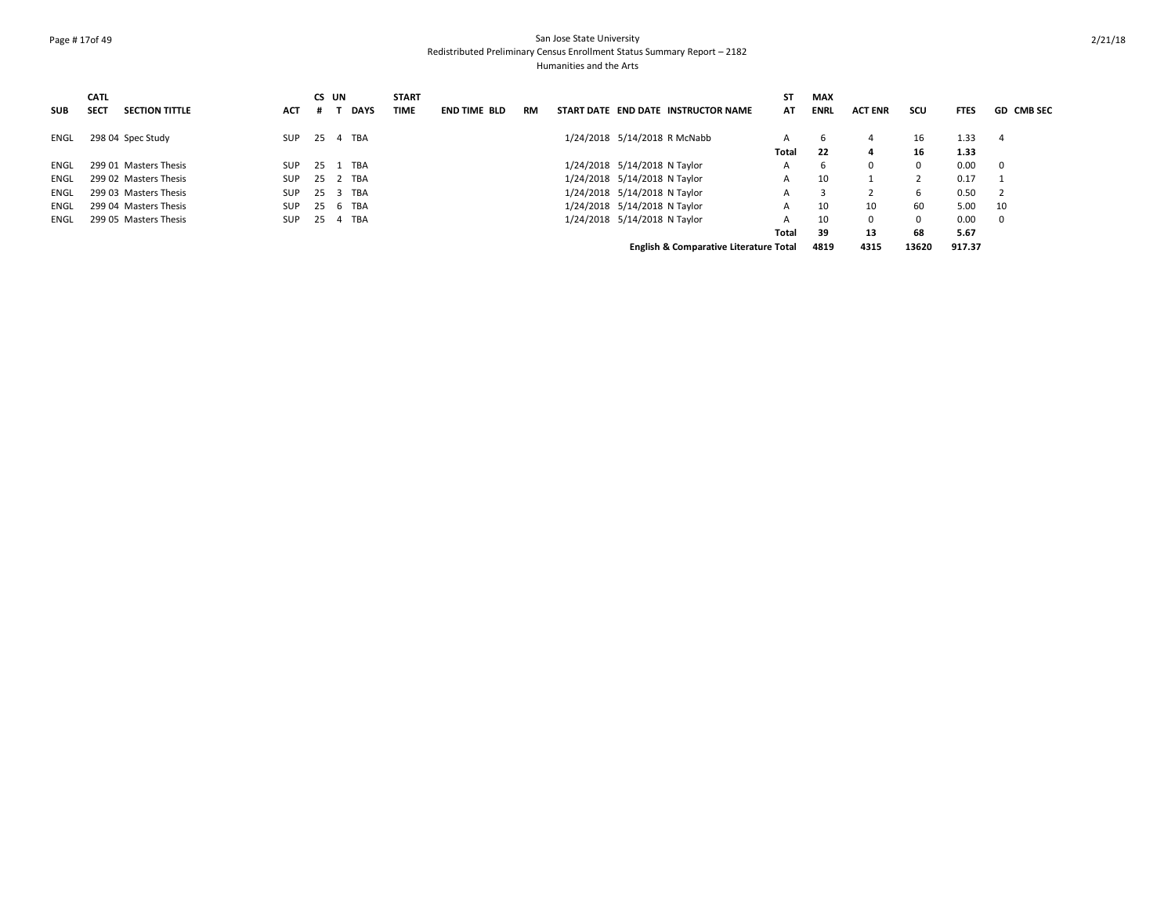# Page # 17of 49 San Jose State University Redistributed Preliminary Census Enrollment Status Summary Report – 2182 Humanities and the Arts

|            | CATL        |                       |            |    | CS UN          |             | <b>START</b> |                     |           |                                                   | SΤ    | <b>MAX</b>   |                |          |             |                   |
|------------|-------------|-----------------------|------------|----|----------------|-------------|--------------|---------------------|-----------|---------------------------------------------------|-------|--------------|----------------|----------|-------------|-------------------|
| <b>SUB</b> | <b>SECT</b> | <b>SECTION TITTLE</b> | <b>ACT</b> | Ħ  |                | <b>DAYS</b> | <b>TIME</b>  | <b>END TIME BLD</b> | <b>RM</b> | START DATE END DATE INSTRUCTOR NAME               | AT    | <b>ENRL</b>  | <b>ACT ENR</b> | scu      | <b>FTES</b> | <b>GD CMB SEC</b> |
| ENGL       |             | 298 04 Spec Study     | <b>SUP</b> |    | 25   4   TBA   |             |              |                     |           | 1/24/2018 5/14/2018 R McNabb                      |       | b            | 4              | 16       | 1.33        | - 4               |
|            |             |                       |            |    |                |             |              |                     |           |                                                   | Total | -22          | 4              | 16       | 1.33        |                   |
| ENGL       |             | 299 01 Masters Thesis | <b>SUP</b> |    | 25 1 TBA       |             |              |                     |           | 1/24/2018 5/14/2018 N Taylor                      | А     | <sub>b</sub> | 0              | $\Omega$ | 0.00        | - 0               |
| ENGL       |             | 299 02 Masters Thesis | <b>SUP</b> |    | 25 2 TBA       |             |              |                     |           | 1/24/2018 5/14/2018 N Taylor                      | А     | 10           |                |          | 0.17        |                   |
| ENGL       |             | 299 03 Masters Thesis | <b>SUP</b> | 25 | 3 TBA          |             |              |                     |           | 1/24/2018 5/14/2018 N Taylor                      |       | 3            |                | 6        | 0.50        |                   |
| ENGL       |             | 299 04 Masters Thesis | <b>SUP</b> | 25 | -6             | <b>TBA</b>  |              |                     |           | 1/24/2018 5/14/2018 N Taylor                      | A     | 10           | 10             | 60       | 5.00        | - 10              |
| ENGL       |             | 299 05 Masters Thesis | <b>SUP</b> | 25 | $\overline{4}$ | TBA         |              |                     |           | 1/24/2018 5/14/2018 N Taylor                      | А     | 10           | 0              | $\Omega$ | 0.00        | 0                 |
|            |             |                       |            |    |                |             |              |                     |           |                                                   | Total | 39           | 13             | 68       | 5.67        |                   |
|            |             |                       |            |    |                |             |              |                     |           | <b>English &amp; Comparative Literature Total</b> |       | 4819         | 4315           | 13620    | 917.37      |                   |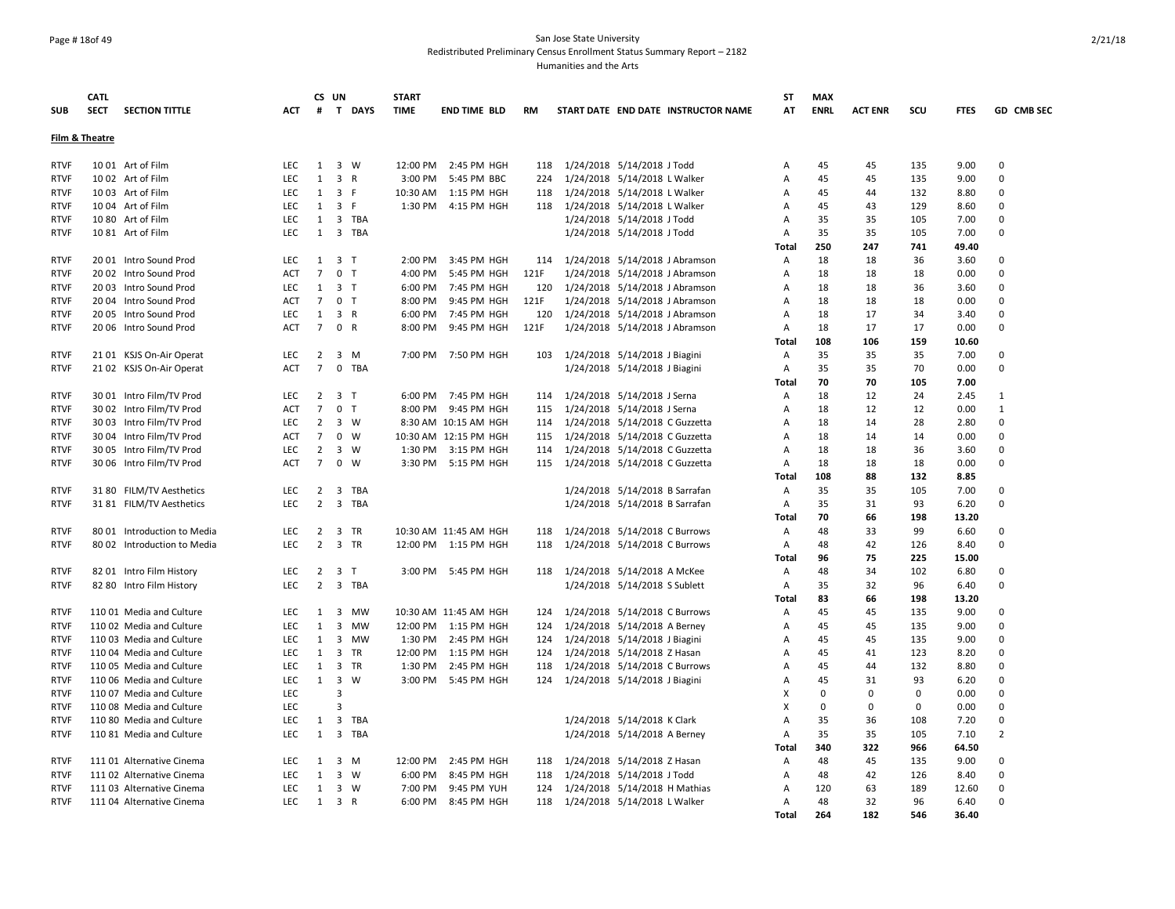### Page # 18of 49 San Jose State University Redistributed Preliminary Census Enrollment Status Summary Report – 2182 Humanities and the Arts

|             | <b>CATL</b>    |                             |            |                | CS UN                   |              | <b>START</b> |                       |           |                                     | ST             | <b>MAX</b>  |                |             |             |                |
|-------------|----------------|-----------------------------|------------|----------------|-------------------------|--------------|--------------|-----------------------|-----------|-------------------------------------|----------------|-------------|----------------|-------------|-------------|----------------|
| <b>SUB</b>  | <b>SECT</b>    | <b>SECTION TITTLE</b>       | ACT        | #              |                         | T DAYS       | <b>TIME</b>  | <b>END TIME BLD</b>   | <b>RM</b> | START DATE END DATE INSTRUCTOR NAME | AT             | <b>ENRL</b> | <b>ACT ENR</b> | scu         | <b>FTES</b> | GD CMB SEC     |
|             | Film & Theatre |                             |            |                |                         |              |              |                       |           |                                     |                |             |                |             |             |                |
| <b>RTVF</b> |                | 10 01 Art of Film           | <b>LEC</b> |                | $1 \quad 3$             | W            | 12:00 PM     | 2:45 PM HGH           | 118       | 1/24/2018 5/14/2018 J Todd          | A              | 45          | 45             | 135         | 9.00        | $\Omega$       |
| <b>RTVF</b> |                | 10 02 Art of Film           | <b>LEC</b> | $\mathbf{1}$   | $\overline{\mathbf{3}}$ | $\mathsf{R}$ | 3:00 PM      | 5:45 PM BBC           | 224       | 1/24/2018 5/14/2018 L Walker        | A              | 45          | 45             | 135         | 9.00        | $\Omega$       |
| <b>RTVF</b> |                | 10 03 Art of Film           | <b>LEC</b> | $\mathbf{1}$   | 3 F                     |              | 10:30 AM     | 1:15 PM HGH           | 118       | 1/24/2018 5/14/2018 L Walker        | Α              | 45          | 44             | 132         | 8.80        | 0              |
| <b>RTVF</b> |                | 10 04 Art of Film           | <b>LEC</b> | 1              | $\overline{\mathbf{3}}$ | -F           | 1:30 PM      | 4:15 PM HGH           | 118       | 1/24/2018 5/14/2018 L Walker        | Α              | 45          | 43             | 129         | 8.60        | $\mathbf 0$    |
| <b>RTVF</b> |                | 10 80 Art of Film           | <b>LEC</b> |                |                         | 1 3 TBA      |              |                       |           | 1/24/2018 5/14/2018 J Todd          | Α              | 35          | 35             | 105         | 7.00        | $\Omega$       |
| <b>RTVF</b> |                | 10 81 Art of Film           | <b>LEC</b> | 1              | $\overline{\mathbf{3}}$ | TBA          |              |                       |           | 1/24/2018 5/14/2018 J Todd          | A              | 35          | 35             | 105         | 7.00        | $\Omega$       |
|             |                |                             |            |                |                         |              |              |                       |           |                                     | <b>Total</b>   | 250         | 247            | 741         | 49.40       |                |
| <b>RTVF</b> |                | 20 01 Intro Sound Prod      | LEC        |                | $1 \quad 3 \quad T$     |              | 2:00 PM      | 3:45 PM HGH           | 114       | 1/24/2018 5/14/2018 J Abramson      | Α              | 18          | 18             | 36          | 3.60        | $\Omega$       |
| <b>RTVF</b> |                | 20 02 Intro Sound Prod      | <b>ACT</b> | $\overline{7}$ | $\mathbf{0}$            | $\mathsf{T}$ | 4:00 PM      | 5:45 PM HGH           | 121F      | 1/24/2018 5/14/2018 J Abramson      | Α              | 18          | 18             | 18          | 0.00        | $\Omega$       |
| <b>RTVF</b> |                | 20 03 Intro Sound Prod      | LEC        | 1              | 3 <sub>1</sub>          |              | 6:00 PM      | 7:45 PM HGH           | 120       | 1/24/2018 5/14/2018 J Abramson      | A              | 18          | 18             | 36          | 3.60        | $\Omega$       |
| <b>RTVF</b> |                | 20 04 Intro Sound Prod      | <b>ACT</b> | $\overline{7}$ | 0 <sub>T</sub>          |              | 8:00 PM      | 9:45 PM HGH           | 121F      | 1/24/2018 5/14/2018 J Abramson      | А              | 18          | 18             | 18          | 0.00        | $\mathbf 0$    |
| <b>RTVF</b> |                | 20 05 Intro Sound Prod      | LEC        | 1              | 3 R                     |              | 6:00 PM      | 7:45 PM HGH           | 120       | 1/24/2018 5/14/2018 J Abramson      | Α              | 18          | 17             | 34          | 3.40        | 0              |
| <b>RTVF</b> |                | 20 06 Intro Sound Prod      | <b>ACT</b> | $7^{\circ}$    | 0 R                     |              | 8:00 PM      | 9:45 PM HGH           | 121F      | 1/24/2018 5/14/2018 J Abramson      | Α              | 18          | 17             | 17          | 0.00        | $\Omega$       |
|             |                |                             |            |                |                         |              |              |                       |           |                                     | Total          | 108         | 106            | 159         | 10.60       |                |
| <b>RTVF</b> |                | 21 01 KSJS On-Air Operat    | <b>LEC</b> | $\overline{2}$ | $3 \, M$                |              |              | 7:00 PM 7:50 PM HGH   | 103       | 1/24/2018 5/14/2018 J Biagini       | Α              | 35          | 35             | 35          | 7.00        | $\mathbf 0$    |
| <b>RTVF</b> |                | 21 02 KSJS On-Air Operat    | ACT        | 7              | 0                       | TBA          |              |                       |           | 1/24/2018 5/14/2018 J Biagini       | Α              | 35          | 35             | 70          | 0.00        | 0              |
|             |                |                             |            |                |                         |              |              |                       |           |                                     | <b>Total</b>   | 70          | 70             | 105         | 7.00        |                |
| <b>RTVF</b> |                | 30 01 Intro Film/TV Prod    | <b>LEC</b> |                | $2 \quad 3 \quad T$     |              |              | 6:00 PM 7:45 PM HGH   | 114       | 1/24/2018 5/14/2018 J Serna         | A              | 18          | 12             | 24          | 2.45        | $\mathbf{1}$   |
| <b>RTVF</b> |                | 30 02 Intro Film/TV Prod    | ACT        | $\overline{7}$ | $\mathbf 0$             | T            |              | 8:00 PM 9:45 PM HGH   | 115       | 1/24/2018 5/14/2018 J Serna         | Α              | 18          | 12             | 12          | 0.00        | $\mathbf{1}$   |
| <b>RTVF</b> |                | 30 03 Intro Film/TV Prod    | <b>LEC</b> | 2              | $\overline{\mathbf{3}}$ | W            |              | 8:30 AM 10:15 AM HGH  | 114       | 1/24/2018 5/14/2018 C Guzzetta      | A              | 18          | 14             | 28          | 2.80        | $\Omega$       |
| <b>RTVF</b> |                | 30 04 Intro Film/TV Prod    | <b>ACT</b> | $\overline{7}$ | $\mathbf{0}$            | W            |              | 10:30 AM 12:15 PM HGH | 115       | 1/24/2018 5/14/2018 C Guzzetta      | Α              | 18          | 14             | 14          | 0.00        | $\Omega$       |
| <b>RTVF</b> |                | 30 05 Intro Film/TV Prod    | <b>LEC</b> | $\overline{2}$ | $\overline{\mathbf{3}}$ | W            |              | 1:30 PM 3:15 PM HGH   | 114       | 1/24/2018 5/14/2018 C Guzzetta      | A              | 18          | 18             | 36          | 3.60        | $\Omega$       |
| <b>RTVF</b> |                | 30 06 Intro Film/TV Prod    | <b>ACT</b> | $\overline{7}$ | $\mathbf 0$             | W            | 3:30 PM      | 5:15 PM HGH           | 115       | 1/24/2018 5/14/2018 C Guzzetta      | Α              | 18          | 18             | 18          | 0.00        | $\mathbf 0$    |
|             |                |                             |            |                |                         |              |              |                       |           |                                     | Total          | 108         | 88             | 132         | 8.85        |                |
| <b>RTVF</b> |                | 31 80 FILM/TV Aesthetics    | <b>LEC</b> | $\overline{2}$ | $\overline{\mathbf{3}}$ | TBA          |              |                       |           | 1/24/2018 5/14/2018 B Sarrafan      | Α              | 35          | 35             | 105         | 7.00        | $\Omega$       |
| <b>RTVF</b> |                | 31 81 FILM/TV Aesthetics    | <b>LEC</b> | $\overline{2}$ | $\overline{\mathbf{3}}$ | TBA          |              |                       |           | 1/24/2018 5/14/2018 B Sarrafan      | $\overline{A}$ | 35          | 31             | 93          | 6.20        | $\Omega$       |
|             |                |                             |            |                |                         |              |              |                       |           |                                     | Total          | 70          | 66             | 198         | 13.20       |                |
| <b>RTVF</b> |                | 80 01 Introduction to Media | <b>LEC</b> | $\overline{2}$ | $\overline{\mathbf{3}}$ | <b>TR</b>    |              | 10:30 AM 11:45 AM HGH | 118       | 1/24/2018 5/14/2018 C Burrows       | A              | 48          | 33             | 99          | 6.60        | $\Omega$       |
| <b>RTVF</b> |                | 80 02 Introduction to Media | <b>LEC</b> | $\overline{2}$ | $\overline{\mathbf{3}}$ | <b>TR</b>    |              | 12:00 PM 1:15 PM HGH  | 118       | 1/24/2018 5/14/2018 C Burrows       | Α              | 48          | 42             | 126         | 8.40        | $\mathbf 0$    |
|             |                |                             |            |                |                         |              |              |                       |           |                                     | <b>Total</b>   | 96          | 75             | 225         | 15.00       |                |
| <b>RTVF</b> |                | 82 01 Intro Film History    | LEC        |                | $2 \quad 3$             | $\mathsf{T}$ |              | 3:00 PM 5:45 PM HGH   | 118       | 1/24/2018 5/14/2018 A McKee         | Α              | 48          | 34             | 102         | 6.80        | $\Omega$       |
| <b>RTVF</b> |                | 82 80 Intro Film History    | <b>LEC</b> | 2              | $\overline{\mathbf{3}}$ | TBA          |              |                       |           | 1/24/2018 5/14/2018 S Sublett       | Α              | 35          | 32             | 96          | 6.40        | $\Omega$       |
|             |                |                             |            |                |                         |              |              |                       |           |                                     | Total          | 83          | 66             | 198         | 13.20       |                |
| <b>RTVF</b> |                | 110 01 Media and Culture    | <b>LEC</b> |                | $1 \quad 3$             | <b>MW</b>    |              | 10:30 AM 11:45 AM HGH | 124       | 1/24/2018 5/14/2018 C Burrows       | Α              | 45          | 45             | 135         | 9.00        | $\Omega$       |
| <b>RTVF</b> |                | 110 02 Media and Culture    | LEC        | $\mathbf{1}$   | 3                       | <b>MW</b>    | 12:00 PM     | 1:15 PM HGH           | 124       | 1/24/2018 5/14/2018 A Berney        | Α              | 45          | 45             | 135         | 9.00        | $\Omega$       |
| <b>RTVF</b> |                | 110 03 Media and Culture    | LEC        | 1              | $\overline{\mathbf{3}}$ | <b>MW</b>    | 1:30 PM      | 2:45 PM HGH           | 124       | 1/24/2018 5/14/2018 J Biagini       | Α              | 45          | 45             | 135         | 9.00        | $\Omega$       |
| <b>RTVF</b> |                | 110 04 Media and Culture    | LEC        | 1              | $\overline{\mathbf{3}}$ | TR           | 12:00 PM     | 1:15 PM HGH           | 124       | 1/24/2018 5/14/2018 Z Hasan         | Α              | 45          | 41             | 123         | 8.20        | $\Omega$       |
| <b>RTVF</b> |                | 110 05 Media and Culture    | LEC        | $\mathbf{1}$   | $\overline{\mathbf{3}}$ | <b>TR</b>    | 1:30 PM      | 2:45 PM HGH           | 118       | 1/24/2018 5/14/2018 C Burrows       | Α              | 45          | 44             | 132         | 8.80        | $\Omega$       |
| <b>RTVF</b> |                | 110 06 Media and Culture    | <b>LEC</b> | $\mathbf{1}$   | $\overline{\mathbf{3}}$ | W            | 3:00 PM      | 5:45 PM HGH           | 124       | 1/24/2018 5/14/2018 J Biagini       | Α              | 45          | 31             | 93          | 6.20        | $\Omega$       |
| <b>RTVF</b> |                | 110 07 Media and Culture    | LEC        |                | $\overline{3}$          |              |              |                       |           |                                     | X              | $\mathbf 0$ | 0              | $\mathbf 0$ | 0.00        | $\Omega$       |
| <b>RTVF</b> |                | 11008 Media and Culture     | <b>LEC</b> |                | 3                       |              |              |                       |           |                                     | X              | $\Omega$    | 0              | 0           | 0.00        | $\Omega$       |
| <b>RTVF</b> |                | 110 80 Media and Culture    | LEC        | 1              | $\overline{\mathbf{3}}$ | TBA          |              |                       |           | 1/24/2018 5/14/2018 K Clark         | А              | 35          | 36             | 108         | 7.20        | $\Omega$       |
| <b>RTVF</b> |                | 110 81 Media and Culture    | <b>LEC</b> | $\mathbf{1}$   | 3                       | <b>TBA</b>   |              |                       |           | 1/24/2018 5/14/2018 A Berney        | A              | 35          | 35             | 105         | 7.10        | $\overline{2}$ |
|             |                |                             |            |                |                         |              |              |                       |           |                                     | Total          | 340         | 322            | 966         | 64.50       |                |
| <b>RTVF</b> |                | 111 01 Alternative Cinema   | <b>LEC</b> | 1              | $\overline{\mathbf{3}}$ | M            | 12:00 PM     | 2:45 PM HGH           | 118       | 1/24/2018 5/14/2018 Z Hasan         | $\mathsf{A}$   | 48          | 45             | 135         | 9.00        | $\Omega$       |
| <b>RTVF</b> |                | 111 02 Alternative Cinema   | LEC        | 1              | $\overline{\mathbf{3}}$ | W            | 6:00 PM      | 8:45 PM HGH           | 118       | 1/24/2018 5/14/2018 J Todd          | Α              | 48          | 42             | 126         | 8.40        | $\Omega$       |
| <b>RTVF</b> |                | 111 03 Alternative Cinema   | LEC        | $\mathbf{1}$   | $\overline{\mathbf{3}}$ | W            | 7:00 PM      | 9:45 PM YUH           | 124       | 1/24/2018 5/14/2018 H Mathias       | Α              | 120         | 63             | 189         | 12.60       | $\Omega$       |
| <b>RTVF</b> |                | 111 04 Alternative Cinema   | LEC        | 1              | 3 R                     |              | 6:00 PM      | 8:45 PM HGH           | 118       | 1/24/2018 5/14/2018 L Walker        | Α              | 48          | 32             | 96          | 6.40        | $\Omega$       |
|             |                |                             |            |                |                         |              |              |                       |           |                                     | Total          | 264         | 182            | 546         | 36.40       |                |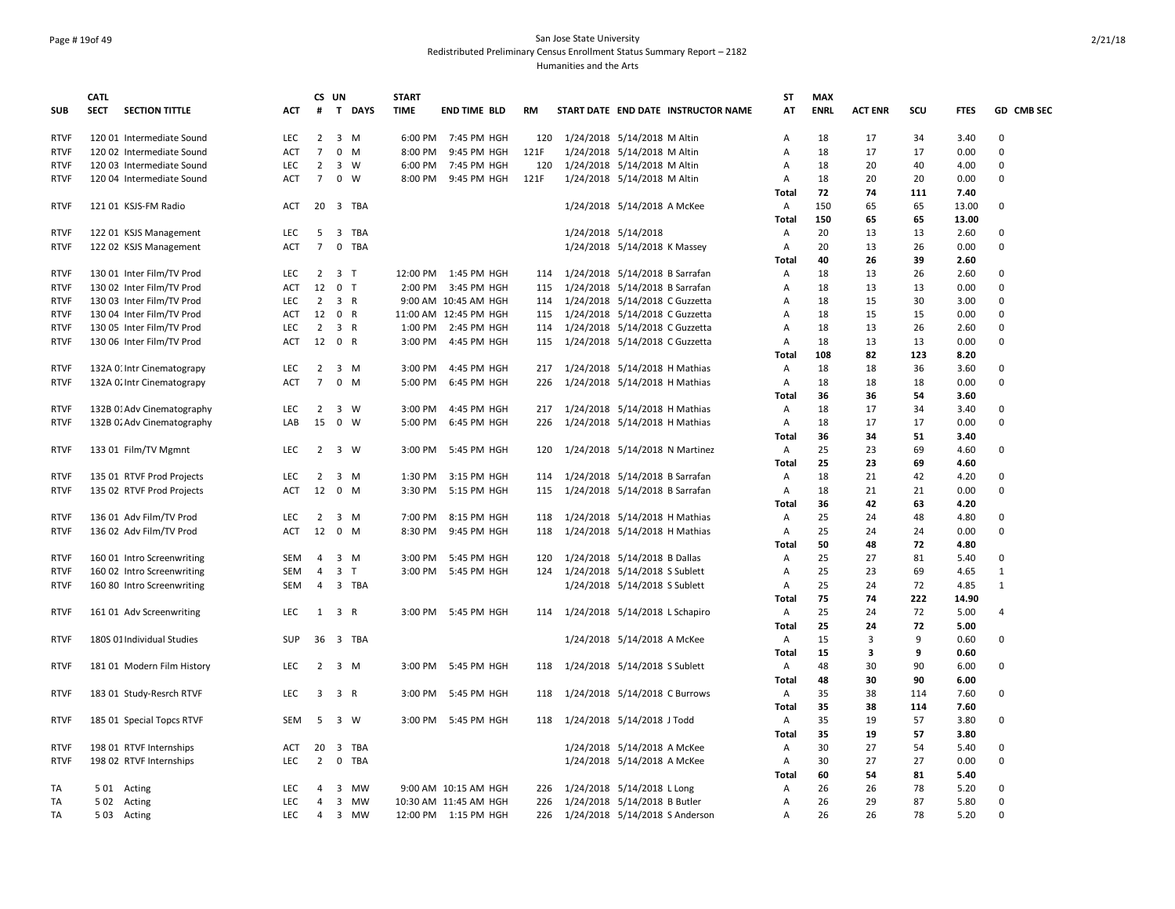### Page # 19of 49 San Jose State University Redistributed Preliminary Census Enrollment Status Summary Report – 2182 Humanities and the Arts

|                            | <b>CATL</b> |                                                    |                   |                      | CS UN                   |             | <b>START</b>       |                            |            |                                |                                |                                     | <b>ST</b>         | <b>MAX</b>  |                |          |              |              |
|----------------------------|-------------|----------------------------------------------------|-------------------|----------------------|-------------------------|-------------|--------------------|----------------------------|------------|--------------------------------|--------------------------------|-------------------------------------|-------------------|-------------|----------------|----------|--------------|--------------|
| <b>SUB</b>                 | <b>SECT</b> | <b>SECTION TITTLE</b>                              | ACT               | #                    |                         | T DAYS      | <b>TIME</b>        | <b>END TIME BLD</b>        | <b>RM</b>  |                                |                                | START DATE END DATE INSTRUCTOR NAME | AT                | <b>ENRL</b> | <b>ACT ENR</b> | scu      | <b>FTES</b>  | GD CMB SEC   |
| <b>RTVF</b>                |             | 120 01 Intermediate Sound                          | <b>LEC</b>        | $\overline{2}$       |                         | 3 M         | 6:00 PM            | 7:45 PM HGH                | 120        | 1/24/2018 5/14/2018 M Altin    |                                |                                     | Α                 | 18          | 17             | 34       | 3.40         | 0            |
| <b>RTVF</b>                |             | 120 02 Intermediate Sound                          | <b>ACT</b>        | $\overline{7}$       | $\mathbf{0}$            | M           | 8:00 PM            | 9:45 PM HGH                | 121F       |                                | 1/24/2018 5/14/2018 M Altin    |                                     | A                 | 18          | 17             | 17       | 0.00         | $\Omega$     |
| <b>RTVF</b>                |             | 120 03 Intermediate Sound                          | LEC               | $\overline{2}$       | $\overline{\mathbf{3}}$ | W           | 6:00 PM            | 7:45 PM HGH                | 120        | 1/24/2018 5/14/2018 M Altin    |                                |                                     | Α                 | 18          | 20             | 40       | 4.00         | 0            |
| <b>RTVF</b>                |             | 120 04 Intermediate Sound                          | <b>ACT</b>        | $7^{\circ}$          |                         | 0 W         | 8:00 PM            | 9:45 PM HGH                | 121F       |                                | 1/24/2018 5/14/2018 M Altin    |                                     | Α                 | 18          | 20             | 20       | 0.00         | $\Omega$     |
|                            |             |                                                    |                   |                      |                         |             |                    |                            |            |                                |                                |                                     | Total             | 72          | 74             | 111      | 7.40         |              |
| <b>RTVF</b>                |             | 121 01 KSJS-FM Radio                               | <b>ACT</b>        | 20                   | $\overline{\mathbf{3}}$ | TBA         |                    |                            |            |                                | 1/24/2018 5/14/2018 A McKee    |                                     | Α                 | 150         | 65             | 65       | 13.00        | 0            |
|                            |             |                                                    |                   |                      |                         |             |                    |                            |            |                                |                                |                                     | Total             | 150         | 65             | 65       | 13.00        |              |
| <b>RTVF</b>                |             | 122 01 KSJS Management                             | <b>LEC</b>        | 5                    | $\overline{\mathbf{3}}$ | TBA         |                    |                            |            |                                | 1/24/2018 5/14/2018            |                                     | Α                 | 20          | 13             | 13       | 2.60         | $\Omega$     |
| <b>RTVF</b>                |             | 122 02 KSJS Management                             | ACT               | $\overline{7}$       | $\mathsf{o}$            | <b>TBA</b>  |                    |                            |            |                                | 1/24/2018 5/14/2018 K Massey   |                                     | Α                 | 20          | 13             | 26       | 0.00         | $\Omega$     |
|                            |             |                                                    |                   |                      |                         |             |                    |                            |            |                                |                                |                                     | Total             | 40          | 26             | 39       | 2.60         |              |
| <b>RTVF</b>                |             | 130 01 Inter Film/TV Prod                          | <b>LEC</b>        | 2                    | 3 <sub>1</sub>          |             | 12:00 PM           | 1:45 PM HGH                | 114        | 1/24/2018 5/14/2018 B Sarrafan |                                |                                     | A                 | 18          | 13             | 26       | 2.60         | $\Omega$     |
| <b>RTVF</b>                |             | 130 02 Inter Film/TV Prod                          | ACT               | 12                   | 0 <sub>T</sub>          |             | 2:00 PM            | 3:45 PM HGH                | 115        | 1/24/2018 5/14/2018 B Sarrafan |                                |                                     | Α                 | 18          | 13             | 13       | 0.00         | $\Omega$     |
| <b>RTVF</b>                |             | 130 03 Inter Film/TV Prod                          | <b>LEC</b>        | 2                    | 3 R                     |             |                    | 9:00 AM 10:45 AM HGH       | 114        | 1/24/2018 5/14/2018 C Guzzetta |                                |                                     | Α                 | 18          | 15             | 30       | 3.00         | $\Omega$     |
| <b>RTVF</b>                |             | 130 04 Inter Film/TV Prod                          | ACT               | 12 0 R               |                         |             |                    | 11:00 AM 12:45 PM HGH      | 115        | 1/24/2018 5/14/2018 C Guzzetta |                                |                                     | Α                 | 18          | 15             | 15       | 0.00         | $\Omega$     |
| <b>RTVF</b>                |             | 130 05 Inter Film/TV Prod                          | <b>LEC</b>        | $\overline{2}$       | 3 R                     |             | 1:00 PM            | 2:45 PM HGH                | 114        |                                | 1/24/2018 5/14/2018 C Guzzetta |                                     | А                 | 18          | 13             | 26       | 2.60         | 0            |
| <b>RTVF</b>                |             | 130 06 Inter Film/TV Prod                          | <b>ACT</b>        | 12 0 R               |                         |             | 3:00 PM            | 4:45 PM HGH                | 115        | 1/24/2018 5/14/2018 C Guzzetta |                                |                                     | Α                 | 18          | 13             | 13       | 0.00         | $\Omega$     |
|                            |             |                                                    |                   |                      |                         |             |                    |                            |            |                                |                                |                                     | Total             | 108         | 82             | 123      | 8.20         |              |
| <b>RTVF</b>                |             | 132A 0: Intr Cinematograpy                         | <b>LEC</b>        | 2                    |                         | 3 M         | 3:00 PM            | 4:45 PM HGH                | 217        |                                | 1/24/2018 5/14/2018 H Mathias  |                                     | Α                 | 18          | 18             | 36       | 3.60         | $\Omega$     |
| <b>RTVF</b>                |             | 132A O. Intr Cinematograpy                         | <b>ACT</b>        | $\overline{7}$       |                         | $0 \quad M$ | 5:00 PM            | 6:45 PM HGH                | 226        |                                | 1/24/2018 5/14/2018 H Mathias  |                                     | Α                 | 18          | 18             | 18       | 0.00         | $\Omega$     |
|                            |             |                                                    |                   |                      |                         |             |                    |                            |            |                                |                                |                                     | Total             | 36          | 36             | 54       | 3.60         |              |
| <b>RTVF</b>                |             | 132B 01 Adv Cinematography                         | <b>LEC</b>        | $\overline{2}$       |                         | 3 W         | 3:00 PM            | 4:45 PM HGH                | 217        |                                | 1/24/2018 5/14/2018 H Mathias  |                                     | Α                 | 18          | 17             | 34       | 3.40         | 0            |
| <b>RTVF</b>                |             | 132B O. Adv Cinematography                         | LAB               | 15                   | $\overline{0}$          | W           | 5:00 PM            | 6:45 PM HGH                | 226        |                                | 1/24/2018 5/14/2018 H Mathias  |                                     | Α                 | 18          | 17             | 17       | 0.00         | $\Omega$     |
|                            |             |                                                    |                   |                      |                         |             |                    |                            |            |                                |                                |                                     | Total             | 36          | 34             | 51       | 3.40         |              |
| <b>RTVF</b>                |             | 133 01 Film/TV Mgmnt                               | <b>LEC</b>        | $\overline{2}$       | $\overline{\mathbf{3}}$ | W           | 3:00 PM            | 5:45 PM HGH                | 120        |                                |                                | 1/24/2018 5/14/2018 N Martinez      | Α                 | 25          | 23             | 69       | 4.60         | 0            |
|                            |             |                                                    |                   |                      |                         |             |                    |                            |            |                                |                                |                                     | Total             | 25          | 23             | 69       | 4.60         |              |
| <b>RTVF</b>                |             | 135 01 RTVF Prod Projects                          | <b>LEC</b>        | $\overline{2}$       |                         | 3 M         | 1:30 PM            | 3:15 PM HGH                | 114        |                                | 1/24/2018 5/14/2018 B Sarrafan |                                     | Α                 | 18          | 21             | 42       | 4.20         | 0            |
| <b>RTVF</b>                |             | 135 02 RTVF Prod Projects                          | ACT               | 12                   |                         | 0 M         | 3:30 PM            | 5:15 PM HGH                | 115        |                                | 1/24/2018 5/14/2018 B Sarrafan |                                     | Α                 | 18          | 21             | 21       | 0.00         | 0            |
|                            |             |                                                    |                   |                      |                         |             |                    |                            |            |                                |                                |                                     | Total             | 36<br>25    | 42             | 63       | 4.20         | 0            |
| <b>RTVF</b><br><b>RTVF</b> |             | 136 01 Adv Film/TV Prod<br>136 02 Adv Film/TV Prod | LEC<br><b>ACT</b> | $\overline{2}$<br>12 | 0 M                     | 3 M         | 7:00 PM<br>8:30 PM | 8:15 PM HGH<br>9:45 PM HGH | 118<br>118 |                                | 1/24/2018 5/14/2018 H Mathias  |                                     | Α<br>Α            | 25          | 24<br>24       | 48<br>24 | 4.80<br>0.00 | $\Omega$     |
|                            |             |                                                    |                   |                      |                         |             |                    |                            |            |                                | 1/24/2018 5/14/2018 H Mathias  |                                     |                   | 50          | 48             | 72       | 4.80         |              |
| <b>RTVF</b>                |             | 160 01 Intro Screenwriting                         | SEM               | $\overline{4}$       |                         | 3 M         | 3:00 PM            | 5:45 PM HGH                | 120        |                                | 1/24/2018 5/14/2018 B Dallas   |                                     | <b>Total</b><br>Α | 25          | 27             | 81       | 5.40         | 0            |
| <b>RTVF</b>                |             | 160 02 Intro Screenwriting                         | SEM               | 4                    | 3 <sub>T</sub>          |             | 3:00 PM            | 5:45 PM HGH                | 124        | 1/24/2018 5/14/2018 S Sublett  |                                |                                     | Α                 | 25          | 23             | 69       | 4.65         | $\mathbf{1}$ |
| <b>RTVF</b>                |             | 160 80 Intro Screenwriting                         | SEM               | 4                    |                         | 3 TBA       |                    |                            |            |                                | 1/24/2018 5/14/2018 S Sublett  |                                     | A                 | 25          | 24             | 72       | 4.85         | $\mathbf{1}$ |
|                            |             |                                                    |                   |                      |                         |             |                    |                            |            |                                |                                |                                     | Total             | 75          | 74             | 222      | 14.90        |              |
| <b>RTVF</b>                |             | 161 01 Adv Screenwriting                           | <b>LEC</b>        | 1                    | 3 R                     |             |                    | 3:00 PM 5:45 PM HGH        | 114        | 1/24/2018 5/14/2018 L Schapiro |                                |                                     | Α                 | 25          | 24             | 72       | 5.00         | 4            |
|                            |             |                                                    |                   |                      |                         |             |                    |                            |            |                                |                                |                                     | Total             | 25          | 24             | 72       | 5.00         |              |
| <b>RTVF</b>                |             | 180S 01 Individual Studies                         | <b>SUP</b>        | 36                   | $\overline{\mathbf{3}}$ | <b>TBA</b>  |                    |                            |            |                                | 1/24/2018 5/14/2018 A McKee    |                                     | Α                 | 15          | $\overline{3}$ | 9        | 0.60         | $\Omega$     |
|                            |             |                                                    |                   |                      |                         |             |                    |                            |            |                                |                                |                                     | Total             | 15          | з              | 9        | 0.60         |              |
| <b>RTVF</b>                |             | 181 01 Modern Film History                         | LEC               | 2                    |                         | 3 M         | 3:00 PM            | 5:45 PM HGH                | 118        |                                | 1/24/2018 5/14/2018 S Sublett  |                                     | Α                 | 48          | 30             | 90       | 6.00         | $\Omega$     |
|                            |             |                                                    |                   |                      |                         |             |                    |                            |            |                                |                                |                                     | Total             | 48          | 30             | 90       | 6.00         |              |
| <b>RTVF</b>                |             | 183 01 Study-Resrch RTVF                           | LEC.              | 3                    | 3 R                     |             | 3:00 PM            | 5:45 PM HGH                | 118        | 1/24/2018 5/14/2018 C Burrows  |                                |                                     | Α                 | 35          | 38             | 114      | 7.60         | $\Omega$     |
|                            |             |                                                    |                   |                      |                         |             |                    |                            |            |                                |                                |                                     | Total             | 35          | 38             | 114      | 7.60         |              |
| <b>RTVF</b>                |             | 185 01 Special Topcs RTVF                          | SEM               | 5                    | $\overline{\mathbf{3}}$ | W           | 3:00 PM            | 5:45 PM HGH                | 118        | 1/24/2018 5/14/2018 J Todd     |                                |                                     | Α                 | 35          | 19             | 57       | 3.80         | $\Omega$     |
|                            |             |                                                    |                   |                      |                         |             |                    |                            |            |                                |                                |                                     | Total             | 35          | 19             | 57       | 3.80         |              |
| <b>RTVF</b>                |             | 198 01 RTVF Internships                            | ACT               | 20                   | $\overline{\mathbf{3}}$ | <b>TBA</b>  |                    |                            |            |                                | 1/24/2018 5/14/2018 A McKee    |                                     | Α                 | 30          | 27             | 54       | 5.40         | $\Omega$     |
| <b>RTVF</b>                |             | 198 02 RTVF Internships                            | <b>LEC</b>        | $\overline{2}$       | $\mathbf 0$             | TBA         |                    |                            |            |                                | 1/24/2018 5/14/2018 A McKee    |                                     | Α                 | 30          | 27             | 27       | 0.00         | $\Omega$     |
|                            |             |                                                    |                   |                      |                         |             |                    |                            |            |                                |                                |                                     | <b>Total</b>      | 60          | 54             | 81       | 5.40         |              |
| TA                         |             | 501 Acting                                         | <b>LEC</b>        | 4                    | $\overline{\mathbf{3}}$ | MW          |                    | 9:00 AM 10:15 AM HGH       | 226        | 1/24/2018 5/14/2018 L Long     |                                |                                     | Α                 | 26          | 26             | 78       | 5.20         | 0            |
| <b>TA</b>                  | 502         | Acting                                             | <b>LEC</b>        | 4                    | $\overline{3}$          | MW          |                    | 10:30 AM 11:45 AM HGH      | 226        | 1/24/2018 5/14/2018 B Butler   |                                |                                     | A                 | 26          | 29             | 87       | 5.80         | $\Omega$     |
| TA                         | 503         | Acting                                             | <b>LEC</b>        | 4                    |                         | 3 MW        |                    | 12:00 PM 1:15 PM HGH       | 226        | 1/24/2018 5/14/2018 S Anderson |                                |                                     | Α                 | 26          | 26             | 78       | 5.20         | $\Omega$     |
|                            |             |                                                    |                   |                      |                         |             |                    |                            |            |                                |                                |                                     |                   |             |                |          |              |              |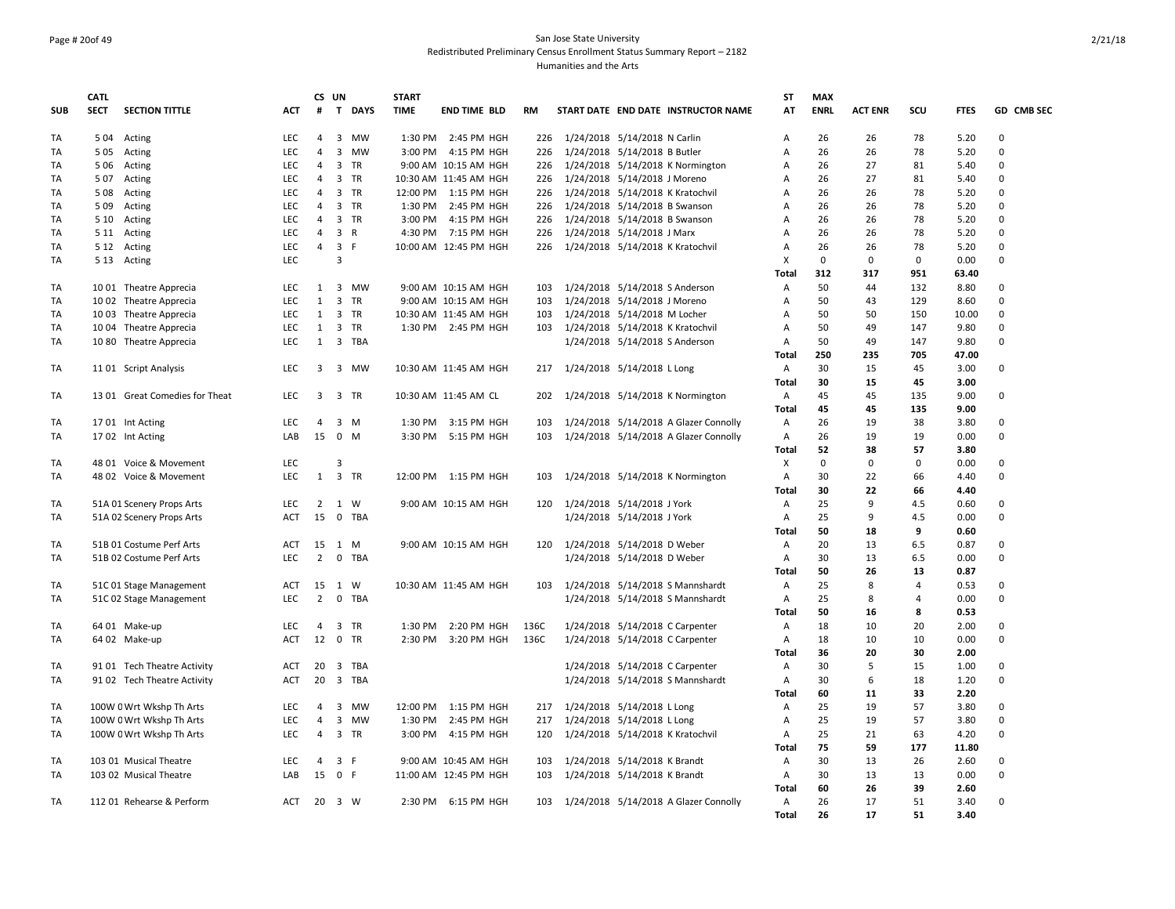### Page # 20of 49 San Jose State University Redistributed Preliminary Census Enrollment Status Summary Report – 2182 Humanities and the Arts

|            | <b>CATL</b> |                                      |            |                | CS UN                           |            | <b>START</b> |                                            |            |                                                                                | ST           | <b>MAX</b>  |                |                |              |             |
|------------|-------------|--------------------------------------|------------|----------------|---------------------------------|------------|--------------|--------------------------------------------|------------|--------------------------------------------------------------------------------|--------------|-------------|----------------|----------------|--------------|-------------|
| <b>SUB</b> | <b>SECT</b> | <b>SECTION TITTLE</b>                | ACT        | #              |                                 | T DAYS     | <b>TIME</b>  | <b>END TIME BLD</b>                        | RM         | START DATE END DATE INSTRUCTOR NAME                                            | AT           | <b>ENRL</b> | <b>ACT ENR</b> | SCU            | <b>FTES</b>  | GD CMB SEC  |
| TA         | 504         | Acting                               | <b>LEC</b> | 4              | $\overline{\mathbf{3}}$         | MW         |              | 1:30 PM 2:45 PM HGH                        | 226        | 1/24/2018 5/14/2018 N Carlin                                                   | А            | 26          | 26             | 78             | 5.20         | $\Omega$    |
| TA         | 505         | Acting                               | <b>LEC</b> | $\overline{4}$ | $\overline{3}$                  | MW         |              | 3:00 PM 4:15 PM HGH                        | 226        | 1/24/2018 5/14/2018 B Butler                                                   | Α            | 26          | 26             | 78             | 5.20         | $\Omega$    |
| TA         | 506         | Acting                               | <b>LEC</b> | 4              | 3                               | TR         |              | 9:00 AM 10:15 AM HGH                       | 226        | 1/24/2018 5/14/2018 K Normington                                               | Α            | 26          | 27             | 81             | 5.40         | $\mathbf 0$ |
| TA         | 507         | Acting                               | LEC        | $\overline{4}$ | 3 TR                            |            |              | 10:30 AM 11:45 AM HGH                      | 226        | 1/24/2018 5/14/2018 J Moreno                                                   | А            | 26          | 27             | 81             | 5.40         | $\mathbf 0$ |
| TA         | 508         | Acting                               | <b>LEC</b> | $\overline{4}$ | $\overline{\mathbf{3}}$         | <b>TR</b>  |              | 12:00 PM 1:15 PM HGH                       | 226        | 1/24/2018 5/14/2018 K Kratochvil                                               | A            | 26          | 26             | 78             | 5.20         | $\Omega$    |
| TA         | 509         | Acting                               | <b>LEC</b> | 4              | $\overline{3}$                  | TR         |              | 1:30 PM 2:45 PM HGH                        | 226        | 1/24/2018 5/14/2018 B Swanson                                                  | Α            | 26          | 26             | 78             | 5.20         | $\Omega$    |
| TA         | 5 10        | Acting                               | LEC        | 4              | 3 TR                            |            |              | 3:00 PM 4:15 PM HGH                        | 226        | 1/24/2018 5/14/2018 B Swanson                                                  | Α            | 26          | 26             | 78             | 5.20         | $\Omega$    |
| TA         | 5 1 1       | Acting                               | LEC        | 4              | 3 R                             |            |              | 4:30 PM 7:15 PM HGH                        | 226        | 1/24/2018 5/14/2018 J Marx                                                     | Α            | 26          | 26             | 78             | 5.20         | $\mathbf 0$ |
| TA         |             | 5 12 Acting                          | <b>LEC</b> | $\overline{4}$ | 3 F                             |            |              | 10:00 AM 12:45 PM HGH                      | 226        | 1/24/2018 5/14/2018 K Kratochvil                                               | Α            | 26          | 26             | 78             | 5.20         | $\mathbf 0$ |
| TA         |             | 5 13 Acting                          | <b>LEC</b> |                | 3                               |            |              |                                            |            |                                                                                | X            | $\mathbf 0$ | 0              | $\mathbf 0$    | 0.00         | $\mathbf 0$ |
|            |             |                                      |            |                |                                 |            |              |                                            |            |                                                                                | <b>Total</b> | 312         | 317            | 951            | 63.40        |             |
| TA         |             | 10 01 Theatre Apprecia               | <b>LEC</b> |                |                                 | 1 3 MW     |              | 9:00 AM 10:15 AM HGH                       | 103        | 1/24/2018 5/14/2018 S Anderson                                                 | Α            | 50          | 44             | 132            | 8.80         | $\mathbf 0$ |
| TA         |             | 10 02 Theatre Apprecia               | <b>LEC</b> | $\mathbf{1}$   | 3 TR                            |            |              | 9:00 AM 10:15 AM HGH                       | 103        | 1/24/2018 5/14/2018 J Moreno                                                   | Α            | 50          | 43             | 129            | 8.60         | $\mathbf 0$ |
| TA         |             | 10 03 Theatre Apprecia               | <b>LEC</b> | $\mathbf{1}$   | 3 TR                            |            |              | 10:30 AM 11:45 AM HGH                      | 103        | 1/24/2018 5/14/2018 M Locher                                                   | Α            | 50          | 50             | 150            | 10.00        | $\Omega$    |
| TA         |             | 10 04 Theatre Apprecia               | <b>LEC</b> |                | 1 3 TR                          |            |              | 1:30 PM 2:45 PM HGH                        |            | 103 1/24/2018 5/14/2018 K Kratochvil                                           | Α            | 50          | 49             | 147            | 9.80         | $\Omega$    |
| TA         |             | 10 80 Theatre Apprecia               | <b>LEC</b> | 1              | $\overline{\mathbf{3}}$         | TBA        |              |                                            |            | 1/24/2018 5/14/2018 S Anderson                                                 | Α            | 50          | 49             | 147            | 9.80         | $\mathbf 0$ |
|            |             |                                      |            |                |                                 |            |              |                                            |            |                                                                                | <b>Total</b> | 250         | 235            | 705            | 47.00        |             |
| TA         |             | 11 01 Script Analysis                | LEC        | 3              |                                 | 3 MW       |              | 10:30 AM 11:45 AM HGH                      | 217        | 1/24/2018 5/14/2018 L Long                                                     | Α            | 30          | 15             | 45             | 3.00         | 0           |
|            |             |                                      |            |                |                                 |            |              |                                            |            |                                                                                | <b>Total</b> | 30          | 15             | 45             | 3.00         | $\Omega$    |
| TA         |             | 13 01 Great Comedies for Theat       | LEC        | 3              | 3 TR                            |            |              | 10:30 AM 11:45 AM CL                       | 202        | 1/24/2018 5/14/2018 K Normington                                               | Α            | 45<br>45    | 45<br>45       | 135<br>135     | 9.00         |             |
|            |             |                                      | <b>LEC</b> | $\overline{4}$ |                                 | M          |              |                                            |            |                                                                                | Total        | 26          | 19             |                | 9.00         | $\mathbf 0$ |
| TA<br>TA   |             | 17 01 Int Acting<br>17 02 Int Acting | LAB        |                | $\overline{\mathbf{3}}$<br>15 0 | M          |              | 1:30 PM 3:15 PM HGH<br>3:30 PM 5:15 PM HGH | 103<br>103 | 1/24/2018 5/14/2018 A Glazer Connolly<br>1/24/2018 5/14/2018 A Glazer Connolly | Α<br>Α       | 26          | 19             | 38<br>19       | 3.80<br>0.00 | $\mathbf 0$ |
|            |             |                                      |            |                |                                 |            |              |                                            |            |                                                                                | <b>Total</b> | 52          | 38             | 57             | 3.80         |             |
| TA         |             | 48 01 Voice & Movement               | <b>LEC</b> |                | 3                               |            |              |                                            |            |                                                                                | X            | $\pmb{0}$   | 0              | $\mathbf 0$    | 0.00         | $\mathbf 0$ |
| TA         |             | 48 02 Voice & Movement               | <b>LEC</b> | 1              | $\overline{\mathbf{3}}$         | TR         |              | 12:00 PM 1:15 PM HGH                       | 103        | 1/24/2018 5/14/2018 K Normington                                               | Α            | 30          | 22             | 66             | 4.40         | $\mathbf 0$ |
|            |             |                                      |            |                |                                 |            |              |                                            |            |                                                                                | Total        | 30          | 22             | 66             | 4.40         |             |
| TA         |             | 51A 01 Scenery Props Arts            | <b>LEC</b> |                | 2 1 W                           |            |              | 9:00 AM 10:15 AM HGH                       |            | 120 1/24/2018 5/14/2018 J York                                                 | Α            | 25          | 9              | 4.5            | 0.60         | $\Omega$    |
| TA         |             | 51A 02 Scenery Props Arts            | <b>ACT</b> |                | 15 0                            | <b>TBA</b> |              |                                            |            | 1/24/2018 5/14/2018 J York                                                     | Α            | 25          | 9              | 4.5            | 0.00         | $\Omega$    |
|            |             |                                      |            |                |                                 |            |              |                                            |            |                                                                                | <b>Total</b> | 50          | 18             | 9              | 0.60         |             |
| TA         |             | 51B 01 Costume Perf Arts             | ACT        |                | 15 1 M                          |            |              | 9:00 AM 10:15 AM HGH                       | 120        | 1/24/2018 5/14/2018 D Weber                                                    | Α            | 20          | 13             | 6.5            | 0.87         | $\mathbf 0$ |
| TA         |             | 51B 02 Costume Perf Arts             | <b>LEC</b> | $\overline{2}$ | $\mathsf{o}$                    | <b>TBA</b> |              |                                            |            | 1/24/2018 5/14/2018 D Weber                                                    | Α            | 30          | 13             | 6.5            | 0.00         | $\mathbf 0$ |
|            |             |                                      |            |                |                                 |            |              |                                            |            |                                                                                | Total        | 50          | 26             | 13             | 0.87         |             |
| TA         |             | 51C 01 Stage Management              | ACT        | 15 1           |                                 | W          |              | 10:30 AM 11:45 AM HGH                      | 103        | 1/24/2018 5/14/2018 S Mannshardt                                               | Α            | 25          | 8              | $\overline{4}$ | 0.53         | $\Omega$    |
| TA         |             | 51C 02 Stage Management              | <b>LEC</b> | $\overline{2}$ | $\mathsf{o}$                    | <b>TBA</b> |              |                                            |            | 1/24/2018 5/14/2018 S Mannshardt                                               | Α            | 25          | 8              | $\overline{4}$ | 0.00         | $\mathbf 0$ |
|            |             |                                      |            |                |                                 |            |              |                                            |            |                                                                                | <b>Total</b> | 50          | 16             | 8              | 0.53         |             |
| TA         |             | 64 01 Make-up                        | <b>LEC</b> | 4              | 3                               | <b>TR</b>  | 1:30 PM      | 2:20 PM HGH                                | 136C       | 1/24/2018 5/14/2018 C Carpenter                                                | A            | 18          | 10             | 20             | 2.00         | $\Omega$    |
| TA         |             | 64 02 Make-up                        | ACT        |                | 12 0 TR                         |            |              | 2:30 PM 3:20 PM HGH                        | 136C       | 1/24/2018 5/14/2018 C Carpenter                                                | Α            | 18          | 10             | 10             | 0.00         | $\Omega$    |
|            |             |                                      |            |                |                                 |            |              |                                            |            |                                                                                | Total        | 36          | 20             | 30             | 2.00         |             |
| TA         |             | 91 01 Tech Theatre Activity          | ACT        | 20             | $\overline{\mathbf{3}}$         | TBA        |              |                                            |            | 1/24/2018 5/14/2018 C Carpenter                                                | Α            | 30          | 5              | 15             | 1.00         | $\mathbf 0$ |
| TA         |             | 91 02 Tech Theatre Activity          | ACT        |                |                                 | 20 3 TBA   |              |                                            |            | 1/24/2018 5/14/2018 S Mannshardt                                               | Α            | 30          | 6              | 18             | 1.20         | $\Omega$    |
|            |             |                                      |            |                |                                 |            |              |                                            |            |                                                                                | <b>Total</b> | 60          | 11             | 33             | 2.20         |             |
| TA         |             | 100W C Wrt Wkshp Th Arts             | <b>LEC</b> | $\overline{4}$ | $\overline{\mathbf{3}}$         | <b>MW</b>  |              | 12:00 PM 1:15 PM HGH                       | 217        | 1/24/2018 5/14/2018 L Long                                                     | Α            | 25          | 19             | 57             | 3.80         | $\Omega$    |
| TA         |             | 100W C Wrt Wkshp Th Arts             | <b>LEC</b> | 4              | $\overline{\mathbf{3}}$         | MW         |              | 1:30 PM 2:45 PM HGH                        | 217        | 1/24/2018 5/14/2018 L Long                                                     | Α            | 25          | 19             | 57             | 3.80         | $\mathbf 0$ |
| TA         |             | 100W C Wrt Wkshp Th Arts             | <b>LEC</b> | 4              | $\overline{\mathbf{3}}$         | TR         | 3:00 PM      | 4:15 PM HGH                                | 120        | 1/24/2018 5/14/2018 K Kratochvil                                               | Α            | 25          | 21             | 63             | 4.20         | $\Omega$    |
|            |             |                                      |            |                |                                 |            |              |                                            |            |                                                                                | Total        | 75          | 59             | 177            | 11.80        |             |
| TA         |             | 103 01 Musical Theatre               | <b>LEC</b> | 4              | 3 F                             |            |              | 9:00 AM 10:45 AM HGH                       | 103        | 1/24/2018 5/14/2018 K Brandt                                                   | Α            | 30          | 13             | 26             | 2.60         | $\mathbf 0$ |
| TA         |             | 103 02 Musical Theatre               | LAB        |                | 15 0 F                          |            |              | 11:00 AM 12:45 PM HGH                      | 103        | 1/24/2018 5/14/2018 K Brandt                                                   | Α            | 30          | 13             | 13             | 0.00         | $\mathbf 0$ |
|            |             |                                      |            |                |                                 |            |              |                                            |            |                                                                                | <b>Total</b> | 60          | 26             | 39             | 2.60         |             |
| TA         |             | 112 01 Rehearse & Perform            | ACT        |                | 20 3 W                          |            |              | 2:30 PM 6:15 PM HGH                        |            | 103 1/24/2018 5/14/2018 A Glazer Connolly                                      | Α            | 26          | 17             | 51             | 3.40         | $\Omega$    |
|            |             |                                      |            |                |                                 |            |              |                                            |            |                                                                                | <b>Total</b> | 26          | 17             | 51             | 3.40         |             |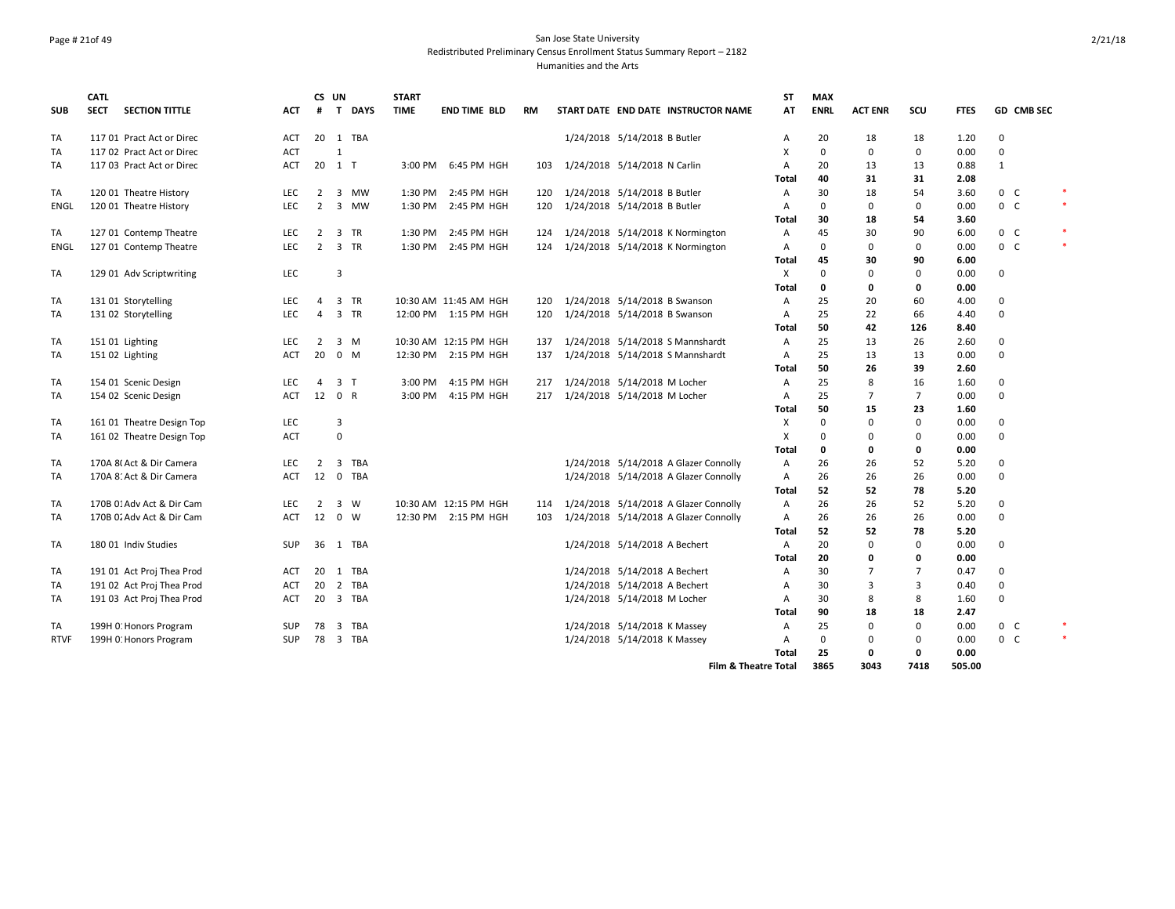# Page # 21of 49 San Jose State University Redistributed Preliminary Census Enrollment Status Summary Report – 2182 Humanities and the Arts

|             | <b>CATL</b> |                           |            | CS UN          |              |                | <b>START</b> |                       |           |                               |                               |                                       | ST             | <b>MAX</b>  |                |                |             |              |                |        |
|-------------|-------------|---------------------------|------------|----------------|--------------|----------------|--------------|-----------------------|-----------|-------------------------------|-------------------------------|---------------------------------------|----------------|-------------|----------------|----------------|-------------|--------------|----------------|--------|
| <b>SUB</b>  | <b>SECT</b> | <b>SECTION TITTLE</b>     | <b>ACT</b> | #              | $\mathbf{T}$ | <b>DAYS</b>    | <b>TIME</b>  | <b>END TIME BLD</b>   | <b>RM</b> |                               |                               | START DATE END DATE INSTRUCTOR NAME   | AT             | <b>ENRL</b> | <b>ACT ENR</b> | SCU            | <b>FTES</b> |              | GD CMB SEC     |        |
| TA          |             | 117 01 Pract Act or Direc | <b>ACT</b> |                |              | 20 1 TBA       |              |                       |           |                               | 1/24/2018 5/14/2018 B Butler  |                                       | A              | 20          | 18             | 18             | 1.20        | 0            |                |        |
| TA          |             | 117 02 Pract Act or Direc | ACT        |                | $\mathbf{1}$ |                |              |                       |           |                               |                               |                                       | X              | $\mathbf 0$ | 0              | 0              | 0.00        | $\mathbf 0$  |                |        |
| TA          |             | 117 03 Pract Act or Direc | ACT        | 20             | 1 T          |                | 3:00 PM      | 6:45 PM HGH           | 103       |                               | 1/24/2018 5/14/2018 N Carlin  |                                       | Α              | 20          | 13             | 13             | 0.88        | $\mathbf{1}$ |                |        |
|             |             |                           |            |                |              |                |              |                       |           |                               |                               |                                       | Total          | 40          | 31             | 31             | 2.08        |              |                |        |
| TA          |             | 120 01 Theatre History    | <b>LEC</b> | $\overline{2}$ |              | 3 MW           | 1:30 PM      | 2:45 PM HGH           | 120       | 1/24/2018 5/14/2018 B Butler  |                               |                                       | Α              | 30          | 18             | 54             | 3.60        |              | 0 C            |        |
| <b>ENGL</b> |             | 120 01 Theatre History    | LEC.       | $\overline{2}$ |              | 3 MW           | 1:30 PM      | 2:45 PM HGH           | 120       | 1/24/2018 5/14/2018 B Butler  |                               |                                       | A              | $\mathbf 0$ | 0              | 0              | 0.00        |              | 0 <sup>o</sup> | $\ast$ |
|             |             |                           |            |                |              |                |              |                       |           |                               |                               |                                       | Total          | 30          | 18             | 54             | 3.60        |              |                |        |
| TA          |             | 127 01 Contemp Theatre    | <b>LEC</b> | $\overline{2}$ |              | 3 TR           | 1:30 PM      | 2:45 PM HGH           | 124       |                               |                               | 1/24/2018 5/14/2018 K Normington      | $\overline{A}$ | 45          | 30             | 90             | 6.00        |              | 0 <sub>c</sub> |        |
| <b>ENGL</b> |             | 127 01 Contemp Theatre    | <b>LEC</b> | $\overline{2}$ |              | 3 TR           |              | 1:30 PM 2:45 PM HGH   | 124       |                               |                               | 1/24/2018 5/14/2018 K Normington      | A              | $\mathbf 0$ | 0              | 0              | 0.00        |              | 0 <sub>c</sub> | $\ast$ |
|             |             |                           |            |                |              |                |              |                       |           |                               |                               |                                       | <b>Total</b>   | 45          | 30             | 90             | 6.00        |              |                |        |
| TA          |             | 129 01 Adv Scriptwriting  | <b>LEC</b> |                | 3            |                |              |                       |           |                               |                               |                                       | Χ              | $\mathbf 0$ | $\Omega$       | $\mathbf 0$    | 0.00        | 0            |                |        |
|             |             |                           |            |                |              |                |              |                       |           |                               |                               |                                       | <b>Total</b>   | 0           | 0              | 0              | 0.00        |              |                |        |
| TA          |             | 131 01 Storytelling       | <b>LEC</b> | $\overline{4}$ |              | 3 TR           |              | 10:30 AM 11:45 AM HGH | 120       | 1/24/2018 5/14/2018 B Swanson |                               |                                       | A              | 25          | 20             | 60             | 4.00        | 0            |                |        |
| TA          |             | 131 02 Storytelling       | <b>LEC</b> | $\overline{4}$ |              | 3 TR           |              | 12:00 PM 1:15 PM HGH  | 120       | 1/24/2018 5/14/2018 B Swanson |                               |                                       | Α              | 25          | 22             | 66             | 4.40        | 0            |                |        |
|             |             |                           |            |                |              |                |              |                       |           |                               |                               |                                       | Total          | 50          | 42             | 126            | 8.40        |              |                |        |
| TA          |             | 151 01 Lighting           | LEC        | 2              |              | 3 M            |              | 10:30 AM 12:15 PM HGH | 137       |                               |                               | 1/24/2018 5/14/2018 S Mannshardt      | Α              | 25          | 13             | 26             | 2.60        | 0            |                |        |
| <b>TA</b>   |             | 151 02 Lighting           | <b>ACT</b> | 20             |              | 0 M            |              | 12:30 PM 2:15 PM HGH  | 137       |                               |                               | 1/24/2018 5/14/2018 S Mannshardt      | $\overline{A}$ | 25          | 13             | 13             | 0.00        | 0            |                |        |
|             |             |                           |            |                |              |                |              |                       |           |                               |                               |                                       | Total          | 50          | 26             | 39             | 2.60        |              |                |        |
| TA          |             | 154 01 Scenic Design      | <b>LEC</b> | $\overline{4}$ |              | 3 <sub>1</sub> | 3:00 PM      | 4:15 PM HGH           | 217       |                               | 1/24/2018 5/14/2018 M Locher  |                                       | A              | 25          | 8              | 16             | 1.60        | 0            |                |        |
| TA          |             | 154 02 Scenic Design      | <b>ACT</b> | 12 0 R         |              |                | 3:00 PM      | 4:15 PM HGH           | 217       | 1/24/2018 5/14/2018 M Locher  |                               |                                       | A              | 25          | $\overline{7}$ | $\overline{7}$ | 0.00        | 0            |                |        |
|             |             |                           |            |                |              |                |              |                       |           |                               |                               |                                       | Total          | 50          | 15             | 23             | 1.60        |              |                |        |
| TA          |             | 161 01 Theatre Design Top | <b>LEC</b> |                | 3            |                |              |                       |           |                               |                               |                                       | Χ              | $\mathbf 0$ | $\Omega$       | $\mathbf 0$    | 0.00        | 0            |                |        |
| TA          |             | 161 02 Theatre Design Top | ACT        |                | $\mathbf 0$  |                |              |                       |           |                               |                               |                                       | Х              | 0           | $\mathbf 0$    | $\Omega$       | 0.00        | 0            |                |        |
|             |             |                           |            |                |              |                |              |                       |           |                               |                               |                                       | Total          | 0           | $\Omega$       | 0              | 0.00        |              |                |        |
| TA          |             | 170A 8(Act & Dir Camera   | <b>LEC</b> | $\overline{2}$ |              | 3 TBA          |              |                       |           |                               |                               | 1/24/2018 5/14/2018 A Glazer Connolly | Α              | 26          | 26             | 52             | 5.20        | 0            |                |        |
| TA          |             | 170A 8: Act & Dir Camera  | <b>ACT</b> |                |              | 12 0 TBA       |              |                       |           |                               |                               | 1/24/2018 5/14/2018 A Glazer Connolly | A              | 26          | 26             | 26             | 0.00        | $\mathbf 0$  |                |        |
|             |             |                           |            |                |              |                |              |                       |           |                               |                               |                                       | Total          | 52          | 52             | 78             | 5.20        |              |                |        |
| TA          |             | 170B 01 Adv Act & Dir Cam | <b>LEC</b> | $\overline{2}$ |              | 3 W            |              | 10:30 AM 12:15 PM HGH | 114       |                               |                               | 1/24/2018 5/14/2018 A Glazer Connolly | Α              | 26          | 26             | 52             | 5.20        | 0            |                |        |
| <b>TA</b>   |             | 170B 0. Adv Act & Dir Cam | <b>ACT</b> | 12 0 W         |              |                |              | 12:30 PM 2:15 PM HGH  | 103       |                               |                               | 1/24/2018 5/14/2018 A Glazer Connolly | Α              | 26          | 26             | 26             | 0.00        | 0            |                |        |
|             |             |                           |            |                |              |                |              |                       |           |                               |                               |                                       | Total          | 52          | 52             | 78             | 5.20        |              |                |        |
| TA          |             | 180 01 Indiv Studies      | <b>SUP</b> |                |              | 36 1 TBA       |              |                       |           |                               | 1/24/2018 5/14/2018 A Bechert |                                       | Α              | 20          | $\Omega$       | $\mathbf 0$    | 0.00        | 0            |                |        |
|             |             |                           |            |                |              |                |              |                       |           |                               |                               |                                       | Total          | 20          | 0              | 0              | 0.00        |              |                |        |
| TA          |             | 191 01 Act Proj Thea Prod | ACT        |                |              | 20 1 TBA       |              |                       |           |                               | 1/24/2018 5/14/2018 A Bechert |                                       | A              | 30          | $\overline{7}$ | $\overline{7}$ | 0.47        | 0            |                |        |
| TA          |             | 191 02 Act Proj Thea Prod | <b>ACT</b> | 20             |              | 2 TBA          |              |                       |           |                               | 1/24/2018 5/14/2018 A Bechert |                                       | Α              | 30          | 3              | 3              | 0.40        | 0            |                |        |
| TA          |             | 191 03 Act Proj Thea Prod | ACT        |                |              | 20 3 TBA       |              |                       |           |                               | 1/24/2018 5/14/2018 M Locher  |                                       | $\overline{A}$ | 30          | 8              | 8              | 1.60        | 0            |                |        |
|             |             |                           |            |                |              |                |              |                       |           |                               |                               |                                       | Total          | 90          | 18             | 18             | 2.47        |              |                |        |
| TA          |             | 199H 0: Honors Program    | <b>SUP</b> | 78             |              | 3 TBA          |              |                       |           | 1/24/2018 5/14/2018 K Massey  |                               |                                       | A              | 25          | $\Omega$       | $\mathbf 0$    | 0.00        |              | 0 <sub>c</sub> |        |
| <b>RTVF</b> |             | 199H 0: Honors Program    | <b>SUP</b> |                |              | 78 3 TBA       |              |                       |           |                               | 1/24/2018 5/14/2018 K Massey  |                                       | A              | $\mathbf 0$ | $\mathbf 0$    | $\Omega$       | 0.00        |              | 0 <sup>o</sup> | $\ast$ |
|             |             |                           |            |                |              |                |              |                       |           |                               |                               |                                       | Total          | 25          | 0              | $\mathbf 0$    | 0.00        |              |                |        |
|             |             |                           |            |                |              |                |              |                       |           |                               |                               | <b>Film &amp; Theatre Total</b>       |                | 3865        | 3043           | 7418           | 505.00      |              |                |        |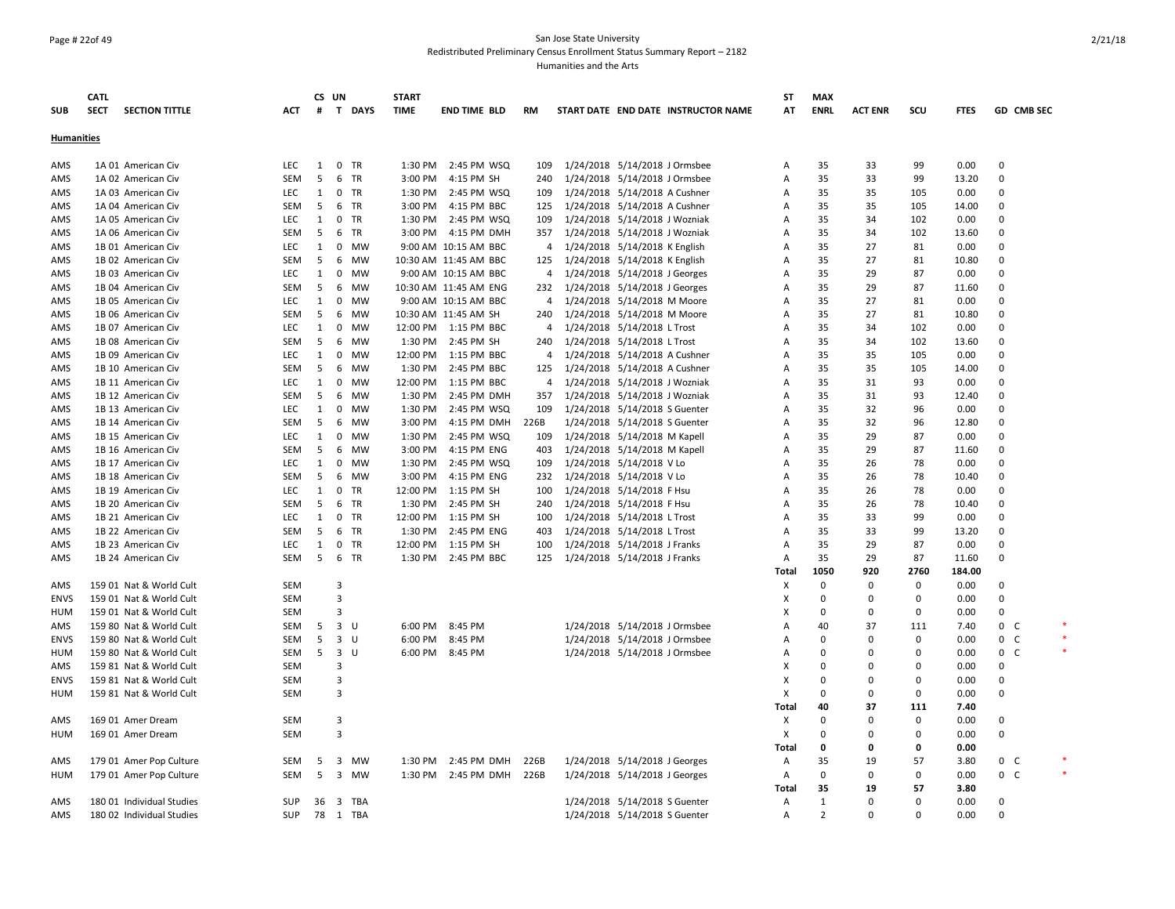### Page # 22of 49 San Jose State University Redistributed Preliminary Census Enrollment Status Summary Report – 2182 Humanities and the Arts

|                   | <b>CATL</b> |                           |            |                   | CS UN                   |           | <b>START</b> |                       |           |                                     | ST    | <b>MAX</b>     |                |              |             |                   |  |
|-------------------|-------------|---------------------------|------------|-------------------|-------------------------|-----------|--------------|-----------------------|-----------|-------------------------------------|-------|----------------|----------------|--------------|-------------|-------------------|--|
| <b>SUB</b>        | <b>SECT</b> | <b>SECTION TITTLE</b>     | ACT        | #                 |                         | T DAYS    | <b>TIME</b>  | <b>END TIME BLD</b>   | <b>RM</b> | START DATE END DATE INSTRUCTOR NAME | AT    | <b>ENRL</b>    | <b>ACT ENR</b> | SCU          | <b>FTES</b> | <b>GD CMB SEC</b> |  |
|                   |             |                           |            |                   |                         |           |              |                       |           |                                     |       |                |                |              |             |                   |  |
| <b>Humanities</b> |             |                           |            |                   |                         |           |              |                       |           |                                     |       |                |                |              |             |                   |  |
| AMS               |             | 1A 01 American Civ        | <b>LEC</b> | 1                 |                         | $0$ TR    |              | 1:30 PM 2:45 PM WSQ   | 109       | 1/24/2018 5/14/2018 J Ormsbee       | Α     | 35             | 33             | 99           | 0.00        | 0                 |  |
| AMS               |             | 1A 02 American Civ        | <b>SEM</b> | 5                 | 6                       | TR        | 3:00 PM      | 4:15 PM SH            | 240       | 1/24/2018 5/14/2018 J Ormsbee       | A     | 35             | 33             | 99           | 13.20       | $\mathbf 0$       |  |
| AMS               |             | 1A 03 American Civ        | <b>LEC</b> | $\mathbf{1}$      | 0                       | TR        | 1:30 PM      | 2:45 PM WSQ           | 109       | 1/24/2018 5/14/2018 A Cushner       | Α     | 35             | 35             | 105          | 0.00        | 0                 |  |
| AMS               |             | 1A 04 American Civ        | SEM        | 5                 |                         | 6 TR      | 3:00 PM      | 4:15 PM BBC           | 125       | 1/24/2018 5/14/2018 A Cushner       | Α     | 35             | 35             | 105          | 14.00       | 0                 |  |
| AMS               |             | 1A 05 American Civ        | <b>LEC</b> | 1                 |                         | 0 TR      | 1:30 PM      | 2:45 PM WSQ           | 109       | 1/24/2018 5/14/2018 J Wozniak       | Α     | 35             | 34             | 102          | 0.00        | $\mathbf 0$       |  |
| AMS               |             | 1A 06 American Civ        | <b>SEM</b> | 5                 | 6                       | <b>TR</b> | 3:00 PM      | 4:15 PM DMH           | 357       | 1/24/2018 5/14/2018 J Wozniak       | A     | 35             | 34             | 102          | 13.60       | 0                 |  |
| AMS               |             | 1B 01 American Civ        | LEC        | $\mathbf{1}$      | 0                       | MW        |              | 9:00 AM 10:15 AM BBC  | 4         | 1/24/2018 5/14/2018 K English       | Α     | 35             | 27             | 81           | 0.00        | 0                 |  |
| AMS               |             | 1B 02 American Civ        | SEM        | 5                 | 6                       | <b>MW</b> |              | 10:30 AM 11:45 AM BBC | 125       | 1/24/2018 5/14/2018 K English       | Α     | 35             | 27             | 81           | 10.80       | 0                 |  |
| AMS               |             | 1B 03 American Civ        | <b>LEC</b> | 1                 | 0                       | MW        |              | 9:00 AM 10:15 AM BBC  | 4         | 1/24/2018 5/14/2018 J Georges       | Α     | 35             | 29             | 87           | 0.00        | $\mathbf 0$       |  |
| AMS               |             | 1B 04 American Civ        | <b>SEM</b> | 5                 | 6                       | <b>MW</b> |              | 10:30 AM 11:45 AM ENG |           | 232 1/24/2018 5/14/2018 J Georges   | A     | 35             | 29             | 87           | 11.60       | 0                 |  |
| AMS               |             | 1B 05 American Civ        | <b>LEC</b> | 1                 | 0                       | <b>MW</b> |              | 9:00 AM 10:15 AM BBC  | 4         | 1/24/2018 5/14/2018 M Moore         | A     | 35             | 27             | 81           | 0.00        | $\mathbf 0$       |  |
| AMS               |             | 1B 06 American Civ        | SEM        | 5                 | 6                       | <b>MW</b> |              | 10:30 AM 11:45 AM SH  | 240       | 1/24/2018 5/14/2018 M Moore         | Α     | 35             | 27             | 81           | 10.80       | 0                 |  |
| AMS               |             | 1B 07 American Civ        | <b>LEC</b> | 1                 | 0                       | МW        |              | 12:00 PM 1:15 PM BBC  | 4         | 1/24/2018 5/14/2018 L Trost         | Α     | 35             | 34             | 102          | 0.00        | 0                 |  |
| AMS               |             | 1B 08 American Civ        | <b>SEM</b> | 5                 | 6                       | <b>MW</b> | 1:30 PM      | 2:45 PM SH            | 240       | 1/24/2018 5/14/2018 L Trost         | A     | 35             | 34             | 102          | 13.60       | 0                 |  |
| AMS               |             | 1B 09 American Civ        | <b>LEC</b> | 1                 | 0                       | <b>MW</b> | 12:00 PM     | 1:15 PM BBC           | 4         | 1/24/2018 5/14/2018 A Cushner       | A     | 35             | 35             | 105          | 0.00        | $\mathbf 0$       |  |
| AMS               |             | 1B 10 American Civ        | SEM        | 5                 | 6                       | <b>MW</b> | 1:30 PM      | 2:45 PM BBC           | 125       | 1/24/2018 5/14/2018 A Cushner       | Α     | 35             | 35             | 105          | 14.00       | 0                 |  |
| AMS               |             | 1B 11 American Civ        | <b>LEC</b> | $\mathbf{1}$      | 0                       | MW        | 12:00 PM     | 1:15 PM BBC           | 4         | 1/24/2018 5/14/2018 J Wozniak       | Α     | 35             | 31             | 93           | 0.00        | 0                 |  |
| AMS               |             | 1B 12 American Civ        | <b>SEM</b> | 5                 | 6                       | MW        | 1:30 PM      | 2:45 PM DMH           | 357       | 1/24/2018 5/14/2018 J Wozniak       | Α     | 35             | 31             | 93           | 12.40       | 0                 |  |
| AMS               |             | 1B 13 American Civ        | <b>LEC</b> | $\mathbf{1}$      | 0                       | MW        | 1:30 PM      | 2:45 PM WSQ           | 109       | 1/24/2018 5/14/2018 S Guenter       | Α     | 35             | 32             | 96           | 0.00        | $\mathbf 0$       |  |
|                   |             |                           |            |                   |                         |           | 3:00 PM      | 4:15 PM DMH           |           |                                     |       |                |                |              |             | 0                 |  |
| AMS               |             | 1B 14 American Civ        | SEM        | 5<br>$\mathbf{1}$ | 6<br>$\mathbf 0$        | MW        |              |                       | 226B      | 1/24/2018 5/14/2018 S Guenter       | Α     | 35             | 32             | 96           | 12.80       | $\mathbf 0$       |  |
| AMS               |             | 1B 15 American Civ        | LEC        |                   |                         | MW        | 1:30 PM      | 2:45 PM WSQ           | 109       | 1/24/2018 5/14/2018 M Kapell        | Α     | 35             | 29             | 87           | 0.00        | 0                 |  |
| AMS               |             | 1B 16 American Civ        | SEM        | 5                 | 6                       | MW        | 3:00 PM      | 4:15 PM ENG           | 403       | 1/24/2018 5/14/2018 M Kapell        | Α     | 35             | 29             | 87           | 11.60       |                   |  |
| AMS               |             | 1B 17 American Civ        | <b>LEC</b> | 1                 | $\mathbf{0}$            | <b>MW</b> | 1:30 PM      | 2:45 PM WSQ           | 109       | 1/24/2018 5/14/2018 V Lo            | A     | 35             | 26             | 78           | 0.00        | $\Omega$          |  |
| AMS               |             | 1B 18 American Civ        | SEM        | 5                 | 6                       | <b>MW</b> | 3:00 PM      | 4:15 PM ENG           | 232       | 1/24/2018 5/14/2018 V Lo            | Α     | 35             | 26             | 78           | 10.40       | 0                 |  |
| AMS               |             | 1B 19 American Civ        | <b>LEC</b> | $\mathbf{1}$      |                         | 0 TR      | 12:00 PM     | 1:15 PM SH            | 100       | 1/24/2018 5/14/2018 F Hsu           | Α     | 35             | 26             | 78           | 0.00        | 0                 |  |
| AMS               |             | 1B 20 American Civ        | SEM        | 5                 |                         | 6 TR      | 1:30 PM      | 2:45 PM SH            | 240       | 1/24/2018 5/14/2018 F Hsu           | Α     | 35             | 26             | 78           | 10.40       | 0                 |  |
| AMS               |             | 1B 21 American Civ        | <b>LEC</b> | 1                 | $\mathbf 0$             | TR        | 12:00 PM     | 1:15 PM SH            | 100       | 1/24/2018 5/14/2018 L Trost         | A     | 35             | 33             | 99           | 0.00        | 0                 |  |
| AMS               |             | 1B 22 American Civ        | SEM        | 5                 |                         | 6 TR      | 1:30 PM      | 2:45 PM ENG           | 403       | 1/24/2018 5/14/2018 L Trost         | Α     | 35             | 33             | 99           | 13.20       | 0                 |  |
| AMS               |             | 1B 23 American Civ        | <b>LEC</b> | $\mathbf{1}$      |                         | $0$ TR    | 12:00 PM     | 1:15 PM SH            | 100       | 1/24/2018 5/14/2018 J Franks        | Α     | 35             | 29             | 87           | 0.00        | 0                 |  |
| AMS               |             | 1B 24 American Civ        | SEM        | 5                 |                         | 6 TR      | 1:30 PM      | 2:45 PM BBC           | 125       | 1/24/2018 5/14/2018 J Franks        | Α     | 35             | 29             | 87           | 11.60       | $\mathbf 0$       |  |
|                   |             |                           |            |                   |                         |           |              |                       |           |                                     | Total | 1050           | 920            | 2760         | 184.00      |                   |  |
| AMS               |             | 159 01 Nat & World Cult   | <b>SEM</b> |                   | 3                       |           |              |                       |           |                                     | X     | $\Omega$       | $\mathbf 0$    | 0            | 0.00        | 0                 |  |
| <b>ENVS</b>       |             | 159 01 Nat & World Cult   | SEM        |                   | 3                       |           |              |                       |           |                                     | x     | $\Omega$       | 0              | $\Omega$     | 0.00        | $\Omega$          |  |
| HUM               |             | 159 01 Nat & World Cult   | SEM        |                   | 3                       |           |              |                       |           |                                     | x     | 0              | 0              | 0            | 0.00        | 0                 |  |
| AMS               |             | 159 80 Nat & World Cult   | SEM        | 5                 | 3 U                     |           | 6:00 PM      | 8:45 PM               |           | 1/24/2018 5/14/2018 J Ormsbee       | Α     | 40             | 37             | 111          | 7.40        | 0 <sup>o</sup>    |  |
| ENVS              |             | 159 80 Nat & World Cult   | SEM        | 5                 | 3 U                     |           | 6:00 PM      | 8:45 PM               |           | 1/24/2018 5/14/2018 J Ormsbee       | Α     | $\Omega$       | $\Omega$       | 0            | 0.00        | $0-$              |  |
| <b>HUM</b>        |             | 159 80 Nat & World Cult   | <b>SEM</b> |                   | $5 \quad 3 \quad U$     |           | 6:00 PM      | 8:45 PM               |           | 1/24/2018 5/14/2018 J Ormsbee       | Α     | $\Omega$       | $\Omega$       | $\Omega$     | 0.00        | 0<br>C            |  |
| AMS               |             | 159 81 Nat & World Cult   | SEM        |                   | 3                       |           |              |                       |           |                                     | x     | $\Omega$       | $\Omega$       | $\Omega$     | 0.00        | 0                 |  |
| <b>ENVS</b>       |             | 159 81 Nat & World Cult   | SEM        |                   | 3                       |           |              |                       |           |                                     | X     | $\Omega$       | $\Omega$       | $\Omega$     | 0.00        | $\Omega$          |  |
| HUM               |             | 159 81 Nat & World Cult   | <b>SEM</b> |                   | 3                       |           |              |                       |           |                                     | x     | $\Omega$       | $\Omega$       | $\Omega$     | 0.00        | $\Omega$          |  |
|                   |             |                           |            |                   |                         |           |              |                       |           |                                     | Total | 40             | 37             | 111          | 7.40        |                   |  |
| AMS               |             | 169 01 Amer Dream         | SEM        |                   | 3                       |           |              |                       |           |                                     | Х     | $\Omega$       | $\Omega$       | 0            | 0.00        | 0                 |  |
| HUM               |             | 169 01 Amer Dream         | SEM        |                   | 3                       |           |              |                       |           |                                     | X     | $\Omega$       | 0              | 0            | 0.00        | $\mathbf 0$       |  |
|                   |             |                           |            |                   |                         |           |              |                       |           |                                     | Total | 0              | 0              | 0            | 0.00        |                   |  |
| AMS               |             | 179 01 Amer Pop Culture   | SEM        | 5                 | $\overline{\mathbf{3}}$ | MW        | 1:30 PM      | 2:45 PM DMH           | 226B      | 1/24/2018 5/14/2018 J Georges       | Α     | 35             | 19             | 57           | 3.80        | $0-$              |  |
| <b>HUM</b>        |             | 179 01 Amer Pop Culture   | <b>SEM</b> | 5                 |                         | 3 MW      | 1:30 PM      | 2:45 PM DMH           | 226B      | 1/24/2018 5/14/2018 J Georges       | A     | $\Omega$       | $\Omega$       | $\Omega$     | 0.00        | 0 <sup>o</sup>    |  |
|                   |             |                           |            |                   |                         |           |              |                       |           |                                     | Total | 35             | 19             | 57           | 3.80        |                   |  |
| AMS               |             | 180 01 Individual Studies | <b>SUP</b> |                   |                         | 36 3 TBA  |              |                       |           | 1/24/2018 5/14/2018 S Guenter       | A     | $\mathbf{1}$   | $\Omega$       | $\Omega$     | 0.00        | $\Omega$          |  |
| AMS               |             | 180 02 Individual Studies | SUP        | 78                |                         | 1 TBA     |              |                       |           | 1/24/2018 5/14/2018 S Guenter       | Α     | $\overline{2}$ | $\Omega$       | <sup>n</sup> | 0.00        | $\Omega$          |  |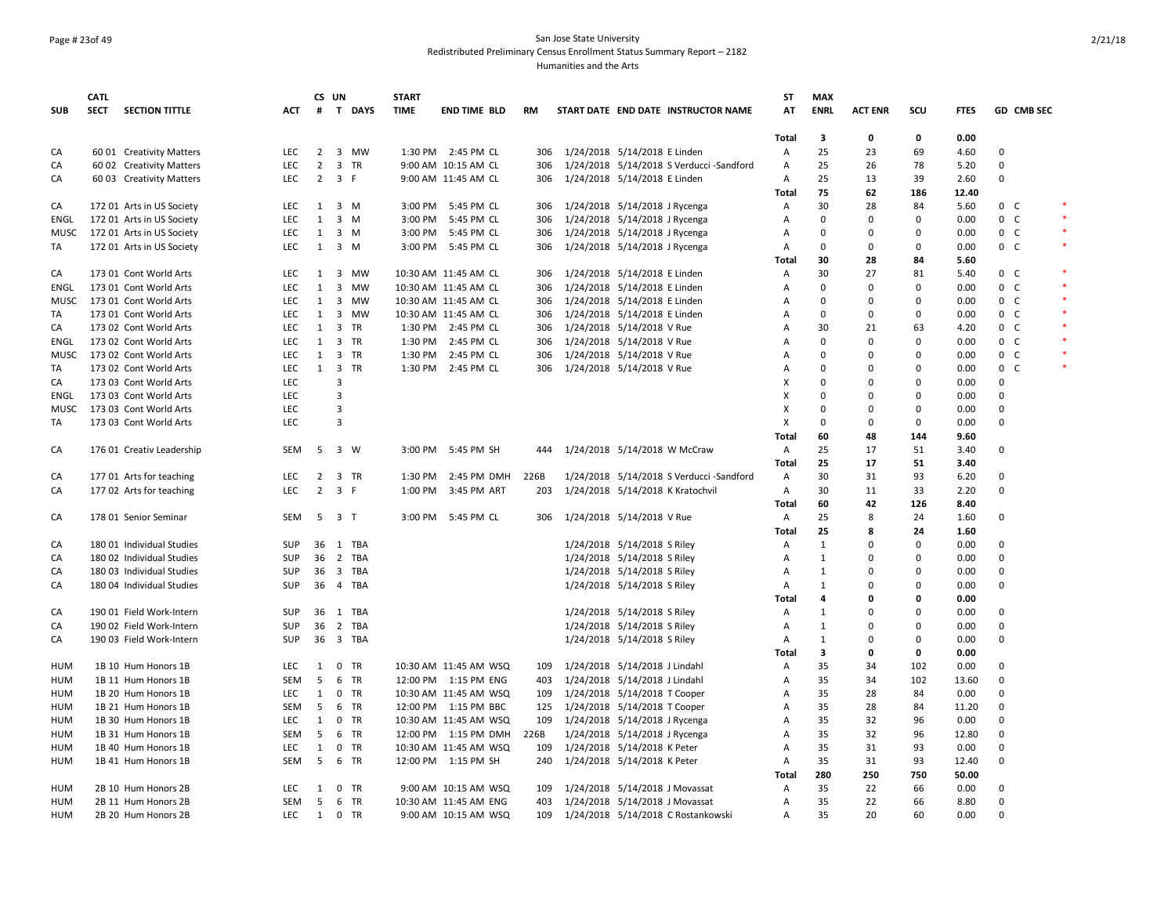### Page # 23of 49 San Jose State University Redistributed Preliminary Census Enrollment Status Summary Report – 2182 Humanities and the Arts

|             | <b>CATL</b> |                           |            |                | CS UN               |          | <b>START</b> |                       |           |                                  |                                          | ST             | <b>MAX</b>  |                |             |             |              |                |        |
|-------------|-------------|---------------------------|------------|----------------|---------------------|----------|--------------|-----------------------|-----------|----------------------------------|------------------------------------------|----------------|-------------|----------------|-------------|-------------|--------------|----------------|--------|
| <b>SUB</b>  | <b>SECT</b> | <b>SECTION TITTLE</b>     | ACT        |                |                     | # T DAYS | <b>TIME</b>  | <b>END TIME BLD</b>   | <b>RM</b> |                                  | START DATE END DATE INSTRUCTOR NAME      | AT             | <b>ENRL</b> | <b>ACT ENR</b> | scu         | <b>FTES</b> |              | GD CMB SEC     |        |
|             |             |                           |            |                |                     |          |              |                       |           |                                  |                                          | <b>Total</b>   | 3           | 0              | $\mathbf 0$ | 0.00        |              |                |        |
| CA          |             | 60 01 Creativity Matters  | <b>LEC</b> |                |                     | 2 3 MW   |              | 1:30 PM 2:45 PM CL    | 306       | 1/24/2018 5/14/2018 E Linden     |                                          | Α              | 25          | 23             | 69          | 4.60        | 0            |                |        |
| CA          |             | 60 02 Creativity Matters  | <b>LEC</b> | $\overline{2}$ |                     | 3 TR     |              | 9:00 AM 10:15 AM CL   | 306       |                                  | 1/24/2018 5/14/2018 S Verducci -Sandford | Α              | 25          | 26             | 78          | 5.20        | 0            |                |        |
| CA          |             | 60 03 Creativity Matters  | <b>LEC</b> |                | $2 \t3 \tF$         |          |              | 9:00 AM 11:45 AM CL   | 306       | 1/24/2018 5/14/2018 E Linden     |                                          | $\overline{A}$ | 25          | 13             | 39          | 2.60        | $\Omega$     |                |        |
|             |             |                           |            |                |                     |          |              |                       |           |                                  |                                          | Total          | 75          | 62             | 186         | 12.40       |              |                |        |
| CA          |             | 172 01 Arts in US Society | <b>LEC</b> | 1              |                     | 3 M      |              | 3:00 PM 5:45 PM CL    | 306       | 1/24/2018 5/14/2018 J Rycenga    |                                          | Α              | 30          | 28             | 84          | 5.60        |              | 0 <sup>o</sup> |        |
| <b>ENGL</b> |             | 172 01 Arts in US Society | <b>LEC</b> |                | $1 \quad 3 \quad M$ |          |              | 3:00 PM 5:45 PM CL    | 306       | 1/24/2018 5/14/2018 J Rycenga    |                                          | A              | $\Omega$    | $\Omega$       | $\Omega$    | 0.00        |              | $0\quad C$     | $\ast$ |
| MUSC        |             | 172 01 Arts in US Society | LEC        | 1              |                     | 3 M      | 3:00 PM      | 5:45 PM CL            | 306       | 1/24/2018 5/14/2018 J Rycenga    |                                          | Α              | $\Omega$    | 0              | $\Omega$    | 0.00        |              | $0\quad C$     |        |
| TA          |             | 172 01 Arts in US Society | <b>LEC</b> |                | $1 \quad 3 \quad M$ |          |              | 3:00 PM 5:45 PM CL    | 306       | 1/24/2018 5/14/2018 J Rycenga    |                                          | Α              | $\Omega$    | $\Omega$       | 0           | 0.00        |              | $0\quad C$     | *      |
|             |             |                           |            |                |                     |          |              |                       |           |                                  |                                          | <b>Total</b>   | 30          | 28             | 84          | 5.60        |              |                |        |
| CA          |             | 173 01 Cont World Arts    | <b>LEC</b> | 1              |                     | 3 MW     |              | 10:30 AM 11:45 AM CL  | 306       | 1/24/2018 5/14/2018 E Linden     |                                          | Α              | 30          | 27             | 81          | 5.40        |              | 0 <sup>o</sup> | *      |
| ENGL        |             | 173 01 Cont World Arts    | <b>LEC</b> | 1              |                     | 3 MW     |              | 10:30 AM 11:45 AM CL  | 306       | 1/24/2018 5/14/2018 E Linden     |                                          | $\overline{A}$ | $\Omega$    | 0              | $\mathbf 0$ | 0.00        |              | $0-$           |        |
| <b>MUSC</b> |             | 173 01 Cont World Arts    | LEC        | 1              |                     | 3 MW     |              | 10:30 AM 11:45 AM CL  | 306       | 1/24/2018 5/14/2018 E Linden     |                                          | Α              | $\Omega$    | $\Omega$       | $\mathbf 0$ | 0.00        |              | $0\quad C$     | $\ast$ |
| TA          |             | 173 01 Cont World Arts    | <b>LEC</b> | 1              |                     | 3 MW     |              | 10:30 AM 11:45 AM CL  | 306       | 1/24/2018 5/14/2018 E Linden     |                                          | Α              | $\Omega$    | 0              | 0           | 0.00        |              | 0 <sup>o</sup> |        |
| CA          |             | 173 02 Cont World Arts    | <b>LEC</b> |                |                     | 1 3 TR   |              | 1:30 PM 2:45 PM CL    | 306       | 1/24/2018 5/14/2018 V Rue        |                                          | $\overline{A}$ | 30          | 21             | 63          | 4.20        |              | 0 <sub>c</sub> |        |
| ENGL        |             | 173 02 Cont World Arts    | LEC        | $\mathbf{1}$   |                     | 3 TR     | 1:30 PM      | 2:45 PM CL            | 306       | 1/24/2018 5/14/2018 V Rue        |                                          | Α              | $\Omega$    | $\Omega$       | $\mathbf 0$ | 0.00        | $\mathsf{O}$ | C              |        |
| MUSC        |             | 173 02 Cont World Arts    | <b>LEC</b> | $\mathbf{1}$   |                     | 3 TR     |              | 1:30 PM 2:45 PM CL    | 306       | 1/24/2018 5/14/2018 V Rue        |                                          | Α              | $\Omega$    | $\Omega$       | 0           | 0.00        |              | $0\quad C$     |        |
| TA          |             | 173 02 Cont World Arts    | LEC        |                |                     | 1 3 TR   |              | 1:30 PM 2:45 PM CL    | 306       | 1/24/2018 5/14/2018 V Rue        |                                          | $\overline{A}$ | $\Omega$    | $\Omega$       | $\Omega$    | 0.00        | $\mathbf 0$  | <sub>c</sub>   |        |
| CA          |             | 173 03 Cont World Arts    | <b>LEC</b> |                | 3                   |          |              |                       |           |                                  |                                          | Х              | $\Omega$    | $\Omega$       | $\Omega$    | 0.00        | 0            |                |        |
| ENGL        |             | 173 03 Cont World Arts    | <b>LEC</b> |                | 3                   |          |              |                       |           |                                  |                                          | X              | $\Omega$    | $\Omega$       | 0           | 0.00        | $\mathbf 0$  |                |        |
| <b>MUSC</b> |             | 173 03 Cont World Arts    | <b>LEC</b> |                | 3                   |          |              |                       |           |                                  |                                          | х              | $\Omega$    | $\Omega$       | $\Omega$    | 0.00        | 0            |                |        |
|             |             |                           |            |                | 3                   |          |              |                       |           |                                  |                                          | X              | $\Omega$    | $\Omega$       | 0           |             | 0            |                |        |
| TA          |             | 173 03 Cont World Arts    | LEC        |                |                     |          |              |                       |           |                                  |                                          |                |             |                |             | 0.00        |              |                |        |
|             |             |                           |            |                |                     |          |              |                       |           |                                  |                                          | <b>Total</b>   | 60          | 48             | 144         | 9.60        |              |                |        |
| CA          |             | 176 01 Creativ Leadership | SEM        |                | 5 3 W               |          | 3:00 PM      | 5:45 PM SH            | 444       | 1/24/2018 5/14/2018 W McCraw     |                                          | Α              | 25          | 17             | 51          | 3.40        | 0            |                |        |
|             |             |                           |            |                |                     |          |              |                       |           |                                  |                                          | <b>Total</b>   | 25          | 17             | 51          | 3.40        |              |                |        |
| CA          |             | 177 01 Arts for teaching  | <b>LEC</b> | $\overline{2}$ |                     | 3 TR     | 1:30 PM      | 2:45 PM DMH           | 226B      |                                  | 1/24/2018 5/14/2018 S Verducci -Sandford | Α              | 30          | 31             | 93          | 6.20        | 0            |                |        |
| CA          |             | 177 02 Arts for teaching  | LEC        | $\overline{2}$ |                     | 3 F      | 1:00 PM      | 3:45 PM ART           | 203       | 1/24/2018 5/14/2018 K Kratochvil |                                          | Α              | 30          | 11             | 33          | 2.20        | $\mathbf 0$  |                |        |
|             |             |                           |            |                |                     |          |              |                       |           |                                  |                                          | Total          | 60          | 42             | 126         | 8.40        |              |                |        |
| CA          |             | 178 01 Senior Seminar     | SEM        |                | 5 3 T               |          | 3:00 PM      | 5:45 PM CL            | 306       | 1/24/2018 5/14/2018 V Rue        |                                          | Α              | 25          | 8              | 24          | 1.60        | 0            |                |        |
|             |             |                           |            |                |                     |          |              |                       |           |                                  |                                          | Total          | 25          | 8              | 24          | 1.60        |              |                |        |
| CA          |             | 180 01 Individual Studies | <b>SUP</b> |                |                     | 36 1 TBA |              |                       |           | 1/24/2018 5/14/2018 S Riley      |                                          | Α              | 1           | $\Omega$       | $\Omega$    | 0.00        | $\Omega$     |                |        |
| CA          |             | 180 02 Individual Studies | SUP        | 36             |                     | 2 TBA    |              |                       |           | 1/24/2018 5/14/2018 S Riley      |                                          | Α              | 1           | $\Omega$       | $\Omega$    | 0.00        | 0            |                |        |
| CA          |             | 180 03 Individual Studies | <b>SUP</b> |                |                     | 36 3 TBA |              |                       |           | 1/24/2018 5/14/2018 S Riley      |                                          | Α              | 1           | 0              | 0           | 0.00        | 0            |                |        |
| CA          |             | 180 04 Individual Studies | <b>SUP</b> |                |                     | 36 4 TBA |              |                       |           | 1/24/2018 5/14/2018 S Riley      |                                          | $\overline{A}$ | 1           | $\Omega$       | $\mathbf 0$ | 0.00        | $\mathbf 0$  |                |        |
|             |             |                           |            |                |                     |          |              |                       |           |                                  |                                          | <b>Total</b>   | 4           | O              | O           | 0.00        |              |                |        |
| CA          |             | 190 01 Field Work-Intern  | <b>SUP</b> |                |                     | 36 1 TBA |              |                       |           | 1/24/2018 5/14/2018 S Riley      |                                          | Α              | 1           | 0              | 0           | 0.00        | 0            |                |        |
| CA          |             | 190 02 Field Work-Intern  | <b>SUP</b> | 36             |                     | 2 TBA    |              |                       |           | 1/24/2018 5/14/2018 S Riley      |                                          | Α              | 1           | $\Omega$       | $\Omega$    | 0.00        | 0            |                |        |
| CA          |             | 190 03 Field Work-Intern  | SUP        | 36             |                     | 3 TBA    |              |                       |           | 1/24/2018 5/14/2018 S Riley      |                                          | Α              | 1           | $\Omega$       | $\mathbf 0$ | 0.00        | $\mathbf 0$  |                |        |
|             |             |                           |            |                |                     |          |              |                       |           |                                  |                                          | Total          | 3           | 0              | 0           | 0.00        |              |                |        |
| HUM         |             | 1B 10 Hum Honors 1B       | LEC        | 1              |                     | 0 TR     |              | 10:30 AM 11:45 AM WSQ | 109       | 1/24/2018 5/14/2018 J Lindahl    |                                          | Α              | 35          | 34             | 102         | 0.00        | 0            |                |        |
| HUM         |             | 1B 11 Hum Honors 1B       | <b>SEM</b> | 5              |                     | 6 TR     |              | 12:00 PM 1:15 PM ENG  | 403       | 1/24/2018 5/14/2018 J Lindahl    |                                          | A              | 35          | 34             | 102         | 13.60       | 0            |                |        |
| HUM         |             | 1B 20 Hum Honors 1B       | <b>LEC</b> | 1              |                     | 0 TR     |              | 10:30 AM 11:45 AM WSQ | 109       | 1/24/2018 5/14/2018 T Cooper     |                                          | $\overline{A}$ | 35          | 28             | 84          | 0.00        | 0            |                |        |
| HUM         |             | 1B 21 Hum Honors 1B       | SEM        | 5              |                     | 6 TR     |              | 12:00 PM 1:15 PM BBC  | 125       | 1/24/2018 5/14/2018 T Cooper     |                                          | Α              | 35          | 28             | 84          | 11.20       | 0            |                |        |
| HUM         |             | 1B 30 Hum Honors 1B       | <b>LEC</b> | 1              |                     | 0 TR     |              | 10:30 AM 11:45 AM WSQ | 109       | 1/24/2018 5/14/2018 J Rycenga    |                                          | Α              | 35          | 32             | 96          | 0.00        | $\mathbf 0$  |                |        |
| HUM         |             | 1B 31 Hum Honors 1B       | <b>SEM</b> | 5              |                     | 6 TR     |              | 12:00 PM 1:15 PM DMH  | 226B      | 1/24/2018 5/14/2018 J Rycenga    |                                          | Α              | 35          | 32             | 96          | 12.80       | 0            |                |        |
| HUM         |             | 1B 40 Hum Honors 1B       | <b>LEC</b> | 1              |                     | 0 TR     |              | 10:30 AM 11:45 AM WSQ | 109       | 1/24/2018 5/14/2018 K Peter      |                                          | Α              | 35          | 31             | 93          | 0.00        | 0            |                |        |
| HUM         |             | 1B 41 Hum Honors 1B       | <b>SEM</b> | 5              |                     | 6 TR     |              | 12:00 PM 1:15 PM SH   | 240       |                                  |                                          | Α              | 35          | 31             | 93          | 12.40       | 0            |                |        |
|             |             |                           |            |                |                     |          |              |                       |           | 1/24/2018 5/14/2018 K Peter      |                                          | Total          | 280         | 250            | 750         | 50.00       |              |                |        |
|             |             | 2B 10 Hum Honors 2B       |            |                |                     | $0$ TR   |              | 9:00 AM 10:15 AM WSQ  |           |                                  |                                          |                | 35          | 22             |             | 0.00        |              |                |        |
| HUM         |             |                           | <b>LEC</b> | 1              |                     |          |              |                       | 109       | 1/24/2018 5/14/2018 J Movassat   |                                          | Α              |             |                | 66          |             | 0            |                |        |
| HUM         |             | 2B 11 Hum Honors 2B       | <b>SEM</b> | 5              |                     | 6 TR     |              | 10:30 AM 11:45 AM ENG | 403       | 1/24/2018 5/14/2018 J Movassat   |                                          | $\overline{A}$ | 35          | 22             | 66          | 8.80        | 0            |                |        |
| <b>HUM</b>  |             | 2B 20 Hum Honors 2B       | <b>LEC</b> | 1              |                     | 0 TR     |              | 9:00 AM 10:15 AM WSQ  | 109       |                                  | 1/24/2018 5/14/2018 C Rostankowski       | $\overline{A}$ | 35          | 20             | 60          | 0.00        | $\Omega$     |                |        |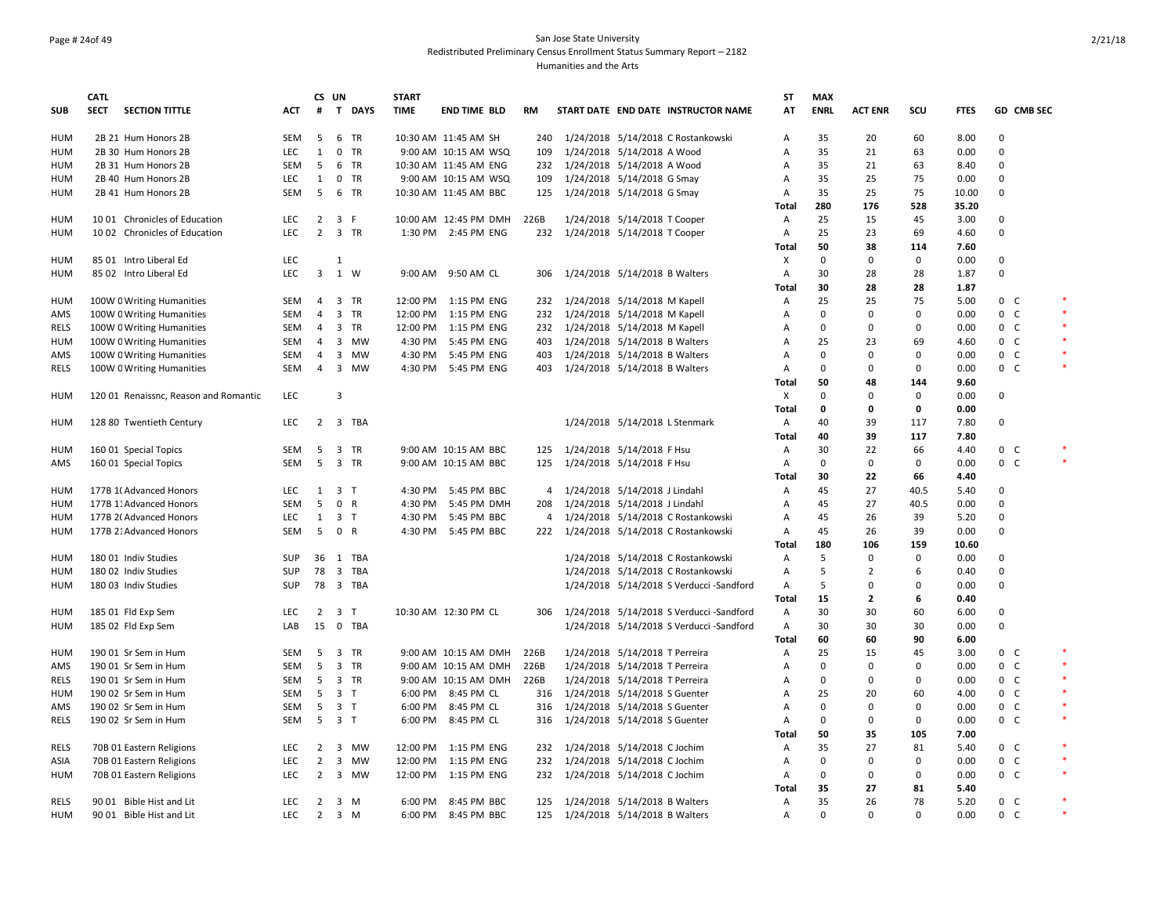### Page # 24of 49 San Jose State University Redistributed Preliminary Census Enrollment Status Summary Report – 2182 Humanities and the Arts

|             | <b>CATL</b>                           |            |                | CS UN                   |                | <b>START</b> |                       |           |                                |                                          | ST             | <b>MAX</b>  |                |             |             |                |            |                  |
|-------------|---------------------------------------|------------|----------------|-------------------------|----------------|--------------|-----------------------|-----------|--------------------------------|------------------------------------------|----------------|-------------|----------------|-------------|-------------|----------------|------------|------------------|
| <b>SUB</b>  | <b>SECT</b><br><b>SECTION TITTLE</b>  | <b>ACT</b> | #              |                         | T DAYS         | <b>TIME</b>  | <b>END TIME BLD</b>   | <b>RM</b> |                                | START DATE END DATE INSTRUCTOR NAME      | AT             | <b>ENRL</b> | <b>ACT ENR</b> | scu         | <b>FTES</b> |                | GD CMB SEC |                  |
| HUM         | 2B 21 Hum Honors 2B                   | <b>SEM</b> | 5              |                         | 6 TR           |              | 10:30 AM 11:45 AM SH  | 240       |                                | 1/24/2018 5/14/2018 C Rostankowski       | A              | 35          | 20             | 60          | 8.00        | $\Omega$       |            |                  |
| <b>HUM</b>  | 2B 30 Hum Honors 2B                   | <b>LEC</b> | $\mathbf{1}$   |                         | 0 TR           |              | 9:00 AM 10:15 AM WSQ  | 109       | 1/24/2018 5/14/2018 A Wood     |                                          | Α              | 35          | 21             | 63          | 0.00        | $\mathbf 0$    |            |                  |
| <b>HUM</b>  | 2B 31 Hum Honors 2B                   | <b>SEM</b> | 5              |                         | 6 TR           |              | 10:30 AM 11:45 AM ENG | 232       | 1/24/2018 5/14/2018 A Wood     |                                          | $\overline{A}$ | 35          | 21             | 63          | 8.40        | $\mathbf 0$    |            |                  |
| HUM         | 2B 40 Hum Honors 2B                   | LEC        | 1              |                         | 0 TR           |              | 9:00 AM 10:15 AM WSQ  | 109       | 1/24/2018 5/14/2018 G Smay     |                                          | Α              | 35          | 25             | 75          | 0.00        | 0              |            |                  |
| HUM         | 2B 41 Hum Honors 2B                   | <b>SEM</b> | 5              |                         | 6 TR           |              | 10:30 AM 11:45 AM BBC | 125       | 1/24/2018 5/14/2018 G Smay     |                                          | A              | 35          | 25             | 75          | 10.00       | $\mathbf 0$    |            |                  |
|             |                                       |            |                |                         |                |              |                       |           |                                |                                          | <b>Total</b>   | 280         | 176            | 528         | 35.20       |                |            |                  |
| <b>HUM</b>  | 10 01 Chronicles of Education         | <b>LEC</b> |                | $2 \quad 3 \quad F$     |                |              | 10:00 AM 12:45 PM DMH | 226B      | 1/24/2018 5/14/2018 T Cooper   |                                          | Α              | 25          | 15             | 45          | 3.00        | $\mathbf 0$    |            |                  |
| <b>HUM</b>  | 1002 Chronicles of Education          | LEC        | $\overline{2}$ |                         | 3 TR           |              | 1:30 PM 2:45 PM ENG   | 232       | 1/24/2018 5/14/2018 T Cooper   |                                          | Α              | 25          | 23             | 69          | 4.60        | $\mathbf 0$    |            |                  |
|             |                                       |            |                |                         |                |              |                       |           |                                |                                          | <b>Total</b>   | 50          | 38             | 114         | 7.60        |                |            |                  |
| <b>HUM</b>  | 85 01 Intro Liberal Ed                | LEC        |                | 1                       |                |              |                       |           |                                |                                          | Χ              | $\mathbf 0$ | 0              | 0           | 0.00        | $\mathbf 0$    |            |                  |
| <b>HUM</b>  | 85 02 Intro Liberal Ed                | <b>LEC</b> | 3              |                         | 1 W            | 9:00 AM      | 9:50 AM CL            | 306       | 1/24/2018 5/14/2018 B Walters  |                                          | A              | 30          | 28             | 28          | 1.87        | 0              |            |                  |
|             |                                       |            |                |                         |                |              |                       |           |                                |                                          | Total          | 30          | 28             | 28          | 1.87        |                |            |                  |
| <b>HUM</b>  | 100W C Writing Humanities             | <b>SEM</b> | $\overline{4}$ |                         | 3 TR           |              | 12:00 PM  1:15 PM ENG | 232       | 1/24/2018 5/14/2018 M Kapell   |                                          | Α              | 25          | 25             | 75          | 5.00        | $0\quad C$     |            | $\ast$           |
| AMS         | 100W C Writing Humanities             | SEM        | $\overline{4}$ |                         | 3 TR           | 12:00 PM     | 1:15 PM ENG           | 232       | 1/24/2018 5/14/2018 M Kapell   |                                          | Α              | $\mathbf 0$ | 0              | $\mathbf 0$ | 0.00        | $0-$           |            |                  |
| RELS        | 100W C Writing Humanities             | SEM        |                |                         | 4 3 TR         |              | 12:00 PM 1:15 PM ENG  | 232       | 1/24/2018 5/14/2018 M Kapell   |                                          | A              | 0           | 0              | $\Omega$    | 0.00        | 0 <sup>o</sup> |            |                  |
| <b>HUM</b>  | 100W C Writing Humanities             | <b>SEM</b> | $\overline{4}$ | $\overline{\mathbf{3}}$ | МW             | 4:30 PM      | 5:45 PM ENG           | 403       | 1/24/2018 5/14/2018 B Walters  |                                          | A              | 25          | 23             | 69          | 4.60        | $0-$           |            | $\ast$           |
| AMS         | 100W C Writing Humanities             | SEM        | $\overline{4}$ |                         | 3 MW           | 4:30 PM      | 5:45 PM ENG           | 403       | 1/24/2018 5/14/2018 B Walters  |                                          | Α              | $\mathbf 0$ | 0              | 0           | 0.00        | $0\quad C$     |            |                  |
| RELS        | 100W C Writing Humanities             | SEM        | $\overline{4}$ |                         | 3 MW           | 4:30 PM      | 5:45 PM ENG           | 403       | 1/24/2018 5/14/2018 B Walters  |                                          | Α              | 0           | 0              | $\Omega$    | 0.00        | 0 <sup>o</sup> |            |                  |
|             |                                       |            |                |                         |                |              |                       |           |                                |                                          | <b>Total</b>   | 50          | 48             | 144         | 9.60        |                |            |                  |
| <b>HUM</b>  | 120 01 Renaissnc, Reason and Romantic | LEC        |                | 3                       |                |              |                       |           |                                |                                          | X              | $\mathbf 0$ | $\Omega$       | $\mathbf 0$ | 0.00        | $\Omega$       |            |                  |
|             |                                       |            |                |                         |                |              |                       |           |                                |                                          | Total          | $\mathbf 0$ | $\mathbf 0$    | $\mathbf 0$ | 0.00        |                |            |                  |
| <b>HUM</b>  | 128 80 Twentieth Century              | <b>LEC</b> | $\overline{2}$ |                         | 3 TBA          |              |                       |           | 1/24/2018 5/14/2018 L Stenmark |                                          | Α              | 40          | 39             | 117         | 7.80        | 0              |            |                  |
|             |                                       |            |                |                         |                |              |                       |           |                                |                                          | <b>Total</b>   | 40          | 39             | 117         | 7.80        |                |            |                  |
| HUM         | 160 01 Special Topics                 | SEM        | 5              |                         | 3 TR           |              | 9:00 AM 10:15 AM BBC  | 125       | 1/24/2018 5/14/2018 F Hsu      |                                          | Α              | 30          | 22             | 66          | 4.40        | $0-$           |            |                  |
| AMS         | 160 01 Special Topics                 | <b>SEM</b> | 5              |                         | 3 TR           |              | 9:00 AM 10:15 AM BBC  | 125       | 1/24/2018 5/14/2018 F Hsu      |                                          | Α              | 0           | 0              | 0           | 0.00        | $0\quad C$     |            |                  |
|             |                                       |            |                |                         |                |              |                       |           |                                |                                          | Total          | 30          | 22             | 66          | 4.40        |                |            |                  |
| <b>HUM</b>  | 177B 1(Advanced Honors                | LEC        | 1              |                         | 3 <sub>T</sub> | 4:30 PM      | 5:45 PM BBC           | 4         | 1/24/2018 5/14/2018 J Lindahl  |                                          | Α              | 45          | 27             | 40.5        | 5.40        | 0              |            |                  |
| HUM         | 177B 11 Advanced Honors               | <b>SEM</b> | 5              |                         | 0 R            | 4:30 PM      | 5:45 PM DMH           | 208       | 1/24/2018 5/14/2018 J Lindahl  |                                          | Α              | 45          | 27             | 40.5        | 0.00        | $\mathbf 0$    |            |                  |
| <b>HUM</b>  | 177B 2( Advanced Honors               | <b>LEC</b> | $\mathbf{1}$   |                         | 3 <sub>T</sub> | 4:30 PM      | 5:45 PM BBC           | 4         |                                | 1/24/2018 5/14/2018 C Rostankowski       | Α              | 45          | 26             | 39          | 5.20        | $\mathbf 0$    |            |                  |
| <b>HUM</b>  | 177B 21 Advanced Honors               | <b>SEM</b> | 5              | 0 R                     |                |              | 4:30 PM 5:45 PM BBC   | 222       |                                | 1/24/2018 5/14/2018 C Rostankowski       | A              | 45          | 26             | 39          | 0.00        | $\mathbf 0$    |            |                  |
|             |                                       |            |                |                         |                |              |                       |           |                                |                                          | Total          | 180         | 106            | 159         | 10.60       |                |            |                  |
| HUM         | 180 01 Indiv Studies                  | SUP        |                |                         | 36 1 TBA       |              |                       |           |                                | 1/24/2018 5/14/2018 C Rostankowski       | Α              | 5           | 0              | $\Omega$    | 0.00        | $\mathbf 0$    |            |                  |
| HUM         | 180 02 Indiv Studies                  | <b>SUP</b> |                |                         | 78 3 TBA       |              |                       |           |                                | 1/24/2018 5/14/2018 C Rostankowski       | Α              | 5           | $\overline{2}$ | 6           | 0.40        | $\mathbf 0$    |            |                  |
| <b>HUM</b>  | 180 03 Indiv Studies                  | <b>SUP</b> |                |                         | 78 3 TBA       |              |                       |           |                                | 1/24/2018 5/14/2018 S Verducci -Sandford | Α              | 5           | $\Omega$       | $\Omega$    | 0.00        | $\mathbf 0$    |            |                  |
|             |                                       |            |                |                         |                |              |                       |           |                                |                                          | <b>Total</b>   | 15          | $\overline{2}$ | 6           | 0.40        |                |            |                  |
| <b>HUM</b>  |                                       | LEC        |                | $2 \quad 3 \quad T$     |                |              | 10:30 AM 12:30 PM CL  | 306       |                                | 1/24/2018 5/14/2018 S Verducci -Sandford | Α              | 30          | 30             | 60          | 6.00        | 0              |            |                  |
|             | 185 01 Fld Exp Sem                    |            |                |                         | 15 0 TBA       |              |                       |           |                                |                                          |                |             |                | 30          | 0.00        | $\mathbf 0$    |            |                  |
| <b>HUM</b>  | 185 02 Fld Exp Sem                    | LAB        |                |                         |                |              |                       |           |                                | 1/24/2018 5/14/2018 S Verducci -Sandford | Α              | 30          | 30             |             |             |                |            |                  |
|             |                                       | <b>SEM</b> |                |                         | 5 3 TR         |              |                       | 226B      |                                |                                          | Total          | 60          | 60<br>15       | 90          | 6.00        |                |            |                  |
| <b>HUM</b>  | 190 01 Sr Sem in Hum                  |            |                |                         |                |              | 9:00 AM 10:15 AM DMH  |           | 1/24/2018 5/14/2018 T Perreira |                                          | Α              | 25          | $\Omega$       | 45          | 3.00        | 0 <sup>o</sup> |            | $\ast$           |
| AMS         | 190 01 Sr Sem in Hum                  | <b>SEM</b> | 5              |                         | 3 TR           |              | 9:00 AM 10:15 AM DMH  | 226B      | 1/24/2018 5/14/2018 T Perreira |                                          | A              | $\mathbf 0$ |                | $\Omega$    | 0.00        | 0 C            |            | $\ast$           |
| <b>RELS</b> | 190 01 Sr Sem in Hum                  | SEM        | 5              |                         | 3 TR           |              | 9:00 AM 10:15 AM DMH  | 226B      | 1/24/2018 5/14/2018 T Perreira |                                          | Α              | $\mathbf 0$ | $\mathbf 0$    | $\mathbf 0$ | 0.00        | 0 C            |            | $\ast$           |
| HUM         | 190 02 Sr Sem in Hum                  | SEM        | 5              | 3 T                     |                | 6:00 PM      | 8:45 PM CL            | 316       | 1/24/2018 5/14/2018 S Guenter  |                                          | Α              | 25          | 20             | 60          | 4.00        | 0 <sup>o</sup> |            | $\ast$           |
| AMS         | 190 02 Sr Sem in Hum                  | <b>SEM</b> | 5              | 3 T                     |                |              | 6:00 PM 8:45 PM CL    | 316       | 1/24/2018 5/14/2018 S Guenter  |                                          | Α              | $\Omega$    | $\Omega$       | $\Omega$    | 0.00        | $0-$           |            | $\ast$           |
| <b>RELS</b> | 190 02 Sr Sem in Hum                  | SEM        |                | 5 3 T                   |                |              | 6:00 PM 8:45 PM CL    | 316       | 1/24/2018 5/14/2018 S Guenter  |                                          | Α              | $\mathbf 0$ | $\mathbf 0$    | $\mathbf 0$ | 0.00        | 0 <sup>o</sup> |            |                  |
|             |                                       |            |                |                         |                |              |                       |           |                                |                                          | Total          | 50          | 35             | 105         | 7.00        |                |            |                  |
| <b>RELS</b> | 70B 01 Eastern Religions              | <b>LEC</b> |                |                         | 2 3 MW         |              | 12:00 PM 1:15 PM ENG  | 232       | 1/24/2018 5/14/2018 C Jochim   |                                          | A              | 35          | 27             | 81          | 5.40        | 0 <sup>o</sup> |            | $\ast$           |
| ASIA        | 70B 01 Eastern Religions              | LEC        | $\overline{2}$ |                         | 3 MW           |              | 12:00 PM 1:15 PM ENG  | 232       | 1/24/2018 5/14/2018 C Jochim   |                                          | Α              | $\Omega$    | $\Omega$       | 0           | 0.00        | 0 C            |            | $\ast$<br>$\ast$ |
| HUM         | 70B 01 Eastern Religions              | LEC        | $\overline{2}$ | 3                       | MW             | 12:00 PM     | 1:15 PM ENG           | 232       | 1/24/2018 5/14/2018 C Jochim   |                                          | Α              | $\mathbf 0$ | 0              | $\Omega$    | 0.00        | $0\quad C$     |            |                  |
|             |                                       |            |                |                         |                |              |                       |           |                                |                                          | Total          | 35          | 27             | 81          | 5.40        |                |            |                  |
| <b>RELS</b> | 90 01 Bible Hist and Lit              | <b>LEC</b> | $\overline{2}$ |                         | 3 M            | 6:00 PM      | 8:45 PM BBC           | 125       | 1/24/2018 5/14/2018 B Walters  |                                          | A              | 35          | 26             | 78          | 5.20        | $0\quad C$     |            | $\ast$           |
| <b>HUM</b>  | 90 01 Bible Hist and Lit              | LEC        |                | $2 \quad 3 \quad M$     |                | 6:00 PM      | 8:45 PM BBC           | 125       | 1/24/2018 5/14/2018 B Walters  |                                          | Α              | $\Omega$    | $\Omega$       | $\Omega$    | 0.00        | $0-$           |            | $\ast$           |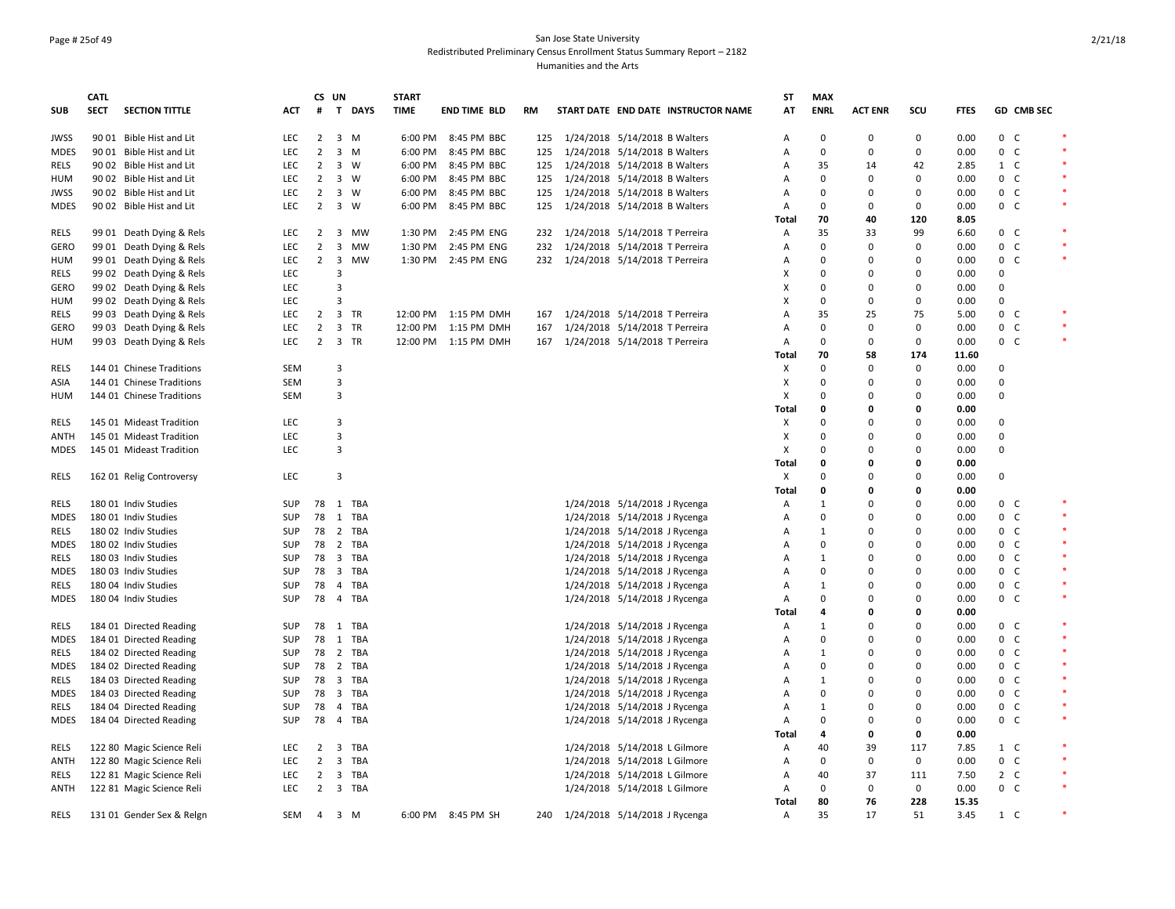### Page # 25of 49 San Jose State University Redistributed Preliminary Census Enrollment Status Summary Report – 2182 Humanities and the Arts

|             | CATL        |                           |            | CS UN          |                         |          | <b>START</b> |                      |     |                                     | ST           | <b>MAX</b>   |                |             |             |                |            |        |
|-------------|-------------|---------------------------|------------|----------------|-------------------------|----------|--------------|----------------------|-----|-------------------------------------|--------------|--------------|----------------|-------------|-------------|----------------|------------|--------|
| <b>SUB</b>  | <b>SECT</b> | <b>SECTION TITTLE</b>     | ACT        | #              |                         | T DAYS   | <b>TIME</b>  | END TIME BLD         | RM  | START DATE END DATE INSTRUCTOR NAME | AT           | <b>ENRL</b>  | <b>ACT ENR</b> | SCU         | <b>FTES</b> |                | GD CMB SEC |        |
|             |             |                           |            |                |                         |          |              |                      |     |                                     |              |              |                |             |             |                |            |        |
| <b>JWSS</b> |             | 90 01 Bible Hist and Lit  | LEC        | $\overline{2}$ |                         | 3 M      | 6:00 PM      | 8:45 PM BBC          |     | 125 1/24/2018 5/14/2018 B Walters   | Α            | 0            | 0              | 0           | 0.00        | 0 <sub>c</sub> |            |        |
| <b>MDES</b> |             | 90 01 Bible Hist and Lit  | <b>LEC</b> | $\overline{2}$ |                         | 3 M      | 6:00 PM      | 8:45 PM BBC          | 125 | 1/24/2018 5/14/2018 B Walters       | A            | 0            | 0              | 0           | 0.00        | 0 <sup>o</sup> |            | $\ast$ |
| RELS        |             | 90 02 Bible Hist and Lit  | LEC        | $\overline{2}$ |                         | 3 W      | 6:00 PM      | 8:45 PM BBC          | 125 | 1/24/2018 5/14/2018 B Walters       | Α            | 35           | 14             | 42          | 2.85        | 1 C            |            |        |
| <b>HUM</b>  |             | 90 02 Bible Hist and Lit  | LEC        | $\overline{2}$ | 3 W                     |          | 6:00 PM      | 8:45 PM BBC          | 125 | 1/24/2018 5/14/2018 B Walters       | Α            | 0            | 0              | 0           | 0.00        | $0-$           |            |        |
| <b>JWSS</b> |             | 90 02 Bible Hist and Lit  | LEC        | $\overline{2}$ |                         | 3 W      | 6:00 PM      | 8:45 PM BBC          | 125 | 1/24/2018 5/14/2018 B Walters       | A            | 0            | $\Omega$       | $\Omega$    | 0.00        | 0 <sup>o</sup> |            |        |
| MDES        |             | 90 02 Bible Hist and Lit  | <b>LEC</b> | $\overline{2}$ | 3 W                     |          | 6:00 PM      | 8:45 PM BBC          | 125 | 1/24/2018 5/14/2018 B Walters       | Α            | 0            | 0              | 0           | 0.00        | 0 <sup>o</sup> |            | $\ast$ |
|             |             |                           |            |                |                         |          |              |                      |     |                                     | Total        | 70           | 40             | 120         | 8.05        |                |            |        |
| <b>RELS</b> |             | 99 01 Death Dying & Rels  | LEC        | $\overline{2}$ | $\overline{\mathbf{3}}$ | MW       | 1:30 PM      | 2:45 PM ENG          | 232 | 1/24/2018 5/14/2018 T Perreira      | Α            | 35           | 33             | 99          | 6.60        | $0-$           |            |        |
| GERO        |             | 99 01 Death Dying & Rels  | LEC        | $\overline{2}$ | 3                       | MW       | 1:30 PM      | 2:45 PM ENG          | 232 | 1/24/2018 5/14/2018 T Perreira      | Α            | 0            | 0              | 0           | 0.00        | $0-$           |            |        |
| <b>HUM</b>  |             | 99 01 Death Dying & Rels  | <b>LEC</b> |                | $2 \quad 3$             | MW       |              | 1:30 PM 2:45 PM ENG  |     | 232 1/24/2018 5/14/2018 T Perreira  | A            | 0            | 0              | $\Omega$    | 0.00        | 0 <sub>c</sub> |            |        |
| RELS        |             | 99 02 Death Dying & Rels  | <b>LEC</b> |                | 3                       |          |              |                      |     |                                     | х            | 0            | $\Omega$       | 0           | 0.00        | 0              |            |        |
| GERO        |             | 99 02 Death Dying & Rels  | LEC        |                | 3                       |          |              |                      |     |                                     | X            | 0            | 0              | 0           | 0.00        | 0              |            |        |
| HUM         |             | 99 02 Death Dying & Rels  | <b>LEC</b> |                | 3                       |          |              |                      |     |                                     | X            | 0            | $\Omega$       | $\Omega$    | 0.00        | 0              |            |        |
| RELS        |             | 99 03 Death Dying & Rels  | LEC        |                |                         | 2 3 TR   |              | 12:00 PM 1:15 PM DMH | 167 | 1/24/2018 5/14/2018 T Perreira      | A            | 35           | 25             | 75          | 5.00        | 0 C            |            |        |
| <b>GERO</b> |             |                           | <b>LEC</b> | $\overline{2}$ |                         | 3 TR     |              | 12:00 PM 1:15 PM DMH | 167 |                                     | A            | 0            | 0              | 0           | 0.00        | $0-$           |            |        |
|             |             | 99 03 Death Dying & Rels  |            |                |                         |          |              |                      |     | 1/24/2018 5/14/2018 T Perreira      |              |              |                |             |             |                |            |        |
| HUM         |             | 99 03 Death Dying & Rels  | <b>LEC</b> | $\overline{2}$ |                         | 3 TR     |              | 12:00 PM 1:15 PM DMH | 167 | 1/24/2018 5/14/2018 T Perreira      | Α            | 0            | 0              | 0           | 0.00        | 0 <sub>c</sub> |            |        |
|             |             |                           |            |                |                         |          |              |                      |     |                                     | Total        | 70           | 58             | 174         | 11.60       |                |            |        |
| <b>RELS</b> |             | 144 01 Chinese Traditions | SEM        |                | 3                       |          |              |                      |     |                                     | х            | $\Omega$     | $\Omega$       | 0           | 0.00        | 0              |            |        |
| ASIA        |             | 144 01 Chinese Traditions | <b>SEM</b> |                | 3                       |          |              |                      |     |                                     | X            | 0            | $\Omega$       | $\Omega$    | 0.00        | $\mathbf 0$    |            |        |
| HUM         |             | 144 01 Chinese Traditions | SEM        |                | 3                       |          |              |                      |     |                                     | X            | 0            | $\Omega$       | $\Omega$    | 0.00        | 0              |            |        |
|             |             |                           |            |                |                         |          |              |                      |     |                                     | <b>Total</b> | 0            | 0              | ٥           | 0.00        |                |            |        |
| RELS        |             | 145 01 Mideast Tradition  | LEC        |                | 3                       |          |              |                      |     |                                     | X            | 0            | $\Omega$       | 0           | 0.00        | $\mathbf 0$    |            |        |
| ANTH        |             | 145 01 Mideast Tradition  | LEC        |                | 3                       |          |              |                      |     |                                     | х            | 0            | $\Omega$       | 0           | 0.00        | 0              |            |        |
| MDES        |             | 145 01 Mideast Tradition  | <b>LEC</b> |                | 3                       |          |              |                      |     |                                     | X            | 0            | $\Omega$       | 0           | 0.00        | $\mathbf 0$    |            |        |
|             |             |                           |            |                |                         |          |              |                      |     |                                     | <b>Total</b> | 0            | $\Omega$       | O           | 0.00        |                |            |        |
| RELS        |             | 162 01 Relig Controversy  | LEC        |                | 3                       |          |              |                      |     |                                     | Χ            | 0            | $\Omega$       | 0           | 0.00        | 0              |            |        |
|             |             |                           |            |                |                         |          |              |                      |     |                                     | Total        | 0            | 0              | ٥           | 0.00        |                |            |        |
| RELS        |             | 180 01 Indiv Studies      | SUP        |                |                         | 78 1 TBA |              |                      |     | 1/24/2018 5/14/2018 J Rycenga       | Α            | $\mathbf{1}$ | $\Omega$       | $\Omega$    | 0.00        | $0-$           |            |        |
| MDES        |             | 180 01 Indiv Studies      | SUP        |                |                         | 78 1 TBA |              |                      |     | 1/24/2018 5/14/2018 J Rycenga       | Α            | 0            | $\Omega$       | O           | 0.00        | $0-$           |            | $\ast$ |
| RELS        |             | 180 02 Indiv Studies      | SUP        |                |                         | 78 2 TBA |              |                      |     | 1/24/2018 5/14/2018 J Rycenga       | Α            | $\mathbf{1}$ | $\Omega$       | $\Omega$    | 0.00        | 0 <sub>c</sub> |            |        |
| MDES        |             | 180 02 Indiv Studies      | SUP        |                |                         | 78 2 TBA |              |                      |     | 1/24/2018 5/14/2018 J Rycenga       | A            | 0            | $\Omega$       | O           | 0.00        | 0 <sup>o</sup> |            |        |
| RELS        |             | 180 03 Indiv Studies      | <b>SUP</b> |                |                         | 78 3 TBA |              |                      |     | 1/24/2018 5/14/2018 J Rycenga       | Α            | 1            | $\Omega$       | $\Omega$    | 0.00        | 0 C            |            |        |
|             |             |                           | SUP        |                |                         | 78 3 TBA |              |                      |     |                                     |              | 0            | 0              | 0           | 0.00        | 0 <sup>o</sup> |            |        |
| MDES        |             | 180 03 Indiv Studies      |            |                |                         |          |              |                      |     | 1/24/2018 5/14/2018 J Rycenga       | A            |              |                |             |             |                |            |        |
| RELS        |             | 180 04 Indiv Studies      | SUP        |                |                         | 78 4 TBA |              |                      |     | 1/24/2018 5/14/2018 J Rycenga       | A            | $\mathbf{1}$ | $\Omega$       | 0           | 0.00        | 0 <sup>o</sup> |            | $\ast$ |
| <b>MDES</b> |             | 180 04 Indiv Studies      | <b>SUP</b> |                |                         | 78 4 TBA |              |                      |     | 1/24/2018 5/14/2018 J Rycenga       | Α            | 0            | $\Omega$       | O           | 0.00        | 0 <sup>o</sup> |            |        |
|             |             |                           |            |                |                         |          |              |                      |     |                                     | Total        | 4            | 0              | 0           | 0.00        |                |            |        |
| RELS        |             | 184 01 Directed Reading   | SUP        |                |                         | 78 1 TBA |              |                      |     | 1/24/2018 5/14/2018 J Rycenga       | Α            | 1            | 0              | 0           | 0.00        | 0 <sup>o</sup> |            |        |
| <b>MDES</b> |             | 184 01 Directed Reading   | SUP        |                |                         | 78 1 TBA |              |                      |     | 1/24/2018 5/14/2018 J Rycenga       | Α            | 0            | $\Omega$       | 0           | 0.00        | $0-$           |            |        |
| RELS        |             | 184 02 Directed Reading   | <b>SUP</b> |                |                         | 78 2 TBA |              |                      |     | 1/24/2018 5/14/2018 J Rycenga       | A            | 1            | $\Omega$       | $\Omega$    | 0.00        | 0 <sup>o</sup> |            |        |
| MDES        |             | 184 02 Directed Reading   | SUP        |                |                         | 78 2 TBA |              |                      |     | 1/24/2018 5/14/2018 J Rycenga       | Α            | 0            | $\Omega$       | O           | 0.00        | $0-$           |            |        |
| RELS        |             | 184 03 Directed Reading   | SUP        |                |                         | 78 3 TBA |              |                      |     | 1/24/2018 5/14/2018 J Rycenga       | Α            | $\mathbf{1}$ | 0              | $\Omega$    | 0.00        | 0 <sup>o</sup> |            |        |
| MDES        |             | 184 03 Directed Reading   | SUP        |                |                         | 78 3 TBA |              |                      |     | 1/24/2018 5/14/2018 J Rycenga       | A            | 0            | $\Omega$       | $\Omega$    | 0.00        | 0 <sup>o</sup> |            |        |
| RELS        |             | 184 04 Directed Reading   | <b>SUP</b> |                |                         | 78 4 TBA |              |                      |     | 1/24/2018 5/14/2018 J Rycenga       | Α            | $\mathbf{1}$ | $\Omega$       | $\Omega$    | 0.00        | 0 <sup>o</sup> |            |        |
| MDES        |             | 184 04 Directed Reading   | SUP        |                |                         | 78 4 TBA |              |                      |     | 1/24/2018 5/14/2018 J Rycenga       | Α            | 0            | 0              | 0           | 0.00        | $0\quad C$     |            |        |
|             |             |                           |            |                |                         |          |              |                      |     |                                     | Total        | 4            | 0              | 0           | 0.00        |                |            |        |
| RELS        |             | 122 80 Magic Science Reli | <b>LEC</b> | 2              |                         | 3 TBA    |              |                      |     | 1/24/2018 5/14/2018 L Gilmore       | Α            | 40           | 39             | 117         | 7.85        | 1 C            |            |        |
| <b>ANTH</b> |             | 122 80 Magic Science Reli | LEC        |                |                         | 2 3 TBA  |              |                      |     | 1/24/2018 5/14/2018 L Gilmore       | Α            | $\Omega$     | $\mathbf 0$    | $\mathbf 0$ | 0.00        | $0-$           |            | $\ast$ |
| RELS        |             | 122 81 Magic Science Reli | LEC        | 2              |                         | 3 TBA    |              |                      |     | 1/24/2018 5/14/2018 L Gilmore       | Α            | 40           | 37             | 111         | 7.50        | $2\degree$ C   |            |        |
| ANTH        |             | 122 81 Magic Science Reli | <b>LEC</b> |                |                         | 2 3 TBA  |              |                      |     | 1/24/2018 5/14/2018 L Gilmore       | Α            | 0            | 0              | 0           | 0.00        | 0 <sup>o</sup> |            |        |
|             |             |                           |            |                |                         |          |              |                      |     |                                     | <b>Total</b> | 80           | 76             | 228         | 15.35       |                |            |        |
|             |             |                           |            |                |                         |          |              |                      |     |                                     |              |              | 17             |             |             |                |            | $\ast$ |
| <b>RELS</b> |             | 131 01 Gender Sex & Relgn | SEM        |                | 4 3 M                   |          |              | 6:00 PM 8:45 PM SH   |     | 240 1/24/2018 5/14/2018 J Rycenga   | Α            | 35           |                | 51          | 3.45        | 1 C            |            |        |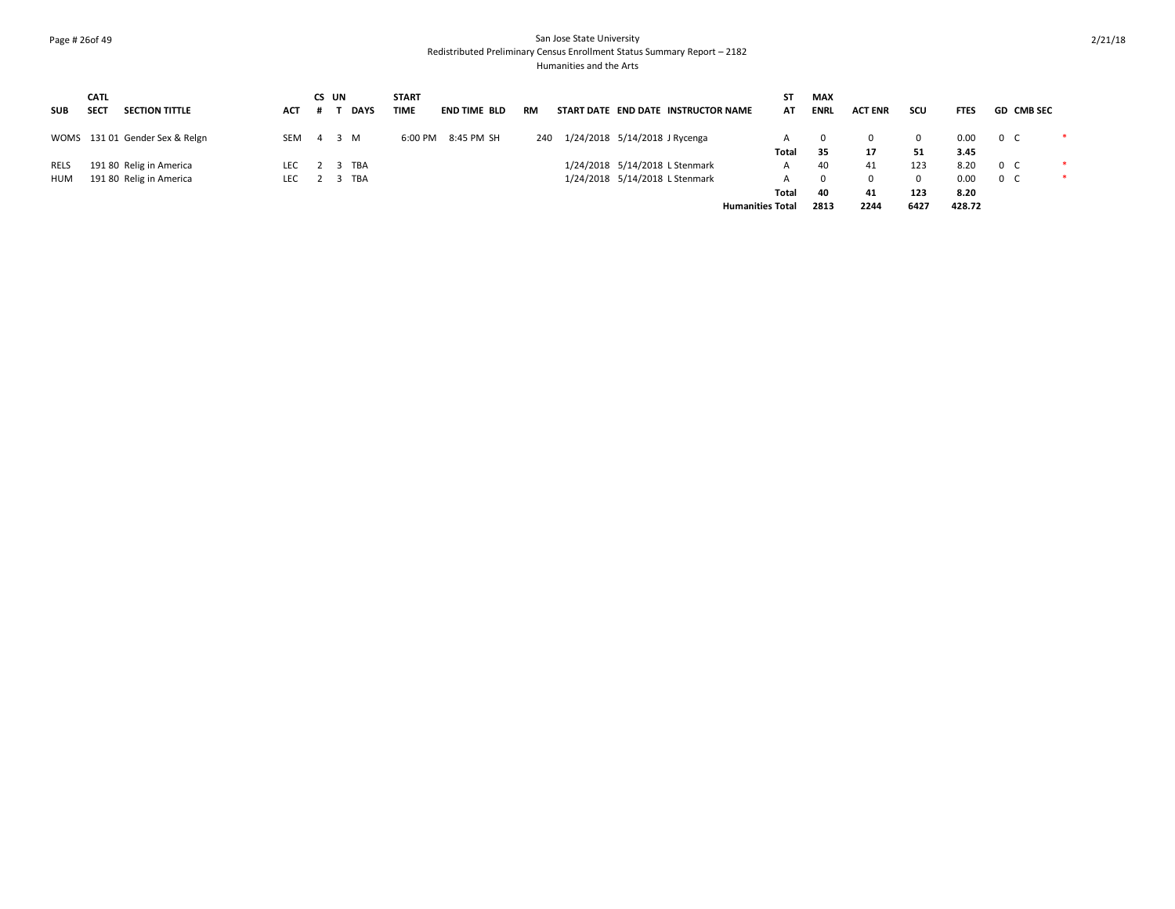### Page # 26of 49 San Jose State University Redistributed Preliminary Census Enrollment Status Summary Report – 2182 Humanities and the Arts

|             | <b>CATL</b> |                                |            | CS UN |             | <b>START</b> |                     |           |                                     | <b>ST</b>               | MAX         |                |      |             |                |                   |   |
|-------------|-------------|--------------------------------|------------|-------|-------------|--------------|---------------------|-----------|-------------------------------------|-------------------------|-------------|----------------|------|-------------|----------------|-------------------|---|
| <b>SUB</b>  | <b>SECT</b> | <b>SECTION TITTLE</b>          | <b>ACT</b> |       | <b>DAYS</b> | <b>TIME</b>  | <b>END TIME BLD</b> | <b>RM</b> | START DATE END DATE INSTRUCTOR NAME | AT                      | <b>ENRL</b> | <b>ACT ENR</b> | SCU  | <b>FTES</b> |                | <b>GD CMB SEC</b> |   |
|             |             | WOMS 131 01 Gender Sex & Relgn | <b>SEM</b> |       | 3 M         |              | 6:00 PM 8:45 PM SH  |           | 240 1/24/2018 5/14/2018 J Rycenga   |                         |             | 0              | 0    | 0.00        |                | 0 <sup>o</sup>    |   |
|             |             |                                |            |       |             |              |                     |           |                                     | Total                   | -35         | 17             | 51   | 3.45        |                |                   |   |
| <b>RELS</b> |             | 191 80 Relig in America        | LEC        |       | 3 TBA       |              |                     |           | 1/24/2018 5/14/2018 L Stenmark      |                         | 40          | 41             | 123  | 8.20        | $0\quad C$     |                   |   |
| HUM         |             | 191 80 Relig in America        | <b>LEC</b> |       | TBA         |              |                     |           | 1/24/2018 5/14/2018 L Stenmark      |                         |             | 0              | 0    | 0.00        | 0 <sup>o</sup> |                   | ∗ |
|             |             |                                |            |       |             |              |                     |           |                                     | Total                   | 40          | 41             | 123  | 8.20        |                |                   |   |
|             |             |                                |            |       |             |              |                     |           |                                     | <b>Humanities Total</b> | 2813        | 2244           | 6427 | 428.72      |                |                   |   |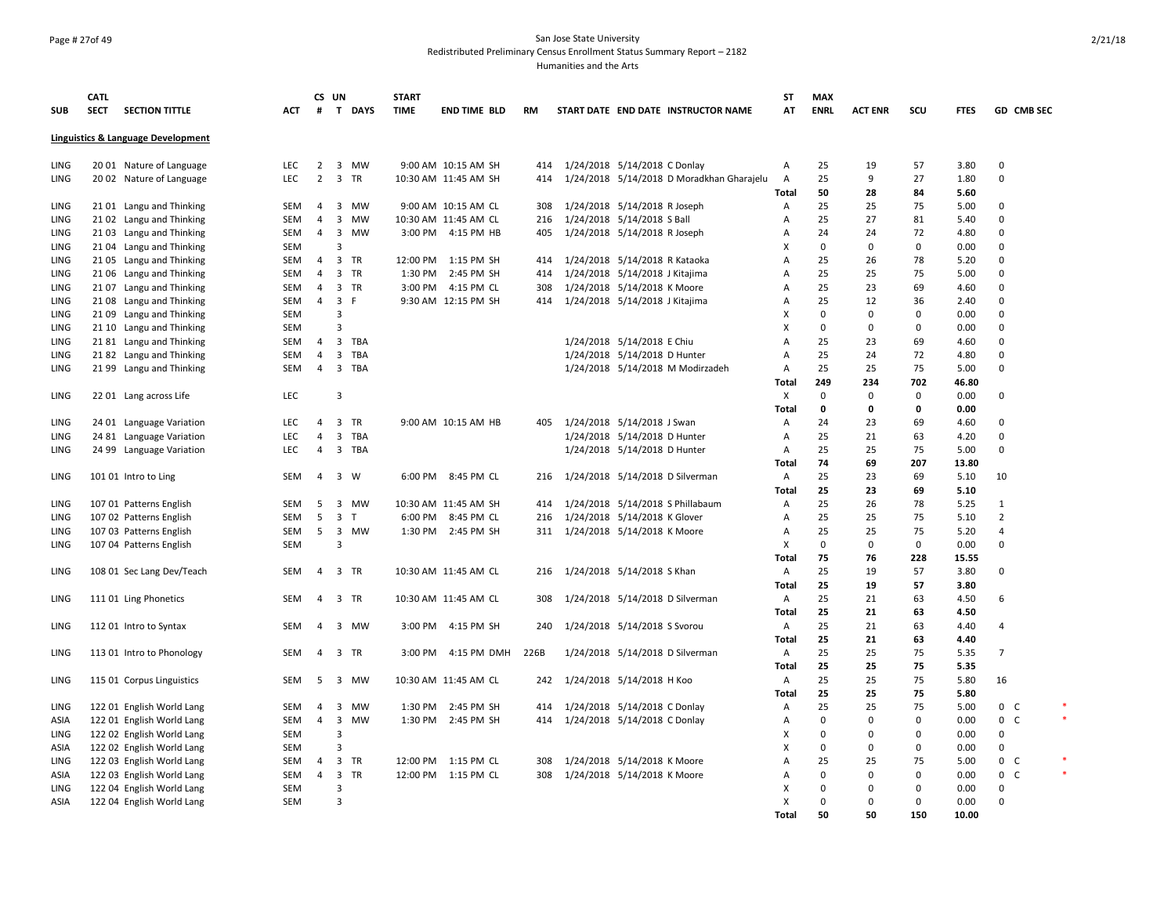# Page # 27of 49 San Jose State University Redistributed Preliminary Census Enrollment Status Summary Report – 2182 Humanities and the Arts

|            | <b>CATL</b> |                                               |            | CS UN          |                         |              | <b>START</b> |                      |           |                                 |                                |                                           | ST                        | <b>MAX</b>  |                |             |             |                |  |
|------------|-------------|-----------------------------------------------|------------|----------------|-------------------------|--------------|--------------|----------------------|-----------|---------------------------------|--------------------------------|-------------------------------------------|---------------------------|-------------|----------------|-------------|-------------|----------------|--|
| <b>SUB</b> | <b>SECT</b> | <b>SECTION TITTLE</b>                         | <b>ACT</b> | #              |                         | T DAYS       | <b>TIME</b>  | <b>END TIME BLD</b>  | <b>RM</b> |                                 |                                | START DATE END DATE INSTRUCTOR NAME       | AT                        | <b>ENRL</b> | <b>ACT ENR</b> | SCU         | <b>FTES</b> | GD CMB SEC     |  |
|            |             |                                               |            |                |                         |              |              |                      |           |                                 |                                |                                           |                           |             |                |             |             |                |  |
|            |             | <b>Linguistics &amp; Language Development</b> |            |                |                         |              |              |                      |           |                                 |                                |                                           |                           |             |                |             |             |                |  |
| LING       |             | 20 01 Nature of Language                      | <b>LEC</b> | $\overline{2}$ |                         | 3 MW         |              | 9:00 AM 10:15 AM SH  | 414       | 1/24/2018 5/14/2018 C Donlay    |                                |                                           | Α                         | 25          | 19             | 57          | 3.80        | 0              |  |
| LING       |             | 20 02 Nature of Language                      | <b>LEC</b> | $\overline{2}$ |                         | 3 TR         |              | 10:30 AM 11:45 AM SH | 414       |                                 |                                | 1/24/2018 5/14/2018 D Moradkhan Gharajelu | Α                         | 25          | 9              | 27          | 1.80        | 0              |  |
|            |             |                                               |            |                |                         |              |              |                      |           |                                 |                                |                                           | Total                     | 50          | 28             | 84          | 5.60        |                |  |
| LING       |             | 21 01 Langu and Thinking                      | <b>SEM</b> | $\overline{4}$ |                         | 3 MW         |              | 9:00 AM 10:15 AM CL  | 308       |                                 | 1/24/2018 5/14/2018 R Joseph   |                                           | Α                         | 25          | 25             | 75          | 5.00        | 0              |  |
| LING       |             | 21 02 Langu and Thinking                      | SEM        | 4              | $\overline{\mathbf{3}}$ | МW           |              | 10:30 AM 11:45 AM CL | 216       |                                 | 1/24/2018 5/14/2018 S Ball     |                                           | Α                         | 25          | 27             | 81          | 5.40        | 0              |  |
| LING       |             | 21 03 Langu and Thinking                      | SEM        | $\overline{4}$ | $\overline{\mathbf{3}}$ | MW           |              | 3:00 PM 4:15 PM HB   | 405       |                                 | 1/24/2018 5/14/2018 R Joseph   |                                           | $\mathsf{A}$              | 24          | 24             | 72          | 4.80        | 0              |  |
| LING       |             | 21 04 Langu and Thinking                      | <b>SEM</b> |                | 3                       |              |              |                      |           |                                 |                                |                                           | X                         | 0           | $\mathbf 0$    | $\mathbf 0$ | 0.00        | 0              |  |
| LING       |             | 21 05 Langu and Thinking                      | SEM        | $\overline{4}$ |                         | 3 TR         |              | 12:00 PM 1:15 PM SH  | 414       |                                 | 1/24/2018 5/14/2018 R Kataoka  |                                           | Α                         | 25          | 26             | 78          | 5.20        | 0              |  |
| LING       |             | 21 06 Langu and Thinking                      | SEM        | 4              |                         | 3 TR         | 1:30 PM      | 2:45 PM SH           | 414       |                                 | 1/24/2018 5/14/2018 J Kitajima |                                           | Α                         | 25          | 25             | 75          | 5.00        | 0              |  |
| LING       |             | 21 07 Langu and Thinking                      | SEM        | $\overline{4}$ |                         | 3 TR         |              | 3:00 PM 4:15 PM CL   | 308       |                                 | 1/24/2018 5/14/2018 K Moore    |                                           | A                         | 25          | 23             | 69          | 4.60        | 0              |  |
| LING       |             | 21 08 Langu and Thinking                      | <b>SEM</b> | $\overline{4}$ | 3 F                     |              |              | 9:30 AM 12:15 PM SH  | 414       |                                 | 1/24/2018 5/14/2018 J Kitajima |                                           | A                         | 25          | 12             | 36          | 2.40        | $\mathbf 0$    |  |
| LING       |             | 21 09 Langu and Thinking                      | <b>SEM</b> |                | 3                       |              |              |                      |           |                                 |                                |                                           | X                         | 0           | 0              | $\mathbf 0$ | 0.00        | 0              |  |
| LING       |             | 21 10 Langu and Thinking                      | SEM        |                | $\overline{3}$          |              |              |                      |           |                                 |                                |                                           | х                         | 0           | $\mathbf 0$    | $\mathbf 0$ | 0.00        | 0              |  |
| LING       |             | 21 81 Langu and Thinking                      | SEM        | $\overline{4}$ | $\overline{3}$          | TBA          |              |                      |           |                                 | 1/24/2018 5/14/2018 E Chiu     |                                           | A                         | 25          | 23             | 69          | 4.60        | $\mathbf 0$    |  |
| LING       |             | 21 82 Langu and Thinking                      | <b>SEM</b> | $\overline{4}$ |                         | 3 TBA        |              |                      |           |                                 | 1/24/2018 5/14/2018 D Hunter   |                                           | A                         | 25          | 24             | 72          | 4.80        | $\mathbf 0$    |  |
| LING       |             | 21 99 Langu and Thinking                      | SEM        | $\overline{4}$ |                         | 3 TBA        |              |                      |           |                                 |                                | 1/24/2018 5/14/2018 M Modirzadeh          | A                         | 25          | 25             | 75          | 5.00        | 0              |  |
|            |             |                                               |            |                |                         |              |              |                      |           |                                 |                                |                                           | Total                     | 249         | 234            | 702         | 46.80       |                |  |
| LING       |             | 22 01 Lang across Life                        | <b>LEC</b> |                | $\overline{3}$          |              |              |                      |           |                                 |                                |                                           | X                         | $\Omega$    | 0              | $\Omega$    | 0.00        | $\mathbf 0$    |  |
|            |             |                                               |            |                |                         |              |              |                      |           |                                 |                                |                                           | Total                     | 0           | 0              | 0           | 0.00        |                |  |
| LING       |             | 24 01 Language Variation                      | LEC        | $\overline{4}$ |                         | 3 TR         |              | 9:00 AM 10:15 AM HB  | 405       | 1/24/2018 5/14/2018 J Swan      |                                |                                           | Α                         | 24          | 23             | 69          | 4.60        | 0              |  |
| LING       |             | 24 81 Language Variation                      | LEC        | 4              |                         | 3 TBA        |              |                      |           |                                 | 1/24/2018 5/14/2018 D Hunter   |                                           | Α                         | 25          | 21             | 63          | 4.20        | $\mathbf 0$    |  |
| LING       |             | 24 99 Language Variation                      | <b>LEC</b> | $\overline{4}$ |                         | 3 TBA        |              |                      |           |                                 | 1/24/2018 5/14/2018 D Hunter   |                                           | $\overline{A}$            | 25          | 25             | 75          | 5.00        | $\mathbf 0$    |  |
|            |             |                                               |            |                |                         |              |              |                      |           |                                 |                                |                                           | Total                     | 74          | 69             | 207         | 13.80       |                |  |
| LING       |             | 101 01 Intro to Ling                          | SEM        | 4              |                         | 3 W          |              | 6:00 PM 8:45 PM CL   | 216       |                                 |                                | 1/24/2018 5/14/2018 D Silverman           | Α                         | 25          | 23             | 69          | 5.10        | 10             |  |
|            |             |                                               |            |                |                         |              |              |                      |           |                                 |                                |                                           | Total                     | 25          | 23             | 69          | 5.10        |                |  |
| LING       |             | 107 01 Patterns English                       | SEM        | 5              |                         | 3 MW         |              | 10:30 AM 11:45 AM SH | 414       |                                 |                                | 1/24/2018 5/14/2018 S Phillabaum          | Α                         | 25          | 26             | 78          | 5.25        | $\mathbf{1}$   |  |
| LING       |             | 107 02 Patterns English                       | SEM        | 5              | 3                       | $\mathsf{T}$ | 6:00 PM      | 8:45 PM CL           | 216       |                                 | 1/24/2018 5/14/2018 K Glover   |                                           | A                         | 25          | 25             | 75          | 5.10        | $\overline{2}$ |  |
| LING       |             | 107 03 Patterns English                       | SEM        | 5              |                         | 3 MW         |              | 1:30 PM 2:45 PM SH   |           | 311 1/24/2018 5/14/2018 K Moore |                                |                                           | A                         | 25          | 25             | 75          | 5.20        | 4              |  |
| LING       |             | 107 04 Patterns English                       | <b>SEM</b> |                | 3                       |              |              |                      |           |                                 |                                |                                           | $\boldsymbol{\mathsf{x}}$ | $\mathbf 0$ | $\mathbf 0$    | $\mathbf 0$ | 0.00        | $\mathbf 0$    |  |
|            |             |                                               |            |                |                         |              |              |                      |           |                                 |                                |                                           | Total                     | 75          | 76             | 228         | 15.55       |                |  |
| LING       |             | 108 01 Sec Lang Dev/Teach                     | SEM        | $\overline{4}$ |                         | 3 TR         |              | 10:30 AM 11:45 AM CL | 216       |                                 | 1/24/2018 5/14/2018 S Khan     |                                           | A                         | 25          | 19             | 57          | 3.80        | 0              |  |
|            |             |                                               |            |                |                         |              |              |                      |           |                                 |                                |                                           | Total                     | 25          | 19             | 57          | 3.80        |                |  |
| LING       |             | 111 01 Ling Phonetics                         | <b>SEM</b> | 4              |                         | 3 TR         |              | 10:30 AM 11:45 AM CL | 308       |                                 |                                | 1/24/2018 5/14/2018 D Silverman           | Α                         | 25          | 21             | 63          | 4.50        | 6              |  |
|            |             |                                               |            |                |                         |              |              |                      |           |                                 |                                |                                           | Total                     | 25          | 21             | 63          | 4.50        |                |  |
| LING       |             | 112 01 Intro to Syntax                        | SEM        | 4              | $\overline{3}$          | MW           |              | 3:00 PM 4:15 PM SH   | 240       |                                 | 1/24/2018 5/14/2018 S Svorou   |                                           | A                         | 25          | 21             | 63          | 4.40        | 4              |  |
|            |             |                                               |            |                |                         |              |              |                      |           |                                 |                                |                                           | Total                     | 25          | 21             | 63          | 4.40        |                |  |
| LING       |             | 113 01 Intro to Phonology                     | <b>SEM</b> | 4              |                         | 3 TR         | 3:00 PM      | 4:15 PM DMH          | 226B      |                                 |                                | 1/24/2018 5/14/2018 D Silverman           | Α                         | 25          | 25             | 75          | 5.35        | 7              |  |
|            |             |                                               |            |                |                         |              |              |                      |           |                                 |                                |                                           | Total                     | 25          | 25             | 75          | 5.35        |                |  |
| LING       |             | 115 01 Corpus Linguistics                     | SEM        | 5              |                         | 3 MW         |              | 10:30 AM 11:45 AM CL | 242       | 1/24/2018 5/14/2018 H Koo       |                                |                                           | A                         | 25          | 25             | 75          | 5.80        | 16             |  |
|            |             |                                               |            |                |                         |              |              |                      |           |                                 |                                |                                           | <b>Total</b>              | 25          | 25             | 75          | 5.80        |                |  |
| LING       |             | 122 01 English World Lang                     | SEM        | $\overline{4}$ |                         | 3 MW         |              | 1:30 PM 2:45 PM SH   | 414       |                                 | 1/24/2018 5/14/2018 C Donlay   |                                           | Α                         | 25          | 25             | 75          | 5.00        | $0-$           |  |
| ASIA       |             | 122 01 English World Lang                     | <b>SEM</b> | $\overline{4}$ | $\overline{\mathbf{3}}$ | <b>MW</b>    |              | 1:30 PM 2:45 PM SH   | 414       | 1/24/2018 5/14/2018 C Donlay    |                                |                                           | Α                         | 0           | $\mathbf 0$    | $\mathbf 0$ | 0.00        | $0-$           |  |
| LING       |             | 122 02 English World Lang                     | <b>SEM</b> |                | 3                       |              |              |                      |           |                                 |                                |                                           | X                         | $\Omega$    | $\Omega$       | $\Omega$    | 0.00        | $\mathbf 0$    |  |
| ASIA       |             | 122 02 English World Lang                     | <b>SEM</b> |                | $\overline{3}$          |              |              |                      |           |                                 |                                |                                           | X                         | 0           | 0              | 0           | 0.00        | 0              |  |
| LING       |             | 122 03 English World Lang                     | SEM        | $\overline{4}$ |                         | 3 TR         |              | 12:00 PM 1:15 PM CL  | 308       |                                 | 1/24/2018 5/14/2018 K Moore    |                                           | A                         | 25          | 25             | 75          | 5.00        | 0 <sup>o</sup> |  |
| ASIA       |             | 122 03 English World Lang                     | <b>SEM</b> |                |                         | 4 3 TR       |              | 12:00 PM 1:15 PM CL  | 308       | 1/24/2018 5/14/2018 K Moore     |                                |                                           | Α                         | 0           | 0              | $\mathbf 0$ | 0.00        | $0-$           |  |
| LING       |             | 122 04 English World Lang                     | <b>SEM</b> |                | 3                       |              |              |                      |           |                                 |                                |                                           | X                         | O           | $\Omega$       | $\Omega$    | 0.00        | $\mathbf 0$    |  |
| ASIA       |             | 122 04 English World Lang                     | <b>SEM</b> |                | 3                       |              |              |                      |           |                                 |                                |                                           | X                         | 0           | 0              | 0           | 0.00        | 0              |  |
|            |             |                                               |            |                |                         |              |              |                      |           |                                 |                                |                                           | <b>Total</b>              | 50          | 50             | 150         | 10.00       |                |  |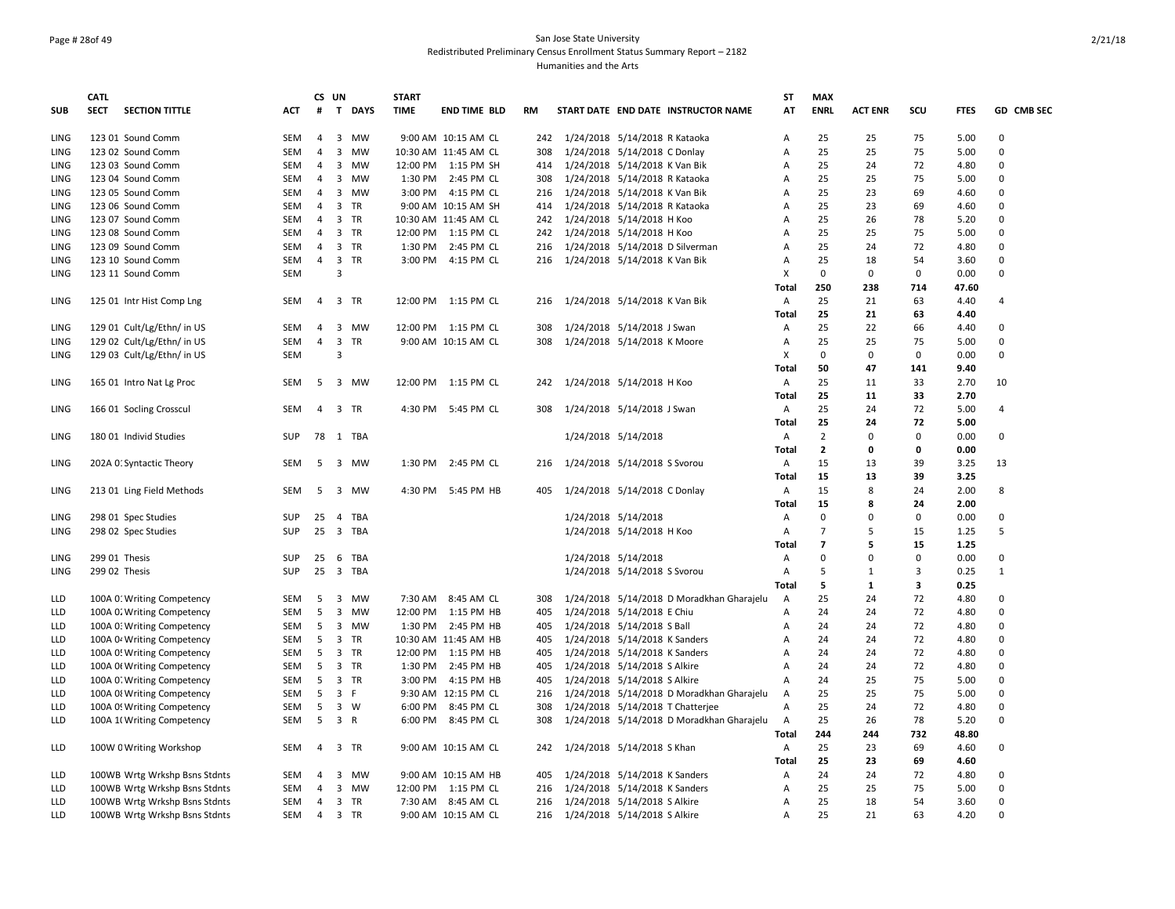### Page # 28of 49 San Jose State University Redistributed Preliminary Census Enrollment Status Summary Report – 2182 Humanities and the Arts

|             | CATL          |                               |            |                | CS UN                   |            | <b>START</b> |                      |     |                                           | ST           | <b>MAX</b>     |                |             |             |                |
|-------------|---------------|-------------------------------|------------|----------------|-------------------------|------------|--------------|----------------------|-----|-------------------------------------------|--------------|----------------|----------------|-------------|-------------|----------------|
| SUB         | <b>SECT</b>   | <b>SECTION TITTLE</b>         | ACT        | #              |                         | T DAYS     | <b>TIME</b>  | <b>END TIME BLD</b>  | RM  | START DATE END DATE INSTRUCTOR NAME       | AT           | <b>ENRL</b>    | <b>ACT ENR</b> | scu         | <b>FTES</b> | GD CMB SEC     |
| LING        |               | 123 01 Sound Comm             | SEM        | 4              |                         | 3 MW       |              | 9:00 AM 10:15 AM CL  | 242 | 1/24/2018 5/14/2018 R Kataoka             | Α            | 25             | 25             | 75          | 5.00        | $\Omega$       |
| LING        |               | 123 02 Sound Comm             | SEM        | $\overline{4}$ | $\overline{3}$          | <b>MW</b>  |              | 10:30 AM 11:45 AM CL | 308 | 1/24/2018 5/14/2018 C Donlay              | Α            | 25             | 25             | 75          | 5.00        | $\Omega$       |
| LING        |               | 123 03 Sound Comm             | <b>SEM</b> | 4              | 3                       | <b>MW</b>  |              | 12:00 PM 1:15 PM SH  | 414 | 1/24/2018 5/14/2018 K Van Bik             | А            | 25             | 24             | 72          | 4.80        | 0              |
| LING        |               | 123 04 Sound Comm             | SEM        | 4              | 3                       | MW         |              | 1:30 PM 2:45 PM CL   | 308 | 1/24/2018 5/14/2018 R Kataoka             | A            | 25             | 25             | 75          | 5.00        | $\Omega$       |
| LING        |               | 123 05 Sound Comm             | SEM        | 4              | $\overline{\mathbf{3}}$ | MW         |              | 3:00 PM 4:15 PM CL   | 216 | 1/24/2018 5/14/2018 K Van Bik             | A            | 25             | 23             | 69          | 4.60        | $\Omega$       |
| LING        |               | 123 06 Sound Comm             | <b>SEM</b> | $\overline{4}$ | 3                       | <b>TR</b>  |              | 9:00 AM 10:15 AM SH  | 414 | 1/24/2018 5/14/2018 R Kataoka             | A            | 25             | 23             | 69          | 4.60        | $\Omega$       |
| LING        |               | 123 07 Sound Comm             | SEM        | 4              | $\overline{\mathbf{3}}$ | TR         |              | 10:30 AM 11:45 AM CL | 242 | 1/24/2018 5/14/2018 H Koo                 | A            | 25             | 26             | 78          | 5.20        | $\mathbf 0$    |
| <b>LING</b> |               | 123 08 Sound Comm             | SEM        | 4              | $\overline{\mathbf{3}}$ | TR         |              | 12:00 PM 1:15 PM CL  | 242 | 1/24/2018 5/14/2018 H Koo                 | Α            | 25             | 25             | 75          | 5.00        | 0              |
| LING        |               | 123 09 Sound Comm             | SEM        | $\overline{4}$ |                         | 3 TR       |              | 1:30 PM 2:45 PM CL   | 216 | 1/24/2018 5/14/2018 D Silverman           | Α            | 25             | 24             | 72          | 4.80        | $\Omega$       |
| <b>LING</b> |               | 123 10 Sound Comm             | <b>SEM</b> | $\overline{4}$ | $\overline{\mathbf{3}}$ | <b>TR</b>  |              | 3:00 PM 4:15 PM CL   | 216 | 1/24/2018 5/14/2018 K Van Bik             | Α            | 25             | 18             | 54          | 3.60        | $\Omega$       |
| LING        |               | 123 11 Sound Comm             | <b>SEM</b> |                | $\overline{3}$          |            |              |                      |     |                                           | X            | $\mathbf 0$    | 0              | $\mathbf 0$ | 0.00        | $\Omega$       |
|             |               |                               |            |                |                         |            |              |                      |     |                                           | <b>Total</b> | 250            | 238            | 714         | 47.60       |                |
| LING        |               | 125 01 Intr Hist Comp Lng     | SEM        | 4              |                         | 3 TR       |              | 12:00 PM 1:15 PM CL  | 216 | 1/24/2018 5/14/2018 K Van Bik             | Α            | 25             | 21             | 63          | 4.40        | 4              |
|             |               |                               |            |                |                         |            |              |                      |     |                                           | <b>Total</b> | 25             | 21             | 63          | 4.40        |                |
| LING        |               | 129 01 Cult/Lg/Ethn/ in US    | SEM        | $\overline{4}$ | 3                       | <b>MW</b>  |              | 12:00 PM 1:15 PM CL  | 308 | 1/24/2018 5/14/2018 J Swan                | Α            | 25             | 22             | 66          | 4.40        | $\Omega$       |
| LING        |               | 129 02 Cult/Lg/Ethn/ in US    | <b>SEM</b> | $\overline{4}$ | $\overline{\mathbf{3}}$ | TR         |              | 9:00 AM 10:15 AM CL  | 308 | 1/24/2018 5/14/2018 K Moore               | Α            | 25             | 25             | 75          | 5.00        | 0              |
| LING        |               | 129 03 Cult/Lg/Ethn/ in US    | SEM        |                | 3                       |            |              |                      |     |                                           | x            | 0              | 0              | 0           | 0.00        | $\mathbf 0$    |
|             |               |                               |            |                |                         |            |              |                      |     |                                           | Total        | 50             | 47             | 141         | 9.40        |                |
| LING        |               | 165 01 Intro Nat Lg Proc      | SEM        | - 5            | $\overline{\mathbf{3}}$ | MW         |              | 12:00 PM 1:15 PM CL  | 242 | 1/24/2018 5/14/2018 H Koo                 | A            | 25             | 11             | 33          | 2.70        | 10             |
|             |               |                               |            |                |                         |            |              |                      |     |                                           | <b>Total</b> | 25             | 11             | 33          | 2.70        |                |
| LING        |               | 166 01 Socling Crosscul       | SEM        | $\overline{4}$ |                         | 3 TR       |              | 4:30 PM 5:45 PM CL   | 308 | 1/24/2018 5/14/2018 J Swan                | Α            | 25             | 24             | 72          | 5.00        | $\overline{4}$ |
|             |               |                               |            |                |                         |            |              |                      |     |                                           | Total        | 25             | 24             | 72          | 5.00        |                |
| LING        |               | 180 01 Individ Studies        | SUP        |                |                         | 78 1 TBA   |              |                      |     | 1/24/2018 5/14/2018                       | Α            | $\overline{2}$ | $\Omega$       | 0           | 0.00        | 0              |
|             |               |                               |            |                |                         |            |              |                      |     |                                           | Total        | $\mathbf{2}$   | 0              | 0           | 0.00        |                |
| LING        |               | 202A O: Syntactic Theory      | SEM        | -5             | $\overline{\mathbf{3}}$ | MW         |              | 1:30 PM 2:45 PM CL   | 216 | 1/24/2018 5/14/2018 S Svorou              | Α            | 15             | 13             | 39          | 3.25        | 13             |
|             |               |                               |            |                |                         |            |              |                      |     |                                           | Total        | 15             | 13             | 39          | 3.25        |                |
| LING        |               | 213 01 Ling Field Methods     | SEM        | - 5            |                         | 3 MW       |              | 4:30 PM 5:45 PM HB   | 405 | 1/24/2018 5/14/2018 C Donlay              | Α            | 15             | 8              | 24          | 2.00        | 8              |
|             |               |                               |            |                |                         |            |              |                      |     |                                           | Total        | 15             | 8              | 24          | 2.00        |                |
| LING        |               | 298 01 Spec Studies           | SUP        | 25             | $\overline{4}$          | <b>TBA</b> |              |                      |     | 1/24/2018 5/14/2018                       | Α            | $\mathbf 0$    | $\Omega$       | 0           | 0.00        | 0              |
| LING        |               | 298 02 Spec Studies           | <b>SUP</b> | 25             |                         | 3 TBA      |              |                      |     | 1/24/2018 5/14/2018 H Koo                 | Α            | $\overline{7}$ | 5              | 15          | 1.25        | 5              |
|             |               |                               |            |                |                         |            |              |                      |     |                                           | Total        | $\overline{7}$ | 5              | 15          | 1.25        |                |
| LING        | 299 01 Thesis |                               | <b>SUP</b> | 25             | -6                      | TBA        |              |                      |     | 1/24/2018 5/14/2018                       | Α            | 0              | $\Omega$       | $\mathbf 0$ | 0.00        | 0              |
| LING        | 299 02 Thesis |                               | SUP        | 25             |                         | 3 TBA      |              |                      |     | 1/24/2018 5/14/2018 S Svorou              | Α            | 5              | $\mathbf{1}$   | 3           | 0.25        | $\mathbf{1}$   |
|             |               |                               |            |                |                         |            |              |                      |     |                                           | <b>Total</b> | 5              | $\mathbf{1}$   | 3           | 0.25        |                |
| LLD         |               | 100A 0: Writing Competency    | SEM        | -5             | 3                       | MW         |              | 7:30 AM 8:45 AM CL   | 308 | 1/24/2018 5/14/2018 D Moradkhan Gharajelu | Α            | 25             | 24             | 72          | 4.80        | $\Omega$       |
| LLD         |               | 100A O. Writing Competency    | SEM        | 5              |                         | 3 MW       |              | 12:00 PM 1:15 PM HB  | 405 | 1/24/2018 5/14/2018 E Chiu                | Α            | 24             | 24             | 72          | 4.80        | $\mathbf 0$    |
| LLD         |               | 100A 0. Writing Competency    | SEM        | - 5            | $\overline{\mathbf{3}}$ | MW         |              | 1:30 PM 2:45 PM HB   | 405 | 1/24/2018 5/14/2018 S Ball                | Α            | 24             | 24             | 72          | 4.80        | 0              |
| LLD         |               | 100A 0 Writing Competency     | SEM        | - 5            | $\overline{\mathbf{3}}$ | <b>TR</b>  |              | 10:30 AM 11:45 AM HB | 405 | 1/24/2018 5/14/2018 K Sanders             | A            | 24             | 24             | 72          | 4.80        | $\Omega$       |
| LLD         |               | 100A 0! Writing Competency    | SEM        | 5              |                         | 3 TR       |              | 12:00 PM 1:15 PM HB  | 405 | 1/24/2018 5/14/2018 K Sanders             | Α            | 24             | 24             | 72          | 4.80        | $\Omega$       |
| LLD         |               | 100A Of Writing Competency    | SEM        | - 5            | $\overline{\mathbf{3}}$ | <b>TR</b>  |              | 1:30 PM 2:45 PM HB   | 405 | 1/24/2018 5/14/2018 S Alkire              | Α            | 24             | 24             | 72          | 4.80        | 0              |
| LLD         |               | 100A 0. Writing Competency    | SEM        | 5              |                         | 3 TR       | 3:00 PM      | 4:15 PM HB           | 405 | 1/24/2018 5/14/2018 S Alkire              | Α            | 24             | 25             | 75          | 5.00        | $\mathbf 0$    |
| LLD         |               | 100A 0! Writing Competency    | SEM        | 5              |                         | 3 F        |              | 9:30 AM 12:15 PM CL  | 216 | 1/24/2018 5/14/2018 D Moradkhan Gharajelu | A            | 25             | 25             | 75          | 5.00        | 0              |
| LLD         |               | 100A 0! Writing Competency    | SEM        | 5              |                         | 3 W        | 6:00 PM      | 8:45 PM CL           | 308 | 1/24/2018 5/14/2018 T Chatterjee          | Α            | 25             | 24             | 72          | 4.80        | $\Omega$       |
| LLD         |               | 100A 1(Writing Competency     | <b>SEM</b> |                | 5 3 R                   |            |              | 6:00 PM 8:45 PM CL   | 308 | 1/24/2018 5/14/2018 D Moradkhan Gharajelu | A            | 25             | 26             | 78          | 5.20        | $\Omega$       |
|             |               |                               |            |                |                         |            |              |                      |     |                                           | Total        | 244            | 244            | 732         | 48.80       |                |
| LLD         |               | 100W C Writing Workshop       | SEM        | $\overline{4}$ |                         | 3 TR       |              | 9:00 AM 10:15 AM CL  | 242 | 1/24/2018 5/14/2018 S Khan                | Α            | 25             | 23             | 69          | 4.60        | 0              |
|             |               |                               |            |                |                         |            |              |                      |     |                                           | Total        | 25             | 23             | 69          | 4.60        |                |
| LLD         |               | 100WB Wrtg Wrkshp Bsns Stdnts | <b>SEM</b> | 4              | 3                       | MW         |              | 9:00 AM 10:15 AM HB  | 405 | 1/24/2018 5/14/2018 K Sanders             | Α            | 24             | 24             | 72          | 4.80        | $\Omega$       |
| LLD         |               | 100WB Wrtg Wrkshp Bsns Stdnts | SEM        | $\overline{4}$ | 3                       | <b>MW</b>  |              | 12:00 PM 1:15 PM CL  | 216 | 1/24/2018 5/14/2018 K Sanders             | Α            | 25             | 25             | 75          | 5.00        | $\Omega$       |
| LLD         |               | 100WB Wrtg Wrkshp Bsns Stdnts | SEM        | 4              |                         | 3 TR       |              | 7:30 AM 8:45 AM CL   | 216 | 1/24/2018 5/14/2018 S Alkire              | Α            | 25             | 18             | 54          | 3.60        | 0              |
| LLD         |               | 100WB Wrtg Wrkshp Bsns Stdnts | SEM        | $\overline{4}$ |                         | 3 TR       |              | 9:00 AM 10:15 AM CL  | 216 | 1/24/2018 5/14/2018 S Alkire              | A            | 25             | 21             | 63          | 4.20        | $\Omega$       |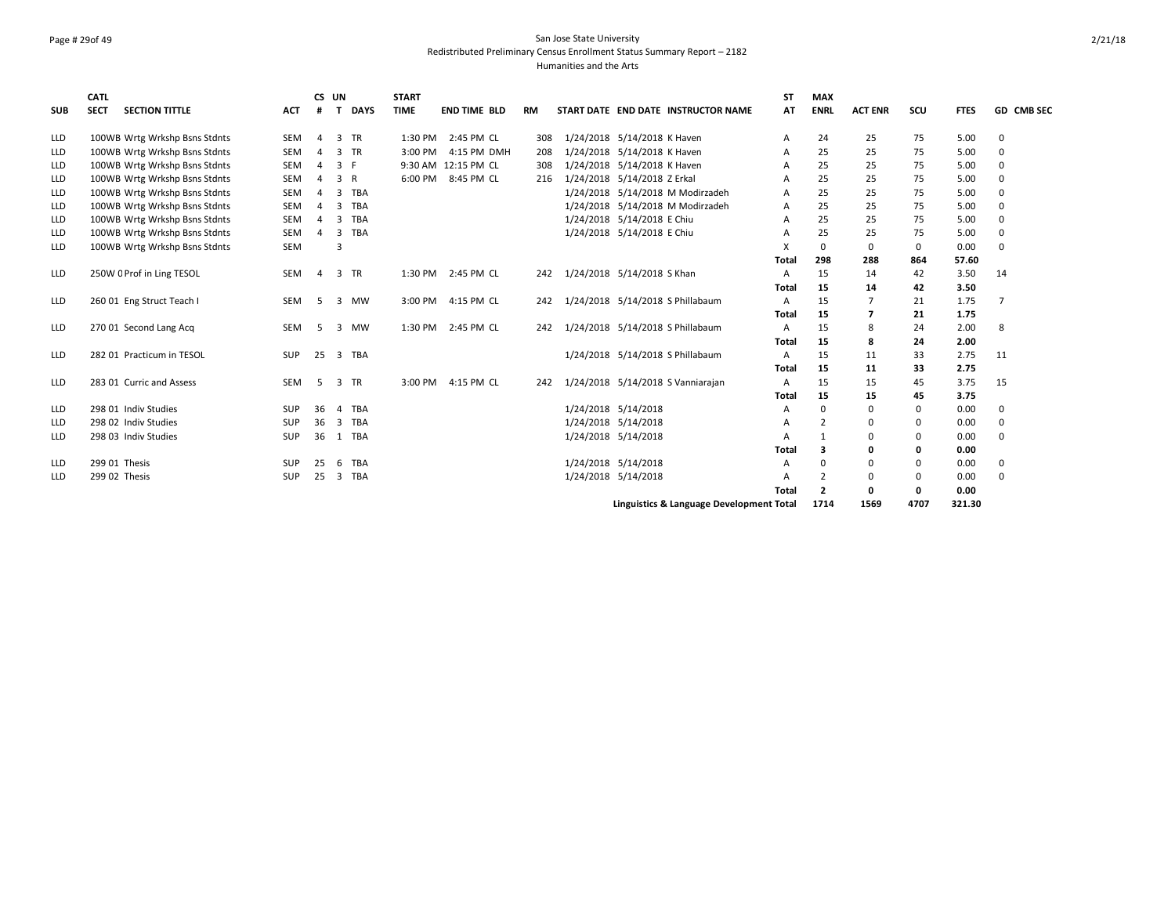### Page # 29of 49 San Jose State University Redistributed Preliminary Census Enrollment Status Summary Report – 2182 Humanities and the Arts

| <b>SUB</b> | <b>CATL</b><br><b>SECT</b> | <b>SECTION TITTLE</b>         | <b>ACT</b> | #              | CS UN<br>T.             | <b>DAYS</b> | <b>START</b><br><b>TIME</b> | <b>END TIME BLD</b> | RM  |           | START DATE END DATE INSTRUCTOR NAME      | ST<br>AT     | <b>MAX</b><br><b>ENRL</b> | <b>ACT ENR</b> | scu  | <b>FTES</b> | GD CMB SEC   |
|------------|----------------------------|-------------------------------|------------|----------------|-------------------------|-------------|-----------------------------|---------------------|-----|-----------|------------------------------------------|--------------|---------------------------|----------------|------|-------------|--------------|
| <b>LLD</b> |                            | 100WB Wrtg Wrkshp Bsns Stdnts | SEM        | 4              | 3                       | <b>TR</b>   | 1:30 PM                     | 2:45 PM CL          | 308 |           | 1/24/2018 5/14/2018 K Haven              | А            | 24                        | 25             | 75   | 5.00        | 0            |
| <b>LLD</b> |                            | 100WB Wrtg Wrkshp Bsns Stdnts | <b>SEM</b> | Δ              | 3                       | <b>TR</b>   | 3:00 PM                     | 4:15 PM DMH         | 208 | 1/24/2018 | 5/14/2018 K Haven                        | A            | 25                        | 25             | 75   | 5.00        | $\Omega$     |
| LLD        |                            | 100WB Wrtg Wrkshp Bsns Stdnts | SEM        | 4              | 3 F                     |             |                             | 9:30 AM 12:15 PM CL | 308 | 1/24/2018 | 5/14/2018 K Haven                        | A            | 25                        | 25             | 75   | 5.00        | $\Omega$     |
| <b>LLD</b> |                            | 100WB Wrtg Wrkshp Bsns Stdnts | <b>SEM</b> | 4              | $\overline{3}$          | R           | 6:00 PM                     | 8:45 PM CL          | 216 | 1/24/2018 | 5/14/2018 Z Erkal                        | A            | 25                        | 25             | 75   | 5.00        | 0            |
| LLD        |                            | 100WB Wrtg Wrkshp Bsns Stdnts | SEM        | 4              | 3                       | <b>TBA</b>  |                             |                     |     |           | 1/24/2018 5/14/2018 M Modirzadeh         | A            | 25                        | 25             | 75   | 5.00        | 0            |
| LLD        |                            | 100WB Wrtg Wrkshp Bsns Stdnts | SEM        | 4              | 3                       | <b>TBA</b>  |                             |                     |     | 1/24/2018 | 5/14/2018 M Modirzadeh                   | A            | 25                        | 25             | 75   | 5.00        | <sup>0</sup> |
| <b>LLD</b> |                            | 100WB Wrtg Wrkshp Bsns Stdnts | <b>SEM</b> | 4              | $\overline{\mathbf{3}}$ | <b>TBA</b>  |                             |                     |     |           | 1/24/2018 5/14/2018 E Chiu               | А            | 25                        | 25             | 75   | 5.00        | $\Omega$     |
| LLD        |                            | 100WB Wrtg Wrkshp Bsns Stdnts | SEM        | 4              | 3                       | <b>TBA</b>  |                             |                     |     |           | 1/24/2018 5/14/2018 E Chiu               | A            | 25                        | 25             | 75   | 5.00        | 0            |
| LLD        |                            | 100WB Wrtg Wrkshp Bsns Stdnts | SEM        |                | 3                       |             |                             |                     |     |           |                                          | X            | 0                         | 0              | 0    | 0.00        | 0            |
|            |                            |                               |            |                |                         |             |                             |                     |     |           |                                          | <b>Total</b> | 298                       | 288            | 864  | 57.60       |              |
| LLD        |                            | 250W 0 Prof in Ling TESOL     | <b>SEM</b> | $\overline{a}$ | $\overline{3}$          | <b>TR</b>   | 1:30 PM                     | 2:45 PM CL          | 242 |           | 1/24/2018 5/14/2018 S Khan               | A            | 15                        | 14             | 42   | 3.50        | 14           |
|            |                            |                               |            |                |                         |             |                             |                     |     |           |                                          | <b>Total</b> | 15                        | 14             | 42   | 3.50        |              |
| <b>LLD</b> |                            | 260 01 Eng Struct Teach I     | <b>SEM</b> | 5              | 3                       | <b>MW</b>   | 3:00 PM                     | 4:15 PM CL          | 242 |           | 1/24/2018 5/14/2018 S Phillabaum         | A            | 15                        | $\overline{7}$ | 21   | 1.75        | 7            |
|            |                            |                               |            |                |                         |             |                             |                     |     |           |                                          | <b>Total</b> | 15                        | 7              | 21   | 1.75        |              |
| LLD        |                            | 270 01 Second Lang Acq        | <b>SEM</b> | 5              | 3                       | <b>MW</b>   | 1:30 PM                     | 2:45 PM CL          | 242 |           | 1/24/2018 5/14/2018 S Phillabaum         | A            | 15                        | 8              | 24   | 2.00        | 8            |
|            |                            |                               |            |                |                         |             |                             |                     |     |           |                                          | <b>Total</b> | 15                        | 8              | 24   | 2.00        |              |
| <b>LLD</b> |                            | 282 01 Practicum in TESOL     | <b>SUP</b> | 25             | - 3                     | <b>TBA</b>  |                             |                     |     |           | 1/24/2018 5/14/2018 S Phillabaum         | A            | 15                        | 11             | 33   | 2.75        | 11           |
|            |                            |                               |            |                |                         |             |                             |                     |     |           |                                          | <b>Total</b> | 15                        | 11             | 33   | 2.75        |              |
| LLD        |                            | 283 01 Curric and Assess      | SEM        | 5              | $\overline{\mathbf{3}}$ | <b>TR</b>   | 3:00 PM                     | 4:15 PM CL          | 242 |           | 1/24/2018 5/14/2018 S Vanniarajan        | А            | 15                        | 15             | 45   | 3.75        | 15           |
|            |                            |                               |            |                |                         |             |                             |                     |     |           |                                          | <b>Total</b> | 15                        | 15             | 45   | 3.75        |              |
| <b>LLD</b> |                            | 298 01 Indiv Studies          | <b>SUP</b> | 36             | $\overline{a}$          | <b>TBA</b>  |                             |                     |     |           | 1/24/2018 5/14/2018                      | А            | $\Omega$                  | $\Omega$       | 0    | 0.00        | 0            |
| <b>LLD</b> |                            | 298 02 Indiv Studies          | SUP        | 36             | 3                       | <b>TBA</b>  |                             |                     |     |           | 1/24/2018 5/14/2018                      | А            | $\overline{2}$            | O              | 0    | 0.00        | 0            |
| LLD        |                            | 298 03 Indiv Studies          | <b>SUP</b> | 36             | 1                       | TBA         |                             |                     |     |           | 1/24/2018 5/14/2018                      | А            | $\mathbf{1}$              | $\Omega$       | 0    | 0.00        | $\Omega$     |
|            |                            |                               |            |                |                         |             |                             |                     |     |           |                                          | <b>Total</b> | 3                         | $\Omega$       | 0    | 0.00        |              |
| <b>LLD</b> | 299 01 Thesis              |                               | <b>SUP</b> | 25             | 6                       | <b>TBA</b>  |                             |                     |     |           | 1/24/2018 5/14/2018                      | А            | $\Omega$                  | $\Omega$       | 0    | 0.00        | 0            |
| <b>LLD</b> |                            | 299 02 Thesis                 | <b>SUP</b> | 25             | $\overline{\mathbf{3}}$ | <b>TBA</b>  |                             |                     |     |           | 1/24/2018 5/14/2018                      | A            | $\overline{2}$            | O              | 0    | 0.00        | 0            |
|            |                            |                               |            |                |                         |             |                             |                     |     |           |                                          | Total        | $\overline{2}$            | 0              | 0    | 0.00        |              |
|            |                            |                               |            |                |                         |             |                             |                     |     |           | Linguistics & Language Development Total |              | 1714                      | 1569           | 4707 | 321.30      |              |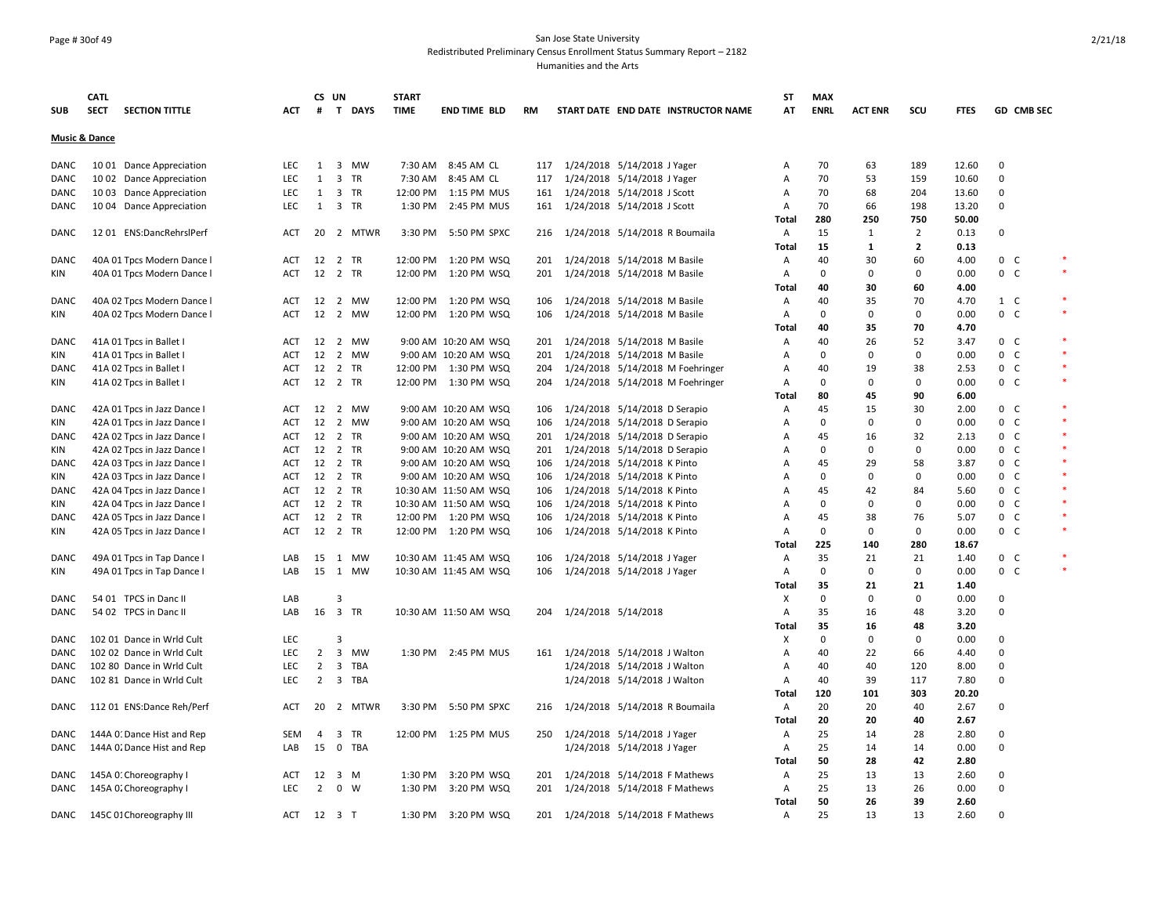### Page # 30of 49 San Jose State University Redistributed Preliminary Census Enrollment Status Summary Report – 2182 Humanities and the Arts

|                          | <b>CATL</b>                 |                       |            | CS UN          |             |         | <b>START</b> |                        |           |                                   |                              |                                     | ST           | <b>MAX</b>  |                |                |             |                |            |        |
|--------------------------|-----------------------------|-----------------------|------------|----------------|-------------|---------|--------------|------------------------|-----------|-----------------------------------|------------------------------|-------------------------------------|--------------|-------------|----------------|----------------|-------------|----------------|------------|--------|
| <b>SUB</b>               | <b>SECT</b>                 | <b>SECTION TITTLE</b> | <b>ACT</b> | #              |             | T DAYS  | <b>TIME</b>  | <b>END TIME BLD</b>    | <b>RM</b> |                                   |                              | START DATE END DATE INSTRUCTOR NAME | AT           | <b>ENRL</b> | <b>ACT ENR</b> | scu            | <b>FTES</b> |                | GD CMB SEC |        |
|                          |                             |                       |            |                |             |         |              |                        |           |                                   |                              |                                     |              |             |                |                |             |                |            |        |
| <b>Music &amp; Dance</b> |                             |                       |            |                |             |         |              |                        |           |                                   |                              |                                     |              |             |                |                |             |                |            |        |
| <b>DANC</b>              | 10 01 Dance Appreciation    |                       | <b>LEC</b> | 1              |             | 3 MW    | 7:30 AM      | 8:45 AM CL             | 117       | 1/24/2018 5/14/2018 J Yager       |                              |                                     | A            | 70          | 63             | 189            | 12.60       | 0              |            |        |
| <b>DANC</b>              | 10 02 Dance Appreciation    |                       | <b>LEC</b> | 1              |             | 3 TR    | 7:30 AM      | 8:45 AM CL             | 117       | 1/24/2018 5/14/2018 J Yager       |                              |                                     | Α            | 70          | 53             | 159            | 10.60       | 0              |            |        |
| <b>DANC</b>              | 10 03 Dance Appreciation    |                       | <b>LEC</b> | 1              |             | 3 TR    | 12:00 PM     | 1:15 PM MUS            | 161       | 1/24/2018 5/14/2018 J Scott       |                              |                                     | A            | 70          | 68             | 204            | 13.60       | 0              |            |        |
| <b>DANC</b>              | 10 04 Dance Appreciation    |                       | <b>LEC</b> | $\mathbf{1}$   |             | 3 TR    | 1:30 PM      | 2:45 PM MUS            | 161       | 1/24/2018 5/14/2018 J Scott       |                              |                                     | Α            | 70          | 66             | 198            | 13.20       | $\mathbf 0$    |            |        |
|                          |                             |                       |            |                |             |         |              |                        |           |                                   |                              |                                     | Total        | 280         | 250            | 750            | 50.00       |                |            |        |
| <b>DANC</b>              | 12 01 ENS:DancRehrslPerf    |                       | ACT        | 20             |             | 2 MTWR  | 3:30 PM      | 5:50 PM SPXC           | 216       | 1/24/2018 5/14/2018 R Boumaila    |                              |                                     | A            | 15          | $\mathbf{1}$   | $\overline{2}$ | 0.13        | 0              |            |        |
|                          |                             |                       |            |                |             |         |              |                        |           |                                   |                              |                                     | Total        | 15          | $\mathbf{1}$   | $\overline{2}$ | 0.13        |                |            |        |
| DANC                     | 40A 01 Tpcs Modern Dance I  |                       | ACT        | 12 2 TR        |             |         | 12:00 PM     | 1:20 PM WSQ            | 201       | 1/24/2018 5/14/2018 M Basile      |                              |                                     | Α            | 40          | 30             | 60             | 4.00        | $0\quad C$     |            |        |
| KIN                      | 40A 01 Tpcs Modern Dance I  |                       | ACT        | 12             |             | 2 TR    | 12:00 PM     | 1:20 PM WSQ            | 201       | 1/24/2018 5/14/2018 M Basile      |                              |                                     | $\mathsf{A}$ | $\Omega$    | 0              | 0              | 0.00        | 0 <sup>o</sup> |            |        |
|                          |                             |                       |            |                |             |         |              |                        |           |                                   |                              |                                     | Total        | 40          | 30             | 60             | 4.00        |                |            |        |
|                          |                             |                       |            |                |             | 2 MW    | 12:00 PM     | 1:20 PM WSQ            |           |                                   |                              |                                     |              | 40          | 35             | 70             | 4.70        | 1 C            |            |        |
| DANC                     | 40A 02 Tpcs Modern Dance I  |                       | ACT        | 12<br>12       |             | 2 MW    |              |                        | 106       | 1/24/2018 5/14/2018 M Basile      |                              |                                     | Α            | $\Omega$    | 0              | $\mathbf 0$    | 0.00        | $0\quad C$     |            |        |
| KIN                      | 40A 02 Tpcs Modern Dance I  |                       | ACT        |                |             |         | 12:00 PM     | 1:20 PM WSQ            | 106       | 1/24/2018 5/14/2018 M Basile      |                              |                                     | Α            | 40          | 35             | 70             | 4.70        |                |            |        |
|                          |                             |                       |            |                |             |         |              |                        |           |                                   |                              |                                     | Total        |             |                |                |             |                |            |        |
| <b>DANC</b>              | 41A 01 Tpcs in Ballet I     |                       | ACT        | 12             |             | 2 MW    |              | 9:00 AM 10:20 AM WSQ   | 201       | 1/24/2018 5/14/2018 M Basile      |                              |                                     | Α            | 40          | 26             | 52             | 3.47        | $0-$           |            |        |
| KIN                      | 41A 01 Tpcs in Ballet I     |                       | ACT        | 12             |             | 2 MW    |              | 9:00 AM 10:20 AM WSQ   | 201       | 1/24/2018 5/14/2018 M Basile      |                              |                                     | Α            | 0           | 0              | 0              | 0.00        | 0 <sup>o</sup> |            |        |
| DANC                     | 41A 02 Tpcs in Ballet I     |                       | ACT        | 12 2 TR        |             |         |              | 12:00 PM  1:30 PM  WSQ | 204       |                                   |                              | 1/24/2018 5/14/2018 M Foehringer    | Α            | 40          | 19             | 38             | 2.53        | $0\quad C$     |            |        |
| KIN                      | 41A 02 Tpcs in Ballet I     |                       | ACT        | 12 2 TR        |             |         |              | 12:00 PM  1:30 PM  WSQ | 204       |                                   |                              | 1/24/2018 5/14/2018 M Foehringer    | A            | $\Omega$    | $\mathbf 0$    | 0              | 0.00        | $0\quad C$     |            | $\ast$ |
|                          |                             |                       |            |                |             |         |              |                        |           |                                   |                              |                                     | Total        | 80          | 45             | 90             | 6.00        |                |            |        |
| <b>DANC</b>              | 42A 01 Tpcs in Jazz Dance I |                       | ACT        | 12             |             | 2 MW    |              | 9:00 AM 10:20 AM WSQ   | 106       | 1/24/2018 5/14/2018 D Serapio     |                              |                                     | A            | 45          | 15             | 30             | 2.00        | 0 <sup>o</sup> |            | $\ast$ |
| KIN                      | 42A 01 Tpcs in Jazz Dance I |                       | <b>ACT</b> |                |             | 12 2 MW |              | 9:00 AM 10:20 AM WSQ   | 106       | 1/24/2018 5/14/2018 D Serapio     |                              |                                     | Α            | $\Omega$    | $\mathbf 0$    | $\Omega$       | 0.00        | $0-$           |            |        |
| DANC                     | 42A 02 Tpcs in Jazz Dance I |                       | ACT        | 12 2 TR        |             |         |              | 9:00 AM 10:20 AM WSQ   | 201       | 1/24/2018 5/14/2018 D Serapio     |                              |                                     | A            | 45          | 16             | 32             | 2.13        | $0\quad C$     |            |        |
| KIN                      | 42A 02 Tpcs in Jazz Dance I |                       | ACT        | 12 2 TR        |             |         |              | 9:00 AM 10:20 AM WSQ   | 201       | 1/24/2018 5/14/2018 D Serapio     |                              |                                     | Α            | 0           | 0              | 0              | 0.00        | 0              | C          |        |
| <b>DANC</b>              | 42A 03 Tpcs in Jazz Dance I |                       | <b>ACT</b> | 12             | 2 TR        |         |              | 9:00 AM 10:20 AM WSQ   | 106       | 1/24/2018 5/14/2018 K Pinto       |                              |                                     | A            | 45          | 29             | 58             | 3.87        | 0 <sup>o</sup> |            |        |
| KIN                      | 42A 03 Tpcs in Jazz Dance I |                       | ACT        | 12 2 TR        |             |         |              | 9:00 AM 10:20 AM WSQ   | 106       | 1/24/2018 5/14/2018 K Pinto       |                              |                                     | A            | $\mathbf 0$ | $\mathbf 0$    | $\mathbf 0$    | 0.00        | $0-$           |            |        |
| DANC                     | 42A 04 Tpcs in Jazz Dance I |                       | ACT        | 12 2 TR        |             |         |              | 10:30 AM 11:50 AM WSQ  | 106       | 1/24/2018 5/14/2018 K Pinto       |                              |                                     | A            | 45          | 42             | 84             | 5.60        | 0 <sup>o</sup> |            |        |
| KIN                      | 42A 04 Tpcs in Jazz Dance I |                       | <b>ACT</b> | 12 2 TR        |             |         |              | 10:30 AM 11:50 AM WSQ  | 106       | 1/24/2018 5/14/2018 K Pinto       |                              |                                     | A            | $\mathbf 0$ | $\mathbf 0$    | $\mathbf 0$    | 0.00        | 0 <sup>o</sup> |            |        |
| <b>DANC</b>              | 42A 05 Tpcs in Jazz Dance I |                       | <b>ACT</b> | 12             |             | 2 TR    |              | 12:00 PM  1:20 PM  WSQ | 106       | 1/24/2018 5/14/2018 K Pinto       |                              |                                     | Α            | 45          | 38             | 76             | 5.07        | $0\quad C$     |            |        |
| KIN                      | 42A 05 Tpcs in Jazz Dance I |                       | ACT        | 12 2 TR        |             |         |              | 12:00 PM  1:20 PM  WSQ | 106       | 1/24/2018 5/14/2018 K Pinto       |                              |                                     | Α            | 0           | 0              | $\mathbf 0$    | 0.00        | $0\quad C$     |            |        |
|                          |                             |                       |            |                |             |         |              |                        |           |                                   |                              |                                     | Total        | 225         | 140            | 280            | 18.67       |                |            |        |
| <b>DANC</b>              | 49A 01 Tpcs in Tap Dance I  |                       | LAB        | 15             |             | 1 MW    |              | 10:30 AM 11:45 AM WSQ  | 106       |                                   | 1/24/2018 5/14/2018 J Yager  |                                     | Α            | 35          | 21             | 21             | 1.40        | $0-$           |            |        |
| KIN                      | 49A 01 Tpcs in Tap Dance I  |                       | LAB        | 15             |             | 1 MW    |              | 10:30 AM 11:45 AM WSQ  | 106       | 1/24/2018 5/14/2018 J Yager       |                              |                                     | A            | 0           | 0              | 0              | 0.00        | 0 <sup>o</sup> |            |        |
|                          |                             |                       |            |                |             |         |              |                        |           |                                   |                              |                                     | Total        | 35          | 21             | 21             | 1.40        |                |            |        |
| <b>DANC</b>              | 54 01 TPCS in Danc II       |                       | LAB        |                | 3           |         |              |                        |           |                                   |                              |                                     | Х            | $\Omega$    | $\Omega$       | $\Omega$       | 0.00        | $\Omega$       |            |        |
| DANC                     | 54 02 TPCS in Danc II       |                       | LAB        | 16 3 TR        |             |         |              | 10:30 AM 11:50 AM WSQ  | 204       | 1/24/2018 5/14/2018               |                              |                                     | Α            | 35          | 16             | 48             | 3.20        | 0              |            |        |
|                          |                             |                       |            |                |             |         |              |                        |           |                                   |                              |                                     | Total        | 35          | 16             | 48             | 3.20        |                |            |        |
| DANC                     | 102 01 Dance in Wrld Cult   |                       | <b>LEC</b> |                | 3           |         |              |                        |           |                                   |                              |                                     | Χ            | $\Omega$    | 0              | 0              | 0.00        | 0              |            |        |
| DANC                     | 102 02 Dance in Wrld Cult   |                       | <b>LEC</b> |                |             | 2 3 MW  |              | 1:30 PM 2:45 PM MUS    |           | 161 1/24/2018 5/14/2018 J Walton  |                              |                                     | A            | 40          | 22             | 66             | 4.40        | $\mathbf 0$    |            |        |
| DANC                     | 102 80 Dance in Wrld Cult   |                       | <b>LEC</b> | $\overline{2}$ | 3           | TBA     |              |                        |           |                                   | 1/24/2018 5/14/2018 J Walton |                                     | A            | 40          | 40             | 120            | 8.00        | $\mathbf 0$    |            |        |
| DANC                     | 102 81 Dance in Wrld Cult   |                       | <b>LEC</b> | $\overline{2}$ |             | 3 TBA   |              |                        |           |                                   | 1/24/2018 5/14/2018 J Walton |                                     | Α            | 40          | 39             | 117            | 7.80        | $\mathbf 0$    |            |        |
|                          |                             |                       |            |                |             |         |              |                        |           |                                   |                              |                                     | Total        | 120         | 101            | 303            | 20.20       |                |            |        |
| DANC                     | 112 01 ENS:Dance Reh/Perf   |                       | ACT        | 20             |             | 2 MTWR  | 3:30 PM      | 5:50 PM SPXC           | 216       | 1/24/2018 5/14/2018 R Boumaila    |                              |                                     | A            | 20          | 20             | 40             | 2.67        | 0              |            |        |
|                          |                             |                       |            |                |             |         |              |                        |           |                                   |                              |                                     | Total        | 20          | 20             | 40             | 2.67        |                |            |        |
| DANC                     | 144A O. Dance Hist and Rep  |                       | SEM        | 4              |             | 3 TR    | 12:00 PM     | 1:25 PM MUS            | 250       | 1/24/2018 5/14/2018 J Yager       |                              |                                     | Α            | 25          | 14             | 28             | 2.80        | 0              |            |        |
|                          |                             |                       |            |                |             |         |              |                        |           |                                   |                              |                                     |              |             |                |                |             |                |            |        |
| DANC                     | 144A O. Dance Hist and Rep  |                       | LAB        | 15             |             | 0 TBA   |              |                        |           |                                   | 1/24/2018 5/14/2018 J Yager  |                                     | A            | 25          | 14             | 14             | 0.00        | 0              |            |        |
|                          |                             |                       |            |                |             |         |              |                        |           |                                   |                              |                                     | Total        | 50          | 28             | 42             | 2.80        |                |            |        |
| DANC                     | 145A 0: Choreography I      |                       | ACT        | 12             | 3 M         |         | 1:30 PM      | 3:20 PM WSQ            | 201       | 1/24/2018 5/14/2018 F Mathews     |                              |                                     | Α            | 25          | 13             | 13             | 2.60        | 0              |            |        |
| DANC                     | 145A 0. Choreography I      |                       | <b>LEC</b> | $\overline{2}$ | $0 \quad W$ |         | 1:30 PM      | 3:20 PM WSQ            | 201       | 1/24/2018 5/14/2018 F Mathews     |                              |                                     | Α            | 25          | 13             | 26             | 0.00        | 0              |            |        |
|                          |                             |                       |            |                |             |         |              |                        |           |                                   |                              |                                     | Total        | 50          | 26             | 39             | 2.60        |                |            |        |
| DANC                     | 145C 01 Choreography III    |                       | <b>ACT</b> | 12 3 T         |             |         | 1:30 PM      | 3:20 PM WSQ            |           | 201 1/24/2018 5/14/2018 F Mathews |                              |                                     | Α            | 25          | 13             | 13             | 2.60        | $\Omega$       |            |        |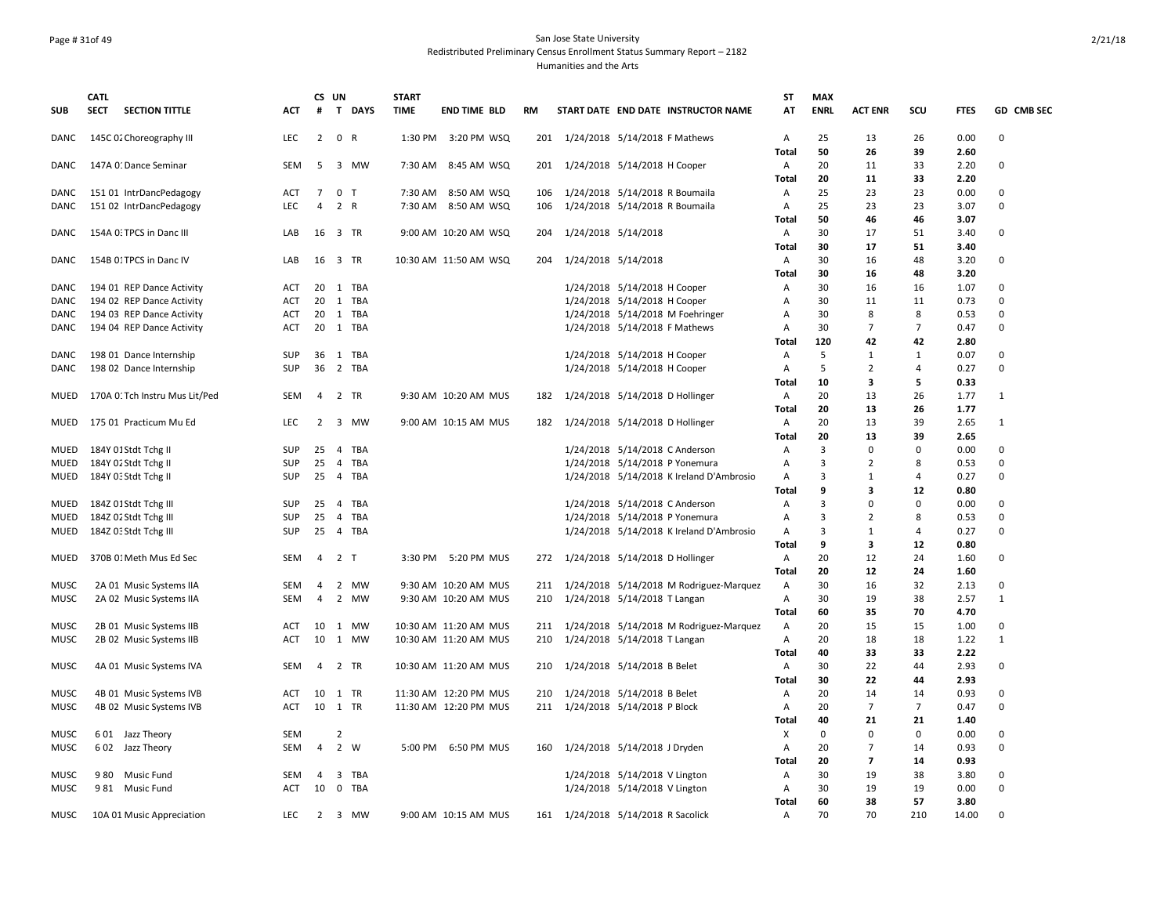# Page # 31of 49 San Jose State University Redistributed Preliminary Census Enrollment Status Summary Report – 2182 Humanities and the Arts

|                            | <b>CATL</b> |                                                    |                          |                                  | CS UN          |                   | <b>START</b> |                                              |           |            |                                    |                                  |                                          | ST           | <b>MAX</b>  |                |                |              |              |
|----------------------------|-------------|----------------------------------------------------|--------------------------|----------------------------------|----------------|-------------------|--------------|----------------------------------------------|-----------|------------|------------------------------------|----------------------------------|------------------------------------------|--------------|-------------|----------------|----------------|--------------|--------------|
| <b>SUB</b>                 | <b>SECT</b> | <b>SECTION TITTLE</b>                              | ACT                      | #                                |                | T DAYS            | <b>TIME</b>  | <b>END TIME BLD</b>                          | <b>RM</b> |            |                                    |                                  | START DATE END DATE INSTRUCTOR NAME      | AT           | <b>ENRL</b> | <b>ACT ENR</b> | scu            | <b>FTES</b>  | GD CMB SEC   |
| DANC                       |             | 145C 02 Choreography III                           | <b>LEC</b>               | $\overline{2}$                   | $\mathbf 0$    | R                 |              | 1:30 PM 3:20 PM WSQ                          |           | 201        |                                    | 1/24/2018 5/14/2018 F Mathews    |                                          | Α            | 25          | 13             | 26             | 0.00         | $\Omega$     |
|                            |             |                                                    |                          |                                  |                |                   |              |                                              |           |            |                                    |                                  |                                          | Total        | 50          | 26             | 39             | 2.60         |              |
| DANC                       |             | 147A 0. Dance Seminar                              | SEM                      | -5                               | 3              | МW                | 7:30 AM      | 8:45 AM WSQ                                  |           | 201        |                                    | 1/24/2018 5/14/2018 H Cooper     |                                          | Α            | 20          | 11             | 33             | 2.20         | $\mathbf 0$  |
|                            |             |                                                    |                          |                                  |                |                   |              |                                              |           |            |                                    |                                  |                                          | <b>Total</b> | 20          | 11             | 33             | 2.20         |              |
| DANC                       |             | 151 01 IntrDancPedagogy                            | <b>ACT</b>               | $\overline{7}$                   | $\mathbf 0$    | $\top$            | 7:30 AM      | 8:50 AM WSQ                                  |           | 106        |                                    | 1/24/2018 5/14/2018 R Boumaila   |                                          | Α            | 25          | 23             | 23             | 0.00         | $\mathbf 0$  |
| DANC                       |             | 151 02 IntrDancPedagogy                            | <b>LEC</b>               | $\overline{4}$                   |                | 2 R               | 7:30 AM      | 8:50 AM WSQ                                  |           | 106        |                                    | 1/24/2018 5/14/2018 R Boumaila   |                                          | Α            | 25          | 23             | 23             | 3.07         | $\Omega$     |
|                            |             |                                                    |                          |                                  |                |                   |              |                                              |           |            |                                    |                                  |                                          | Total        | 50          | 46             | 46             | 3.07         |              |
| DANC                       |             | 154A 0: TPCS in Danc III                           | LAB                      | 16                               |                | 3 TR              |              | 9:00 AM 10:20 AM WSQ                         |           | 204        | 1/24/2018 5/14/2018                |                                  |                                          | Α            | 30          | 17             | 51             | 3.40         | $\Omega$     |
|                            |             |                                                    |                          |                                  |                |                   |              |                                              |           |            |                                    |                                  |                                          | Total        | 30          | 17             | 51             | 3.40         |              |
| DANC                       |             | 154B 01 TPCS in Danc IV                            | LAB                      |                                  | 16 3           | TR                |              | 10:30 AM 11:50 AM WSQ                        |           | 204        | 1/24/2018 5/14/2018                |                                  |                                          | Α            | 30<br>30    | 16             | 48             | 3.20         | $\Omega$     |
| DANC                       |             | 194 01 REP Dance Activity                          | ACT                      | 20                               | 1              | TBA               |              |                                              |           |            |                                    | 1/24/2018 5/14/2018 H Cooper     |                                          | Total<br>Α   | 30          | 16<br>16       | 48<br>16       | 3.20<br>1.07 | $\Omega$     |
| DANC                       |             | 194 02 REP Dance Activity                          | ACT                      | 20                               | 1              | TBA               |              |                                              |           |            |                                    | 1/24/2018 5/14/2018 H Cooper     |                                          | Α            | 30          | 11             | 11             | 0.73         | $\mathbf 0$  |
| DANC                       |             | 194 03 REP Dance Activity                          | ACT                      |                                  |                | 20 1 TBA          |              |                                              |           |            |                                    | 1/24/2018 5/14/2018 M Foehringer |                                          | Α            | 30          | 8              | 8              | 0.53         | $\mathbf 0$  |
| DANC                       |             | 194 04 REP Dance Activity                          | ACT                      |                                  |                | 20 1 TBA          |              |                                              |           |            |                                    | 1/24/2018 5/14/2018 F Mathews    |                                          | Α            | 30          | $\overline{7}$ | $\overline{7}$ | 0.47         | $\Omega$     |
|                            |             |                                                    |                          |                                  |                |                   |              |                                              |           |            |                                    |                                  |                                          | Total        | 120         | 42             | 42             | 2.80         |              |
| DANC                       |             | 198 01 Dance Internship                            | SUP                      | 36                               | 1              | TBA               |              |                                              |           |            |                                    | 1/24/2018 5/14/2018 H Cooper     |                                          | Α            | 5           | 1              | 1              | 0.07         | 0            |
| DANC                       |             | 198 02 Dance Internship                            | SUP                      | 36                               | $\overline{2}$ | TBA               |              |                                              |           |            |                                    | 1/24/2018 5/14/2018 H Cooper     |                                          | Α            | 5           | 2              | $\overline{4}$ | 0.27         | $\mathbf 0$  |
|                            |             |                                                    |                          |                                  |                |                   |              |                                              |           |            |                                    |                                  |                                          | Total        | 10          | 3              | 5              | 0.33         |              |
| MUED                       |             | 170A 0: Tch Instru Mus Lit/Ped                     | SEM                      | 4                                |                | 2 TR              |              | 9:30 AM 10:20 AM MUS                         |           | 182        |                                    | 1/24/2018 5/14/2018 D Hollinger  |                                          | Α            | 20          | 13             | 26             | 1.77         | $\mathbf{1}$ |
|                            |             |                                                    |                          |                                  |                |                   |              |                                              |           |            |                                    |                                  |                                          | Total        | 20          | 13             | 26             | 1.77         |              |
| MUED                       |             | 175 01 Practicum Mu Ed                             | <b>LEC</b>               | 2                                | 3              | <b>MW</b>         |              | 9:00 AM 10:15 AM MUS                         |           | 182        |                                    | 1/24/2018 5/14/2018 D Hollinger  |                                          | Α            | 20          | 13             | 39             | 2.65         | $\mathbf{1}$ |
|                            |             |                                                    |                          |                                  |                |                   |              |                                              |           |            |                                    |                                  |                                          | <b>Total</b> | 20          | 13             | 39             | 2.65         |              |
| MUED                       |             | 184Y 01 Stdt Tchg II                               | SUP                      | 25                               | $\overline{4}$ | TBA               |              |                                              |           |            |                                    | 1/24/2018 5/14/2018 C Anderson   |                                          | Α            | 3           | $\Omega$       | $\mathbf 0$    | 0.00         | $\Omega$     |
| MUED                       |             | 184Y 02 Stdt Tchg II                               | SUP                      | 25                               | $\overline{4}$ | TBA               |              |                                              |           |            |                                    | 1/24/2018 5/14/2018 P Yonemura   |                                          | Α            | 3           | 2              | 8              | 0.53         | $\mathbf 0$  |
| MUED                       |             | 184Y 0: Stdt Tchg II                               | <b>SUP</b>               |                                  | 25 4           | TBA               |              |                                              |           |            |                                    |                                  | 1/24/2018 5/14/2018 K Ireland D'Ambrosio | Α            | 3           | $\mathbf{1}$   | $\overline{4}$ | 0.27         | $\mathbf 0$  |
|                            |             |                                                    |                          |                                  |                |                   |              |                                              |           |            |                                    |                                  |                                          | <b>Total</b> | 9           | 3              | 12             | 0.80         |              |
| MUED                       |             | 184Z 01 Stdt Tchg III                              | <b>SUP</b>               | 25                               | 4              | <b>TBA</b>        |              |                                              |           |            |                                    | 1/24/2018 5/14/2018 C Anderson   |                                          | Α            | 3           | 0              | $\mathbf 0$    | 0.00         | $\mathbf 0$  |
| MUED                       |             | 184Z 02 Stdt Tchg III                              | SUP                      | 25                               | $\overline{4}$ | TBA               |              |                                              |           |            |                                    | 1/24/2018 5/14/2018 P Yonemura   |                                          | Α            | 3           | 2              | 8              | 0.53         | $\mathbf 0$  |
| MUED                       |             | 184Z 03 Stdt Tchg III                              | <b>SUP</b>               | 25                               | $\overline{4}$ | TBA               |              |                                              |           |            |                                    |                                  | 1/24/2018 5/14/2018 K Ireland D'Ambrosio | Α            | 3           | 1              | 4              | 0.27         | $\Omega$     |
|                            |             |                                                    |                          |                                  |                |                   |              |                                              |           |            |                                    |                                  |                                          | <b>Total</b> | 9           | 3              | 12             | 0.80         |              |
| MUED                       |             | 370B 01 Meth Mus Ed Sec                            | SEM                      | 4                                | $\overline{2}$ | Т                 |              | 3:30 PM 5:20 PM MUS                          |           | 272        |                                    | 1/24/2018 5/14/2018 D Hollinger  |                                          | Α            | 20          | 12             | 24             | 1.60         | $\mathbf 0$  |
|                            |             |                                                    |                          |                                  |                |                   |              |                                              |           |            |                                    |                                  |                                          | Total        | 20<br>30    | 12             | 24             | 1.60         | $\Omega$     |
| <b>MUSC</b><br><b>MUSC</b> |             | 2A 01 Music Systems IIA<br>2A 02 Music Systems IIA | <b>SEM</b><br><b>SEM</b> | $\overline{4}$<br>$\overline{4}$ | $\overline{2}$ | 2 MW<br><b>MW</b> |              | 9:30 AM 10:20 AM MUS<br>9:30 AM 10:20 AM MUS |           | 211<br>210 |                                    | 1/24/2018 5/14/2018 T Langan     | 1/24/2018 5/14/2018 M Rodriguez-Marquez  | Α<br>A       | 30          | 16<br>19       | 32<br>38       | 2.13<br>2.57 | $\mathbf{1}$ |
|                            |             |                                                    |                          |                                  |                |                   |              |                                              |           |            |                                    |                                  |                                          | Total        | 60          | 35             | 70             | 4.70         |              |
| <b>MUSC</b>                |             | 2B 01 Music Systems IIB                            | ACT                      | 10                               | 1              | MW                |              | 10:30 AM 11:20 AM MUS                        |           | 211        |                                    |                                  | 1/24/2018 5/14/2018 M Rodriguez-Marquez  | Α            | 20          | 15             | 15             | 1.00         | $\mathbf 0$  |
| <b>MUSC</b>                |             | 2B 02 Music Systems IIB                            | ACT                      | 10                               | 1              | MW                |              | 10:30 AM 11:20 AM MUS                        |           | 210        |                                    | 1/24/2018 5/14/2018 T Langan     |                                          | Α            | 20          | 18             | 18             | 1.22         | $\mathbf{1}$ |
|                            |             |                                                    |                          |                                  |                |                   |              |                                              |           |            |                                    |                                  |                                          | Total        | 40          | 33             | 33             | 2.22         |              |
| MUSC                       |             | 4A 01 Music Systems IVA                            | SEM                      | $\overline{4}$                   | 2              | TR                |              | 10:30 AM 11:20 AM MUS                        |           | 210        |                                    | 1/24/2018 5/14/2018 B Belet      |                                          | Α            | 30          | 22             | 44             | 2.93         | 0            |
|                            |             |                                                    |                          |                                  |                |                   |              |                                              |           |            |                                    |                                  |                                          | Total        | 30          | 22             | 44             | 2.93         |              |
| MUSC                       |             | 4B 01 Music Systems IVB                            | ACT                      | 10                               | 1              | TR                |              | 11:30 AM 12:20 PM MUS                        |           | 210        |                                    | 1/24/2018 5/14/2018 B Belet      |                                          | Α            | 20          | 14             | 14             | 0.93         | $\Omega$     |
| <b>MUSC</b>                |             | 4B 02 Music Systems IVB                            | <b>ACT</b>               |                                  | 10 1           | <b>TR</b>         |              | 11:30 AM 12:20 PM MUS                        |           |            | 211 1/24/2018 5/14/2018 P Block    |                                  |                                          | Α            | 20          | $\overline{7}$ | $\overline{7}$ | 0.47         | $\mathbf 0$  |
|                            |             |                                                    |                          |                                  |                |                   |              |                                              |           |            |                                    |                                  |                                          | Total        | 40          | 21             | 21             | 1.40         |              |
| MUSC                       |             | 601 Jazz Theory                                    | SEM                      |                                  | $\overline{2}$ |                   |              |                                              |           |            |                                    |                                  |                                          | X            | $\Omega$    | $\Omega$       | $\mathbf 0$    | 0.00         | $\mathbf 0$  |
| <b>MUSC</b>                |             | 602 Jazz Theory                                    | <b>SEM</b>               | $\overline{4}$                   | $\overline{2}$ | W                 |              | 5:00 PM 6:50 PM MUS                          |           | 160        |                                    | 1/24/2018 5/14/2018 J Dryden     |                                          | A            | 20          | $\overline{7}$ | 14             | 0.93         | $\Omega$     |
|                            |             |                                                    |                          |                                  |                |                   |              |                                              |           |            |                                    |                                  |                                          | Total        | 20          | $\overline{7}$ | 14             | 0.93         |              |
| MUSC                       | 980         | Music Fund                                         | SEM                      | $\overline{a}$                   | 3              | TBA               |              |                                              |           |            |                                    | 1/24/2018 5/14/2018 V Lington    |                                          | Α            | 30          | 19             | 38             | 3.80         | 0            |
| <b>MUSC</b>                |             | 981 Music Fund                                     | ACT                      | 10                               | $\mathbf 0$    | TBA               |              |                                              |           |            |                                    | 1/24/2018 5/14/2018 V Lington    |                                          | Α            | 30          | 19             | 19             | 0.00         | $\mathbf 0$  |
|                            |             |                                                    |                          |                                  |                |                   |              |                                              |           |            |                                    |                                  |                                          | Total        | 60          | 38             | 57             | 3.80         |              |
| MUSC                       |             | 10A 01 Music Appreciation                          | LEC                      |                                  | $2 \quad 3$    | <b>MW</b>         |              | 9:00 AM 10:15 AM MUS                         |           |            | 161 1/24/2018 5/14/2018 R Sacolick |                                  |                                          | Α            | 70          | 70             | 210            | 14.00        | $\Omega$     |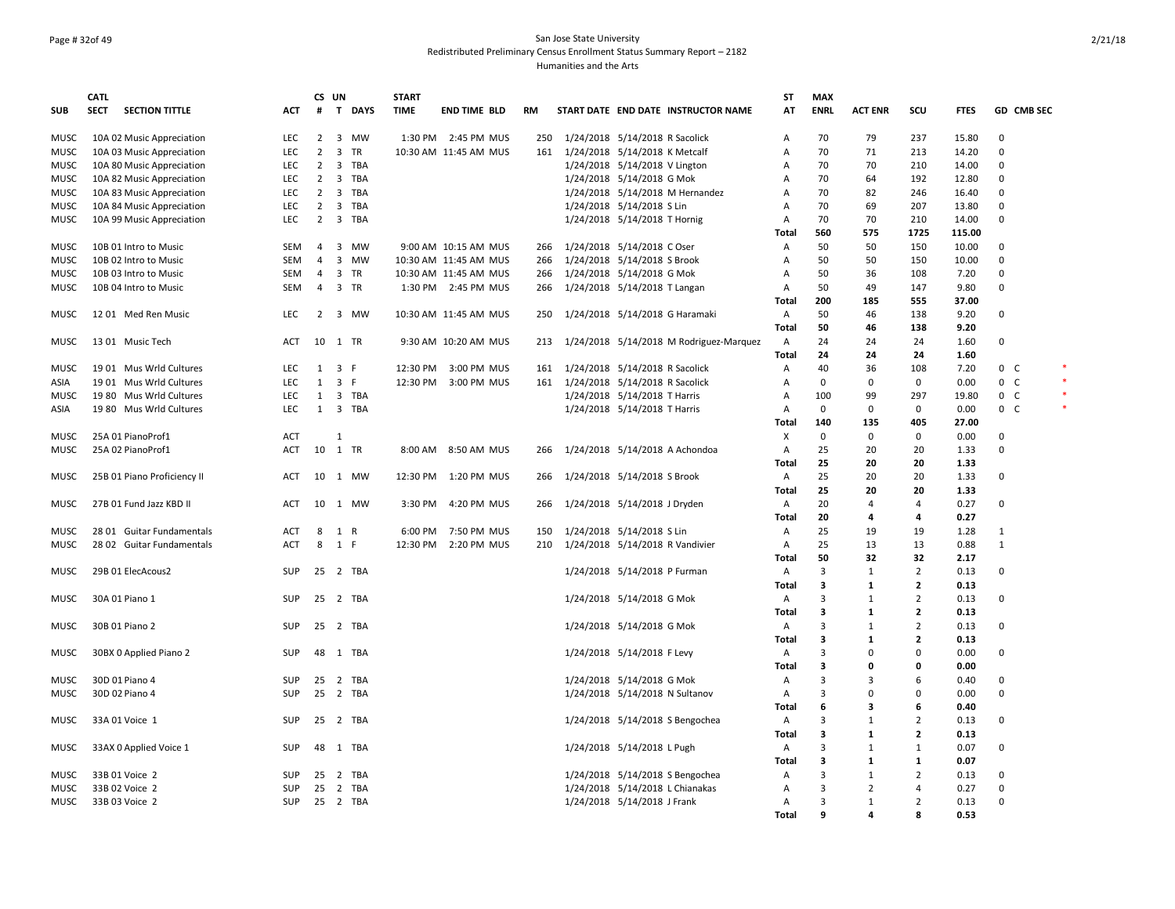### Page # 32of 49 San Jose State University Redistributed Preliminary Census Enrollment Status Summary Report – 2182 Humanities and the Arts

|             | <b>CATL</b>                          |            | CS UN          |                         |           | <b>START</b> |                       |           |                                 |                                         | ST           | <b>MAX</b>              |                |                |             |              |  |
|-------------|--------------------------------------|------------|----------------|-------------------------|-----------|--------------|-----------------------|-----------|---------------------------------|-----------------------------------------|--------------|-------------------------|----------------|----------------|-------------|--------------|--|
| <b>SUB</b>  | <b>SECT</b><br><b>SECTION TITTLE</b> | <b>ACT</b> | #              |                         | T DAYS    | <b>TIME</b>  | <b>END TIME BLD</b>   | <b>RM</b> |                                 | START DATE END DATE INSTRUCTOR NAME     | AT           | <b>ENRL</b>             | <b>ACT ENR</b> | SCU            | <b>FTES</b> | GD CMB SEC   |  |
|             |                                      |            |                |                         |           |              |                       |           |                                 |                                         |              |                         |                |                |             |              |  |
| <b>MUSC</b> | 10A 02 Music Appreciation            | <b>LEC</b> | 2              |                         | 3 MW      |              | 1:30 PM 2:45 PM MUS   | 250       | 1/24/2018 5/14/2018 R Sacolick  |                                         | Α            | 70                      | 79             | 237            | 15.80       | 0            |  |
| <b>MUSC</b> | 10A 03 Music Appreciation            | <b>LEC</b> | $\overline{2}$ | $\overline{\mathbf{3}}$ | <b>TR</b> |              | 10:30 AM 11:45 AM MUS | 161       | 1/24/2018 5/14/2018 K Metcalf   |                                         | A            | 70                      | 71             | 213            | 14.20       | $\mathbf 0$  |  |
| MUSC        | 10A 80 Music Appreciation            | <b>LEC</b> | $\overline{2}$ | 3                       | TBA       |              |                       |           | 1/24/2018 5/14/2018 V Lington   |                                         | Α            | 70                      | 70             | 210            | 14.00       | $\mathbf 0$  |  |
| MUSC        | 10A 82 Music Appreciation            | <b>LEC</b> | 2              | $\overline{\mathbf{3}}$ | TBA       |              |                       |           | 1/24/2018 5/14/2018 G Mok       |                                         | Α            | 70                      | 64             | 192            | 12.80       | 0            |  |
| MUSC        | 10A 83 Music Appreciation            | <b>LEC</b> | $\overline{2}$ | $\overline{\mathbf{3}}$ | TBA       |              |                       |           |                                 | 1/24/2018 5/14/2018 M Hernandez         | Α            | 70                      | 82             | 246            | 16.40       | 0            |  |
| MUSC        | 10A 84 Music Appreciation            | LEC        | $\overline{2}$ | 3                       | TBA       |              |                       |           | 1/24/2018 5/14/2018 S Lin       |                                         | Α            | 70                      | 69             | 207            | 13.80       | 0            |  |
| <b>MUSC</b> | 10A 99 Music Appreciation            | <b>LEC</b> | $2^{\circ}$    |                         | 3 TBA     |              |                       |           | 1/24/2018 5/14/2018 T Hornig    |                                         | Α            | 70                      | 70             | 210            | 14.00       | 0            |  |
|             |                                      |            |                |                         |           |              |                       |           |                                 |                                         | Total        | 560                     | 575            | 1725           | 115.00      |              |  |
| <b>MUSC</b> | 10B 01 Intro to Music                | <b>SEM</b> | $\overline{4}$ | $\overline{\mathbf{3}}$ | MW        |              | 9:00 AM 10:15 AM MUS  | 266       | 1/24/2018 5/14/2018 C Oser      |                                         | Α            | 50                      | 50             | 150            | 10.00       | 0            |  |
| MUSC        | 10B 02 Intro to Music                | <b>SEM</b> | $\overline{4}$ | $\overline{\mathbf{3}}$ | МW        |              | 10:30 AM 11:45 AM MUS | 266       | 1/24/2018 5/14/2018 S Brook     |                                         | Α            | 50                      | 50             | 150            | 10.00       | $\mathbf 0$  |  |
| <b>MUSC</b> | 10B 03 Intro to Music                | <b>SEM</b> | $\overline{4}$ |                         | 3 TR      |              | 10:30 AM 11:45 AM MUS | 266       | 1/24/2018 5/14/2018 G Mok       |                                         | $\mathsf{A}$ | 50                      | 36             | 108            | 7.20        | $\mathbf 0$  |  |
| <b>MUSC</b> | 10B 04 Intro to Music                | SEM        | $\overline{4}$ |                         | 3 TR      |              | 1:30 PM 2:45 PM MUS   | 266       | 1/24/2018 5/14/2018 T Langan    |                                         | Α            | 50                      | 49             | 147            | 9.80        | 0            |  |
|             |                                      |            |                |                         |           |              |                       |           |                                 |                                         | Total        | 200                     | 185            | 555            | 37.00       |              |  |
| <b>MUSC</b> | 12 01 Med Ren Music                  | <b>LEC</b> | 2              | 3                       | МW        |              | 10:30 AM 11:45 AM MUS | 250       | 1/24/2018 5/14/2018 G Haramaki  |                                         | Α            | 50                      | 46             | 138            | 9.20        | 0            |  |
|             |                                      |            |                |                         |           |              |                       |           |                                 |                                         | Total        | 50                      | 46             | 138            | 9.20        |              |  |
| MUSC        | 13 01 Music Tech                     | <b>ACT</b> | 10             |                         | 1 TR      |              | 9:30 AM 10:20 AM MUS  | 213       |                                 | 1/24/2018 5/14/2018 M Rodriguez-Marquez | A            | 24                      | 24             | 24             | 1.60        | 0            |  |
|             |                                      |            |                |                         |           |              |                       |           |                                 |                                         | <b>Total</b> | 24                      | 24             | 24             | 1.60        |              |  |
| <b>MUSC</b> | 19 01 Mus Wrld Cultures              | LEC        |                | $1 \quad 3 \quad F$     |           | 12:30 PM     | 3:00 PM MUS           | 161       | 1/24/2018 5/14/2018 R Sacolick  |                                         | Α            | 40                      | 36             | 108            | 7.20        | $0-$         |  |
| ASIA        | 19 01 Mus Wrld Cultures              | LEC        | 1              | $\overline{\mathbf{3}}$ | F.        |              | 12:30 PM 3:00 PM MUS  | 161       | 1/24/2018 5/14/2018 R Sacolick  |                                         | A            | 0                       | 0              | 0              | 0.00        | 0 C          |  |
| MUSC        | 19 80 Mus Wrld Cultures              | <b>LEC</b> | 1              |                         | 3 TBA     |              |                       |           | 1/24/2018 5/14/2018 T Harris    |                                         | Α            | 100                     | 99             | 297            | 19.80       | $0-$         |  |
| ASIA        | 19 80 Mus Wrld Cultures              | LEC        | $\mathbf{1}$   |                         | 3 TBA     |              |                       |           | 1/24/2018 5/14/2018 T Harris    |                                         | Α            | 0                       | $\mathbf 0$    | 0              | 0.00        | $0-$         |  |
|             |                                      |            |                |                         |           |              |                       |           |                                 |                                         | Total        | 140                     | 135            | 405            | 27.00       |              |  |
| <b>MUSC</b> | 25A 01 PianoProf1                    | <b>ACT</b> |                | 1                       |           |              |                       |           |                                 |                                         | X            | 0                       | $\mathbf 0$    | 0              | 0.00        | $\Omega$     |  |
| <b>MUSC</b> | 25A 02 PianoProf1                    | <b>ACT</b> | 10             |                         | 1 TR      | 8:00 AM      | 8:50 AM MUS           | 266       |                                 | 1/24/2018 5/14/2018 A Achondoa          | A            | 25                      | 20             | 20             | 1.33        | 0            |  |
|             |                                      |            |                |                         |           |              |                       |           |                                 |                                         | Total        | 25                      | 20             | 20             | 1.33        |              |  |
| MUSC        | 25B 01 Piano Proficiency II          | ACT        | 10             |                         | 1 MW      |              | 12:30 PM 1:20 PM MUS  | 266       | 1/24/2018 5/14/2018 S Brook     |                                         | A            | 25                      | 20             | 20             | 1.33        | $\mathbf 0$  |  |
|             |                                      |            |                |                         |           |              |                       |           |                                 |                                         | Total        | 25                      | 20             | 20             | 1.33        |              |  |
|             |                                      |            |                |                         |           |              |                       |           |                                 |                                         |              |                         | $\overline{4}$ | $\overline{a}$ |             | 0            |  |
| MUSC        | 27B 01 Fund Jazz KBD II              | ACT        | 10             |                         | 1 MW      | 3:30 PM      | 4:20 PM MUS           | 266       | 1/24/2018 5/14/2018 J Dryden    |                                         | A            | 20                      |                | 4              | 0.27        |              |  |
|             |                                      |            |                |                         |           |              |                       |           |                                 |                                         | Total        | 20                      | 4              |                | 0.27        |              |  |
| MUSC        | 28 01 Guitar Fundamentals            | ACT        | 8              |                         | 1 R       | 6:00 PM      | 7:50 PM MUS           | 150       | 1/24/2018 5/14/2018 S Lin       |                                         | Α            | 25                      | 19             | 19             | 1.28        | $\mathbf{1}$ |  |
| <b>MUSC</b> | 28 02 Guitar Fundamentals            | ACT        | 8              | 1 F                     |           |              | 12:30 PM 2:20 PM MUS  | 210       | 1/24/2018 5/14/2018 R Vandivier |                                         | Α            | 25                      | 13             | 13             | 0.88        | $\mathbf{1}$ |  |
|             |                                      |            |                |                         |           |              |                       |           |                                 |                                         | Total        | 50                      | 32             | 32             | 2.17        |              |  |
| <b>MUSC</b> | 29B 01 ElecAcous2                    | SUP        | 25             |                         | 2 TBA     |              |                       |           | 1/24/2018 5/14/2018 P Furman    |                                         | $\mathsf{A}$ | 3                       | 1              | $\overline{2}$ | 0.13        | 0            |  |
|             |                                      |            |                |                         |           |              |                       |           |                                 |                                         | Total        | 3                       | 1              | $\overline{2}$ | 0.13        |              |  |
| <b>MUSC</b> | 30A 01 Piano 1                       | <b>SUP</b> | 25             |                         | 2 TBA     |              |                       |           | 1/24/2018 5/14/2018 G Mok       |                                         | A            | 3                       | 1              | $\overline{2}$ | 0.13        | 0            |  |
|             |                                      |            |                |                         |           |              |                       |           |                                 |                                         | Total        | 3                       | $\mathbf{1}$   | $\mathbf{2}$   | 0.13        |              |  |
| <b>MUSC</b> | 30B 01 Piano 2                       | SUP        | 25             |                         | 2 TBA     |              |                       |           | 1/24/2018 5/14/2018 G Mok       |                                         | $\mathsf{A}$ | 3                       | 1              | $\overline{2}$ | 0.13        | 0            |  |
|             |                                      |            |                |                         |           |              |                       |           |                                 |                                         | Total        | 3                       | $\mathbf{1}$   | $\overline{2}$ | 0.13        |              |  |
| <b>MUSC</b> | 30BX 0 Applied Piano 2               | SUP        | 48             |                         | 1 TBA     |              |                       |           | 1/24/2018 5/14/2018 F Levy      |                                         | A            | 3                       | $\Omega$       | $\Omega$       | 0.00        | 0            |  |
|             |                                      |            |                |                         |           |              |                       |           |                                 |                                         | Total        | 3                       | 0              | 0              | 0.00        |              |  |
| MUSC        | 30D 01 Piano 4                       | <b>SUP</b> | 25             |                         | 2 TBA     |              |                       |           | 1/24/2018 5/14/2018 G Mok       |                                         | Α            | 3                       | 3              | 6              | 0.40        | 0            |  |
| <b>MUSC</b> | 30D 02 Piano 4                       | SUP        | 25             |                         | 2 TBA     |              |                       |           | 1/24/2018 5/14/2018 N Sultanov  |                                         | Α            | 3                       | $\Omega$       | $\Omega$       | 0.00        | 0            |  |
|             |                                      |            |                |                         |           |              |                       |           |                                 |                                         | Total        | 6                       | 3              | 6              | 0.40        |              |  |
| MUSC        | 33A 01 Voice 1                       | <b>SUP</b> | 25             |                         | 2 TBA     |              |                       |           |                                 | 1/24/2018 5/14/2018 S Bengochea         | A            | 3                       | $\mathbf{1}$   | $\overline{2}$ | 0.13        | 0            |  |
|             |                                      |            |                |                         |           |              |                       |           |                                 |                                         | Total        | $\overline{\mathbf{3}}$ | 1              | $\mathbf{2}$   | 0.13        |              |  |
| MUSC        | 33AX 0 Applied Voice 1               | <b>SUP</b> | 48             |                         | 1 TBA     |              |                       |           | 1/24/2018 5/14/2018 L Pugh      |                                         | A            | 3                       | 1              | $\mathbf{1}$   | 0.07        | 0            |  |
|             |                                      |            |                |                         |           |              |                       |           |                                 |                                         | Total        | 3                       | 1              | 1              | 0.07        |              |  |
| MUSC        | 33B 01 Voice 2                       | <b>SUP</b> | 25             |                         | 2 TBA     |              |                       |           |                                 | 1/24/2018 5/14/2018 S Bengochea         | Α            | $\overline{3}$          | $\mathbf{1}$   | $\overline{2}$ | 0.13        | 0            |  |
| MUSC        | 33B 02 Voice 2                       | <b>SUP</b> | 25             |                         | 2 TBA     |              |                       |           | 1/24/2018 5/14/2018 L Chianakas |                                         | Α            | 3                       | 2              | 4              | 0.27        | 0            |  |
| <b>MUSC</b> | 33B 03 Voice 2                       | <b>SUP</b> | 25             |                         | 2 TBA     |              |                       |           | 1/24/2018 5/14/2018 J Frank     |                                         | A            | 3                       | $\mathbf{1}$   | $\overline{2}$ | 0.13        | $\mathbf 0$  |  |
|             |                                      |            |                |                         |           |              |                       |           |                                 |                                         | <b>Total</b> | 9                       | 4              | R              | 0.53        |              |  |
|             |                                      |            |                |                         |           |              |                       |           |                                 |                                         |              |                         |                |                |             |              |  |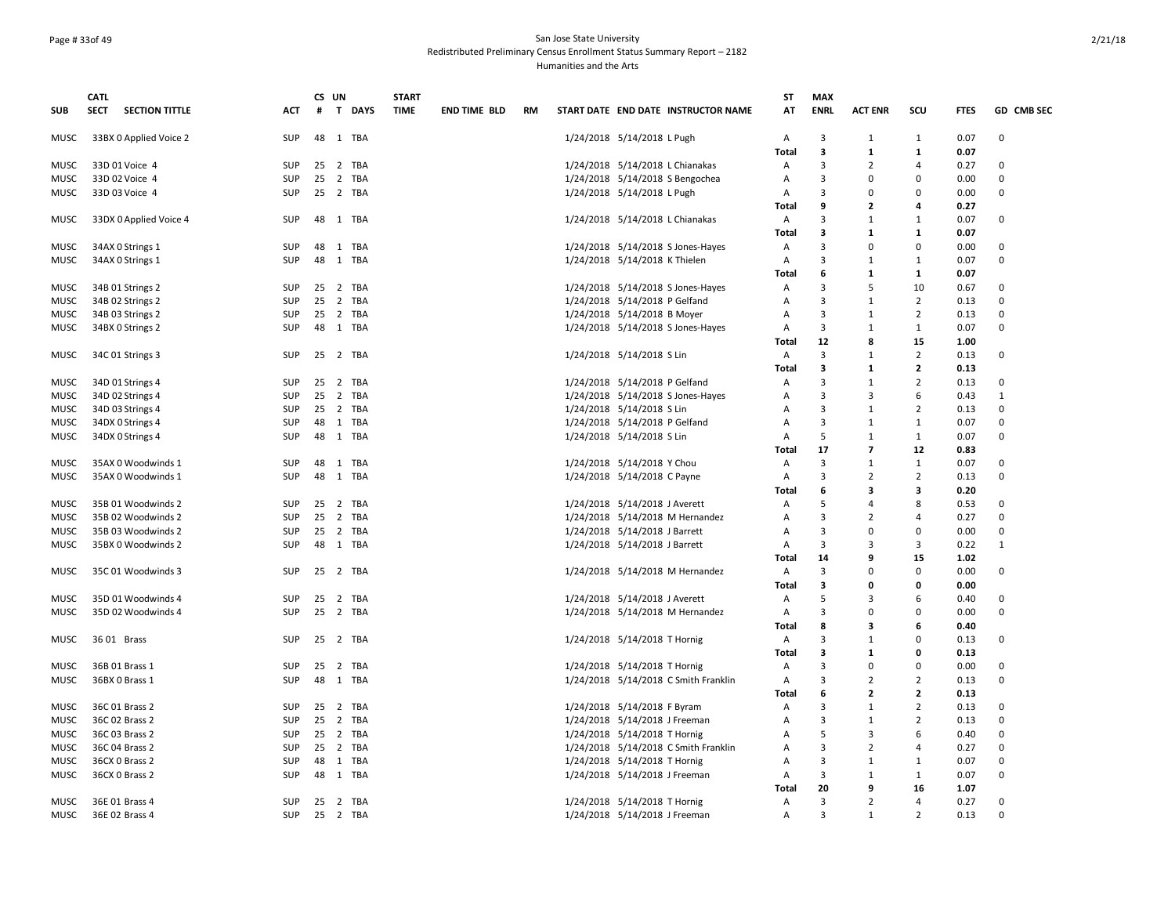### Page # 33of 49 San Jose State University Redistributed Preliminary Census Enrollment Status Summary Report – 2182 Humanities and the Arts

|             | <b>CATL</b>                          |            |    | CS UN                         | <b>START</b> |                     |           |                                      | ST           | <b>MAX</b>  |                          |                |             |              |
|-------------|--------------------------------------|------------|----|-------------------------------|--------------|---------------------|-----------|--------------------------------------|--------------|-------------|--------------------------|----------------|-------------|--------------|
| <b>SUB</b>  | <b>SECTION TITTLE</b><br><b>SECT</b> | <b>ACT</b> | #  | $\mathbf{T}$<br>DAYS          | <b>TIME</b>  | <b>END TIME BLD</b> | <b>RM</b> | START DATE END DATE INSTRUCTOR NAME  | AT           | <b>ENRL</b> | <b>ACT ENR</b>           | scu            | <b>FTES</b> | GD CMB SEC   |
| <b>MUSC</b> | 33BX 0 Applied Voice 2               | <b>SUP</b> |    | 48 1 TBA                      |              |                     |           | 1/24/2018 5/14/2018 L Pugh           | Α            | 3           | $\mathbf{1}$             | 1              | 0.07        | $\Omega$     |
|             |                                      |            |    |                               |              |                     |           |                                      | <b>Total</b> | 3           | 1                        | 1              | 0.07        |              |
| MUSC        | 33D 01 Voice 4                       | <b>SUP</b> |    | 25 <sub>2</sub><br><b>TBA</b> |              |                     |           | 1/24/2018 5/14/2018 L Chianakas      | Α            | 3           | 2                        | $\overline{4}$ | 0.27        | $\mathbf 0$  |
| MUSC        | 33D 02 Voice 4                       | <b>SUP</b> |    | 25 2<br>TBA                   |              |                     |           | 1/24/2018 5/14/2018 S Bengochea      | Α            | 3           | 0                        | 0              | 0.00        | $\Omega$     |
| MUSC        | 33D 03 Voice 4                       | <b>SUP</b> |    | 25 2 TBA                      |              |                     |           | 1/24/2018 5/14/2018 L Pugh           | Α            | 3           | $\Omega$                 | $\mathbf 0$    | 0.00        | $\Omega$     |
|             |                                      |            |    |                               |              |                     |           |                                      | <b>Total</b> | 9           | $\overline{2}$           | 4              | 0.27        |              |
| MUSC        | 33DX 0 Applied Voice 4               | SUP        |    | 48 1 TBA                      |              |                     |           | 1/24/2018 5/14/2018 L Chianakas      | Α            | 3           | 1                        | 1              | 0.07        | 0            |
|             |                                      |            |    |                               |              |                     |           |                                      | Total        | 3           | 1                        | 1              | 0.07        |              |
| MUSC        | 34AX 0 Strings 1                     | <b>SUP</b> |    | 48 1 TBA                      |              |                     |           | 1/24/2018 5/14/2018 S Jones-Hayes    | Α            | 3           | $\Omega$                 | $\mathbf 0$    | 0.00        | $\Omega$     |
| <b>MUSC</b> | 34AX 0 Strings 1                     | <b>SUP</b> |    | 48 1 TBA                      |              |                     |           | 1/24/2018 5/14/2018 K Thielen        | Α            | 3           | $\mathbf{1}$             | 1              | 0.07        | $\Omega$     |
|             |                                      |            |    |                               |              |                     |           |                                      | Total        | 6           | 1                        | $\mathbf{1}$   | 0.07        |              |
| MUSC        | 34B 01 Strings 2                     | <b>SUP</b> |    | 25 2<br>TBA                   |              |                     |           | 1/24/2018 5/14/2018 S Jones-Hayes    | Α            | 3           | .5                       | 10             | 0.67        | $\Omega$     |
| MUSC        | 34B 02 Strings 2                     | <b>SUP</b> |    | 25 2 TBA                      |              |                     |           | 1/24/2018 5/14/2018 P Gelfand        | А            | 3           | $\mathbf{1}$             | $\overline{2}$ | 0.13        | $\Omega$     |
| MUSC        | 34B 03 Strings 2                     | <b>SUP</b> |    | 25 2 TBA                      |              |                     |           | 1/24/2018 5/14/2018 B Moyer          | Α            | 3           | $\mathbf{1}$             | $\overline{2}$ | 0.13        | $\Omega$     |
| <b>MUSC</b> | 34BX 0 Strings 2                     | <b>SUP</b> |    | 48 1 TBA                      |              |                     |           | 1/24/2018 5/14/2018 S Jones-Hayes    | Α            | 3           | $\mathbf{1}$             | 1              | 0.07        | $\Omega$     |
|             |                                      |            |    |                               |              |                     |           |                                      | Total        | 12          | 8                        | 15             | 1.00        |              |
| MUSC        | 34C 01 Strings 3                     | SUP        |    | 25 2 TBA                      |              |                     |           | 1/24/2018 5/14/2018 S Lin            | Α            | 3           | 1                        | 2              | 0.13        | $\Omega$     |
|             |                                      |            |    |                               |              |                     |           |                                      | <b>Total</b> | 3           | 1                        | $\overline{2}$ | 0.13        |              |
| <b>MUSC</b> | 34D 01 Strings 4                     | <b>SUP</b> |    | 25 2<br>TBA                   |              |                     |           | 1/24/2018 5/14/2018 P Gelfand        | Α            | 3           | $\mathbf{1}$             | $\overline{2}$ | 0.13        | $\Omega$     |
| MUSC        | 34D 02 Strings 4                     | <b>SUP</b> |    | 25 <sub>2</sub><br>TBA        |              |                     |           | 1/24/2018 5/14/2018 S Jones-Hayes    | Α            | 3           | 3                        | 6              | 0.43        | 1            |
| MUSC        | 34D 03 Strings 4                     | <b>SUP</b> |    | 25 2 TBA                      |              |                     |           | 1/24/2018 5/14/2018 S Lin            | А            | 3           | $\mathbf{1}$             | $\overline{2}$ | 0.13        | $\mathbf 0$  |
| MUSC        | 34DX 0 Strings 4                     | <b>SUP</b> |    | 48 1 TBA                      |              |                     |           | 1/24/2018 5/14/2018 P Gelfand        | Α            | 3           | $\mathbf{1}$             | $\mathbf{1}$   | 0.07        | $\Omega$     |
| <b>MUSC</b> | 34DX 0 Strings 4                     | <b>SUP</b> |    | 48 1 TBA                      |              |                     |           | 1/24/2018 5/14/2018 S Lin            | A            | 5           | 1                        | $\mathbf{1}$   | 0.07        | $\Omega$     |
|             |                                      |            |    |                               |              |                     |           |                                      | <b>Total</b> | 17          | $\overline{\phantom{a}}$ | 12             | 0.83        |              |
| MUSC        | 35AX 0 Woodwinds 1                   | <b>SUP</b> | 48 | 1 TBA                         |              |                     |           | 1/24/2018 5/14/2018 Y Chou           | Α            | 3           | $\mathbf{1}$             | $\mathbf{1}$   | 0.07        | $\Omega$     |
| <b>MUSC</b> | 35AX 0 Woodwinds 1                   | <b>SUP</b> |    | 48 1 TBA                      |              |                     |           | 1/24/2018 5/14/2018 C Payne          | Α            | 3           | 2                        | $\overline{2}$ | 0.13        | $\Omega$     |
|             |                                      |            |    |                               |              |                     |           |                                      | <b>Total</b> | 6           | з                        | 3              | 0.20        |              |
| <b>MUSC</b> | 35B 01 Woodwinds 2                   | <b>SUP</b> |    | 25 2<br>TBA                   |              |                     |           | 1/24/2018 5/14/2018 J Averett        | Α            | 5           | 4                        | 8              | 0.53        | $\Omega$     |
| MUSC        | 35B 02 Woodwinds 2                   | <b>SUP</b> |    | 25 2 TBA                      |              |                     |           | 1/24/2018 5/14/2018 M Hernandez      | Α            | 3           | 2                        | $\overline{4}$ | 0.27        | $\Omega$     |
| MUSC        | 35B 03 Woodwinds 2                   | <b>SUP</b> |    | 25 2 TBA                      |              |                     |           | 1/24/2018 5/14/2018 J Barrett        | Α            | 3           | $\Omega$                 | $\mathbf 0$    | 0.00        | $\Omega$     |
| MUSC        | 35BX 0 Woodwinds 2                   | <b>SUP</b> |    | 48 1 TBA                      |              |                     |           | 1/24/2018 5/14/2018 J Barrett        | Α            | 3           | 3                        | 3              | 0.22        | $\mathbf{1}$ |
|             |                                      |            |    |                               |              |                     |           |                                      | Total        | 14          | q                        | 15             | 1.02        |              |
| <b>MUSC</b> | 35C 01 Woodwinds 3                   | <b>SUP</b> |    | 25 2 TBA                      |              |                     |           | 1/24/2018 5/14/2018 M Hernandez      | Α            | 3           | <sup>0</sup>             | 0              | 0.00        | $\mathbf 0$  |
|             |                                      |            |    |                               |              |                     |           |                                      | Total        | 3           | 0                        | 0              | 0.00        |              |
| <b>MUSC</b> | 35D 01 Woodwinds 4                   | <b>SUP</b> |    | 25 2<br>TBA                   |              |                     |           | 1/24/2018 5/14/2018 J Averett        | Α            | 5           | 3                        | 6              | 0.40        | $\mathbf 0$  |
| <b>MUSC</b> | 35D 02 Woodwinds 4                   | <b>SUP</b> |    | 25 2 TBA                      |              |                     |           | 1/24/2018 5/14/2018 M Hernandez      | Α            | 3           | $\Omega$                 | $\mathbf 0$    | 0.00        | $\Omega$     |
|             |                                      |            |    |                               |              |                     |           |                                      | Total        | 8           | з                        | 6              | 0.40        |              |
| MUSC        | 36 01 Brass                          | <b>SUP</b> |    | 25 2 TBA                      |              |                     |           | 1/24/2018 5/14/2018 T Hornig         | Α            | 3           | 1                        | $\Omega$       | 0.13        | 0            |
|             |                                      |            |    |                               |              |                     |           |                                      | <b>Total</b> | 3           | 1                        | 0              | 0.13        |              |
| MUSC        | 36B 01 Brass 1                       | <b>SUP</b> |    | 25 2<br>TBA                   |              |                     |           | 1/24/2018 5/14/2018 T Hornig         | A            | 3           | $\Omega$                 | $\Omega$       | 0.00        | $\Omega$     |
| <b>MUSC</b> | 36BX 0 Brass 1                       | <b>SUP</b> |    | 48 1 TBA                      |              |                     |           | 1/24/2018 5/14/2018 C Smith Franklin | Α            | 3           | 2                        | $\overline{2}$ | 0.13        | $\Omega$     |
|             |                                      |            |    |                               |              |                     |           |                                      | Total        | 6           | $\overline{2}$           | $\overline{2}$ | 0.13        |              |
| MUSC        | 36C 01 Brass 2                       | <b>SUP</b> |    | 25 2<br>TBA                   |              |                     |           | 1/24/2018 5/14/2018 F Byram          | Α            | 3           | 1                        | 2              | 0.13        | $\Omega$     |
| MUSC        | 36C 02 Brass 2                       | <b>SUP</b> |    | 25 <sub>2</sub><br>TBA        |              |                     |           | 1/24/2018 5/14/2018 J Freeman        | A            | 3           | 1                        | $\overline{2}$ | 0.13        | $\Omega$     |
| MUSC        | 36C 03 Brass 2                       | <b>SUP</b> |    | 25 2<br>TBA                   |              |                     |           | 1/24/2018 5/14/2018 T Hornig         | А            | 5           | 3                        | 6              | 0.40        | $\mathbf 0$  |
| MUSC        | 36C 04 Brass 2                       | <b>SUP</b> |    | 25 2 TBA                      |              |                     |           | 1/24/2018 5/14/2018 C Smith Franklin | Α            | 3           | 2                        | $\overline{4}$ | 0.27        | $\mathbf 0$  |
| MUSC        | 36CX 0 Brass 2                       | <b>SUP</b> |    | 48 1 TBA                      |              |                     |           | 1/24/2018 5/14/2018 T Hornig         | А            | 3           | 1                        | 1              | 0.07        | $\mathbf 0$  |
| MUSC        | 36CX 0 Brass 2                       | <b>SUP</b> |    | 48 1 TBA                      |              |                     |           | 1/24/2018 5/14/2018 J Freeman        | Α            | 3           | 1                        | 1              | 0.07        | $\Omega$     |
|             |                                      |            |    |                               |              |                     |           |                                      | Total        | 20          | 9                        | 16             | 1.07        |              |
| <b>MUSC</b> | 36E 01 Brass 4                       | <b>SUP</b> |    | 25 2 TBA                      |              |                     |           | 1/24/2018 5/14/2018 T Hornig         | Α            | 3           | $\overline{2}$           | 4              | 0.27        | $\Omega$     |
| MUSC        | 36E 02 Brass 4                       | <b>SUP</b> |    | 25 2 TBA                      |              |                     |           | 1/24/2018 5/14/2018 J Freeman        | Α            | 3           | 1                        | $\overline{2}$ | 0.13        | $\Omega$     |
|             |                                      |            |    |                               |              |                     |           |                                      |              |             |                          |                |             |              |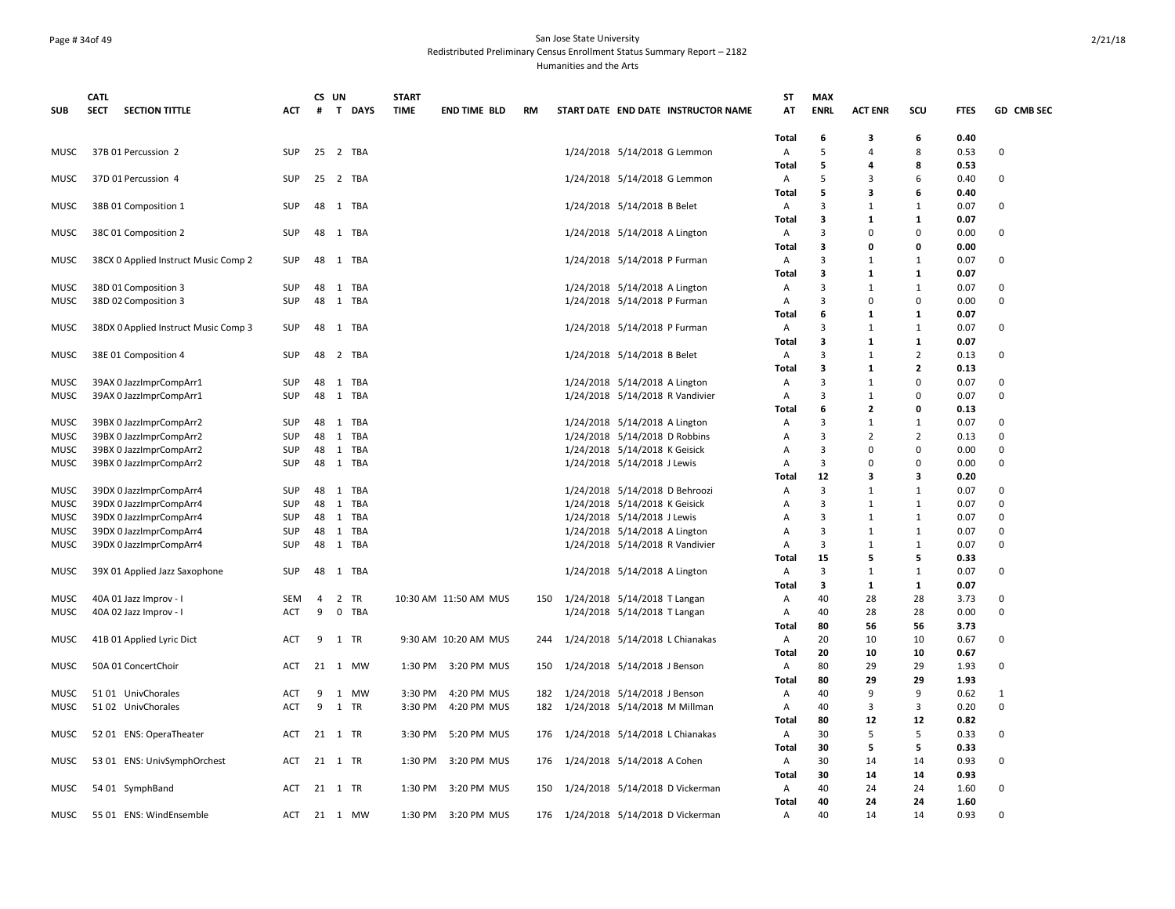### Page # 34of 49 San Jose State University Redistributed Preliminary Census Enrollment Status Summary Report – 2182 Humanities and the Arts

|              | <b>CATL</b>                          |                   |    | CS UN                       | <b>START</b> |                       |           |                                                              | ST           | <b>MAX</b>  |                            |                     |              |                         |
|--------------|--------------------------------------|-------------------|----|-----------------------------|--------------|-----------------------|-----------|--------------------------------------------------------------|--------------|-------------|----------------------------|---------------------|--------------|-------------------------|
| <b>SUB</b>   | <b>SECTION TITTLE</b><br><b>SECT</b> | ACT               | #  | T DAYS                      | <b>TIME</b>  | END TIME BLD          | <b>RM</b> | START DATE END DATE INSTRUCTOR NAME                          | AT           | <b>ENRL</b> | <b>ACT ENR</b>             | scu                 | <b>FTES</b>  | GD CMB SEC              |
|              |                                      |                   |    |                             |              |                       |           |                                                              | Total        | 6           | 3                          | 6                   | 0.40         |                         |
| MUSC         | 37B 01 Percussion 2                  | SUP               |    | 25 2 TBA                    |              |                       |           | 1/24/2018 5/14/2018 G Lemmon                                 | Α            | 5           | 4                          | 8                   | 0.53         | 0                       |
|              |                                      |                   |    |                             |              |                       |           |                                                              | Total        | 5           | 4                          | 8                   | 0.53         |                         |
| MUSC         | 37D 01 Percussion 4                  | <b>SUP</b>        |    | 25 2 TBA                    |              |                       |           | 1/24/2018 5/14/2018 G Lemmon                                 | Α            | 5           | 3                          | 6                   | 0.40         | $\Omega$                |
|              |                                      |                   |    |                             |              |                       |           |                                                              | Total        | 5           | з                          | 6                   | 0.40         |                         |
| MUSC         | 38B 01 Composition 1                 | SUP               | 48 | 1<br>TBA                    |              |                       |           | 1/24/2018 5/14/2018 B Belet                                  | Α            | 3           | 1                          | 1                   | 0.07         | 0                       |
|              |                                      |                   |    |                             |              |                       |           |                                                              | Total        | 3           | 1                          | 1                   | 0.07         |                         |
| <b>MUSC</b>  | 38C 01 Composition 2                 | <b>SUP</b>        | 48 | 1<br>TBA                    |              |                       |           | 1/24/2018 5/14/2018 A Lington                                | Α            | 3           | $\Omega$                   | $\Omega$            | 0.00         | $\mathbf 0$             |
|              |                                      |                   |    |                             |              |                       |           |                                                              | Total        | 3           | $\Omega$                   | $\Omega$            | 0.00         |                         |
| MUSC         | 38CX 0 Applied Instruct Music Comp 2 | SUP               | 48 | 1 TBA                       |              |                       |           | 1/24/2018 5/14/2018 P Furman                                 | Α            | 3           | -1                         | 1                   | 0.07         | $\mathbf 0$             |
|              |                                      |                   |    |                             |              |                       |           |                                                              | Total        | 3           | 1                          | 1                   | 0.07         |                         |
| MUSC         | 38D 01 Composition 3                 | <b>SUP</b>        | 48 | 1<br>TBA                    |              |                       |           | 1/24/2018 5/14/2018 A Lington                                | Α            | 3           | $\mathbf{1}$               | 1                   | 0.07         | $\Omega$                |
| <b>MUSC</b>  | 38D 02 Composition 3                 | SUP               | 48 | 1<br>TBA                    |              |                       |           | 1/24/2018 5/14/2018 P Furman                                 | Α            | 3           | $\Omega$                   | $\mathbf 0$         | 0.00         | $\mathbf 0$             |
|              |                                      |                   |    |                             |              |                       |           |                                                              | Total        | 6           | 1                          | 1                   | 0.07         |                         |
| MUSC         | 38DX 0 Applied Instruct Music Comp 3 | <b>SUP</b>        | 48 | 1<br>TBA                    |              |                       |           | 1/24/2018 5/14/2018 P Furman                                 | Α            | 3           | $\mathbf{1}$               | 1                   | 0.07         | $\mathbf 0$             |
|              |                                      |                   |    |                             |              |                       |           |                                                              | <b>Total</b> | 3           | $\mathbf{1}$               | $\mathbf{1}$        | 0.07         |                         |
| MUSC         | 38E 01 Composition 4                 | <b>SUP</b>        | 48 | $\overline{2}$<br>TBA       |              |                       |           | 1/24/2018 5/14/2018 B Belet                                  | Α            | 3           | 1                          | $\overline{2}$      | 0.13         | $\mathbf 0$             |
|              |                                      |                   |    |                             |              |                       |           |                                                              | Total        | 3           | 1                          | $\overline{2}$      | 0.13         |                         |
| MUSC         | 39AX 0 JazzImprCompArr1              | SUP               | 48 | TBA<br>1                    |              |                       |           | 1/24/2018 5/14/2018 A Lington                                | Α            | 3           | $\mathbf{1}$               | $\mathbf 0$         | 0.07         | $\Omega$                |
| <b>MUSC</b>  | 39AX 0 JazzImprCompArr1              | <b>SUP</b>        | 48 | 1<br>TBA                    |              |                       |           | 1/24/2018 5/14/2018 R Vandivier                              | Α            | 3           | $\mathbf{1}$               | $\Omega$            | 0.07         | $\Omega$                |
|              |                                      |                   |    |                             |              |                       |           |                                                              | Total        | 6           | 2                          | 0                   | 0.13         |                         |
| MUSC         | 39BX 0 JazzImprCompArr2              | SUP               | 48 | TBA<br>1                    |              |                       |           | 1/24/2018 5/14/2018 A Lington                                | Α            | 3<br>3      | 1                          | 1<br>$\overline{2}$ | 0.07         | $\mathbf 0$<br>$\Omega$ |
| <b>MUSC</b>  | 39BX 0 JazzImprCompArr2              | <b>SUP</b>        | 48 | 1<br>TBA                    |              |                       |           | 1/24/2018 5/14/2018 D Robbins                                | A<br>A       | 3           | $\overline{2}$<br>$\Omega$ | $\mathbf 0$         | 0.13         | $\Omega$                |
| MUSC<br>MUSC | 39BX 0 JazzImprCompArr2              | <b>SUP</b><br>SUP | 48 | 1<br>TBA<br>TBA<br>1        |              |                       |           | 1/24/2018 5/14/2018 K Geisick<br>1/24/2018 5/14/2018 J Lewis | Α            | 3           | 0                          | 0                   | 0.00<br>0.00 | $\mathbf 0$             |
|              | 39BX 0 JazzImprCompArr2              |                   | 48 |                             |              |                       |           |                                                              | Total        | 12          | 3                          | 3                   | 0.20         |                         |
| MUSC         | 39DX 0 JazzImprCompArr4              | SUP               | 48 | TBA<br>1                    |              |                       |           | 1/24/2018 5/14/2018 D Behroozi                               | Α            | 3           | 1                          | $\mathbf{1}$        | 0.07         | $\Omega$                |
| <b>MUSC</b>  | 39DX 0 JazzImprCompArr4              | SUP               | 48 | TBA<br>1                    |              |                       |           | 1/24/2018 5/14/2018 K Geisick                                | A            | 3           | 1                          | 1                   | 0.07         | $\mathbf 0$             |
| MUSC         | 39DX 0 JazzImprCompArr4              | SUP               | 48 | 1<br>TBA                    |              |                       |           | 1/24/2018 5/14/2018 J Lewis                                  | A            | 3           | $\mathbf{1}$               | 1                   | 0.07         | $\mathbf 0$             |
| MUSC         | 39DX 0 JazzImprCompArr4              | SUP               | 48 | TBA<br>1                    |              |                       |           | 1/24/2018 5/14/2018 A Lington                                | Α            | 3           | $\mathbf{1}$               | 1                   | 0.07         | $\mathbf 0$             |
| MUSC         | 39DX 0 JazzImprCompArr4              | <b>SUP</b>        | 48 | 1<br>TBA                    |              |                       |           | 1/24/2018 5/14/2018 R Vandivier                              | A            | 3           | $\mathbf{1}$               | $\mathbf{1}$        | 0.07         | $\Omega$                |
|              |                                      |                   |    |                             |              |                       |           |                                                              | Total        | 15          | 5                          | 5                   | 0.33         |                         |
| MUSC         | 39X 01 Applied Jazz Saxophone        | SUP               | 48 | 1 TBA                       |              |                       |           | 1/24/2018 5/14/2018 A Lington                                | Α            | 3           | $\mathbf{1}$               | 1                   | 0.07         | 0                       |
|              |                                      |                   |    |                             |              |                       |           |                                                              | Total        | 3           | 1                          | $\mathbf{1}$        | 0.07         |                         |
| <b>MUSC</b>  | 40A 01 Jazz Improv - I               | <b>SEM</b>        | 4  | $\overline{2}$<br><b>TR</b> |              | 10:30 AM 11:50 AM MUS | 150       | 1/24/2018 5/14/2018 T Langan                                 | A            | 40          | 28                         | 28                  | 3.73         | $\Omega$                |
| <b>MUSC</b>  | 40A 02 Jazz Improv - I               | <b>ACT</b>        | 9  | $\mathbf 0$<br>TBA          |              |                       |           | 1/24/2018 5/14/2018 T Langan                                 | Α            | 40          | 28                         | 28                  | 0.00         | $\mathbf 0$             |
|              |                                      |                   |    |                             |              |                       |           |                                                              | Total        | 80          | 56                         | 56                  | 3.73         |                         |
| MUSC         | 41B 01 Applied Lyric Dict            | ACT               | 9  | TR<br>1                     |              | 9:30 AM 10:20 AM MUS  | 244       | 1/24/2018 5/14/2018 L Chianakas                              | Α            | 20          | 10                         | 10                  | 0.67         | $\Omega$                |
|              |                                      |                   |    |                             |              |                       |           |                                                              | <b>Total</b> | 20          | 10                         | 10                  | 0.67         |                         |
| MUSC         | 50A 01 Concert Choir                 | ACT               | 21 | МW<br><sup>1</sup>          | 1:30 PM      | 3:20 PM MUS           | 150       | 1/24/2018 5/14/2018 J Benson                                 | Α            | 80          | 29                         | 29                  | 1.93         | $\mathbf 0$             |
|              |                                      |                   |    |                             |              |                       |           |                                                              | Total        | 80          | 29                         | 29                  | 1.93         |                         |
| <b>MUSC</b>  | 51 01 UnivChorales                   | ACT               | 9  | MW<br>1                     | 3:30 PM      | 4:20 PM MUS           | 182       | 1/24/2018 5/14/2018 J Benson                                 | Α            | 40          | 9                          | 9                   | 0.62         | $\mathbf{1}$            |
| <b>MUSC</b>  | 51 02 UnivChorales                   | <b>ACT</b>        | 9  | <b>TR</b><br>1              | 3:30 PM      | 4:20 PM MUS           | 182       | 1/24/2018 5/14/2018 M Millman                                | Α            | 40          | 3                          | 3                   | 0.20         | $\Omega$                |
|              |                                      |                   |    |                             |              |                       |           |                                                              | Total        | 80          | 12                         | 12                  | 0.82         |                         |
| MUSC         | 52 01 ENS: OperaTheater              | ACT               |    | 21 1 TR                     | 3:30 PM      | 5:20 PM MUS           | 176       | 1/24/2018 5/14/2018 L Chianakas                              | Α            | 30          | .5                         | 5                   | 0.33         | $\mathbf 0$             |
|              |                                      |                   |    |                             |              |                       |           |                                                              | Total        | 30          | 5                          | 5                   | 0.33         |                         |
| <b>MUSC</b>  | 53 01 ENS: UnivSymphOrchest          | ACT               |    | 21 1 TR                     |              | 1:30 PM 3:20 PM MUS   | 176       | 1/24/2018 5/14/2018 A Cohen                                  | Α            | 30          | 14                         | 14                  | 0.93         | $\Omega$                |
|              |                                      |                   |    |                             |              |                       |           |                                                              | Total        | 30          | 14                         | 14                  | 0.93         |                         |
| MUSC         | 54 01 SymphBand                      | ACT               |    | 21 1 TR                     | 1:30 PM      | 3:20 PM MUS           | 150       | 1/24/2018 5/14/2018 D Vickerman                              | Α            | 40          | 24                         | 24                  | 1.60         | $\mathbf 0$             |
|              |                                      |                   |    |                             |              |                       |           |                                                              | Total        | 40          | 24                         | 24                  | 1.60         |                         |
| MUSC         | 55 01 ENS: WindEnsemble              | ACT               |    | 21 1 MW                     |              | 1:30 PM 3:20 PM MUS   |           | 176 1/24/2018 5/14/2018 D Vickerman                          | Α            | 40          | 14                         | 14                  | 0.93         | $\Omega$                |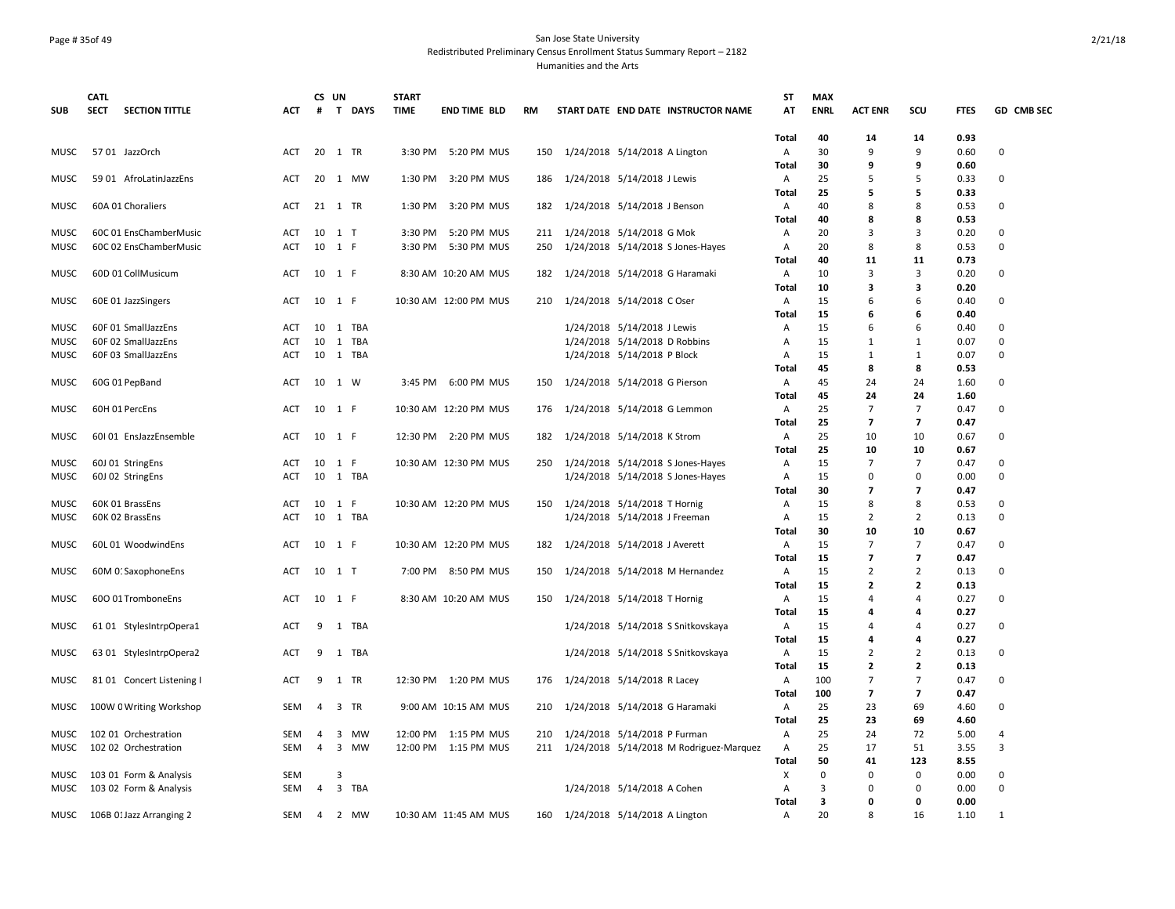### Page # 35of 49 San Jose State University Redistributed Preliminary Census Enrollment Status Summary Report – 2182 Humanities and the Arts

|             | <b>CATL</b> |                           |            | CS UN          |          | <b>START</b> |                        |           |                                             | ST         | <b>MAX</b>  |                                  |                                  |              |                         |
|-------------|-------------|---------------------------|------------|----------------|----------|--------------|------------------------|-----------|---------------------------------------------|------------|-------------|----------------------------------|----------------------------------|--------------|-------------------------|
| <b>SUB</b>  | <b>SECT</b> | <b>SECTION TITTLE</b>     | ACT        | #              | T DAYS   | <b>TIME</b>  | END TIME BLD           | <b>RM</b> | START DATE END DATE INSTRUCTOR NAME         | AT         | <b>ENRL</b> | <b>ACT ENR</b>                   | scu                              | <b>FTES</b>  | GD CMB SEC              |
|             |             |                           |            |                |          |              |                        |           |                                             | Total      | 40          | 14                               | 14                               | 0.93         |                         |
| MUSC        |             | 57 01 JazzOrch            | ACT        |                | 20 1 TR  |              | 3:30 PM 5:20 PM MUS    | 150       | 1/24/2018 5/14/2018 A Lington               | Α          | 30          | 9                                | 9                                | 0.60         | $\mathbf 0$             |
|             |             |                           |            |                |          |              |                        |           |                                             | Total      | 30          | 9                                | 9                                | 0.60         |                         |
| <b>MUSC</b> |             | 59 01 AfroLatinJazzEns    | ACT        |                | 20 1 MW  |              | 1:30 PM 3:20 PM MUS    | 186       | 1/24/2018 5/14/2018 J Lewis                 | Α          | 25          | 5                                | 5                                | 0.33         | $\mathbf 0$             |
|             |             |                           |            |                |          |              |                        |           |                                             | Total      | 25          | 5                                | 5                                | 0.33         |                         |
| MUSC        |             | 60A 01 Choraliers         | ACT        |                | 21 1 TR  | 1:30 PM      | 3:20 PM MUS            | 182       | 1/24/2018 5/14/2018 J Benson                | Α          | 40          | 8                                | 8                                | 0.53         | $\mathbf 0$             |
|             |             |                           |            |                |          |              |                        |           |                                             | Total      | 40          | 8                                | 8                                | 0.53         |                         |
| <b>MUSC</b> |             | 60C 01 EnsChamberMusic    | ACT        | 10             | 1 T      | 3:30 PM      | 5:20 PM MUS            | 211       | 1/24/2018 5/14/2018 G Mok                   | Α          | 20          | 3                                | 3<br>8                           | 0.20         | $\mathbf 0$<br>$\Omega$ |
| <b>MUSC</b> |             | 60C 02 EnsChamberMusic    | ACT        | 10             | 1 F      | 3:30 PM      | 5:30 PM MUS            | 250       | 1/24/2018 5/14/2018 S Jones-Hayes           | Α          | 20          | 8                                |                                  | 0.53         |                         |
|             |             |                           |            |                | 10 1 F   |              |                        |           |                                             | Total      | 40          | 11                               | 11<br>3                          | 0.73         | $\Omega$                |
| MUSC        |             | 60D 01 CollMusicum        | ACT        |                |          |              | 8:30 AM 10:20 AM MUS   | 182       | 1/24/2018 5/14/2018 G Haramaki              | Α<br>Total | 10<br>10    | 3<br>3                           | 3                                | 0.20<br>0.20 |                         |
|             |             |                           | ACT        |                | 10 1 F   |              | 10:30 AM 12:00 PM MUS  | 210       | 1/24/2018 5/14/2018 C Oser                  | Α          | 15          | 6                                | 6                                | 0.40         | $\Omega$                |
| <b>MUSC</b> |             | 60E 01 JazzSingers        |            |                |          |              |                        |           |                                             | Total      | 15          | 6                                | 6                                | 0.40         |                         |
| MUSC        |             | 60F 01 SmallJazzEns       | ACT        | 10             | TBA<br>1 |              |                        |           | 1/24/2018 5/14/2018 J Lewis                 | Α          | 15          | 6                                | 6                                | 0.40         | $\Omega$                |
| <b>MUSC</b> |             | 60F 02 SmallJazzEns       | ACT        | 10             | TBA<br>1 |              |                        |           | 1/24/2018 5/14/2018 D Robbins               | Α          | 15          | 1                                | 1                                | 0.07         | $\Omega$                |
| <b>MUSC</b> |             | 60F 03 SmallJazzEns       | ACT        | 10             | 1 TBA    |              |                        |           | 1/24/2018 5/14/2018 P Block                 | Α          | 15          | $\mathbf{1}$                     | 1                                | 0.07         | $\Omega$                |
|             |             |                           |            |                |          |              |                        |           |                                             | Total      | 45          | 8                                | 8                                | 0.53         |                         |
| MUSC        |             | 60G 01 PepBand            | ACT        |                | 10 1 W   |              | 3:45 PM 6:00 PM MUS    | 150       | 1/24/2018 5/14/2018 G Pierson               | Α          | 45          | 24                               | 24                               | 1.60         | $\Omega$                |
|             |             |                           |            |                |          |              |                        |           |                                             | Total      | 45          | 24                               | 24                               | 1.60         |                         |
| <b>MUSC</b> |             | 60H 01 PercEns            | ACT        |                | 10 1 F   |              | 10:30 AM 12:20 PM MUS  | 176       | 1/24/2018 5/14/2018 G Lemmon                | Α          | 25          | $\overline{7}$                   | $\overline{7}$                   | 0.47         | $\mathbf 0$             |
|             |             |                           |            |                |          |              |                        |           |                                             | Total      | 25          | 7                                | $\overline{7}$                   | 0.47         |                         |
| <b>MUSC</b> |             | 601 01 EnsJazzEnsemble    | ACT        |                | 10 1 F   |              | 12:30 PM 2:20 PM MUS   | 182       | 1/24/2018 5/14/2018 K Strom                 | Α          | 25          | 10                               | 10                               | 0.67         | $\mathbf 0$             |
|             |             |                           |            |                |          |              |                        |           |                                             | Total      | 25          | 10                               | 10                               | 0.67         |                         |
| <b>MUSC</b> |             | 60J 01 StringEns          | ACT        |                | 10 1 F   |              | 10:30 AM 12:30 PM MUS  | 250       | 1/24/2018 5/14/2018 S Jones-Hayes           | Α          | 15          | $\overline{7}$                   | $\overline{7}$                   | 0.47         | 0                       |
| MUSC        |             | 60J 02 StringEns          | ACT        |                | 10 1 TBA |              |                        |           | 1/24/2018 5/14/2018 S Jones-Hayes           | Α          | 15          | $\Omega$                         | $\mathbf 0$                      | 0.00         | $\mathbf 0$             |
|             |             |                           |            |                |          |              |                        |           |                                             | Total      | 30          | 7                                | $\overline{7}$                   | 0.47         |                         |
| <b>MUSC</b> |             | 60K 01 BrassEns           | ACT        | 10 1           | -F       |              | 10:30 AM 12:20 PM MUS  | 150       | 1/24/2018 5/14/2018 T Hornig                | Α          | 15          | 8                                | 8                                | 0.53         | $\Omega$                |
| <b>MUSC</b> |             | 60K 02 BrassEns           | <b>ACT</b> | 10             | 1 TBA    |              |                        |           | 1/24/2018 5/14/2018 J Freeman               | Α          | 15          | 2                                | $\overline{2}$                   | 0.13         | $\mathbf 0$             |
|             |             |                           |            |                |          |              |                        |           |                                             | Total      | 30          | 10                               | 10                               | 0.67         |                         |
| <b>MUSC</b> |             | 60L 01 WoodwindEns        | ACT        |                | 10 1 F   |              | 10:30 AM 12:20 PM MUS  | 182       | 1/24/2018 5/14/2018 J Averett               | Α          | 15          | $\overline{7}$                   | $\overline{7}$                   | 0.47         | $\mathbf 0$             |
|             |             |                           |            |                |          |              |                        |           |                                             | Total      | 15          | 7                                | $\overline{7}$                   | 0.47         |                         |
| <b>MUSC</b> |             | 60M 0: SaxophoneEns       | ACT        |                | 10 1 T   |              | 7:00 PM 8:50 PM MUS    | 150       | 1/24/2018 5/14/2018 M Hernandez             | Α          | 15          | 2                                | $\overline{2}$                   | 0.13         | $\mathbf 0$             |
|             |             |                           |            |                |          |              |                        |           |                                             | Total      | 15          | $\overline{2}$                   | $\overline{2}$                   | 0.13         |                         |
| MUSC        |             | 600 01 TromboneEns        | ACT        |                | 10 1 F   |              | 8:30 AM 10:20 AM MUS   | 150       | 1/24/2018 5/14/2018 T Hornig                | Α          | 15          | $\overline{a}$                   | $\overline{a}$                   | 0.27         | $\mathbf 0$             |
|             |             |                           |            |                |          |              |                        |           |                                             | Total      | 15          | $\mathbf{a}$                     | 4                                | 0.27         |                         |
| MUSC        |             | 61 01 StylesIntrpOpera1   | ACT        | 9              | TBA<br>1 |              |                        |           | 1/24/2018 5/14/2018 S Snitkovskaya          | Α          | 15          | $\overline{a}$                   | $\overline{4}$                   | 0.27         | $\Omega$                |
|             |             |                           |            |                |          |              |                        |           |                                             | Total      | 15          | 4                                | 4                                | 0.27         |                         |
| MUSC        |             | 63 01 StylesIntrpOpera2   | ACT        | 9              | 1 TBA    |              |                        |           | 1/24/2018 5/14/2018 S Snitkovskaya          | Α          | 15          | 2                                | 2                                | 0.13         | $\mathbf 0$             |
|             |             |                           |            |                |          |              |                        |           |                                             | Total      | 15          | $\overline{2}$                   | $\overline{2}$                   | 0.13         |                         |
| MUSC        |             | 81 01 Concert Listening I | ACT        | 9              | 1 TR     |              | 12:30 PM 1:20 PM MUS   | 176       | 1/24/2018 5/14/2018 R Lacey                 | Α<br>Total | 100<br>100  | $\overline{7}$<br>$\overline{7}$ | $\overline{7}$<br>$\overline{7}$ | 0.47<br>0.47 | $\Omega$                |
|             |             |                           |            | $\overline{4}$ |          |              |                        |           |                                             |            | 25          | 23                               |                                  |              | 0                       |
| MUSC        |             | 100W C Writing Workshop   | SEM        |                | 3<br>TR  |              | 9:00 AM 10:15 AM MUS   | 210       | 1/24/2018 5/14/2018 G Haramaki              | Α<br>Total | 25          | 23                               | 69<br>69                         | 4.60<br>4.60 |                         |
| MUSC        |             | 102 01 Orchestration      | <b>SEM</b> | $\overline{4}$ | 3<br>MW  | 12:00 PM     | 1:15 PM MUS            | 210       | 1/24/2018 5/14/2018 P Furman                | Α          | 25          | 24                               | 72                               | 5.00         | 4                       |
| MUSC        |             | 102 02 Orchestration      | SEM        | 4              | 3<br>MW  |              | 12:00 PM  1:15 PM  MUS |           | 211 1/24/2018 5/14/2018 M Rodriguez-Marquez | Α          | 25          | 17                               | 51                               | 3.55         | 3                       |
|             |             |                           |            |                |          |              |                        |           |                                             | Total      | 50          | 41                               | 123                              | 8.55         |                         |
| MUSC        |             | 103 01 Form & Analysis    | SEM        |                | 3        |              |                        |           |                                             | X          | $\Omega$    | $\Omega$                         | $\mathbf 0$                      | 0.00         | $\mathbf 0$             |
| <b>MUSC</b> |             | 103 02 Form & Analysis    | SEM        | $\overline{4}$ | 3 TBA    |              |                        |           | 1/24/2018 5/14/2018 A Cohen                 | A          | 3           | $\Omega$                         | $\mathbf 0$                      | 0.00         | $\Omega$                |
|             |             |                           |            |                |          |              |                        |           |                                             | Total      | 3           | $\Omega$                         | $\Omega$                         | 0.00         |                         |
| MUSC        |             | 106B 01 Jazz Arranging 2  | SEM        | $\overline{4}$ | 2 MW     |              | 10:30 AM 11:45 AM MUS  | 160       | 1/24/2018 5/14/2018 A Lington               | Α          | 20          | 8                                | 16                               | 1.10         | 1                       |
|             |             |                           |            |                |          |              |                        |           |                                             |            |             |                                  |                                  |              |                         |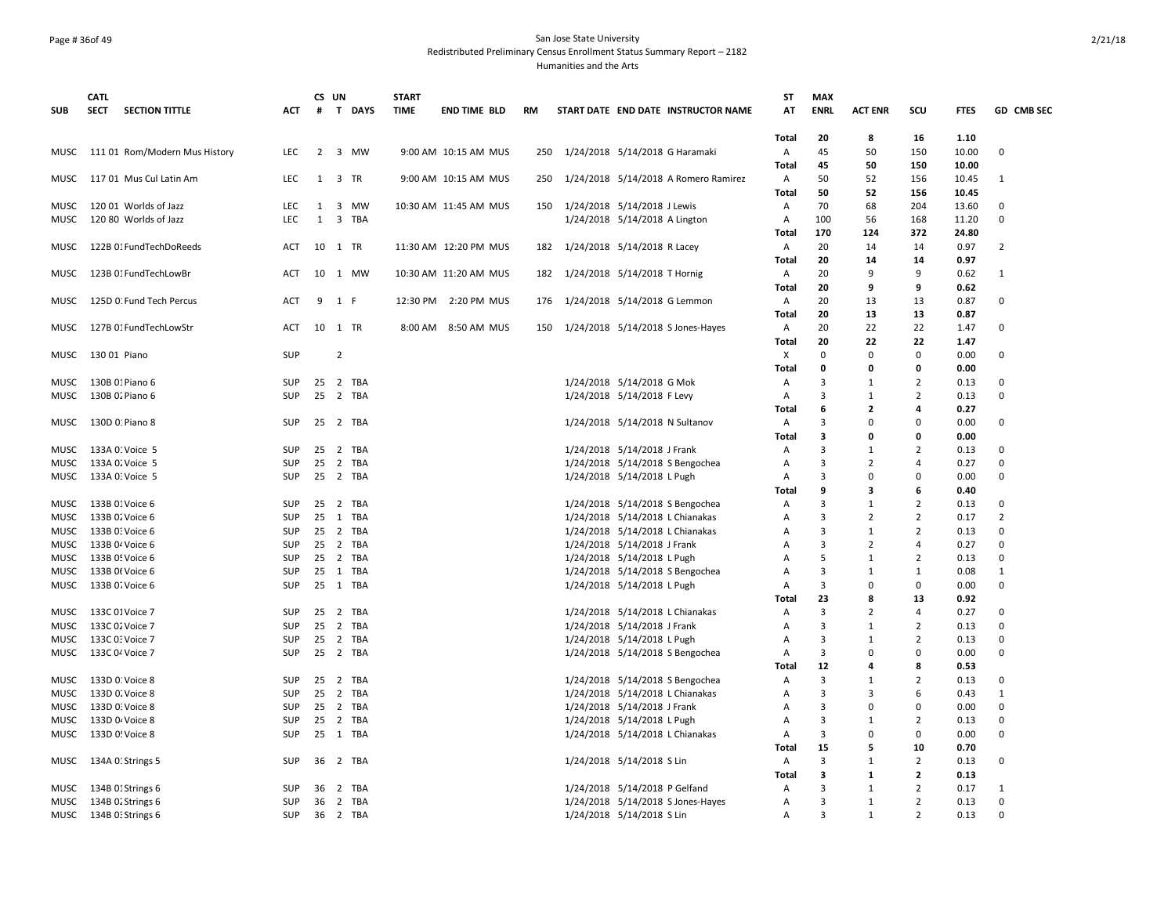### Page # 36of 49 San Jose State University Redistributed Preliminary Census Enrollment Status Summary Report – 2182 Humanities and the Arts

|              | <b>CATL</b> |                                    |            |                 | CS UN                   |            | <b>START</b> |                       |     |                                                           | ST                | <b>MAX</b>              |                |                |                |                |
|--------------|-------------|------------------------------------|------------|-----------------|-------------------------|------------|--------------|-----------------------|-----|-----------------------------------------------------------|-------------------|-------------------------|----------------|----------------|----------------|----------------|
| <b>SUB</b>   | <b>SECT</b> | <b>SECTION TITTLE</b>              | ACT        | #               |                         | T DAYS     | <b>TIME</b>  | <b>END TIME BLD</b>   | RM  | START DATE END DATE INSTRUCTOR NAME                       | AT                | <b>ENRL</b>             | <b>ACT ENR</b> | scu            | <b>FTES</b>    | GD CMB SEC     |
|              |             |                                    |            |                 |                         |            |              |                       |     |                                                           | <b>Total</b>      | 20                      | 8              | 16             | 1.10           |                |
| MUSC         |             | 111 01 Rom/Modern Mus History      | <b>LEC</b> |                 |                         | 2 3 MW     |              | 9:00 AM 10:15 AM MUS  | 250 | 1/24/2018 5/14/2018 G Haramaki                            | Α                 | 45                      | 50             | 150            | 10.00          | $\Omega$       |
|              |             |                                    |            |                 |                         |            |              |                       |     |                                                           | Total             | 45                      | 50             | 150            | 10.00          |                |
| MUSC         |             | 117 01 Mus Cul Latin Am            | <b>LEC</b> |                 |                         | 1 3 TR     |              | 9:00 AM 10:15 AM MUS  | 250 | 1/24/2018 5/14/2018 A Romero Ramirez                      | Α<br><b>Total</b> | 50                      | 52             | 156<br>156     | 10.45          | 1              |
| MUSC         |             | 120 01 Worlds of Jazz              | LEC        | 1               | $\overline{\mathbf{3}}$ | MW         |              | 10:30 AM 11:45 AM MUS | 150 | 1/24/2018 5/14/2018 J Lewis                               | Α                 | 50<br>70                | 52<br>68       | 204            | 10.45<br>13.60 | $\mathbf 0$    |
| MUSC         |             | 120 80 Worlds of Jazz              | <b>LEC</b> |                 |                         | 1 3 TBA    |              |                       |     | 1/24/2018 5/14/2018 A Lington                             | Α                 | 100                     | 56             | 168            | 11.20          | $\Omega$       |
|              |             |                                    |            |                 |                         |            |              |                       |     |                                                           | Total             | 170                     | 124            | 372            | 24.80          |                |
| MUSC         |             | 122B 01 FundTechDoReeds            | ACT        |                 |                         | 10 1 TR    |              | 11:30 AM 12:20 PM MUS |     | 182 1/24/2018 5/14/2018 R Lacey                           | Α                 | 20                      | 14             | 14             | 0.97           | $\overline{2}$ |
|              |             |                                    |            |                 |                         |            |              |                       |     |                                                           | Total             | 20                      | 14             | 14             | 0.97           |                |
| MUSC         |             | 123B 01 FundTechLowBr              | ACT        |                 |                         | 10 1 MW    |              | 10:30 AM 11:20 AM MUS | 182 | 1/24/2018 5/14/2018 T Hornig                              | Α                 | 20                      | 9              | 9              | 0.62           | $\mathbf{1}$   |
|              |             |                                    |            |                 |                         |            |              |                       |     |                                                           | Total             | 20                      | 9              | 9              | 0.62           |                |
| MUSC         |             | 125D 0: Fund Tech Percus           | ACT        | 9               | 1 F                     |            |              | 12:30 PM 2:20 PM MUS  | 176 | 1/24/2018 5/14/2018 G Lemmon                              | Α                 | 20                      | 13             | 13             | 0.87           | $\mathbf 0$    |
|              |             |                                    |            |                 |                         |            |              |                       |     |                                                           | Total             | 20                      | 13             | 13             | 0.87           |                |
| <b>MUSC</b>  |             | 127B 01 FundTechLowStr             | ACT        | 10 1 TR         |                         |            |              | 8:00 AM 8:50 AM MUS   |     | 150 1/24/2018 5/14/2018 S Jones-Hayes                     | Α                 | 20                      | 22             | 22             | 1.47           | $\Omega$       |
|              |             |                                    |            |                 |                         |            |              |                       |     |                                                           | Total             | 20                      | 22             | 22             | 1.47           |                |
| MUSC         |             | 130 01 Piano                       | <b>SUP</b> |                 | $\overline{2}$          |            |              |                       |     |                                                           | х                 | $\Omega$                | $\Omega$       | 0              | 0.00           | $\Omega$       |
|              |             |                                    |            |                 |                         |            |              |                       |     |                                                           | Total             | 0                       | $\Omega$       | 0              | 0.00           |                |
| MUSC         |             | 130B 01 Piano 6                    | <b>SUP</b> | $25 \quad 2$    |                         | TBA        |              |                       |     | 1/24/2018 5/14/2018 G Mok                                 | Α                 | 3                       | 1              | $\overline{2}$ | 0.13           | $\mathbf 0$    |
| MUSC         |             | 130B 0. Piano 6                    | SUP        |                 |                         | 25 2 TBA   |              |                       |     | 1/24/2018 5/14/2018 F Levy                                | Α                 | 3                       | 1              | $\overline{2}$ | 0.13           | $\Omega$       |
|              |             |                                    |            |                 |                         |            |              |                       |     |                                                           | Total             | 6                       | $\mathbf{z}$   | 4              | 0.27           |                |
| MUSC         |             | 130D 0: Piano 8                    | <b>SUP</b> |                 |                         | 25 2 TBA   |              |                       |     | 1/24/2018 5/14/2018 N Sultanov                            | Α                 | 3                       | O              | 0              | 0.00           | $\mathbf 0$    |
|              |             |                                    |            |                 |                         |            |              |                       |     |                                                           | Total             | 3                       | $\Omega$       | 0              | 0.00           |                |
| MUSC         |             | 133A 0. Voice 5                    | SUP        | 25 2            |                         | TBA        |              |                       |     | 1/24/2018 5/14/2018 J Frank                               | Α                 | 3                       | 1              | $\overline{2}$ | 0.13           | $\Omega$       |
| MUSC         |             | 133A 0. Voice 5                    | SUP        | 25 <sub>2</sub> |                         | <b>TBA</b> |              |                       |     | 1/24/2018 5/14/2018 S Bengochea                           | Α                 | 3                       | 2              | $\overline{a}$ | 0.27           | $\Omega$       |
| MUSC         |             | 133A 0. Voice 5                    | SUP        |                 |                         | 25 2 TBA   |              |                       |     | 1/24/2018 5/14/2018 L Pugh                                | Α                 | 3                       | $\Omega$       | $\mathbf 0$    | 0.00           | $\mathbf 0$    |
|              |             |                                    |            |                 |                         |            |              |                       |     |                                                           | <b>Total</b>      | q                       | 3              | 6              | 0.40           |                |
| MUSC         |             | 133B 01 Voice 6                    | <b>SUP</b> |                 |                         | 25 2 TBA   |              |                       |     | 1/24/2018 5/14/2018 S Bengochea                           | Α                 | 3                       | 1              | 2              | 0.13           | $\Omega$       |
| MUSC         |             | 133B 0. Voice 6                    | SUP        | $25 \quad 1$    |                         | TBA        |              |                       |     | 1/24/2018 5/14/2018 L Chianakas                           | Α                 | 3                       | 2              | $\overline{2}$ | 0.17           | $\overline{2}$ |
| MUSC         |             | 133B 0: Voice 6                    | SUP        | 25 2            |                         | TBA        |              |                       |     | 1/24/2018 5/14/2018 L Chianakas                           | Α                 | 3                       | 1              | $\overline{2}$ | 0.13           | $\Omega$       |
|              |             | MUSC 133B 04 Voice 6               | <b>SUP</b> |                 |                         | 25 2 TBA   |              |                       |     | 1/24/2018 5/14/2018 J Frank                               | A                 | 3                       | 2              | 4              | 0.27           | $\Omega$       |
|              |             | MUSC 133B 0! Voice 6               | SUP        | 25 2            |                         | TBA        |              |                       |     | 1/24/2018 5/14/2018 L Pugh                                | Α                 | 5                       | 1              | $\overline{2}$ | 0.13           | $\mathbf 0$    |
| MUSC         |             | 133B 06 Voice 6                    | <b>SUP</b> |                 |                         | 25 1 TBA   |              |                       |     | 1/24/2018 5/14/2018 S Bengochea                           | Α                 | 3                       | 1              | 1              | 0.08           | 1              |
| MUSC         |             | 133B 0. Voice 6                    | <b>SUP</b> |                 |                         | 25 1 TBA   |              |                       |     | 1/24/2018 5/14/2018 L Pugh                                | A                 | 3<br>23                 | $\Omega$       | $\Omega$<br>13 | 0.00           | $\Omega$       |
|              |             |                                    |            | 25 2            |                         | TBA        |              |                       |     |                                                           | Total             | 3                       | 8<br>2         | $\overline{4}$ | 0.92           | $\Omega$       |
| MUSC<br>MUSC |             | 133C 01 Voice 7<br>133C 02 Voice 7 | SUP<br>SUP | 25 2            |                         | TBA        |              |                       |     | 1/24/2018 5/14/2018 L Chianakas                           | Α                 | 3                       | $\mathbf{1}$   | $\overline{2}$ | 0.27<br>0.13   | $\Omega$       |
| MUSC         |             | 133C 0: Voice 7                    | <b>SUP</b> | $25 \quad 2$    |                         | TBA        |              |                       |     | 1/24/2018 5/14/2018 J Frank<br>1/24/2018 5/14/2018 L Pugh | Α<br>Α            | 3                       | $\mathbf{1}$   | 2              | 0.13           | $\mathbf 0$    |
| MUSC         |             | 133C 04 Voice 7                    | <b>SUP</b> |                 |                         | 25 2 TBA   |              |                       |     | 1/24/2018 5/14/2018 S Bengochea                           | Α                 | 3                       | $\Omega$       | $\mathbf 0$    | 0.00           | $\Omega$       |
|              |             |                                    |            |                 |                         |            |              |                       |     |                                                           | Total             | 12                      | 4              | 8              | 0.53           |                |
| MUSC         |             | 133D 0: Voice 8                    | <b>SUP</b> | 25 2            |                         | TBA        |              |                       |     | 1/24/2018 5/14/2018 S Bengochea                           | Α                 | 3                       | 1              | $\overline{2}$ | 0.13           | $\Omega$       |
| MUSC         |             | 133D 0. Voice 8                    | SUP        | 25              |                         | 2 TBA      |              |                       |     | 1/24/2018 5/14/2018 L Chianakas                           | Α                 | 3                       | 3              | 6              | 0.43           | 1              |
|              |             | MUSC 133D 0. Voice 8               | SUP        |                 |                         | 25 2 TBA   |              |                       |     | 1/24/2018 5/14/2018 J Frank                               | Α                 | 3                       | $\Omega$       | $\mathbf 0$    | 0.00           | $\Omega$       |
| MUSC         |             | 133D 0 Voice 8                     | <b>SUP</b> |                 |                         | 25 2 TBA   |              |                       |     | 1/24/2018 5/14/2018 L Pugh                                | A                 | 3                       | $\mathbf{1}$   | $\overline{2}$ | 0.13           | $\Omega$       |
| MUSC         |             | 133D 0! Voice 8                    | SUP        |                 |                         | 25 1 TBA   |              |                       |     | 1/24/2018 5/14/2018 L Chianakas                           | Α                 | 3                       | $\Omega$       | $\mathbf 0$    | 0.00           | $\mathbf 0$    |
|              |             |                                    |            |                 |                         |            |              |                       |     |                                                           | Total             | 15                      | 5              | 10             | 0.70           |                |
| MUSC         |             | 134A O. Strings 5                  | <b>SUP</b> |                 |                         | 36 2 TBA   |              |                       |     | 1/24/2018 5/14/2018 S Lin                                 | Α                 | 3                       | $\mathbf{1}$   | $\overline{2}$ | 0.13           | $\Omega$       |
|              |             |                                    |            |                 |                         |            |              |                       |     |                                                           | <b>Total</b>      | 3                       | 1              | $\overline{2}$ | 0.13           |                |
| MUSC         |             | 134B 01 Strings 6                  | SUP        | 36 2            |                         | TBA        |              |                       |     | 1/24/2018 5/14/2018 P Gelfand                             | Α                 | 3                       | 1              | 2              | 0.17           | 1              |
| MUSC         |             | 134B O. Strings 6                  | <b>SUP</b> |                 |                         | 36 2 TBA   |              |                       |     | 1/24/2018 5/14/2018 S Jones-Hayes                         | A                 | 3                       | 1              | $\overline{2}$ | 0.13           | $\Omega$       |
| MUSC         |             | 134B 0: Strings 6                  | SUP        |                 |                         | 36 2 TBA   |              |                       |     | 1/24/2018 5/14/2018 S Lin                                 | Α                 | $\overline{\mathbf{3}}$ | $\mathbf{1}$   | $\overline{2}$ | 0.13           | $\Omega$       |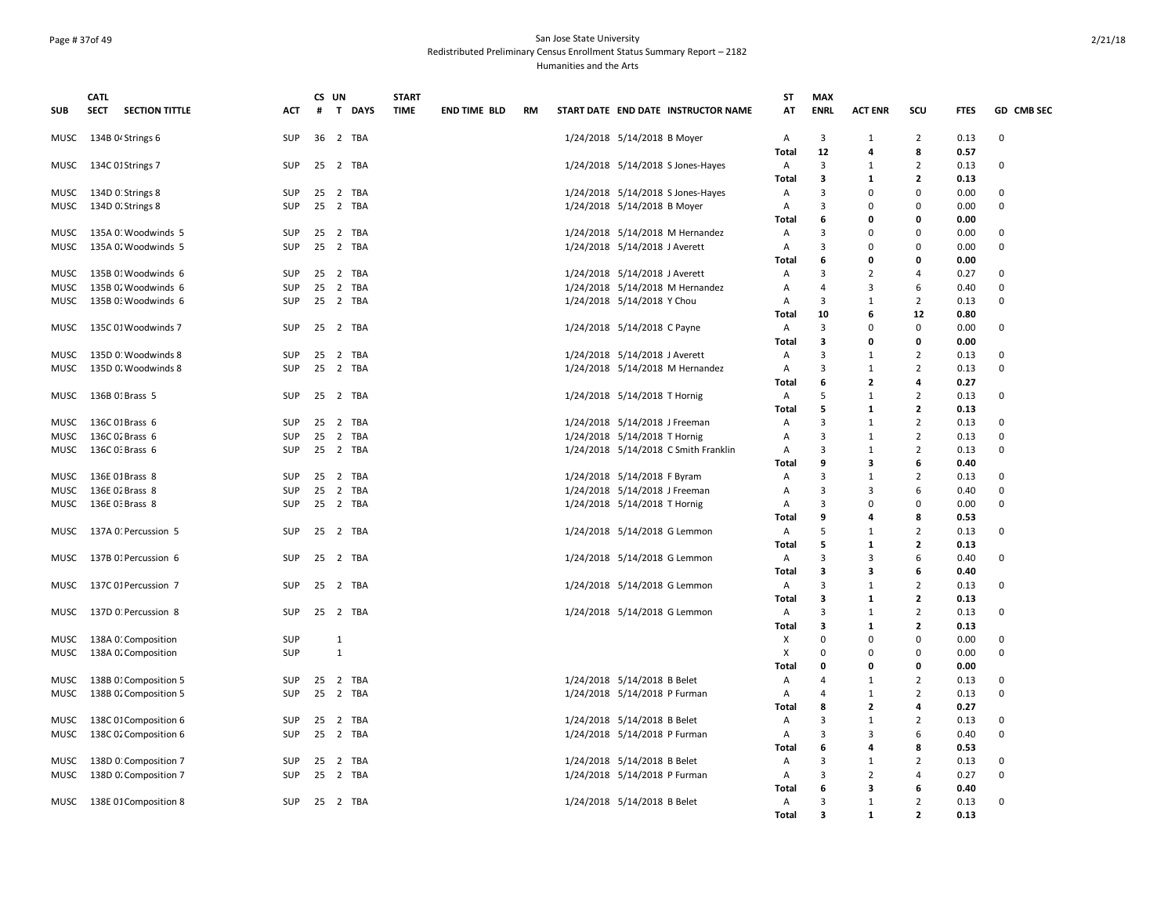# Page # 37of 49 San Jose State University Redistributed Preliminary Census Enrollment Status Summary Report – 2182 Humanities and the Arts

|             | <b>CATL</b>                          |            | CS UN           |                             | <b>START</b> |                     |    |                                      | ST             | <b>MAX</b>  |                |                |             |             |
|-------------|--------------------------------------|------------|-----------------|-----------------------------|--------------|---------------------|----|--------------------------------------|----------------|-------------|----------------|----------------|-------------|-------------|
| <b>SUB</b>  | <b>SECTION TITTLE</b><br><b>SECT</b> | ACT        | #               | $\mathbf{T}$<br><b>DAYS</b> | <b>TIME</b>  | <b>END TIME BLD</b> | RM | START DATE END DATE INSTRUCTOR NAME  | AT             | <b>ENRL</b> | <b>ACT ENR</b> | scu            | <b>FTES</b> | GD CMB SEC  |
| MUSC        | 134B O <sub>'</sub> Strings 6        | <b>SUP</b> | 36              | $\overline{2}$<br>TBA       |              |                     |    | 1/24/2018 5/14/2018 B Moyer          | Α              | 3           | 1              | 2              | 0.13        | $\Omega$    |
|             |                                      |            |                 |                             |              |                     |    |                                      | <b>Total</b>   | 12          | 4              | 8              | 0.57        |             |
| MUSC        | 134C 01 Strings 7                    | <b>SUP</b> | 25              | $\overline{2}$<br>TBA       |              |                     |    | 1/24/2018 5/14/2018 S Jones-Hayes    | Α              | 3           | 1              | $\overline{2}$ | 0.13        | $\mathbf 0$ |
|             |                                      |            |                 |                             |              |                     |    |                                      | Total          | 3           | -1             | $\overline{2}$ | 0.13        |             |
| MUSC        | 134D 0: Strings 8                    | <b>SUP</b> |                 | 25 2 TBA                    |              |                     |    | 1/24/2018 5/14/2018 S Jones-Hayes    | Α              | 3           | $\Omega$       | $\mathbf 0$    | 0.00        | 0           |
| MUSC        | 134D 0. Strings 8                    | <b>SUP</b> | 25 2            | TBA                         |              |                     |    | 1/24/2018 5/14/2018 B Moyer          | Α              | 3           | 0              | $\Omega$       | 0.00        | $\mathbf 0$ |
|             |                                      |            |                 |                             |              |                     |    |                                      | Total          | 6           | 0              | $\mathbf 0$    | 0.00        |             |
| MUSC        | 135A 0. Woodwinds 5                  | <b>SUP</b> |                 | 25 2 TBA                    |              |                     |    | 1/24/2018 5/14/2018 M Hernandez      | Α              | 3           | $\Omega$       | $\mathbf 0$    | 0.00        | $\mathbf 0$ |
| MUSC        | 135A 0. Woodwinds 5                  | <b>SUP</b> |                 | 25 2 TBA                    |              |                     |    | 1/24/2018 5/14/2018 J Averett        | Α              | 3           | $\Omega$       | $\mathbf 0$    | 0.00        | $\Omega$    |
|             |                                      |            |                 |                             |              |                     |    |                                      | Total          | 6           | $\Omega$       | 0              | 0.00        |             |
| MUSC        | 135B 01 Woodwinds 6                  | <b>SUP</b> | 25              | $\overline{2}$<br>TBA       |              |                     |    | 1/24/2018 5/14/2018 J Averett        | Α              | 3           | 2              | $\overline{4}$ | 0.27        | 0           |
| MUSC        | 135B 0. Woodwinds 6                  | <b>SUP</b> | 25              | $\overline{2}$<br>TBA       |              |                     |    | 1/24/2018 5/14/2018 M Hernandez      | Α              | 4           | 3              | 6              | 0.40        | $\mathbf 0$ |
| MUSC        | 135B 0: Woodwinds 6                  | <b>SUP</b> |                 | 25 2 TBA                    |              |                     |    | 1/24/2018 5/14/2018 Y Chou           | $\overline{A}$ | 3           | 1              | $\overline{2}$ | 0.13        | $\mathbf 0$ |
|             |                                      |            |                 |                             |              |                     |    |                                      | Total          | 10          | 6              | 12             | 0.80        |             |
| MUSC        | 135C 01 Woodwinds 7                  | <b>SUP</b> |                 | 25 2 TBA                    |              |                     |    | 1/24/2018 5/14/2018 C Payne          | Α              | 3           | $\Omega$       | $\mathbf 0$    | 0.00        | $\Omega$    |
|             |                                      |            |                 |                             |              |                     |    |                                      | Total          | 3           | O              | 0              | 0.00        |             |
| MUSC        | 135D 0: Woodwinds 8                  | <b>SUP</b> |                 | 25 2 TBA                    |              |                     |    | 1/24/2018 5/14/2018 J Averett        | Α              | 3           | -1             | 2              | 0.13        | 0           |
| MUSC        | 135D 0. Woodwinds 8                  | <b>SUP</b> |                 | 25 2 TBA                    |              |                     |    | 1/24/2018 5/14/2018 M Hernandez      | Α              | 3           | 1              | 2              | 0.13        | $\mathbf 0$ |
|             |                                      |            |                 |                             |              |                     |    |                                      | Total          | 6           | $\overline{2}$ | 4              | 0.27        |             |
| MUSC        | 136B 01 Brass 5                      | <b>SUP</b> |                 | 25 2 TBA                    |              |                     |    | 1/24/2018 5/14/2018 T Hornig         | Α              | 5           | $\mathbf{1}$   | $\overline{2}$ | 0.13        | $\Omega$    |
|             |                                      |            |                 |                             |              |                     |    |                                      | Total          | 5           | 1              | $\overline{2}$ | 0.13        |             |
| MUSC        | 136C 01 Brass 6                      | <b>SUP</b> | $25 \quad 2$    | TBA                         |              |                     |    | 1/24/2018 5/14/2018 J Freeman        | Α              | 3           | $\mathbf{1}$   | 2              | 0.13        | $\Omega$    |
| MUSC        | 136C 02 Brass 6                      | <b>SUP</b> |                 | 25 2 TBA                    |              |                     |    | 1/24/2018 5/14/2018 T Hornig         | Α              | 3           | 1              | $\overline{2}$ | 0.13        | $\mathbf 0$ |
| MUSC        | 136C 0: Brass 6                      | <b>SUP</b> |                 | 25 2 TBA                    |              |                     |    | 1/24/2018 5/14/2018 C Smith Franklin | Α              | 3           | 1              | 2              | 0.13        | 0           |
|             |                                      |            |                 |                             |              |                     |    |                                      | Total          | 9           | з              | 6              | 0.40        |             |
| MUSC        | 136E 01 Brass 8                      | <b>SUP</b> |                 | 25 2 TBA                    |              |                     |    | 1/24/2018 5/14/2018 F Byram          | Α              | 3           | 1              | $\overline{2}$ | 0.13        | $\Omega$    |
| MUSC        | 136E 02 Brass 8                      | <b>SUP</b> |                 | 25 2 TBA                    |              |                     |    | 1/24/2018 5/14/2018 J Freeman        |                | 3           | 3              | 6              | 0.40        | $\Omega$    |
|             |                                      |            |                 |                             |              |                     |    |                                      | Α              | 3           | $\Omega$       |                |             | $\Omega$    |
| MUSC        | 136E 0: Brass 8                      | <b>SUP</b> |                 | 25 2 TBA                    |              |                     |    | 1/24/2018 5/14/2018 T Hornig         | Α              |             |                | $\mathbf 0$    | 0.00        |             |
|             |                                      |            |                 |                             |              |                     |    |                                      | Total          | 9           | 4              | 8              | 0.53        |             |
| MUSC        | 137A 0: Percussion 5                 | <b>SUP</b> |                 | 25 2 TBA                    |              |                     |    | 1/24/2018 5/14/2018 G Lemmon         | Α              | 5           | -1             | $\overline{2}$ | 0.13        | 0           |
|             |                                      |            |                 |                             |              |                     |    |                                      | Total          | 5           | 1              | $\overline{2}$ | 0.13        |             |
| MUSC        | 137B 01 Percussion 6                 | <b>SUP</b> | 25 2            | TBA                         |              |                     |    | 1/24/2018 5/14/2018 G Lemmon         | Α              | 3           | 3              | 6              | 0.40        | $\mathbf 0$ |
|             |                                      |            |                 |                             |              |                     |    |                                      | Total          | 3           | з              | 6              | 0.40        |             |
| MUSC        | 137C 01 Percussion 7                 | <b>SUP</b> | 25              | $\overline{2}$<br>TBA       |              |                     |    | 1/24/2018 5/14/2018 G Lemmon         | Α              | 3           | $\mathbf{1}$   | $\overline{2}$ | 0.13        | $\mathbf 0$ |
|             |                                      |            |                 |                             |              |                     |    |                                      | Total          | 3           | 1              | $\overline{2}$ | 0.13        |             |
| MUSC        | 137D 0: Percussion 8                 | <b>SUP</b> |                 | 25 2 TBA                    |              |                     |    | 1/24/2018 5/14/2018 G Lemmon         | Α              | 3           | 1              | $\overline{2}$ | 0.13        | 0           |
|             |                                      |            |                 |                             |              |                     |    |                                      | Total          | 3           | 1              | $\overline{2}$ | 0.13        |             |
| MUSC        | 138A 0. Composition                  | <b>SUP</b> |                 | 1                           |              |                     |    |                                      | Х              | 0           | $\Omega$       | 0              | 0.00        | $\mathbf 0$ |
| MUSC        | 138A 0. Composition                  | <b>SUP</b> |                 | $\mathbf{1}$                |              |                     |    |                                      | X              | $\Omega$    | $\Omega$       | $\mathbf 0$    | 0.00        | $\mathbf 0$ |
|             |                                      |            |                 |                             |              |                     |    |                                      | Total          | 0           | O              | 0              | 0.00        |             |
| MUSC        | 138B 01 Composition 5                | <b>SUP</b> |                 | 25 2 TBA                    |              |                     |    | 1/24/2018 5/14/2018 B Belet          | Α              | 4           | -1             | $\overline{2}$ | 0.13        | $\Omega$    |
| MUSC        | 138B 0. Composition 5                | <b>SUP</b> | 25              | $\overline{2}$<br>TBA       |              |                     |    | 1/24/2018 5/14/2018 P Furman         | Α              | 4           | 1              | $\overline{2}$ | 0.13        | $\mathbf 0$ |
|             |                                      |            |                 |                             |              |                     |    |                                      | Total          | 8           | $\overline{2}$ | 4              | 0.27        |             |
| MUSC        | 138C 01 Composition 6                | <b>SUP</b> |                 | 25 2 TBA                    |              |                     |    | 1/24/2018 5/14/2018 B Belet          | Α              | 3           | $\mathbf{1}$   | $\overline{2}$ | 0.13        | $\Omega$    |
| <b>MUSC</b> | 138C 02 Composition 6                | <b>SUP</b> |                 | 25 2 TBA                    |              |                     |    | 1/24/2018 5/14/2018 P Furman         | Α              | 3           | 3              | 6              | 0.40        | $\Omega$    |
|             |                                      |            |                 |                             |              |                     |    |                                      | <b>Total</b>   | 6           | 4              | 8              | 0.53        |             |
| MUSC        | 138D 0: Composition 7                | <b>SUP</b> | 25 <sub>2</sub> | TBA                         |              |                     |    | 1/24/2018 5/14/2018 B Belet          | Α              | 3           | $\mathbf{1}$   | $\overline{2}$ | 0.13        | 0           |
| MUSC        | 138D 0. Composition 7                | <b>SUP</b> |                 | 25 2 TBA                    |              |                     |    | 1/24/2018 5/14/2018 P Furman         | Α              | 3           | 2              | $\overline{4}$ | 0.27        | $\mathbf 0$ |
|             |                                      |            |                 |                             |              |                     |    |                                      | Total          | 6           | 3              | 6              | 0.40        |             |
|             | MUSC 138E 01 Composition 8           | <b>SUP</b> |                 | 25 2 TBA                    |              |                     |    | 1/24/2018 5/14/2018 B Belet          | $\overline{A}$ | 3           | 1              | $\overline{2}$ | 0.13        | $\Omega$    |
|             |                                      |            |                 |                             |              |                     |    |                                      | Total          | 3           | $\mathbf{1}$   | $\overline{2}$ | 0.13        |             |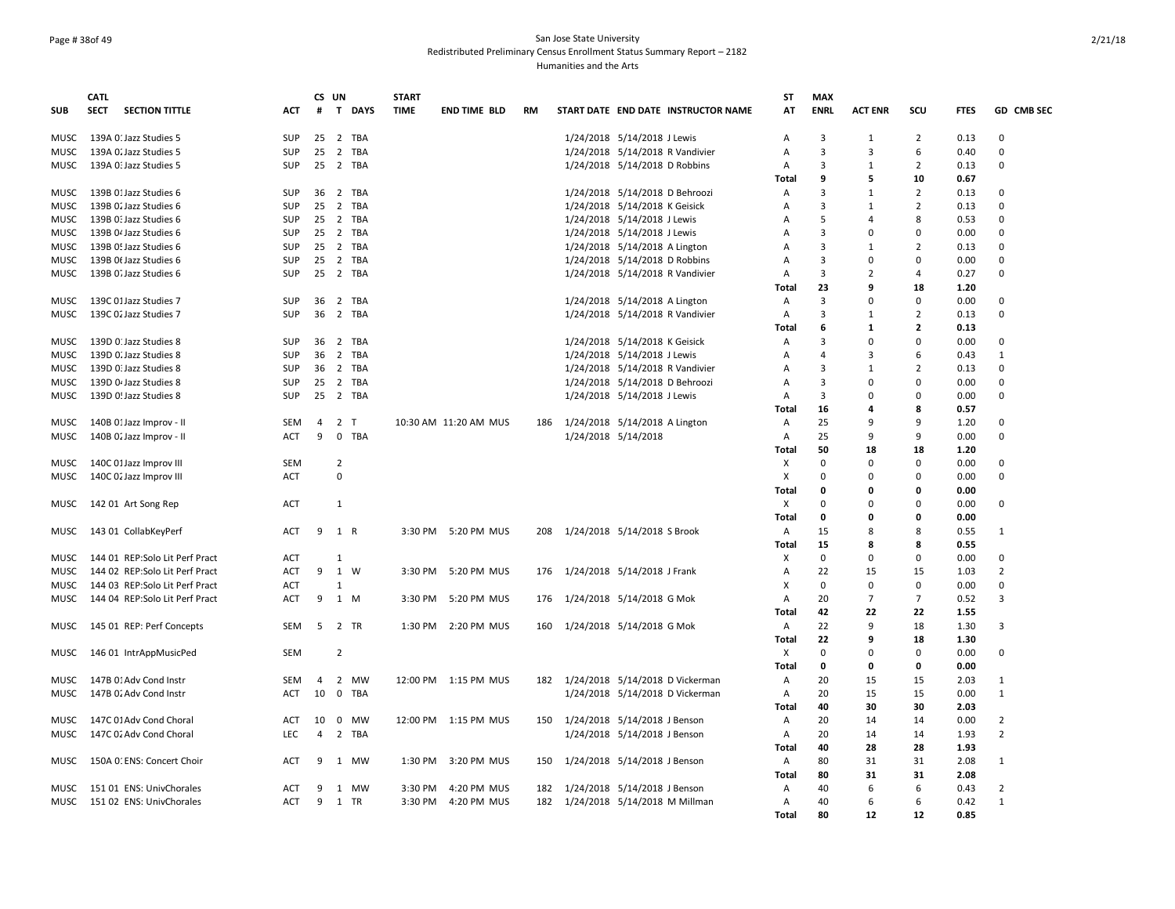### Page # 38of 49 San Jose State University Redistributed Preliminary Census Enrollment Status Summary Report – 2182 Humanities and the Arts

|             | <b>CATL</b>                          |            |                | CS UN                       | <b>START</b> |                       |           |                                     | <b>ST</b>      | <b>MAX</b>     |                |                |             |                |
|-------------|--------------------------------------|------------|----------------|-----------------------------|--------------|-----------------------|-----------|-------------------------------------|----------------|----------------|----------------|----------------|-------------|----------------|
| <b>SUB</b>  | <b>SECT</b><br><b>SECTION TITTLE</b> | ACT        | #              | $\mathsf{T}$<br><b>DAYS</b> | <b>TIME</b>  | END TIME BLD          | <b>RM</b> | START DATE END DATE INSTRUCTOR NAME | AT             | <b>ENRL</b>    | <b>ACT ENR</b> | SCU            | <b>FTES</b> | GD CMB SEC     |
| MUSC        | 139A 0. Jazz Studies 5               | <b>SUP</b> | 25             | $\overline{2}$<br>TBA       |              |                       |           | 1/24/2018 5/14/2018 J Lewis         | A              | 3              | 1              | $\overline{2}$ | 0.13        | $\Omega$       |
| MUSC        | 139A O. Jazz Studies 5               | <b>SUP</b> | 25             | 2 TBA                       |              |                       |           | 1/24/2018 5/14/2018 R Vandivier     | Α              | 3              | 3              | 6              | 0.40        | $\mathbf 0$    |
| MUSC        | 139A 0: Jazz Studies 5               | <b>SUP</b> | 25             | 2 TBA                       |              |                       |           | 1/24/2018 5/14/2018 D Robbins       | Α              | 3              | 1              | $\overline{2}$ | 0.13        | $\Omega$       |
|             |                                      |            |                |                             |              |                       |           |                                     | Total          | 9              | 5              | 10             | 0.67        |                |
| <b>MUSC</b> | 139B 01 Jazz Studies 6               | <b>SUP</b> | 36             | 2 TBA                       |              |                       |           | 1/24/2018 5/14/2018 D Behroozi      | Α              | 3              | 1              | $\overline{2}$ | 0.13        | $\Omega$       |
| MUSC        | 139B 0. Jazz Studies 6               | SUP        | 25             | 2 TBA                       |              |                       |           | 1/24/2018 5/14/2018 K Geisick       | Α              | $\overline{3}$ | 1              | $\overline{2}$ | 0.13        | $\Omega$       |
| MUSC        | 139B 0: Jazz Studies 6               | <b>SUP</b> | 25             | 2 TBA                       |              |                       |           | 1/24/2018 5/14/2018 J Lewis         | Α              | 5              | 4              | 8              | 0.53        | $\Omega$       |
| MUSC        | 139B 04 Jazz Studies 6               | SUP        | 25             | 2 TBA                       |              |                       |           | 1/24/2018 5/14/2018 J Lewis         | A              | $\overline{3}$ | 0              | $\mathbf 0$    | 0.00        | $\mathbf 0$    |
| MUSC        | 139B 0! Jazz Studies 6               | SUP        |                | 25 2 TBA                    |              |                       |           | 1/24/2018 5/14/2018 A Lington       | Α              | 3              | -1             | 2              | 0.13        | $\Omega$       |
| MUSC        | 139B Of Jazz Studies 6               | SUP        |                | 25 2 TBA                    |              |                       |           | 1/24/2018 5/14/2018 D Robbins       | A              | 3              | $\Omega$       | $\Omega$       | 0.00        | $\Omega$       |
| MUSC        | 139B 0. Jazz Studies 6               | <b>SUP</b> | 25             | 2 TBA                       |              |                       |           | 1/24/2018 5/14/2018 R Vandivier     | Α              | 3              | 2              | $\overline{4}$ | 0.27        | $\mathbf 0$    |
|             |                                      |            |                |                             |              |                       |           |                                     | <b>Total</b>   | 23             | 9              | 18             | 1.20        |                |
| <b>MUSC</b> | 139C 01 Jazz Studies 7               | <b>SUP</b> | 36             | 2 TBA                       |              |                       |           | 1/24/2018 5/14/2018 A Lington       | Α              | 3              | $\Omega$       | $\mathbf 0$    | 0.00        | $\Omega$       |
| <b>MUSC</b> | 139C 02 Jazz Studies 7               | <b>SUP</b> | 36             | 2 TBA                       |              |                       |           | 1/24/2018 5/14/2018 R Vandivier     | A              | 3              | $\mathbf{1}$   | $\overline{2}$ | 0.13        | $\Omega$       |
|             |                                      |            |                |                             |              |                       |           |                                     | Total          | 6              | 1              | $\overline{2}$ | 0.13        |                |
| MUSC        | 139D 0: Jazz Studies 8               | SUP        | 36             | 2 TBA                       |              |                       |           | 1/24/2018 5/14/2018 K Geisick       | Α              | 3              | $\Omega$       | $\Omega$       | 0.00        | $\mathbf 0$    |
| MUSC        | 139D 0. Jazz Studies 8               | SUP        | 36             | 2 TBA                       |              |                       |           | 1/24/2018 5/14/2018 J Lewis         | Α              | 4              | 3              | 6              | 0.43        | 1              |
| MUSC        | 139D 0: Jazz Studies 8               | SUP        | 36             | 2 TBA                       |              |                       |           | 1/24/2018 5/14/2018 R Vandivier     | Α              | 3              | 1              | 2              | 0.13        | $\Omega$       |
| MUSC        | 139D 0. Jazz Studies 8               | <b>SUP</b> | 25             | 2<br>TBA                    |              |                       |           | 1/24/2018 5/14/2018 D Behroozi      | A              | 3              | $\Omega$       | $\Omega$       | 0.00        | $\Omega$       |
| MUSC        | 139D 0! Jazz Studies 8               | <b>SUP</b> |                | 25 2 TBA                    |              |                       |           | 1/24/2018 5/14/2018 J Lewis         | Α              | 3              | $\Omega$       | $\mathbf 0$    | 0.00        | $\mathbf 0$    |
|             |                                      |            |                |                             |              |                       |           |                                     | Total          | 16             | 4              | 8              | 0.57        |                |
| MUSC        | 140B 01 Jazz Improv - II             | <b>SEM</b> | 4              | 2<br>T                      |              | 10:30 AM 11:20 AM MUS | 186       | 1/24/2018 5/14/2018 A Lington       | Α              | 25             | q              | 9              | 1.20        | $\Omega$       |
| MUSC        | 140B 0. Jazz Improv - II             | ACT        | 9              | 0 TBA                       |              |                       |           | 1/24/2018 5/14/2018                 | Α              | 25             | 9              | 9              | 0.00        | $\mathbf 0$    |
|             |                                      |            |                |                             |              |                       |           |                                     | Total          | 50             | 18             | 18             | 1.20        |                |
| MUSC        | 140C 01 Jazz Improv III              | <b>SEM</b> |                | $\overline{2}$              |              |                       |           |                                     | х              | $\Omega$       | 0              | $\Omega$       | 0.00        | $\mathbf 0$    |
| MUSC        | 140C 02 Jazz Improv III              | ACT        |                | $\mathbf 0$                 |              |                       |           |                                     | X              | $\Omega$       | $\Omega$       | $\Omega$       | 0.00        | $\mathbf 0$    |
|             |                                      |            |                |                             |              |                       |           |                                     | <b>Total</b>   | 0              | O              | $\Omega$       | 0.00        |                |
| MUSC        | 142 01 Art Song Rep                  | <b>ACT</b> |                | $\mathbf{1}$                |              |                       |           |                                     | X              | $\Omega$       | ŋ              | $\Omega$       | 0.00        | $\Omega$       |
|             |                                      |            |                |                             |              |                       |           |                                     | <b>Total</b>   | 0              | $\Omega$       | $\mathbf 0$    | 0.00        |                |
| <b>MUSC</b> | 143 01 CollabKeyPerf                 | <b>ACT</b> | 9              | 1 R                         |              | 3:30 PM 5:20 PM MUS   | 208       | 1/24/2018 5/14/2018 S Brook         | A              | 15             | 8              | 8              | 0.55        | $\mathbf{1}$   |
|             |                                      |            |                |                             |              |                       |           |                                     | Total          | 15             | 8              | 8              | 0.55        |                |
| MUSC        | 144 01 REP:Solo Lit Perf Pract       | ACT        |                | 1                           |              |                       |           |                                     | х              | $\Omega$       | $\Omega$       | 0              | 0.00        | $\Omega$       |
| MUSC        | 144 02 REP:Solo Lit Perf Pract       | ACT        | 9              | <sup>1</sup><br>W           |              | 3:30 PM 5:20 PM MUS   | 176       | 1/24/2018 5/14/2018 J Frank         | Α              | 22             | 15             | 15             | 1.03        | $\overline{2}$ |
| MUSC        | 144 03 REP:Solo Lit Perf Pract       | <b>ACT</b> |                | 1                           |              |                       |           |                                     | X              | 0              | 0              | $\mathbf 0$    | 0.00        | $\mathbf 0$    |
| MUSC        | 144 04 REP:Solo Lit Perf Pract       | <b>ACT</b> | 9              | 1<br>M                      | 3:30 PM      | 5:20 PM MUS           | 176       | 1/24/2018 5/14/2018 G Mok           | Α              | 20             | 7              | $\overline{7}$ | 0.52        | $\overline{3}$ |
|             |                                      |            |                |                             |              |                       |           |                                     | <b>Total</b>   | 42             | 22             | 22             | 1.55        |                |
| MUSC        | 145 01 REP: Perf Concepts            | <b>SEM</b> | 5              | 2<br>TR                     |              | 1:30 PM 2:20 PM MUS   | 160       | 1/24/2018 5/14/2018 G Mok           | $\overline{A}$ | 22             | 9              | 18             | 1.30        | 3              |
|             |                                      |            |                |                             |              |                       |           |                                     | <b>Total</b>   | 22             | 9              | 18             | 1.30        |                |
| MUSC        | 146 01 IntrAppMusicPed               | <b>SEM</b> |                | $\overline{2}$              |              |                       |           |                                     | X              | $\mathbf 0$    | $\Omega$       | 0              | 0.00        | $\mathbf 0$    |
|             |                                      |            |                |                             |              |                       |           |                                     | Total          | 0              | 0              | 0              | 0.00        |                |
| MUSC        | 147B 01 Adv Cond Instr               | <b>SEM</b> | $\overline{4}$ | 2 MW                        |              | 12:00 PM 1:15 PM MUS  | 182       | 1/24/2018 5/14/2018 D Vickerman     | Α              | 20             | 15             | 15             | 2.03        | $\mathbf{1}$   |
| MUSC        | 147B 0. Adv Cond Instr               | ACT        | 10             | $\mathbf 0$<br>TBA          |              |                       |           | 1/24/2018 5/14/2018 D Vickerman     | Α              | 20             | 15             | 15             | 0.00        | $\mathbf{1}$   |
|             |                                      |            |                |                             |              |                       |           |                                     | <b>Total</b>   | 40             | 30             | 30             | 2.03        |                |
| MUSC        | 147C 01 Adv Cond Choral              | ACT        | 10             | 0<br>MW                     |              | 12:00 PM 1:15 PM MUS  | 150       | 1/24/2018 5/14/2018 J Benson        | Α              | 20             | 14             | 14             | 0.00        | $\overline{2}$ |
| <b>MUSC</b> | 147C 02 Adv Cond Choral              | <b>LEC</b> | $\overline{4}$ | $\overline{2}$<br>TBA       |              |                       |           | 1/24/2018 5/14/2018 J Benson        | A              | 20             | 14             | 14             | 1.93        | $\overline{2}$ |
|             |                                      |            |                |                             |              |                       |           |                                     | <b>Total</b>   | 40             | 28             | 28             | 1.93        |                |
| MUSC        | 150A 0: ENS: Concert Choir           | ACT        | 9              | 1 MW                        |              | 1:30 PM 3:20 PM MUS   | 150       | 1/24/2018 5/14/2018 J Benson        | Α              | 80             | 31             | 31             | 2.08        | 1              |
|             |                                      |            |                |                             |              |                       |           |                                     | Total          | 80             | 31             | 31             | 2.08        |                |
| MUSC        | 151 01 ENS: UnivChorales             | ACT        | 9              | 1 MW                        | 3:30 PM      | 4:20 PM MUS           | 182       | 1/24/2018 5/14/2018 J Benson        | Α              | 40             | 6              | 6              | 0.43        | $\overline{2}$ |
| MUSC        | 151 02 ENS: UnivChorales             | <b>ACT</b> | 9              | 1 TR                        |              | 3:30 PM 4:20 PM MUS   |           | 182 1/24/2018 5/14/2018 M Millman   | A              | 40             | 6              | 6              | 0.42        | $\mathbf{1}$   |
|             |                                      |            |                |                             |              |                       |           |                                     | Total          | 80             | 12             | 12             | 0.85        |                |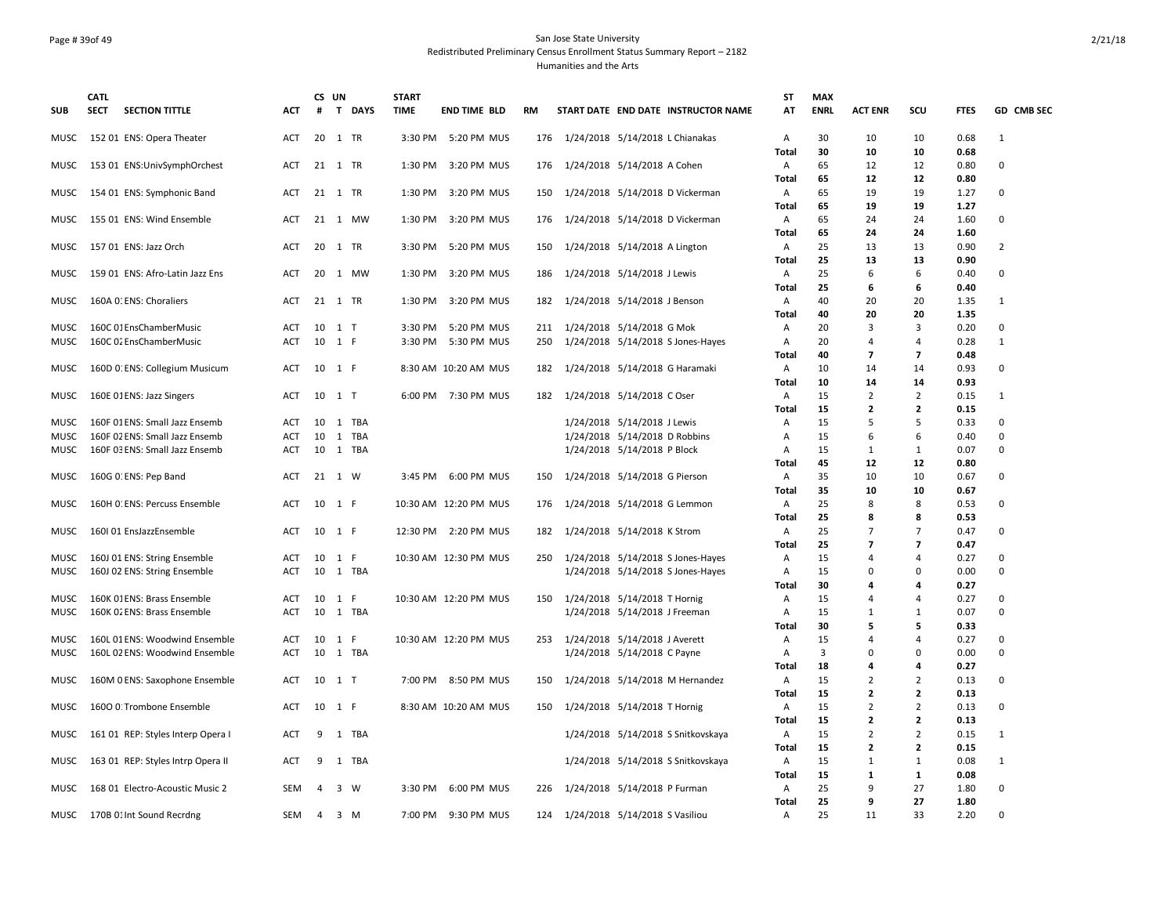### Page # 39of 49 San Jose State University Redistributed Preliminary Census Enrollment Status Summary Report – 2182 Humanities and the Arts

| <b>SUB</b>  | <b>CATL</b><br><b>SECT</b> | <b>SECTION TITTLE</b>             | ACT        | CS UN<br>#     | $\mathbf{T}$            | <b>DAYS</b> | <b>START</b><br><b>TIME</b> | <b>END TIME BLD</b>   | <b>RM</b> |  | START DATE END DATE INSTRUCTOR NAME | <b>ST</b><br>AT | <b>MAX</b><br><b>ENRL</b> | <b>ACT ENR</b>          | scu                     | <b>FTES</b>  | GD CMB SEC     |
|-------------|----------------------------|-----------------------------------|------------|----------------|-------------------------|-------------|-----------------------------|-----------------------|-----------|--|-------------------------------------|-----------------|---------------------------|-------------------------|-------------------------|--------------|----------------|
|             |                            |                                   |            |                |                         |             |                             |                       |           |  |                                     |                 |                           |                         |                         |              |                |
| MUSC        |                            | 152 01 ENS: Opera Theater         | ACT        | 20             |                         | 1 TR        | 3:30 PM                     | 5:20 PM MUS           | 176       |  | 1/24/2018 5/14/2018 L Chianakas     | Α               | 30<br>30                  | 10                      | 10                      | 0.68         | 1              |
|             |                            | 153 01 ENS: UnivSymphOrchest      | ACT        | 21 1 TR        |                         |             | 1:30 PM                     | 3:20 PM MUS           | 176       |  | 1/24/2018 5/14/2018 A Cohen         | Total<br>Α      | 65                        | 10<br>12                | 10<br>12                | 0.68<br>0.80 | 0              |
| MUSC        |                            |                                   |            |                |                         |             |                             |                       |           |  |                                     | Total           | 65                        | 12                      | 12                      | 0.80         |                |
| MUSC        |                            | 154 01 ENS: Symphonic Band        | ACT        | 21 1 TR        |                         |             | 1:30 PM                     | 3:20 PM MUS           | 150       |  | 1/24/2018 5/14/2018 D Vickerman     | A               | 65                        | 19                      | 19                      | 1.27         | $\Omega$       |
|             |                            |                                   |            |                |                         |             |                             |                       |           |  |                                     | Total           | 65                        | 19                      | 19                      | 1.27         |                |
| MUSC        |                            | 155 01 ENS: Wind Ensemble         | ACT        |                |                         | 21 1 MW     |                             | 1:30 PM 3:20 PM MUS   | 176       |  | 1/24/2018 5/14/2018 D Vickerman     | Α               | 65                        | 24                      | 24                      | 1.60         | $\Omega$       |
|             |                            |                                   |            |                |                         |             |                             |                       |           |  |                                     | Total           | 65                        | 24                      | 24                      | 1.60         |                |
| MUSC        |                            | 157 01 ENS: Jazz Orch             | ACT        | 20 1 TR        |                         |             | 3:30 PM                     | 5:20 PM MUS           | 150       |  | 1/24/2018 5/14/2018 A Lington       | Α               | 25                        | 13                      | 13                      | 0.90         | $\overline{2}$ |
|             |                            |                                   |            |                |                         |             |                             |                       |           |  |                                     | Total           | 25                        | 13                      | 13                      | 0.90         |                |
| MUSC        |                            | 159 01 ENS: Afro-Latin Jazz Ens   | ACT        | 20             |                         | 1 MW        | 1:30 PM                     | 3:20 PM MUS           | 186       |  | 1/24/2018 5/14/2018 J Lewis         | Α               | 25                        | 6                       | 6                       | 0.40         | $\Omega$       |
|             |                            |                                   |            |                |                         |             |                             |                       |           |  |                                     | Total           | 25                        | 6                       | 6                       | 0.40         |                |
| MUSC        |                            | 160A 0: ENS: Choraliers           | ACT        | 21 1 TR        |                         |             | 1:30 PM                     | 3:20 PM MUS           | 182       |  | 1/24/2018 5/14/2018 J Benson        | Α               | 40                        | 20                      | 20                      | 1.35         | 1              |
|             |                            |                                   |            |                |                         |             |                             |                       |           |  |                                     | Total           | 40                        | 20                      | 20                      | 1.35         |                |
| MUSC        |                            | 160C 01 EnsChamberMusic           | ACT        | 10             | 1 T                     |             | 3:30 PM                     | 5:20 PM MUS           | 211       |  | 1/24/2018 5/14/2018 G Mok           | Α               | 20                        | 3                       | 3                       | 0.20         | 0              |
| <b>MUSC</b> |                            | 160C 02 EnsChamberMusic           | <b>ACT</b> | 10             | 1 F                     |             | 3:30 PM                     | 5:30 PM MUS           | 250       |  | 1/24/2018 5/14/2018 S Jones-Hayes   | Α               | 20                        | 4                       | 4                       | 0.28         | $\mathbf{1}$   |
|             |                            |                                   |            |                |                         |             |                             |                       |           |  |                                     | Total           | 40                        | $\overline{7}$          | $\overline{7}$          | 0.48         |                |
| MUSC        |                            | 160D 0: ENS: Collegium Musicum    | ACT        | 10 1 F         |                         |             |                             | 8:30 AM 10:20 AM MUS  | 182       |  | 1/24/2018 5/14/2018 G Haramaki      | Α               | 10                        | 14                      | 14                      | 0.93         | $\mathbf 0$    |
|             |                            |                                   |            |                |                         |             |                             |                       |           |  |                                     | <b>Total</b>    | 10                        | 14                      | 14                      | 0.93         |                |
| <b>MUSC</b> |                            | 160E 01 ENS: Jazz Singers         | ACT        | 10 1 T         |                         |             |                             | 6:00 PM 7:30 PM MUS   | 182       |  | 1/24/2018 5/14/2018 C Oser          | Α               | 15                        | 2                       | $\overline{2}$          | 0.15         | 1              |
|             |                            |                                   |            |                |                         |             |                             |                       |           |  |                                     | Total           | 15                        | $\overline{2}$          | $\overline{2}$          | 0.15         |                |
| MUSC        |                            | 160F 01 ENS: Small Jazz Ensemb    | ACT        | 10             | $\mathbf{1}$            | TBA         |                             |                       |           |  | 1/24/2018 5/14/2018 J Lewis         | Α               | 15                        | 5                       | 5                       | 0.33         | $\Omega$       |
| <b>MUSC</b> |                            | 160F 02 ENS: Small Jazz Ensemb    | ACT        | 10             | 1                       | TBA         |                             |                       |           |  | 1/24/2018 5/14/2018 D Robbins       | Α               | 15                        | 6                       | 6                       | 0.40         | $\mathbf 0$    |
| MUSC        |                            | 160F 03 ENS: Small Jazz Ensemb    | ACT        | 10             |                         | 1 TBA       |                             |                       |           |  | 1/24/2018 5/14/2018 P Block         | Α               | 15                        | 1                       | 1                       | 0.07         | $\mathbf 0$    |
|             |                            | 160G 0: ENS: Pep Band             |            | 21 1 W         |                         |             |                             | 3:45 PM 6:00 PM MUS   |           |  | 1/24/2018 5/14/2018 G Pierson       | Total           | 45<br>35                  | 12<br>10                | 12<br>10                | 0.80         | $\mathbf 0$    |
| <b>MUSC</b> |                            |                                   | ACT        |                |                         |             |                             |                       | 150       |  |                                     | Α<br>Total      | 35                        | 10                      | 10                      | 0.67<br>0.67 |                |
| MUSC        |                            | 160H O: ENS: Percuss Ensemble     | <b>ACT</b> | 10 1 F         |                         |             |                             | 10:30 AM 12:20 PM MUS | 176       |  | 1/24/2018 5/14/2018 G Lemmon        | Α               | 25                        | 8                       | 8                       | 0.53         | $\Omega$       |
|             |                            |                                   |            |                |                         |             |                             |                       |           |  |                                     | Total           | 25                        | 8                       | 8                       | 0.53         |                |
| MUSC        |                            | 160I 01 EnsJazzEnsemble           | ACT        | 10 1 F         |                         |             |                             | 12:30 PM 2:20 PM MUS  | 182       |  | 1/24/2018 5/14/2018 K Strom         | Α               | 25                        | $\overline{7}$          | $\overline{7}$          | 0.47         | $\mathbf 0$    |
|             |                            |                                   |            |                |                         |             |                             |                       |           |  |                                     | <b>Total</b>    | 25                        | $\overline{\mathbf{z}}$ | $\overline{\mathbf{z}}$ | 0.47         |                |
| MUSC        |                            | 160J 01 ENS: String Ensemble      | ACT        | 10             | <sup>1</sup>            | F           |                             | 10:30 AM 12:30 PM MUS | 250       |  | 1/24/2018 5/14/2018 S Jones-Hayes   | Α               | 15                        | $\overline{4}$          | $\overline{4}$          | 0.27         | $\mathbf 0$    |
| MUSC        |                            | 160J 02 ENS: String Ensemble      | ACT        | 10             |                         | 1 TBA       |                             |                       |           |  | 1/24/2018 5/14/2018 S Jones-Hayes   | Α               | 15                        | <sup>0</sup>            | $\mathbf 0$             | 0.00         | $\Omega$       |
|             |                            |                                   |            |                |                         |             |                             |                       |           |  |                                     | Total           | 30                        | 4                       | 4                       | 0.27         |                |
| MUSC        |                            | 160K 01 ENS: Brass Ensemble       | ACT        | 10             | 1                       | -F          |                             | 10:30 AM 12:20 PM MUS | 150       |  | 1/24/2018 5/14/2018 T Hornig        | Α               | 15                        | 4                       | $\overline{4}$          | 0.27         | 0              |
| MUSC        |                            | 160K 02 ENS: Brass Ensemble       | ACT        |                |                         | 10 1 TBA    |                             |                       |           |  | 1/24/2018 5/14/2018 J Freeman       | Α               | 15                        | 1                       | 1                       | 0.07         | $\Omega$       |
|             |                            |                                   |            |                |                         |             |                             |                       |           |  |                                     | Total           | 30                        | 5                       | 5                       | 0.33         |                |
| MUSC        |                            | 160L 01 ENS: Woodwind Ensemble    | ACT        | 10 1           |                         | -F          |                             | 10:30 AM 12:20 PM MUS | 253       |  | 1/24/2018 5/14/2018 J Averett       | Α               | 15                        | 4                       | $\overline{4}$          | 0.27         | 0              |
| MUSC        |                            | 160L 02 ENS: Woodwind Ensemble    | ACT        |                |                         | 10 1 TBA    |                             |                       |           |  | 1/24/2018 5/14/2018 C Payne         | Α               | 3                         | $\Omega$                | $\mathbf 0$             | 0.00         | $\Omega$       |
|             |                            |                                   |            |                |                         |             |                             |                       |           |  |                                     | Total           | 18                        | 4                       | 4                       | 0.27         |                |
| MUSC        |                            | 160M 0 ENS: Saxophone Ensemble    | ACT        | 10 1 T         |                         |             | 7:00 PM                     | 8:50 PM MUS           | 150       |  | 1/24/2018 5/14/2018 M Hernandez     | Α               | 15                        | 2                       | 2                       | 0.13         | 0              |
|             |                            |                                   |            |                |                         |             |                             |                       |           |  |                                     | Total           | 15                        | $\overline{2}$          | $\overline{2}$          | 0.13         |                |
| MUSC        |                            | 1600 0: Trombone Ensemble         | ACT        | 10             | 1 F                     |             |                             | 8:30 AM 10:20 AM MUS  | 150       |  | 1/24/2018 5/14/2018 T Hornig        | Α               | 15                        | 2                       | $\overline{2}$          | 0.13         | $\mathbf 0$    |
|             |                            |                                   |            |                |                         |             |                             |                       |           |  |                                     | Total           | 15                        | $\overline{2}$          | $\overline{2}$          | 0.13         |                |
| MUSC        |                            | 161 01 REP: Styles Interp Opera I | ACT        | 9              |                         | 1 TBA       |                             |                       |           |  | 1/24/2018 5/14/2018 S Snitkovskaya  | Α               | 15                        | 2                       | $\overline{2}$          | 0.15         | 1              |
|             |                            |                                   |            |                |                         |             |                             |                       |           |  |                                     | Total           | 15                        | 2                       | $\overline{2}$          | 0.15         |                |
| MUSC        |                            | 163 01 REP: Styles Intrp Opera II | ACT        | 9              |                         | 1 TBA       |                             |                       |           |  | 1/24/2018 5/14/2018 S Snitkovskaya  | Α               | 15                        | $\mathbf{1}$            | 1                       | 0.08         | 1              |
|             |                            |                                   |            |                |                         |             |                             |                       |           |  |                                     | Total           | 15                        | 1                       | $\mathbf{1}$            | 0.08         |                |
| MUSC        |                            | 168 01 Electro-Acoustic Music 2   | SEM        | $\overline{a}$ | $\overline{3}$          | W           | 3:30 PM                     | 6:00 PM MUS           | 226       |  | 1/24/2018 5/14/2018 P Furman        | Α               | 25                        | 9                       | 27                      | 1.80         | $\mathbf 0$    |
|             |                            |                                   | <b>SEM</b> |                |                         |             |                             |                       |           |  |                                     | Total           | 25<br>25                  | 9                       | 27<br>33                | 1.80         | $\Omega$       |
| MUSC        |                            | 170B 01 Int Sound Recrdng         |            | 4              | $\overline{\mathbf{3}}$ | M           | 7:00 PM                     | 9:30 PM MUS           | 124       |  | 1/24/2018 5/14/2018 S Vasiliou      | Α               |                           | 11                      |                         | 2.20         |                |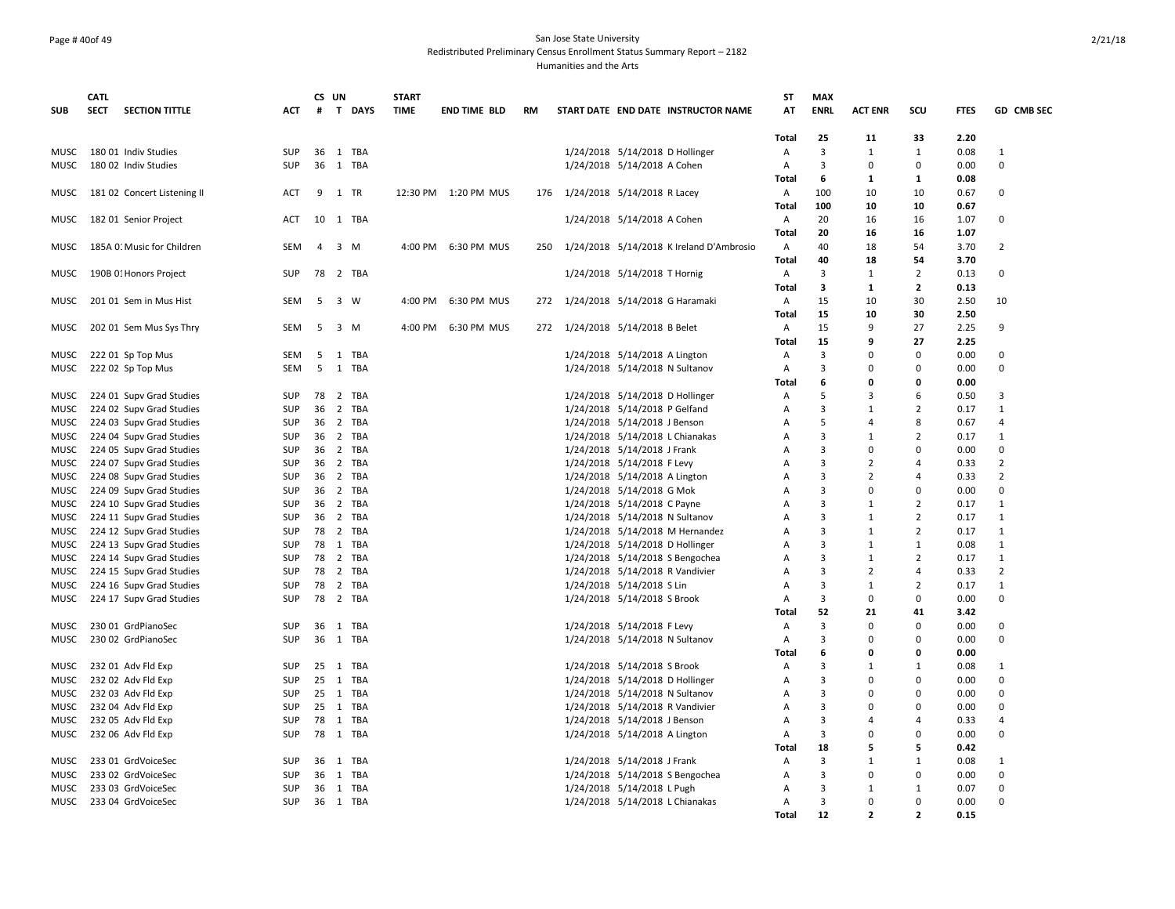### Page # 40of 49 San Jose State University Redistributed Preliminary Census Enrollment Status Summary Report – 2182 Humanities and the Arts

|             | <b>CATL</b> |                             |                          |          | CS UN          |            | <b>START</b> |                      |           |                                          | ST           | <b>MAX</b>     |                    |                          |             |                |
|-------------|-------------|-----------------------------|--------------------------|----------|----------------|------------|--------------|----------------------|-----------|------------------------------------------|--------------|----------------|--------------------|--------------------------|-------------|----------------|
| SUB         | <b>SECT</b> | <b>SECTION TITTLE</b>       | ACT                      | #        |                | T DAYS     | <b>TIME</b>  | <b>END TIME BLD</b>  | <b>RM</b> | START DATE END DATE INSTRUCTOR NAME      | ΑT           | <b>ENRL</b>    | <b>ACT ENR</b>     | scu                      | <b>FTES</b> | GD CMB SEC     |
|             |             |                             |                          |          |                |            |              |                      |           |                                          |              |                |                    |                          |             |                |
|             |             |                             |                          |          |                |            |              |                      |           |                                          | Total        | 25<br>3        | 11<br>$\mathbf{1}$ | 33                       | 2.20        |                |
| MUSC        |             | 180 01 Indiv Studies        | <b>SUP</b><br><b>SUP</b> | 36       |                | 1 TBA      |              |                      |           | 1/24/2018 5/14/2018 D Hollinger          | А            | 3              | $\Omega$           | $\mathbf{1}$<br>$\Omega$ | 0.08        | -1<br>0        |
| <b>MUSC</b> |             | 180 02 Indiv Studies        |                          | 36       |                | 1 TBA      |              |                      |           | 1/24/2018 5/14/2018 A Cohen              | A            |                |                    |                          | 0.00        |                |
|             |             |                             |                          |          |                |            |              |                      |           |                                          | Total        | 6              | 1                  | 1                        | 0.08        |                |
| <b>MUSC</b> |             | 181 02 Concert Listening II | ACT                      | 9        | 1              | TR         |              | 12:30 PM 1:20 PM MUS | 176       | 1/24/2018 5/14/2018 R Lacey              | Α            | 100            | 10                 | 10                       | 0.67        | 0              |
|             |             |                             |                          |          |                |            |              |                      |           |                                          | Total        | 100            | 10                 | 10                       | 0.67        |                |
| MUSC        |             | 182 01 Senior Project       | ACT                      |          |                | 10 1 TBA   |              |                      |           | 1/24/2018 5/14/2018 A Cohen              | Α            | 20             | 16                 | 16                       | 1.07        | 0              |
|             |             |                             |                          |          |                |            |              |                      | 250.      |                                          | Total        | 20             | 16                 | 16                       | 1.07        | 2              |
| MUSC        |             | 185A 0. Music for Children  | SEM                      | 4        |                | $3 \, M$   |              | 4:00 PM 6:30 PM MUS  |           | 1/24/2018 5/14/2018 K Ireland D'Ambrosio | Α            | 40             | 18                 | 54                       | 3.70        |                |
|             |             |                             |                          |          |                |            |              |                      |           |                                          | Total        | 40             | 18                 | 54                       | 3.70        |                |
| MUSC        |             | 190B 01 Honors Project      | <b>SUP</b>               | 78 2     |                | TBA        |              |                      |           | 1/24/2018 5/14/2018 T Hornig             | A            | 3              | 1                  | 2                        | 0.13        | $\Omega$       |
|             |             |                             |                          |          |                |            |              |                      |           |                                          | Total        | 3              | $\mathbf{1}$       | $\overline{2}$           | 0.13        |                |
| <b>MUSC</b> |             | 201 01 Sem in Mus Hist      | SEM                      | 5        | 3              | W          | 4:00 PM      | 6:30 PM MUS          | 272       | 1/24/2018 5/14/2018 G Haramaki           | Α            | 15             | 10                 | 30                       | 2.50        | 10             |
|             |             |                             |                          |          |                |            |              |                      |           |                                          | Total        | 15             | 10                 | 30                       | 2.50        |                |
| MUSC        |             | 202 01 Sem Mus Sys Thry     | SEM                      | 5        | 3 M            |            |              | 4:00 PM 6:30 PM MUS  | 272       | 1/24/2018 5/14/2018 B Belet              | Α            | 15             | 9                  | 27                       | 2.25        | 9              |
|             |             |                             |                          |          |                |            |              |                      |           |                                          | <b>Total</b> | 15             | q                  | 27                       | 2.25        |                |
| MUSC        |             | 222 01 Sp Top Mus           | SEM                      | 5        | 1              | <b>TBA</b> |              |                      |           | 1/24/2018 5/14/2018 A Lington            | Α            | 3              | n                  | 0                        | 0.00        | $\mathbf 0$    |
| MUSC        |             | 222 02 Sp Top Mus           | SEM                      | 5        | 1              | TBA        |              |                      |           | 1/24/2018 5/14/2018 N Sultanov           | А            | 3              | 0                  | $\Omega$                 | 0.00        | 0              |
|             |             |                             |                          |          |                |            |              |                      |           |                                          | Total        | 6              | O                  | 0                        | 0.00        |                |
| MUSC        |             | 224 01 Supv Grad Studies    | <b>SUP</b>               | 78       | $\overline{2}$ | TBA        |              |                      |           | 1/24/2018 5/14/2018 D Hollinger          | A            | 5              | 3                  | 6                        | 0.50        | 3              |
| <b>MUSC</b> |             | 224 02 Supv Grad Studies    | <b>SUP</b>               | 36       | $\overline{2}$ | TBA        |              |                      |           | 1/24/2018 5/14/2018 P Gelfand            | Α            | 3              | $\mathbf{1}$       | $\overline{2}$           | 0.17        | $\mathbf{1}$   |
| MUSC        |             | 224 03 Supv Grad Studies    | SUP                      | 36 2     |                | TBA        |              |                      |           | 1/24/2018 5/14/2018 J Benson             | А            | 5              | 4                  | 8                        | 0.67        | 4              |
| <b>MUSC</b> |             | 224 04 Supv Grad Studies    | <b>SUP</b>               | 36       |                | 2 TBA      |              |                      |           | 1/24/2018 5/14/2018 L Chianakas          | А            | 3              | $\mathbf{1}$       | $\overline{2}$           | 0.17        | $\mathbf{1}$   |
| MUSC        |             | 224 05 Supv Grad Studies    | <b>SUP</b>               | 36       | 2              | TBA        |              |                      |           | 1/24/2018 5/14/2018 J Frank              | A            | 3              | O                  | $\Omega$                 | 0.00        | 0              |
| MUSC        |             | 224 07 Supv Grad Studies    | SUP                      | 36       | $\overline{2}$ | TBA        |              |                      |           | 1/24/2018 5/14/2018 F Levy               | Α            | 3              | 2                  | 4                        | 0.33        | $\overline{2}$ |
| MUSC        |             | 224 08 Supv Grad Studies    | SUP                      | 36       | $\overline{2}$ | TBA        |              |                      |           | 1/24/2018 5/14/2018 A Lington            | А            | 3              | 2                  | 4                        | 0.33        | 2              |
| MUSC        |             | 224 09 Supv Grad Studies    | <b>SUP</b>               | 36 2     |                | TBA        |              |                      |           | 1/24/2018 5/14/2018 G Mok                | Α            | 3              | 0                  | $\Omega$                 | 0.00        | 0              |
| MUSC        |             | 224 10 Supv Grad Studies    | <b>SUP</b>               | 36 2     |                | TBA        |              |                      |           | 1/24/2018 5/14/2018 C Payne              | A            | $\overline{3}$ | $\mathbf{1}$       | $\overline{2}$           | 0.17        | $\mathbf{1}$   |
| MUSC        |             | 224 11 Supv Grad Studies    | SUP                      | 36       | $\overline{2}$ | TBA        |              |                      |           | 1/24/2018 5/14/2018 N Sultanov           | А            | $\overline{3}$ | $\mathbf{1}$       | $\overline{2}$           | 0.17        | $\mathbf{1}$   |
| MUSC        |             | 224 12 Supv Grad Studies    | SUP                      | 78       | $\overline{2}$ | <b>TBA</b> |              |                      |           | 1/24/2018 5/14/2018 M Hernandez          | А            | $\overline{3}$ | $\mathbf{1}$       | $\overline{2}$           | 0.17        | $\mathbf{1}$   |
| MUSC        |             | 224 13 Supv Grad Studies    | <b>SUP</b>               | 78       | 1              | TBA        |              |                      |           | 1/24/2018 5/14/2018 D Hollinger          | А            | 3              | $\mathbf{1}$       | $\mathbf{1}$             | 0.08        | $\mathbf{1}$   |
| MUSC        |             | 224 14 Supv Grad Studies    | <b>SUP</b>               | 78       | $\overline{2}$ | TBA        |              |                      |           | 1/24/2018 5/14/2018 S Bengochea          | A            | $\overline{3}$ | $\mathbf{1}$       | $\overline{2}$           | 0.17        | $\mathbf{1}$   |
| MUSC        |             | 224 15 Supv Grad Studies    | SUP                      | 78       | $\overline{2}$ | TBA        |              |                      |           | 1/24/2018 5/14/2018 R Vandivier          | А            | 3              | $\overline{2}$     | 4                        | 0.33        | $\overline{2}$ |
| MUSC        |             | 224 16 Supv Grad Studies    | SUP                      | 78       | $\overline{2}$ | TBA        |              |                      |           | 1/24/2018 5/14/2018 S Lin                | Α            | 3              | $\mathbf{1}$       | $\overline{2}$           | 0.17        | $\mathbf{1}$   |
| MUSC        |             | 224 17 Supv Grad Studies    | SUP                      | 78       | $\overline{2}$ | TBA        |              |                      |           | 1/24/2018 5/14/2018 S Brook              | А            | 3              | $\Omega$           | $\Omega$                 | 0.00        | 0              |
|             |             |                             |                          |          |                |            |              |                      |           |                                          | <b>Total</b> | 52             | 21                 | 41                       | 3.42        |                |
| MUSC        |             | 230 01 GrdPianoSec          | <b>SUP</b>               | 36       | 1              | TBA        |              |                      |           | 1/24/2018 5/14/2018 F Levy               | А            | 3              | $\Omega$           | $\Omega$                 | 0.00        | $\Omega$       |
| MUSC        |             | 230 02 GrdPianoSec          | SUP                      | 36       |                | 1 TBA      |              |                      |           | 1/24/2018 5/14/2018 N Sultanov           | Α            | 3              | $\Omega$           | 0                        | 0.00        | 0              |
|             |             |                             |                          |          |                |            |              |                      |           |                                          | Total        | 6              | 0                  | 0                        | 0.00        |                |
| MUSC        |             | 232 01 Adv Fld Exp          | <b>SUP</b>               | $25 \t1$ |                | TBA        |              |                      |           | 1/24/2018 5/14/2018 S Brook              | А            | 3              | $\mathbf{1}$       | $\mathbf{1}$             | 0.08        | -1             |
| MUSC        |             | 232 02 Adv Fld Exp          | SUP                      | 25 1     |                | TBA        |              |                      |           | 1/24/2018 5/14/2018 D Hollinger          | А            | 3              | O                  | $\Omega$                 | 0.00        | 0              |
| MUSC        |             | 232 03 Adv Fld Exp          | SUP                      | 25 1     |                | TBA        |              |                      |           | 1/24/2018 5/14/2018 N Sultanov           | Α            | 3              | $\Omega$           | $\Omega$                 | 0.00        | 0              |
| MUSC        |             | 232 04 Adv Fld Exp          | SUP                      | 25       | $\overline{1}$ | TBA        |              |                      |           | 1/24/2018 5/14/2018 R Vandivier          | A            | 3              | O                  | $\Omega$                 | 0.00        | 0              |
| <b>MUSC</b> |             | 232 05 Adv Fld Exp          | <b>SUP</b>               | 78       |                | 1 TBA      |              |                      |           | 1/24/2018 5/14/2018 J Benson             | А            | $\overline{3}$ | 4                  | 4                        | 0.33        | 4              |
| <b>MUSC</b> |             | 232 06 Adv Fld Exp          | <b>SUP</b>               | 78       | 1              | TBA        |              |                      |           | 1/24/2018 5/14/2018 A Lington            | A            | 3              | O                  | $\Omega$                 | 0.00        | 0              |
|             |             |                             |                          |          |                |            |              |                      |           |                                          | Total        | 18             | 5                  | 5                        | 0.42        |                |
| MUSC        |             | 233 01 GrdVoiceSec          | SUP                      | 36       | 1              | TBA        |              |                      |           | 1/24/2018 5/14/2018 J Frank              | A            | 3              | $\mathbf{1}$       | 1                        | 0.08        | 1              |
| MUSC        |             | 233 02 GrdVoiceSec          | <b>SUP</b>               | 36 1     |                | TBA        |              |                      |           | 1/24/2018 5/14/2018 S Bengochea          | А            | 3              | $\Omega$           | $\Omega$                 | 0.00        | $\Omega$       |
| <b>MUSC</b> |             | 233 03 GrdVoiceSec          | SUP                      | 36 1     |                | TBA        |              |                      |           | 1/24/2018 5/14/2018 L Pugh               | А            | 3              | $\mathbf{1}$       | $\mathbf{1}$             | 0.07        | 0              |
| MUSC        |             | 233 04 GrdVoiceSec          | SUP                      |          |                | 36 1 TBA   |              |                      |           | 1/24/2018 5/14/2018 L Chianakas          | Α            | 3              | 0                  | 0                        | 0.00        | 0              |
|             |             |                             |                          |          |                |            |              |                      |           |                                          | Total        | 12             | $\overline{2}$     | $\overline{\phantom{a}}$ | 0.15        |                |
|             |             |                             |                          |          |                |            |              |                      |           |                                          |              |                |                    |                          |             |                |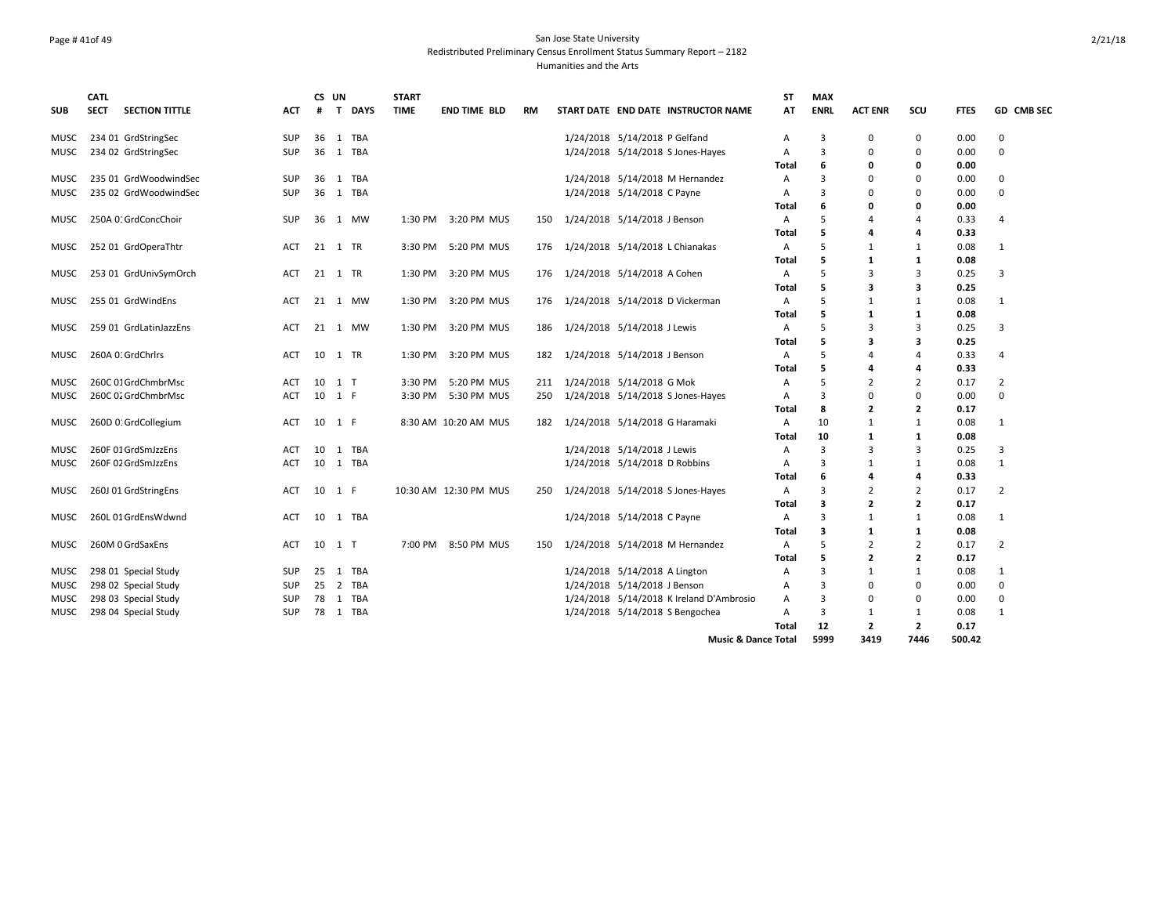# Page # 41of 49 San Jose State University Redistributed Preliminary Census Enrollment Status Summary Report – 2182 Humanities and the Arts

|             | <b>CATL</b> |                        |            |    | CS UN          |             | <b>START</b> |                       |     |                                          | ST    | <b>MAX</b>  |                |                |             |                |
|-------------|-------------|------------------------|------------|----|----------------|-------------|--------------|-----------------------|-----|------------------------------------------|-------|-------------|----------------|----------------|-------------|----------------|
| <b>SUB</b>  | <b>SECT</b> | <b>SECTION TITTLE</b>  | <b>ACT</b> | #  | T              | <b>DAYS</b> | <b>TIME</b>  | <b>END TIME BLD</b>   | RM  | START DATE END DATE INSTRUCTOR NAME      | AT    | <b>ENRL</b> | <b>ACT ENR</b> | scu            | <b>FTES</b> | GD CMB SEC     |
| MUSC        |             | 234 01 GrdStringSec    | <b>SUP</b> | 36 | 1              | TBA         |              |                       |     | 1/24/2018 5/14/2018 P Gelfand            | Α     | 3           | 0              | 0              | 0.00        | 0              |
| <b>MUSC</b> |             | 234 02 GrdStringSec    | <b>SUP</b> |    |                | 36 1 TBA    |              |                       |     | 1/24/2018 5/14/2018 S Jones-Hayes        | A     | 3           | <sup>0</sup>   | 0              | 0.00        | $\mathbf 0$    |
|             |             |                        |            |    |                |             |              |                       |     |                                          | Total | 6           | O              | 0              | 0.00        |                |
| MUSC        |             | 235 01 GrdWoodwindSec  | <b>SUP</b> | 36 | 1              | TBA         |              |                       |     | 1/24/2018 5/14/2018 M Hernandez          | Α     | 3           | <sup>0</sup>   | 0              | 0.00        | 0              |
| MUSC        |             | 235 02 GrdWoodwindSec  | <b>SUP</b> | 36 | $\mathbf{1}$   | TBA         |              |                       |     | 1/24/2018 5/14/2018 C Payne              | А     | 3           |                | $\Omega$       | 0.00        | $\Omega$       |
|             |             |                        |            |    |                |             |              |                       |     |                                          | Total | 6           | n              | 0              | 0.00        |                |
| MUSC        |             | 250A 0: GrdConcChoir   | <b>SUP</b> | 36 |                | 1 MW        |              | 1:30 PM 3:20 PM MUS   | 150 | 1/24/2018 5/14/2018 J Benson             | Α     | 5           |                | 4              | 0.33        | 4              |
|             |             |                        |            |    |                |             |              |                       |     |                                          | Total | 5           |                | 4              | 0.33        |                |
| MUSC        |             | 252 01 GrdOperaThtr    | ACT        |    |                | 21 1 TR     |              | 3:30 PM 5:20 PM MUS   | 176 | 1/24/2018 5/14/2018 L Chianakas          | Α     | 5           |                | 1              | 0.08        | $\mathbf{1}$   |
|             |             |                        |            |    |                |             |              |                       |     |                                          | Total | 5           | 1              | 1              | 0.08        |                |
| MUSC        |             | 253 01 GrdUnivSymOrch  | ACT        |    |                | 21 1 TR     |              | 1:30 PM 3:20 PM MUS   | 176 | 1/24/2018 5/14/2018 A Cohen              | Α     | 5           | 3              | 3              | 0.25        | 3              |
|             |             |                        |            |    |                |             |              |                       |     |                                          | Total | 5           | з              | 3              | 0.25        |                |
| MUSC        |             | 255 01 GrdWindEns      | ACT        | 21 | 1              | MW          | 1:30 PM      | 3:20 PM MUS           | 176 | 1/24/2018 5/14/2018 D Vickerman          | А     | 5           |                | 1              | 0.08        | 1              |
|             |             |                        |            |    |                |             |              |                       |     |                                          | Total | 5           |                | 1              | 0.08        |                |
| MUSC        |             | 259 01 GrdLatinJazzEns | ACT        | 21 |                | 1 MW        | 1:30 PM      | 3:20 PM MUS           | 186 | 1/24/2018 5/14/2018 J Lewis              | Α     | 5           | 3              | 3              | 0.25        | 3              |
|             |             |                        |            |    |                |             |              |                       |     |                                          | Total | 5           | з              | 3              | 0.25        |                |
| <b>MUSC</b> |             | 260A 0: GrdChrlrs      | ACT        | 10 |                | 1 TR        | 1:30 PM      | 3:20 PM MUS           | 182 | 1/24/2018 5/14/2018 J Benson             | A     | 5           |                | 4              | 0.33        | 4              |
|             |             |                        |            |    |                |             |              |                       |     |                                          | Total | 5           |                | 4              | 0.33        |                |
| <b>MUSC</b> |             | 260C 01GrdChmbrMsc     | ACT        |    | 10 1 T         |             | 3:30 PM      | 5:20 PM MUS           | 211 | 1/24/2018 5/14/2018 G Mok                | А     | 5           | 2              | $\overline{2}$ | 0.17        | 2              |
| <b>MUSC</b> |             | 260C 02 GrdChmbrMsc    | <b>ACT</b> |    | 10 1 F         |             |              | 3:30 PM 5:30 PM MUS   | 250 | 1/24/2018 5/14/2018 S Jones-Hayes        | Α     | 3           | $\Omega$       | $\mathbf 0$    | 0.00        | $\Omega$       |
|             |             |                        |            |    |                |             |              |                       |     |                                          | Total | 8           | $\overline{2}$ | $\mathbf{2}$   | 0.17        |                |
| MUSC        |             | 260D 0: GrdCollegium   | ACT        |    | 10 1 F         |             |              | 8:30 AM 10:20 AM MUS  | 182 | 1/24/2018 5/14/2018 G Haramaki           | Α     | 10          |                | 1              | 0.08        | 1              |
|             |             |                        |            |    |                |             |              |                       |     |                                          | Total | 10          | 1              | 1              | 0.08        |                |
| MUSC        |             | 260F 01GrdSmJzzEns     | ACT        | 10 |                | 1 TBA       |              |                       |     | 1/24/2018 5/14/2018 J Lewis              | А     | 3           | з              | 3              | 0.25        | 3              |
| MUSC        |             | 260F 02 GrdSmJzzEns    | ACT        |    |                | 10 1 TBA    |              |                       |     | 1/24/2018 5/14/2018 D Robbins            | Α     | 3           |                | $\mathbf{1}$   | 0.08        | 1              |
|             |             |                        |            |    |                |             |              |                       |     |                                          | Total | 6           | 4              | 4              | 0.33        |                |
| MUSC        |             | 260J 01 GrdStringEns   | ACT        | 10 |                | 1 F         |              | 10:30 AM 12:30 PM MUS | 250 | 1/24/2018 5/14/2018 S Jones-Hayes        | Α     | 3           | $\overline{2}$ | $\overline{2}$ | 0.17        | $\overline{2}$ |
|             |             |                        |            |    |                |             |              |                       |     |                                          | Total | 3           | $\overline{2}$ | $\overline{2}$ | 0.17        |                |
| MUSC        |             | 260L 01 GrdEnsWdwnd    | ACT        | 10 |                | 1 TBA       |              |                       |     | 1/24/2018 5/14/2018 C Payne              | А     | 3           | -1             | 1              | 0.08        | 1              |
|             |             |                        |            |    |                |             |              |                       |     |                                          | Total | 3           | 1              | 1              | 0.08        |                |
| <b>MUSC</b> |             | 260M 0 GrdSaxEns       | <b>ACT</b> |    | 10 1 T         |             |              | 7:00 PM 8:50 PM MUS   | 150 | 1/24/2018 5/14/2018 M Hernandez          | Α     | 5           | $\overline{2}$ | $\overline{2}$ | 0.17        | $\overline{2}$ |
|             |             |                        |            |    |                |             |              |                       |     |                                          | Total | 5           | $\overline{2}$ | $\overline{2}$ | 0.17        |                |
| <b>MUSC</b> |             | 298 01 Special Study   | <b>SUP</b> |    | 25 1           | TBA         |              |                       |     | 1/24/2018 5/14/2018 A Lington            | A     | 3           | 1              | 1              | 0.08        | 1              |
| MUSC        |             | 298 02 Special Study   | <b>SUP</b> | 25 | $\overline{2}$ | <b>TBA</b>  |              |                       |     | 1/24/2018 5/14/2018 J Benson             | A     | 3           | $\Omega$       | $\Omega$       | 0.00        | $\mathbf 0$    |
| <b>MUSC</b> |             | 298 03 Special Study   | <b>SUP</b> | 78 | <sup>1</sup>   | <b>TBA</b>  |              |                       |     | 1/24/2018 5/14/2018 K Ireland D'Ambrosio | А     | 3           | $\Omega$       | 0              | 0.00        | $\mathbf 0$    |
| <b>MUSC</b> |             | 298 04 Special Study   | <b>SUP</b> |    |                | 78 1 TBA    |              |                       |     | 1/24/2018 5/14/2018 S Bengochea          | А     | 3           | 1              | 1              | 0.08        | $\mathbf{1}$   |
|             |             |                        |            |    |                |             |              |                       |     |                                          | Total | 12          | $\overline{2}$ | $\overline{2}$ | 0.17        |                |
|             |             |                        |            |    |                |             |              |                       |     | <b>Music &amp; Dance Total</b>           |       | 5999        | 3419           | 7446           | 500.42      |                |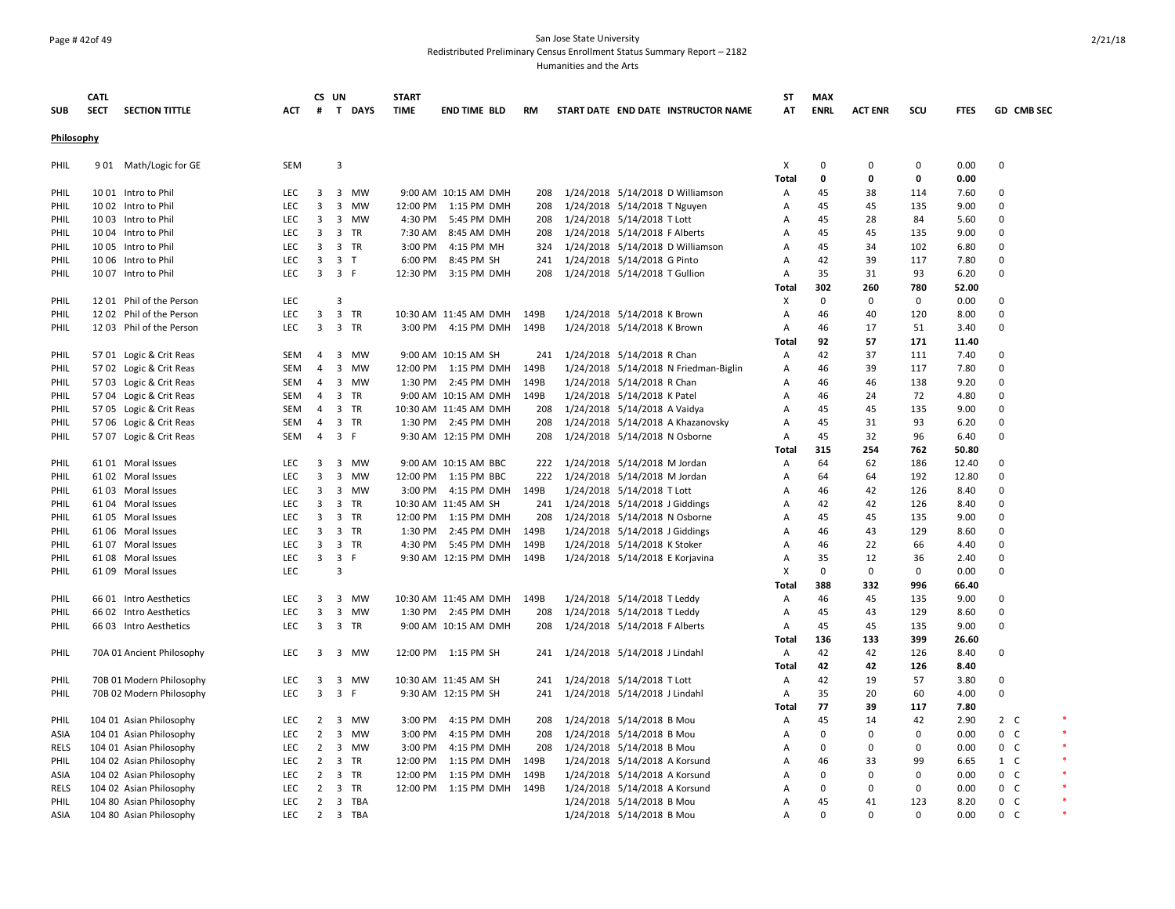#### Page # 42of 49 San Jose State University Redistributed Preliminary Census Enrollment Status Summary Report – 2182 Humanities and the Arts

**SUB CATL SECT SECTION TITTLE ACT CS UN # T DAYS START TIME END TIME BLD RM START DATE END DATE INSTRUCTOR NAME ST AT MAX ENRL ACT ENR SCU FTES GD CMB SEC Philosophy** PHIL 901 Math/Logic for GE SEM 3 SEM 3 SEM 3 SEM 3 SEM S A LOC D D 0 0.00 0 0 0.00 0 0 0.00 0 0 0.00 0 0 0.00 0 **Total 0 0 0 0.00** PHIL 10 01 Intro to Phil LEC 3 3 MW 9:00 AM 10:15 AM DMH 208 1/24/2018 5/14/2018 D Williamson A 45 38 114 7.60 0 PHIL 10 02 Intro to Phil LEC 3 3 MW 12:00 PM 1:15 PM DMH 208 1/24/2018 5/14/2018 T Nguyen A 45 45 135 9.00 0 PHIL 10 03 Intro to Phil **LEC 3 3 MW 4:30 PM 5:45 PM DMH 208 1/24/2018** 5/14/2018 T Lott A 45 28 84 5.60 0 PHIL 10 04 Intro to Phil CHO LEC 3 3 TR 7:30 AM 8:45 AM DMH 208 1/24/2018 5/14/2018 F Alberts A 45 45 135 9.00 0 PHIL 10 05 Intro to Phil LEC 3 3 TR 3:00 PM 4:15 PM MH 324 1/24/2018 5/14/2018 D Williamson A 45 34 102 6.80 0 PHIL 10 06 Intro to Phil LEC 3 3 T 6:00 PM 8:45 PM SH 241 1/24/2018 5/14/2018 G Pinto A 42 39 117 7.80 0 PHIL 10 07 Intro to Phil **LEC 3 3 F 12:30 PM 3:15 PM DMH 208 1/24/2018 T** Gullion A 35 31 93 6.20 0 **Total 302 260 780 52.00** PHIL 12 01 Phil of the Person LEC 3 X 0 0 0 0.00 0 PHIL 12 02 Phil of the Person CHC 3 3 TR 10:30 AM 11:45 AM DMH 149B 1/24/2018 5/14/2018 K Brown A 46 40 120 8.00 0 PHIL 12 03 Phil of the Person CHC 3 3 TR 3:00 PM 4:15 PM DMH 149B 1/24/2018 5/14/2018 K Brown A 46 17 51 3.40 0 **Total 92 57 171 11.40** PHIL 57 01 Logic & Crit Reas SEM 4 3 MW 9:00 AM 10:15 AM SH 241 1/24/2018 5/14/2018 R Chan A 42 37 111 7.40 0 PHIL 57 02 Logic & Crit Reas SEM 4 3 MW 12:00 PM 1:15 PM DMH 149B 1/24/2018 5/14/2018 N Friedman-Biglin A 46 39 117 7.80 0 PHIL 57 03 Logic & Crit Reas SEM 4 3 MW 1:30 PM 2:45 PM DMH 149B 1/24/2018 5/14/2018 R Chan A 46 46 138 9.20 0 PHIL 57 04 Logic & Crit Reas SEM 4 3 TR 9:00 AM 10:15 AM DMH 149B 1/24/2018 5/14/2018 K Patel A 46 24 72 4.80 0 PHIL 57 05 Logic & Crit Reas SEM 4 3 TR 10:30 AM 11:45 AM DMH 208 1/24/2018 5/14/2018 A Vaidya A 45 45 135 9.00 0 PHIL 57 06 Logic & Crit Reas SEM 4 3 TR 1:30 PM 2:45 PM DMH 208 1/24/2018 5/14/2018 A Khazanovsky A 45 31 93 6.20 0 PHIL 57 07 Logic & Crit Reas SEM 4 3 F 9:30 AM 12:15 PM DMH 208 1/24/2018 5/14/2018 N Osborne A 45 32 96 6.40 0 **Total 315 254 762 50.80** PHIL 6101 Moral Issues . LEC 3 3 MW 9:00 AM 10:15 AM BBC 222 1/24/2018 5/14/2018 M Jordan . A 64 62 186 12.40 0 PHIL 61 02 Moral Issues . LEC 3 3 MW 12:00 PM 1:15 PM BBC 222 1/24/2018 5/14/2018 M Jordan . A 64 64 192 12.80 0 PHIL 61 03 Moral Issues . LEC 3 3 MW 3:00 PM 4:15 PM DMH 149B 1/24/2018 5/14/2018 T Lott . A 46 42 126 8.40 0 PHIL 61 04 Moral Issues . LEC 3 3 TR 10:30 AM 11:45 AM SH 241 1/24/2018 J Giddings A 42 42 126 8.40 0 PHIL 61 05 Moral Issues LEC 3 3 TR 12:00 PM 1:15 PM DMH 208 1/24/2018 5/14/2018 N Osborne A 45 45 135 9.00 0 PHIL 61 06 Moral Issues . LEC 3 3 TR 1:30 PM 2:45 PM DMH 149B 1/24/2018 J Giddings . A 46 43 129 8.60 0 PHIL 61 07 Moral Issues LEC 3 3 TR 4:30 PM 5:45 PM DMH 149B 1/24/2018 5/14/2018 K Stoker A 46 22 66 4.40 0 PHIL 61 08 Moral Issues . LEC 3 3 F 9:30 AM 12:15 PM DMH 149B 1/24/2018 5/14/2018 E Korjavina A 35 12 36 2.40 0 PHIL 61 09 Moral Issues LEC 3 X 0 0 0 0.00 0 **Total 388 332 996 66.40** PHIL 6601 Intro Aesthetics . LEC 3 3 MW 10:30 AM 11:45 AM DMH 149B 1/24/2018 5/14/2018 T Leddy A 46 45 135 9.00 0 PHIL 6602 Intro Aesthetics . LEC 3 3 MW 1:30 PM 2:45 PM DMH 208 1/24/2018 5/14/2018 T Leddy . A 45 43 129 8.60 0 PHIL 66 03 Intro Aesthetics . LEC 3 3 TR 9:00 AM 10:15 AM DMH 208 1/24/2018 5/14/2018 F Alberts A 45 45 135 9.00 0 **Total 136 133 399 26.60** PHIL 70A 01 Ancient Philosophy . LEC 3 3 MW 12:00 PM 1:15 PM SH 241 1/24/2018 J Lindahl . A 42 42 126 8.40 0 **Total 42 42 126 8.40** PHIL 70B 01 Modern Philosophy **LEC 3 3 MW 10:30 AM 11:45 AM SH 241 1/24/2018 5/14/2018 T Lott** A 42 19 57 3.80 0 PHIL 70B 02 Modern Philosophy LEC 3 3 F 9:30 AM 12:15 PM SH 241 1/24/2018 5/14/2018 J Lindahl A 35 20 60 4.00 0 **Total 77 39 117 7.80** PHIL 104 01 Asian Philosophy . LEC 2 3 MW 3:00 PM 4:15 PM DMH 208 1/24/2018 5/14/2018 B Mou A 45 14 42 2.90 2 C ASIA 104 01 Asian Philosophy . LEC 2 3 MW 3:00 PM 4:15 PM DMH 208 1/24/2018 5/14/2018 B Mou A 0 0 0 00 0.00 0 C RELS 104 01 Asian Philosophy . LEC 2 3 MW 3:00 PM 4:15 PM DMH 208 1/24/2018 5/14/2018 B Mou A 0 0 0 0.00 0 C PHIL 10402 Asian Philosophy . LEC 2 3 TR 12:00 PM 1:15 PM DMH 149B 1/24/2018 5/14/2018 A Korsund A 46 33 99 6.65 1 C ASIA 10402 Asian Philosophy **LEC 2 3 TR 12:00 PM 1:15 PM DMH 149B** 1/24/2018 5/14/2018 A Korsund A 0 0 0 0.00 0 C RELS 104 02 Asian Philosophy . LEC 2 3 TR 12:00 PM 1:15 PM DMH 149B 1/24/2018 5/14/2018 A Korsund A 0 0 0 0.00 0 C PHIL 104 80 Asian Philosophy **LEC 2 3 TBA** 1/24/2018 5/14/2018 B Mou A 45 41 123 8.20 0 C ASIA 104 80 Asian Philosophy LEC 2 3 TBA 1/24/2018 5/14/2018 B Mou A 0 0 0 0.00 0 C \*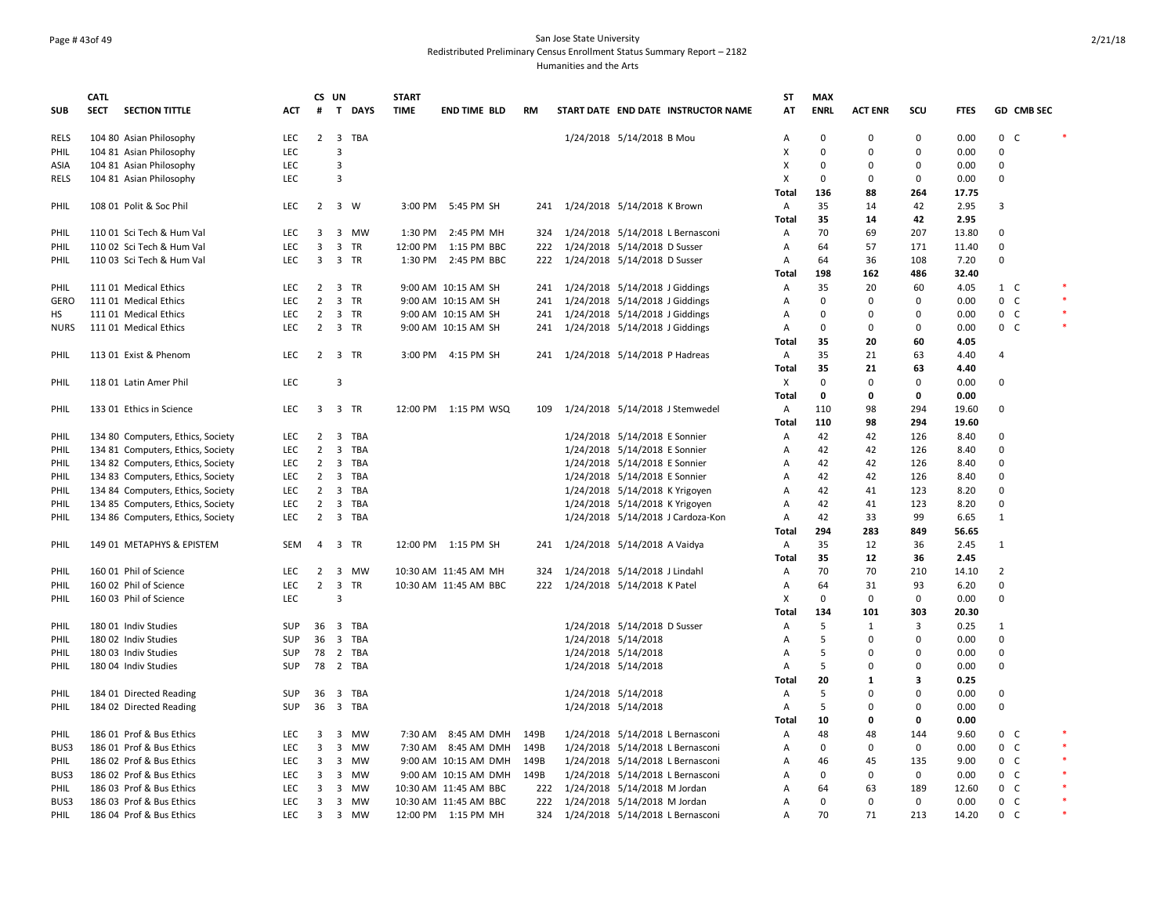### Page # 43of 49 San Jose State University Redistributed Preliminary Census Enrollment Status Summary Report – 2182 Humanities and the Arts

|             | <b>CATL</b> |                                   |            | CS UN          |                |                | <b>START</b> |                        |           |                                   |                                |                                     | ST           | <b>MAX</b>  |                |                            |              |                          |            |        |
|-------------|-------------|-----------------------------------|------------|----------------|----------------|----------------|--------------|------------------------|-----------|-----------------------------------|--------------------------------|-------------------------------------|--------------|-------------|----------------|----------------------------|--------------|--------------------------|------------|--------|
| <b>SUB</b>  | <b>SECT</b> | <b>SECTION TITTLE</b>             | ACT        | $\#$           | T              | <b>DAYS</b>    | <b>TIME</b>  | <b>END TIME BLD</b>    | <b>RM</b> |                                   |                                | START DATE END DATE INSTRUCTOR NAME | AT           | <b>ENRL</b> | <b>ACT ENR</b> | scu                        | <b>FTES</b>  |                          | GD CMB SEC |        |
| <b>RELS</b> |             | 104 80 Asian Philosophy           | <b>LEC</b> |                |                | 2 3 TBA        |              |                        |           |                                   | 1/24/2018 5/14/2018 B Mou      |                                     | Α            | $\Omega$    | $\Omega$       | $\Omega$                   | 0.00         | 0 <sup>2</sup>           |            |        |
| PHIL        |             | 104 81 Asian Philosophy           | LEC        |                | 3              |                |              |                        |           |                                   |                                |                                     | Χ            | $\mathbf 0$ | 0              | $\mathbf 0$                | 0.00         | $\Omega$                 |            |        |
| <b>ASIA</b> |             | 104 81 Asian Philosophy           | LEC        |                | 3              |                |              |                        |           |                                   |                                |                                     | X            | $\Omega$    | $\Omega$       | $\Omega$                   | 0.00         | $\Omega$                 |            |        |
| <b>RELS</b> |             | 104 81 Asian Philosophy           | <b>LEC</b> |                | 3              |                |              |                        |           |                                   |                                |                                     | X            | 0           | 0              | 0                          | 0.00         | $\Omega$                 |            |        |
|             |             |                                   |            |                |                |                |              |                        |           |                                   |                                |                                     | <b>Total</b> | 136         | 88             | 264                        | 17.75        |                          |            |        |
| PHIL        |             | 108 01 Polit & Soc Phil           | <b>LEC</b> |                |                | 2 3 W          |              | 3:00 PM 5:45 PM SH     | 241       | 1/24/2018 5/14/2018 K Brown       |                                |                                     | Α            | 35          | 14             | 42                         | 2.95         | 3                        |            |        |
|             |             |                                   |            |                |                |                |              |                        |           |                                   |                                |                                     | <b>Total</b> | 35          | 14             | 42                         | 2.95         |                          |            |        |
| PHIL        |             | 110 01 Sci Tech & Hum Val         | <b>LEC</b> | 3              |                | 3 MW           | 1:30 PM      | 2:45 PM MH             | 324       |                                   |                                | 1/24/2018 5/14/2018 L Bernasconi    | Α            | 70          | 69             | 207                        | 13.80        | 0                        |            |        |
| PHIL        |             | 110 02 Sci Tech & Hum Val         | <b>LEC</b> | 3              |                | 3 TR           |              | 12:00 PM 1:15 PM BBC   | 222       | 1/24/2018 5/14/2018 D Susser      |                                |                                     | Α            | 64          | 57             | 171                        | 11.40        | $\Omega$                 |            |        |
| PHIL        |             | 110 03 Sci Tech & Hum Val         | <b>LEC</b> |                |                | 3 3 TR         |              | 1:30 PM 2:45 PM BBC    | 222       | 1/24/2018 5/14/2018 D Susser      |                                |                                     | Α            | 64          | 36             | 108                        | 7.20         | $\Omega$                 |            |        |
|             |             |                                   |            |                |                |                |              |                        |           |                                   |                                |                                     | <b>Total</b> | 198         | 162            | 486                        | 32.40        |                          |            |        |
| PHIL        |             | 111 01 Medical Ethics             | <b>LEC</b> | $\mathbf{2}$   |                | 3 TR           |              | 9:00 AM 10:15 AM SH    | 241       |                                   | 1/24/2018 5/14/2018 J Giddings |                                     | Α            | 35          | 20             | 60                         | 4.05         | $1\quad C$               |            |        |
| GERO        |             | 11101 Medical Ethics              | <b>LEC</b> |                |                | 2 3 TR         |              | 9:00 AM 10:15 AM SH    | 241       |                                   | 1/24/2018 5/14/2018 J Giddings |                                     | A            | 0           | 0              | 0                          | 0.00         | 0 C                      |            | $\ast$ |
| HS          |             | 111 01 Medical Ethics             | <b>LEC</b> | $\overline{2}$ |                | 3 TR           |              | 9:00 AM 10:15 AM SH    | 241       |                                   | 1/24/2018 5/14/2018 J Giddings |                                     | A            | $\Omega$    | 0              | $\Omega$                   | 0.00         | $0\quad C$               |            |        |
| <b>NURS</b> |             | 111 01 Medical Ethics             | <b>LEC</b> |                |                | 2 3 TR         |              | 9:00 AM 10:15 AM SH    | 241       | 1/24/2018 5/14/2018 J Giddings    |                                |                                     | Α            | $\mathbf 0$ | 0              | 0                          | 0.00         | $0\quad C$               |            |        |
|             |             |                                   |            |                |                |                |              |                        |           |                                   |                                |                                     | Total        | 35          | 20             | 60                         | 4.05         |                          |            |        |
| PHIL        |             | 113 01 Exist & Phenom             | LEC        |                |                | 2 3 TR         |              | 3:00 PM 4:15 PM SH     |           | 241 1/24/2018 5/14/2018 P Hadreas |                                |                                     | Α            | 35          | 21             | 63                         | 4.40         | 4                        |            |        |
|             |             |                                   |            |                |                |                |              |                        |           |                                   |                                |                                     | <b>Total</b> | 35          | 21             | 63                         | 4.40         |                          |            |        |
| PHIL        |             | 118 01 Latin Amer Phil            | <b>LEC</b> |                | $\overline{3}$ |                |              |                        |           |                                   |                                |                                     | х            | $\mathbf 0$ | 0              | $\Omega$                   | 0.00         | $\Omega$                 |            |        |
|             |             |                                   |            |                |                |                |              |                        |           |                                   |                                |                                     | Total        | 0           | 0              | 0                          | 0.00         |                          |            |        |
| PHIL        |             | 133 01 Ethics in Science          | LEC        |                |                | 3 3 TR         |              | 12:00 PM  1:15 PM  WSQ | 109       |                                   |                                | 1/24/2018 5/14/2018 J Stemwedel     | Α            | 110         | 98             | 294                        | 19.60        | 0                        |            |        |
|             |             |                                   |            |                |                |                |              |                        |           |                                   |                                |                                     | Total        | 110         | 98             | 294                        | 19.60        |                          |            |        |
| PHIL        |             | 134 80 Computers, Ethics, Society | LEC        | $\overline{2}$ |                | 3 TBA          |              |                        |           |                                   | 1/24/2018 5/14/2018 E Sonnier  |                                     | Α            | 42          | 42             | 126                        | 8.40         | $\Omega$                 |            |        |
| PHIL        |             | 134 81 Computers, Ethics, Society | <b>LEC</b> | $\overline{2}$ |                | 3 TBA          |              |                        |           |                                   | 1/24/2018 5/14/2018 E Sonnier  |                                     | Α            | 42          | 42             | 126                        | 8.40         | $\Omega$                 |            |        |
| PHIL        |             |                                   | <b>LEC</b> | 2              |                | 3 TBA          |              |                        |           |                                   | 1/24/2018 5/14/2018 E Sonnier  |                                     | Α            | 42          | 42             | 126                        | 8.40         | $\Omega$                 |            |        |
| PHIL        |             | 134 82 Computers, Ethics, Society | <b>LEC</b> |                |                | 2 3 TBA        |              |                        |           |                                   | 1/24/2018 5/14/2018 E Sonnier  |                                     | Α            | 42          | 42             | 126                        | 8.40         | $\Omega$                 |            |        |
| PHIL        |             | 134 83 Computers, Ethics, Society | <b>LEC</b> | $\overline{2}$ | 3              | TBA            |              |                        |           |                                   | 1/24/2018 5/14/2018 K Yrigoyen |                                     | Α            | 42          | 41             | 123                        | 8.20         | $\Omega$                 |            |        |
|             |             | 134 84 Computers, Ethics, Society | <b>LEC</b> | $\overline{2}$ |                |                |              |                        |           |                                   |                                |                                     |              | 42          | 41             | 123                        | 8.20         | $\Omega$                 |            |        |
| PHIL        |             | 134 85 Computers, Ethics, Society | <b>LEC</b> | $\overline{2}$ |                | 3 TBA<br>3 TBA |              |                        |           |                                   | 1/24/2018 5/14/2018 K Yrigoyen |                                     | Α<br>Α       | 42          | 33             | 99                         | 6.65         | $\mathbf{1}$             |            |        |
| PHIL        |             | 134 86 Computers, Ethics, Society |            |                |                |                |              |                        |           |                                   |                                | 1/24/2018 5/14/2018 J Cardoza-Kon   |              | 294         | 283            | 849                        | 56.65        |                          |            |        |
|             |             |                                   | <b>SEM</b> |                |                |                |              |                        |           |                                   |                                |                                     | Total        | 35          |                |                            |              | 1                        |            |        |
| PHIL        |             | 149 01 METAPHYS & EPISTEM         |            |                |                | 4 3 TR         |              | 12:00 PM 1:15 PM SH    | 241       | 1/24/2018 5/14/2018 A Vaidya      |                                |                                     | Α            | 35          | 12             | 36                         | 2.45<br>2.45 |                          |            |        |
|             |             | 160 01 Phil of Science            | <b>LEC</b> |                |                | 2 3 MW         |              | 10:30 AM 11:45 AM MH   | 324       |                                   |                                |                                     | Total        | 70          | 12<br>70       | 36<br>210                  | 14.10        | 2                        |            |        |
| PHIL        |             |                                   |            |                |                |                |              |                        |           |                                   | 1/24/2018 5/14/2018 J Lindahl  |                                     | Α            |             |                |                            |              |                          |            |        |
| PHIL        |             | 160 02 Phil of Science            | LEC        |                | 3              | 2 3 TR         |              | 10:30 AM 11:45 AM BBC  | 222       | 1/24/2018 5/14/2018 K Patel       |                                |                                     | A            | 64          | 31             | 93                         | 6.20         | $\Omega$<br>$\Omega$     |            |        |
| PHIL        |             | 160 03 Phil of Science            | <b>LEC</b> |                |                |                |              |                        |           |                                   |                                |                                     | X            | 0<br>134    | 0              | 0<br>303                   | 0.00         |                          |            |        |
|             |             |                                   |            |                |                |                |              |                        |           |                                   |                                |                                     | <b>Total</b> |             | 101            |                            | 20.30        |                          |            |        |
| PHIL        |             | 180 01 Indiv Studies              | SUP        |                |                | 36 3 TBA       |              |                        |           |                                   | 1/24/2018 5/14/2018 D Susser   |                                     | Α            | 5<br>5      | $\mathbf{1}$   | $\overline{3}$<br>$\Omega$ | 0.25         | $\mathbf{1}$<br>$\Omega$ |            |        |
| PHIL        |             | 180 02 Indiv Studies              | SUP        |                |                | 36 3 TBA       |              |                        |           |                                   | 1/24/2018 5/14/2018            |                                     | A            |             | $\mathbf 0$    |                            | 0.00         |                          |            |        |
| PHIL        |             | 180 03 Indiv Studies              | SUP        |                |                | 78 2 TBA       |              |                        |           |                                   | 1/24/2018 5/14/2018            |                                     | Α            | 5           | 0              | 0                          | 0.00         | $\Omega$                 |            |        |
| PHIL        |             | 180 04 Indiv Studies              | SUP        |                |                | 78 2 TBA       |              |                        |           |                                   | 1/24/2018 5/14/2018            |                                     | Α            | 5           | $\Omega$       | $\Omega$                   | 0.00         | $\Omega$                 |            |        |
|             |             |                                   |            |                |                |                |              |                        |           |                                   |                                |                                     | <b>Total</b> | 20          | $\mathbf{1}$   | 3<br>$\Omega$              | 0.25         |                          |            |        |
| PHIL        |             | 184 01 Directed Reading           | SUP        |                |                | 36 3 TBA       |              |                        |           |                                   | 1/24/2018 5/14/2018            |                                     | Α            | 5           | 0              |                            | 0.00         | 0                        |            |        |
| PHIL        |             | 184 02 Directed Reading           | SUP        |                |                | 36 3 TBA       |              |                        |           |                                   | 1/24/2018 5/14/2018            |                                     | Α            | 5           | 0              | $\Omega$                   | 0.00         | $\Omega$                 |            |        |
|             |             |                                   |            |                |                |                |              |                        |           |                                   |                                |                                     | Total        | 10          | 0              | 0                          | 0.00         |                          |            |        |
| PHIL        |             | 186 01 Prof & Bus Ethics          | <b>LEC</b> | 3              |                | 3 MW           |              | 7:30 AM 8:45 AM DMH    | 149B      |                                   |                                | 1/24/2018 5/14/2018 L Bernasconi    | Α            | 48          | 48             | 144                        | 9.60         | $0\quad C$               |            |        |
| BUS3        |             | 186 01 Prof & Bus Ethics          | <b>LEC</b> | 3              |                | 3 MW           |              | 7:30 AM 8:45 AM DMH    | 149B      |                                   |                                | 1/24/2018 5/14/2018 L Bernasconi    | Α            | 0           | 0              | 0                          | 0.00         | 0 <sup>o</sup>           |            | $\ast$ |
| PHIL        |             | 186 02 Prof & Bus Ethics          | <b>LEC</b> | 3              |                | 3 MW           |              | 9:00 AM 10:15 AM DMH   | 149B      |                                   |                                | 1/24/2018 5/14/2018 L Bernasconi    | Α            | 46          | 45             | 135                        | 9.00         | $0\quad C$               |            |        |
| BUS3        |             | 186 02 Prof & Bus Ethics          | <b>LEC</b> | 3              | 3              | МW             |              | 9:00 AM 10:15 AM DMH   | 149B      |                                   |                                | 1/24/2018 5/14/2018 L Bernasconi    | Α            | $\mathbf 0$ | 0              | 0                          | 0.00         | $0\quad C$               |            |        |
| PHIL        |             | 186 03 Prof & Bus Ethics          | <b>LEC</b> | 3              |                | 3 MW           |              | 10:30 AM 11:45 AM BBC  | 222       |                                   | 1/24/2018 5/14/2018 M Jordan   |                                     | A            | 64          | 63             | 189                        | 12.60        | $0\quad C$               |            | $\ast$ |
| BUS3        |             | 186 03 Prof & Bus Ethics          | <b>LEC</b> | 3              |                | 3 MW           |              | 10:30 AM 11:45 AM BBC  | 222       |                                   | 1/24/2018 5/14/2018 M Jordan   |                                     | A            | $\Omega$    | $\Omega$       | 0                          | 0.00         | $0-$                     |            | $\ast$ |
| PHIL        |             | 186 04 Prof & Bus Ethics          | <b>LEC</b> |                |                | 3 3 MW         |              | 12:00 PM 1:15 PM MH    | 324       |                                   |                                | 1/24/2018 5/14/2018 L Bernasconi    | Α            | 70          | 71             | 213                        | 14.20        | 0 <sub>c</sub>           |            |        |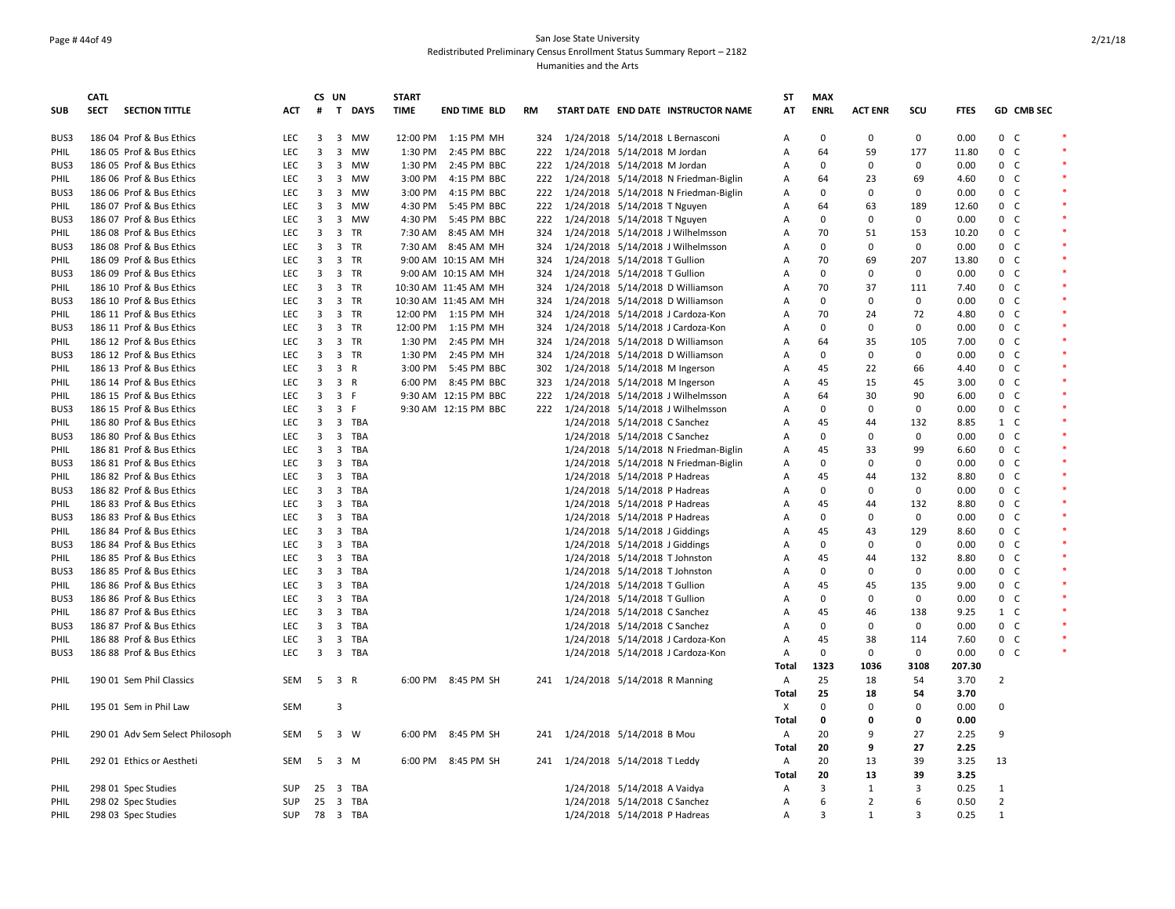### Page # 44of 49 San Jose State University Redistributed Preliminary Census Enrollment Status Summary Report – 2182 Humanities and the Arts

|             | <b>CATL</b> |                                 |            |                         | CS UN       |          | <b>START</b> |                      |           |                                       | SΤ    | <b>MAX</b>     |                |                |             |                |            |  |
|-------------|-------------|---------------------------------|------------|-------------------------|-------------|----------|--------------|----------------------|-----------|---------------------------------------|-------|----------------|----------------|----------------|-------------|----------------|------------|--|
| <b>SUB</b>  | <b>SECT</b> | <b>SECTION TITTLE</b>           | ACT        |                         |             | # T DAYS | <b>TIME</b>  | <b>END TIME BLD</b>  | <b>RM</b> | START DATE END DATE INSTRUCTOR NAME   | AT    | <b>ENRL</b>    | <b>ACT ENR</b> | scu            | <b>FTES</b> |                | GD CMB SEC |  |
|             |             |                                 |            |                         |             |          |              |                      |           |                                       |       |                |                |                |             |                |            |  |
| BUS3        |             | 186 04 Prof & Bus Ethics        | LEC        |                         |             | 3 3 MW   |              | 12:00 PM 1:15 PM MH  | 324       | 1/24/2018 5/14/2018 L Bernasconi      | Α     | 0              | $\mathbf 0$    | $\mathbf 0$    | 0.00        | 0 <sup>o</sup> |            |  |
| PHIL        |             | 186 05 Prof & Bus Ethics        | LEC        | 3                       |             | 3 MW     | 1:30 PM      | 2:45 PM BBC          | 222       | 1/24/2018 5/14/2018 M Jordan          | А     | 64             | 59             | 177            | 11.80       | 0 <sup>o</sup> |            |  |
| BUS3        |             | 186 05 Prof & Bus Ethics        | <b>LEC</b> | $\overline{3}$          |             | 3 MW     |              | 1:30 PM 2:45 PM BBC  | 222       | 1/24/2018 5/14/2018 M Jordan          | Α     | 0              | 0              | $\mathbf 0$    | 0.00        | $0\quad C$     |            |  |
| <b>PHIL</b> |             | 186 06 Prof & Bus Ethics        | <b>LEC</b> |                         | $3 \quad 3$ | MW       |              | 3:00 PM 4:15 PM BBC  | 222       | 1/24/2018 5/14/2018 N Friedman-Biglin | A     | 64             | 23             | 69             | 4.60        | 0 <sup>o</sup> |            |  |
| BUS3        |             | 186 06 Prof & Bus Ethics        | <b>LEC</b> | $\overline{\mathbf{3}}$ |             | 3 MW     |              | 3:00 PM 4:15 PM BBC  | 222       | 1/24/2018 5/14/2018 N Friedman-Biglin | А     | 0              | $\mathbf 0$    | $\mathbf 0$    | 0.00        | 0 <sup>o</sup> |            |  |
| PHIL        |             | 186 07 Prof & Bus Ethics        | <b>LEC</b> | 3                       | 3           | МW       |              | 4:30 PM 5:45 PM BBC  | 222       | 1/24/2018 5/14/2018 T Nguyen          | Α     | 64             | 63             | 189            | 12.60       | $0\quad C$     |            |  |
| BUS3        |             | 186 07 Prof & Bus Ethics        | <b>LEC</b> |                         |             | 3 3 MW   |              | 4:30 PM 5:45 PM BBC  | 222       | 1/24/2018 5/14/2018 T Nguyen          | Α     | $\Omega$       | $\Omega$       | 0              | 0.00        | 0 <sup>o</sup> |            |  |
| PHIL        |             | 186 08 Prof & Bus Ethics        | LEC        | 3                       |             | 3 TR     | 7:30 AM      | 8:45 AM MH           | 324       | 1/24/2018 5/14/2018 J Wilhelmsson     | Α     | 70             | 51             | 153            | 10.20       | 0 <sup>o</sup> |            |  |
| BUS3        |             | 186 08 Prof & Bus Ethics        | <b>LEC</b> | 3                       |             | 3 TR     |              | 7:30 AM 8:45 AM MH   | 324       | 1/24/2018 5/14/2018 J Wilhelmsson     | Α     | 0              | 0              | 0              | 0.00        | $0\quad C$     |            |  |
| PHIL        |             | 186 09 Prof & Bus Ethics        | <b>LEC</b> | 3                       |             | 3 TR     |              | 9:00 AM 10:15 AM MH  | 324       | 1/24/2018 5/14/2018 T Gullion         | A     | 70             | 69             | 207            | 13.80       | 0 <sup>o</sup> |            |  |
| BUS3        |             | 186 09 Prof & Bus Ethics        | LEC        | 3                       |             | 3 TR     |              | 9:00 AM 10:15 AM MH  | 324       | 1/24/2018 5/14/2018 T Gullion         | Α     | $\mathbf 0$    | $\mathbf 0$    | $\mathbf 0$    | 0.00        | $0\quad C$     |            |  |
| PHIL        |             | 186 10 Prof & Bus Ethics        | <b>LEC</b> | 3                       |             | 3 TR     |              | 10:30 AM 11:45 AM MH | 324       | 1/24/2018 5/14/2018 D Williamson      | Α     | 70             | 37             | 111            | 7.40        | 0 <sup>o</sup> |            |  |
| BUS3        |             | 186 10 Prof & Bus Ethics        | <b>LEC</b> | $\mathbf{3}$            |             | 3 TR     |              | 10:30 AM 11:45 AM MH | 324       | 1/24/2018 5/14/2018 D Williamson      | Α     | $\mathbf 0$    | $\mathbf 0$    | $\mathbf 0$    | 0.00        | 0 <sup>o</sup> |            |  |
| PHIL        |             | 186 11 Prof & Bus Ethics        | <b>LEC</b> | 3                       |             | 3 TR     |              | 12:00 PM 1:15 PM MH  | 324       | 1/24/2018 5/14/2018 J Cardoza-Kon     | Α     | 70             | 24             | 72             | 4.80        | 0 <sup>o</sup> |            |  |
| BUS3        |             | 186 11 Prof & Bus Ethics        | <b>LEC</b> | 3                       |             | 3 TR     |              | 12:00 PM 1:15 PM MH  | 324       | 1/24/2018 5/14/2018 J Cardoza-Kon     | Α     | 0              | 0              | $\mathbf 0$    | 0.00        | 0 <sup>o</sup> |            |  |
| PHIL        |             | 186 12 Prof & Bus Ethics        | LEC        | 3                       |             | 3 TR     | 1:30 PM      | 2:45 PM MH           | 324       | 1/24/2018 5/14/2018 D Williamson      | Α     | 64             | 35             | 105            | 7.00        | 0 <sup>o</sup> |            |  |
| BUS3        |             | 186 12 Prof & Bus Ethics        | <b>LEC</b> | 3                       |             | 3 TR     |              | 1:30 PM 2:45 PM MH   | 324       | 1/24/2018 5/14/2018 D Williamson      | Α     | $\mathbf 0$    | $\mathbf 0$    | $\mathbf 0$    | 0.00        | $0\quad C$     |            |  |
| PHIL        |             | 186 13 Prof & Bus Ethics        | <b>LEC</b> | 3                       |             | 3 R      |              | 3:00 PM 5:45 PM BBC  | 302       | 1/24/2018 5/14/2018 M Ingerson        | Α     | 45             | 22             | 66             | 4.40        | 0 <sup>o</sup> |            |  |
| PHIL        |             | 186 14 Prof & Bus Ethics        | LEC        | 3                       | 3 R         |          |              | 6:00 PM 8:45 PM BBC  | 323       | 1/24/2018 5/14/2018 M Ingerson        | Α     | 45             | 15             | 45             | 3.00        | 0 <sup>o</sup> |            |  |
| PHIL        |             | 186 15 Prof & Bus Ethics        | <b>LEC</b> | 3                       | 3 F         |          |              | 9:30 AM 12:15 PM BBC | 222       | 1/24/2018 5/14/2018 J Wilhelmsson     | Α     | 64             | 30             | 90             | 6.00        | 0 <sup>o</sup> |            |  |
| BUS3        |             | 186 15 Prof & Bus Ethics        | <b>LEC</b> |                         | 3 3 F       |          |              | 9:30 AM 12:15 PM BBC | 222       | 1/24/2018 5/14/2018 J Wilhelmsson     | Α     | $\mathbf 0$    | 0              | $\mathbf 0$    | 0.00        | 0 <sup>o</sup> |            |  |
| PHIL        |             | 186 80 Prof & Bus Ethics        | <b>LEC</b> | 3                       |             | 3 TBA    |              |                      |           | 1/24/2018 5/14/2018 C Sanchez         | Α     | 45             | 44             | 132            | 8.85        | 1 C            |            |  |
| BUS3        |             | 186 80 Prof & Bus Ethics        | LEC        |                         |             | 3 3 TBA  |              |                      |           | 1/24/2018 5/14/2018 C Sanchez         | Α     | 0              | 0              | $\mathbf 0$    | 0.00        | $0\quad C$     |            |  |
| PHIL        |             | 186 81 Prof & Bus Ethics        | LEC        | 3                       |             | 3 TBA    |              |                      |           | 1/24/2018 5/14/2018 N Friedman-Biglin | Α     | 45             | 33             | 99             | 6.60        | 0 <sup>o</sup> |            |  |
|             |             |                                 | <b>LEC</b> |                         |             |          |              |                      |           |                                       |       |                | 0              | $\mathbf 0$    |             |                |            |  |
| BUS3        |             | 186 81 Prof & Bus Ethics        |            | $\mathbf{3}$            |             | 3 TBA    |              |                      |           | 1/24/2018 5/14/2018 N Friedman-Biglin | Α     | 0              |                |                | 0.00        | 0 <sup>o</sup> |            |  |
| PHIL        |             | 186 82 Prof & Bus Ethics        | <b>LEC</b> | 3                       |             | 3 TBA    |              |                      |           | 1/24/2018 5/14/2018 P Hadreas         | Α     | 45<br>$\Omega$ | 44<br>$\Omega$ | 132            | 8.80        | 0 <sup>o</sup> |            |  |
| BUS3        |             | 186 82 Prof & Bus Ethics        | <b>LEC</b> | $\overline{\mathbf{3}}$ |             | 3 TBA    |              |                      |           | 1/24/2018 5/14/2018 P Hadreas         | A     |                |                | $\mathbf 0$    | 0.00        | $0\quad C$     |            |  |
| PHIL        |             | 186 83 Prof & Bus Ethics        | <b>LEC</b> | 3                       |             | 3 TBA    |              |                      |           | 1/24/2018 5/14/2018 P Hadreas         | А     | 45             | 44             | 132            | 8.80        | 0 <sup>o</sup> |            |  |
| BUS3        |             | 186 83 Prof & Bus Ethics        | LEC        | 3                       |             | 3 TBA    |              |                      |           | 1/24/2018 5/14/2018 P Hadreas         | Α     | $\mathbf 0$    | 0              | $\mathbf 0$    | 0.00        | 0 <sup>o</sup> |            |  |
| PHIL        |             | 186 84 Prof & Bus Ethics        | <b>LEC</b> | $\overline{\mathbf{3}}$ |             | 3 TBA    |              |                      |           | 1/24/2018 5/14/2018 J Giddings        | Α     | 45             | 43             | 129            | 8.60        | 0 <sup>o</sup> |            |  |
| BUS3        |             | 186 84 Prof & Bus Ethics        | <b>LEC</b> |                         |             | 3 3 TBA  |              |                      |           | 1/24/2018 5/14/2018 J Giddings        | Α     | $\mathbf 0$    | $\mathbf 0$    | 0              | 0.00        | 0 <sup>o</sup> |            |  |
| PHIL        |             | 186 85 Prof & Bus Ethics        | LEC        | 3                       |             | 3 TBA    |              |                      |           | 1/24/2018 5/14/2018 T Johnston        | Α     | 45             | 44             | 132            | 8.80        | 0 <sup>o</sup> |            |  |
| BUS3        |             | 186 85 Prof & Bus Ethics        | <b>LEC</b> | $\overline{3}$          |             | 3 TBA    |              |                      |           | 1/24/2018 5/14/2018 T Johnston        | Α     | 0              | 0              | 0              | 0.00        | 0 <sup>o</sup> |            |  |
| PHIL        |             | 186 86 Prof & Bus Ethics        | LEC        | 3                       |             | 3 TBA    |              |                      |           | 1/24/2018 5/14/2018 T Gullion         | А     | 45             | 45             | 135            | 9.00        | 0 <sup>o</sup> |            |  |
| BUS3        |             | 186 86 Prof & Bus Ethics        | <b>LEC</b> | $\overline{\mathbf{3}}$ |             | 3 TBA    |              |                      |           | 1/24/2018 5/14/2018 T Gullion         | Α     | 0              | $\Omega$       | $\mathbf 0$    | 0.00        | $0\quad C$     |            |  |
| PHIL        |             | 186 87 Prof & Bus Ethics        | LEC        | 3                       |             | 3 TBA    |              |                      |           | 1/24/2018 5/14/2018 C Sanchez         | Α     | 45             | 46             | 138            | 9.25        | 1 C            |            |  |
| BUS3        |             | 186 87 Prof & Bus Ethics        | <b>LEC</b> | 3                       |             | 3 TBA    |              |                      |           | 1/24/2018 5/14/2018 C Sanchez         | Α     | $\mathbf 0$    | $\mathbf 0$    | $\mathbf 0$    | 0.00        | $0\quad C$     |            |  |
| PHIL        |             | 186 88 Prof & Bus Ethics        | LEC        | 3                       |             | 3 TBA    |              |                      |           | 1/24/2018 5/14/2018 J Cardoza-Kon     | Α     | 45             | 38             | 114            | 7.60        | 0 <sup>o</sup> |            |  |
| BUS3        |             | 186 88 Prof & Bus Ethics        | <b>LEC</b> |                         |             | 3 3 TBA  |              |                      |           | 1/24/2018 5/14/2018 J Cardoza-Kon     | A     | $\mathbf 0$    | $\Omega$       | 0              | 0.00        | 0 <sup>o</sup> |            |  |
|             |             |                                 |            |                         |             |          |              |                      |           |                                       | Total | 1323           | 1036           | 3108           | 207.30      |                |            |  |
| PHIL        |             | 190 01 Sem Phil Classics        | <b>SEM</b> |                         | 5 3 R       |          |              | 6:00 PM 8:45 PM SH   |           | 241 1/24/2018 5/14/2018 R Manning     | A     | 25             | 18             | 54             | 3.70        | $\overline{2}$ |            |  |
|             |             |                                 |            |                         |             |          |              |                      |           |                                       | Total | 25             | 18             | 54             | 3.70        |                |            |  |
| PHIL        |             | 195 01 Sem in Phil Law          | SEM        |                         | 3           |          |              |                      |           |                                       | X     | $\mathbf 0$    | 0              | 0              | 0.00        | 0              |            |  |
|             |             |                                 |            |                         |             |          |              |                      |           |                                       | Total | 0              | 0              | 0              | 0.00        |                |            |  |
| PHIL        |             | 290 01 Adv Sem Select Philosoph | <b>SEM</b> |                         | 5 3 W       |          |              | 6:00 PM 8:45 PM SH   |           | 241 1/24/2018 5/14/2018 B Mou         | Α     | 20             | 9              | 27             | 2.25        | -9             |            |  |
|             |             |                                 |            |                         |             |          |              |                      |           |                                       | Total | 20             | 9              | 27             | 2.25        |                |            |  |
| PHIL        |             | 292 01 Ethics or Aestheti       | <b>SEM</b> |                         | 5 3 M       |          |              | 6:00 PM 8:45 PM SH   |           | 241 1/24/2018 5/14/2018 T Leddy       | Α     | 20             | 13             | 39             | 3.25        | 13             |            |  |
|             |             |                                 |            |                         |             |          |              |                      |           |                                       | Total | 20             | 13             | 39             | 3.25        |                |            |  |
| PHIL        |             | 298 01 Spec Studies             | SUP        |                         |             | 25 3 TBA |              |                      |           | 1/24/2018 5/14/2018 A Vaidya          | Α     | 3              | 1              | 3              | 0.25        | 1              |            |  |
| PHIL        |             | 298 02 Spec Studies             | <b>SUP</b> |                         |             | 25 3 TBA |              |                      |           | 1/24/2018 5/14/2018 C Sanchez         | Α     | 6              | $\overline{2}$ | 6              | 0.50        | $\overline{2}$ |            |  |
| PHIL        |             | 298 03 Spec Studies             | SUP        |                         |             | 78 3 TBA |              |                      |           | 1/24/2018 5/14/2018 P Hadreas         | Α     | $\overline{3}$ | $\mathbf{1}$   | $\overline{3}$ | 0.25        | $\mathbf{1}$   |            |  |
|             |             |                                 |            |                         |             |          |              |                      |           |                                       |       |                |                |                |             |                |            |  |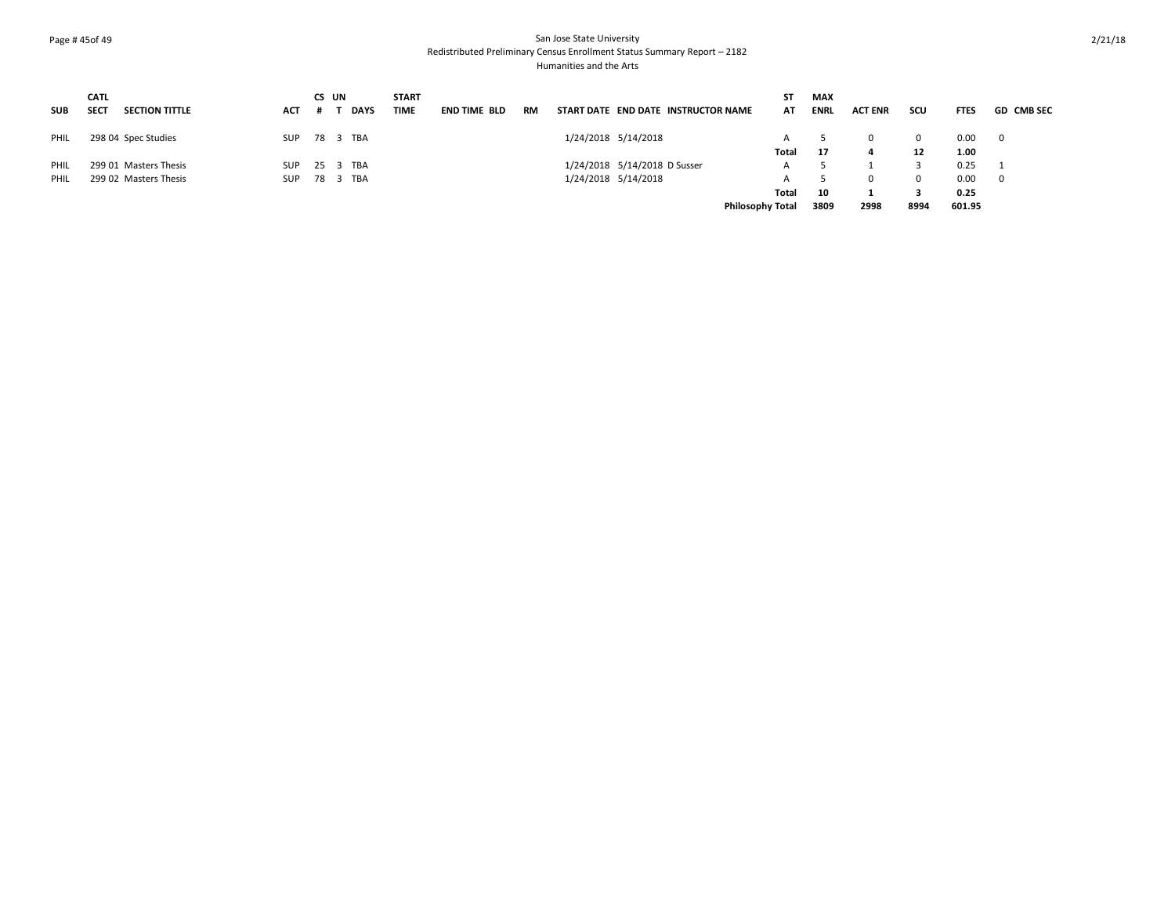# Page # 45of 49 San Jose State University Redistributed Preliminary Census Enrollment Status Summary Report – 2182 Humanities and the Arts

|            | <b>CATL</b> |                       |            | CS UN |             | <b>START</b> |                     |           |                                     |                         | MAX         |                |      |             |                   |
|------------|-------------|-----------------------|------------|-------|-------------|--------------|---------------------|-----------|-------------------------------------|-------------------------|-------------|----------------|------|-------------|-------------------|
| <b>SUB</b> | <b>SECT</b> | <b>SECTION TITTLE</b> | <b>ACT</b> |       | <b>DAYS</b> | TIME         | <b>END TIME BLD</b> | <b>RM</b> | START DATE END DATE INSTRUCTOR NAME | AT                      | <b>ENRL</b> | <b>ACT ENR</b> | scu  | <b>FTES</b> | <b>GD CMB SEC</b> |
| PHIL       |             | 298 04 Spec Studies   | <b>SUP</b> |       | 78 3 TBA    |              |                     |           | 1/24/2018 5/14/2018                 |                         |             | $\Omega$       | 0    | 0.00        |                   |
|            |             |                       |            |       |             |              |                     |           |                                     | Total                   | -17         | 4              | 12   | 1.00        |                   |
| PHIL       |             | 299 01 Masters Thesis | <b>SUP</b> | 25 3  | TBA         |              |                     |           | 1/24/2018 5/14/2018 D Susser        |                         |             |                |      | 0.25        |                   |
| PHIL       |             | 299 02 Masters Thesis | SUP        |       | 78 3 TBA    |              |                     |           | 1/24/2018 5/14/2018                 |                         |             | $\Omega$       | 0    | 0.00        |                   |
|            |             |                       |            |       |             |              |                     |           |                                     | Total                   | 10          |                |      | 0.25        |                   |
|            |             |                       |            |       |             |              |                     |           |                                     | <b>Philosophy Total</b> | 3809        | 2998           | 8994 | 601.95      |                   |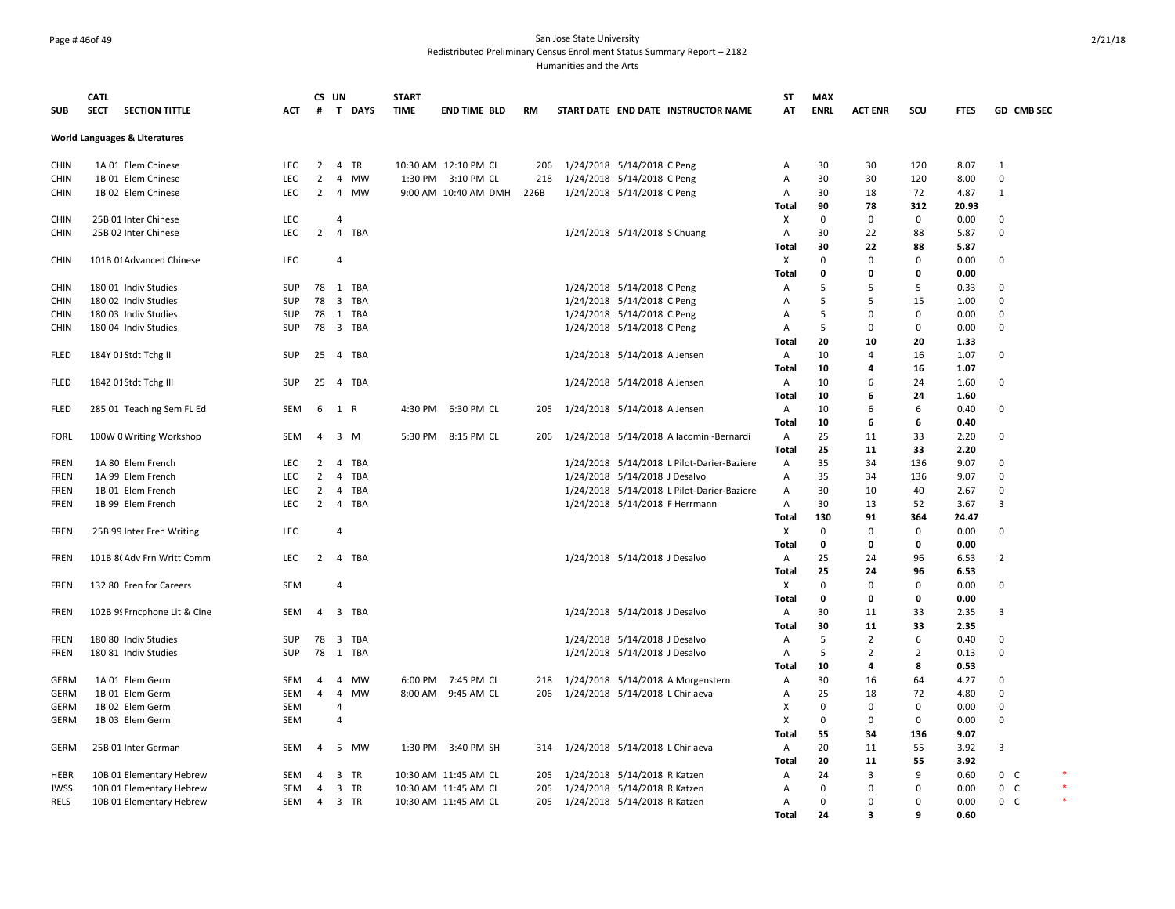### Page # 46of 49 San Jose State University Redistributed Preliminary Census Enrollment Status Summary Report – 2182 Humanities and the Arts

|             | <b>CATL</b> |                                          |            |                | CS UN          |           | <b>START</b> |                      |      |                                            | <b>ST</b>      | <b>MAX</b>  |                |                |               |                |  |
|-------------|-------------|------------------------------------------|------------|----------------|----------------|-----------|--------------|----------------------|------|--------------------------------------------|----------------|-------------|----------------|----------------|---------------|----------------|--|
| <b>SUB</b>  | <b>SECT</b> | <b>SECTION TITTLE</b>                    | <b>ACT</b> | #              |                | T DAYS    | <b>TIME</b>  | <b>END TIME BLD</b>  | RM   | START DATE END DATE INSTRUCTOR NAME        | AT             | <b>ENRL</b> | <b>ACT ENR</b> | SCU            | <b>FTES</b>   | GD CMB SEC     |  |
|             |             | <b>World Languages &amp; Literatures</b> |            |                |                |           |              |                      |      |                                            |                |             |                |                |               |                |  |
| <b>CHIN</b> |             | 1A 01 Elem Chinese                       | <b>LEC</b> | $\overline{2}$ |                | 4 TR      |              | 10:30 AM 12:10 PM CL | 206  | 1/24/2018 5/14/2018 C Peng                 | A              | 30          | 30             | 120            | 8.07          | $\mathbf{1}$   |  |
| <b>CHIN</b> |             | 1B 01 Elem Chinese                       | LEC        | $\overline{2}$ | $\overline{4}$ | <b>MW</b> |              | 1:30 PM 3:10 PM CL   | 218  |                                            | $\overline{A}$ | 30          | 30             | 120            | 8.00          | $\mathbf 0$    |  |
|             |             |                                          | LEC        | $\overline{2}$ | $\overline{4}$ | <b>MW</b> |              |                      |      | 1/24/2018 5/14/2018 C Peng                 |                | 30          |                | 72             |               | $\mathbf 1$    |  |
| <b>CHIN</b> |             | 1B 02 Elem Chinese                       |            |                |                |           |              | 9:00 AM 10:40 AM DMH | 226B | 1/24/2018 5/14/2018 C Peng                 | Α              |             | 18             | 312            | 4.87<br>20.93 |                |  |
|             |             |                                          |            |                | $\overline{a}$ |           |              |                      |      |                                            | Total          | 90          | 78             | $\mathbf 0$    |               |                |  |
| <b>CHIN</b> |             | 25B 01 Inter Chinese                     | LEC        |                |                |           |              |                      |      |                                            | Χ              | 0           | $\mathsf 0$    |                | 0.00          | 0              |  |
| <b>CHIN</b> |             | 25B 02 Inter Chinese                     | LEC        | $\overline{2}$ | $\overline{4}$ | TBA       |              |                      |      | 1/24/2018 5/14/2018 S Chuang               | $\mathsf{A}$   | 30          | 22             | 88             | 5.87          | $\mathbf 0$    |  |
|             |             |                                          |            |                |                |           |              |                      |      |                                            | <b>Total</b>   | 30          | 22             | 88             | 5.87          |                |  |
| <b>CHIN</b> |             | 101B 01 Advanced Chinese                 | LEC        |                | $\overline{4}$ |           |              |                      |      |                                            | X              | $\Omega$    | $\Omega$       | $\Omega$       | 0.00          | 0              |  |
|             |             |                                          |            |                |                |           |              |                      |      |                                            | Total          | $\Omega$    | 0              | O              | 0.00          |                |  |
| <b>CHIN</b> |             | 180 01 Indiv Studies                     | <b>SUP</b> |                |                | 78 1 TBA  |              |                      |      | 1/24/2018 5/14/2018 C Peng                 | $\mathsf{A}$   | 5           | 5              | 5              | 0.33          | 0              |  |
| <b>CHIN</b> |             | 180 02 Indiv Studies                     | SUP        | 78             |                | 3 TBA     |              |                      |      | 1/24/2018 5/14/2018 C Peng                 | $\overline{A}$ | 5           | 5              | 15             | 1.00          | $\mathbf 0$    |  |
| <b>CHIN</b> |             | 180 03 Indiv Studies                     | SUP        | 78             |                | 1 TBA     |              |                      |      | 1/24/2018 5/14/2018 C Peng                 | Α              | 5           | $\Omega$       | $\mathbf 0$    | 0.00          | 0              |  |
| <b>CHIN</b> |             | 180 04 Indiv Studies                     | SUP        |                |                | 78 3 TBA  |              |                      |      | 1/24/2018 5/14/2018 C Peng                 | Α              | 5           | 0              | $\mathbf 0$    | 0.00          | 0              |  |
|             |             |                                          |            |                |                |           |              |                      |      |                                            | <b>Total</b>   | 20          | 10             | 20             | 1.33          |                |  |
| <b>FLED</b> |             | 184Y 01Stdt Tchg II                      | <b>SUP</b> | 25             |                | 4 TBA     |              |                      |      | 1/24/2018 5/14/2018 A Jensen               | A              | 10          | $\overline{4}$ | 16             | 1.07          | $\mathbf 0$    |  |
|             |             |                                          |            |                |                |           |              |                      |      |                                            | Total          | 10          | 4              | 16             | 1.07          |                |  |
| <b>FLED</b> |             | 184Z 01 Stdt Tchg III                    | SUP        | 25             |                | 4 TBA     |              |                      |      | 1/24/2018 5/14/2018 A Jensen               | A              | 10          | 6              | 24             | 1.60          | 0              |  |
|             |             |                                          |            |                |                |           |              |                      |      |                                            | Total          | 10          | 6              | 24             | 1.60          |                |  |
| <b>FLED</b> |             | 285 01 Teaching Sem FL Ed                | SEM        | 6              | 1              | R         | 4:30 PM      | 6:30 PM CL           | 205  | 1/24/2018 5/14/2018 A Jensen               | A              | 10          | 6              | 6              | 0.40          | 0              |  |
|             |             |                                          |            |                |                |           |              |                      |      |                                            | <b>Total</b>   | 10          | 6              | 6              | 0.40          |                |  |
| <b>FORL</b> |             | 100W C Writing Workshop                  | SEM        | 4              |                | 3 M       | 5:30 PM      | 8:15 PM CL           | 206  | 1/24/2018 5/14/2018 A lacomini-Bernardi    | A              | 25          | 11             | 33             | 2.20          | 0              |  |
|             |             |                                          |            |                |                |           |              |                      |      |                                            | Total          | 25          | 11             | 33             | 2.20          |                |  |
| <b>FREN</b> |             | 1A 80 Elem French                        | <b>LEC</b> | 2              | $\overline{4}$ | TBA       |              |                      |      | 1/24/2018 5/14/2018 L Pilot-Darier-Baziere | $\overline{A}$ | 35          | 34             | 136            | 9.07          | 0              |  |
| <b>FREN</b> |             | 1A 99 Elem French                        | LEC        | $\overline{2}$ | $\overline{4}$ | TBA       |              |                      |      | 1/24/2018 5/14/2018 J Desalvo              | Α              | 35          | 34             | 136            | 9.07          | $\mathbf 0$    |  |
| <b>FREN</b> |             | 1B 01 Elem French                        | LEC        | $\overline{2}$ | $\overline{4}$ | TBA       |              |                      |      | 1/24/2018 5/14/2018 L Pilot-Darier-Baziere | Α              | 30          | 10             | 40             | 2.67          | 0              |  |
| <b>FREN</b> |             | 1B 99 Elem French                        | LEC        | 2              |                | 4 TBA     |              |                      |      | 1/24/2018 5/14/2018 F Herrmann             | Α              | 30          | 13             | 52             | 3.67          | 3              |  |
|             |             |                                          |            |                |                |           |              |                      |      |                                            | <b>Total</b>   | 130         | 91             | 364            | 24.47         |                |  |
| <b>FREN</b> |             | 25B 99 Inter Fren Writing                | LEC        |                | $\overline{4}$ |           |              |                      |      |                                            | X              | 0           | $\mathbf 0$    | $\mathbf 0$    | 0.00          | 0              |  |
|             |             |                                          |            |                |                |           |              |                      |      |                                            | Total          | 0           | 0              | 0              | 0.00          |                |  |
| FREN        |             | 101B 8(Adv Frn Writt Comm                | LEC        | $\overline{2}$ |                | 4 TBA     |              |                      |      | 1/24/2018 5/14/2018 J Desalvo              | A              | 25          | 24             | 96             | 6.53          | $\overline{2}$ |  |
|             |             |                                          |            |                |                |           |              |                      |      |                                            | Total          | 25          | 24             | 96             | 6.53          |                |  |
| <b>FREN</b> |             | 132 80 Fren for Careers                  | <b>SEM</b> |                | $\overline{4}$ |           |              |                      |      |                                            | X              | 0           | 0              | $\mathbf 0$    | 0.00          | 0              |  |
|             |             |                                          |            |                |                |           |              |                      |      |                                            | Total          | 0           | 0              | 0              | 0.00          |                |  |
| FREN        |             | 102B 9! Frncphone Lit & Cine             | SEM        | $\overline{4}$ |                | 3 TBA     |              |                      |      | 1/24/2018 5/14/2018 J Desalvo              | Α              | 30          | 11             | 33             | 2.35          | 3              |  |
|             |             |                                          |            |                |                |           |              |                      |      |                                            | Total          | 30          | 11             | 33             | 2.35          |                |  |
| <b>FREN</b> |             | 180 80 Indiv Studies                     | <b>SUP</b> | 78             |                | 3 TBA     |              |                      |      | 1/24/2018 5/14/2018 J Desalvo              | A              | 5           | $\overline{2}$ | 6              | 0.40          | 0              |  |
| <b>FREN</b> |             | 180 81 Indiv Studies                     | <b>SUP</b> | 78             |                | 1 TBA     |              |                      |      |                                            | $\overline{A}$ | 5           | 2              | $\overline{2}$ | 0.13          | 0              |  |
|             |             |                                          |            |                |                |           |              |                      |      | 1/24/2018 5/14/2018 J Desalvo              |                |             |                | 8              |               |                |  |
|             |             |                                          |            |                |                |           |              |                      |      |                                            | Total          | 10          | 4              |                | 0.53          |                |  |
| <b>GERM</b> |             | 1A 01 Elem Germ                          | SEM        | $\overline{4}$ | $\overline{4}$ | MW        |              | 6:00 PM 7:45 PM CL   | 218  | 1/24/2018 5/14/2018 A Morgenstern          | Α              | 30          | 16             | 64             | 4.27          | 0              |  |
| <b>GERM</b> |             | 1B 01 Elem Germ                          | <b>SEM</b> | 4              | 4              | <b>MW</b> |              | 8:00 AM 9:45 AM CL   | 206  | 1/24/2018 5/14/2018 L Chiriaeva            | A              | 25          | 18             | 72             | 4.80          | 0              |  |
| <b>GERM</b> |             | 1B 02 Elem Germ                          | <b>SEM</b> |                | $\overline{4}$ |           |              |                      |      |                                            | $\times$       | $\Omega$    | $\mathbf 0$    | $\mathbf 0$    | 0.00          | 0              |  |
| <b>GERM</b> |             | 1B 03 Elem Germ                          | <b>SEM</b> |                | $\overline{a}$ |           |              |                      |      |                                            | $\times$       | 0           | 0              | 0              | 0.00          | 0              |  |
|             |             |                                          |            |                |                |           |              |                      |      |                                            | <b>Total</b>   | 55          | 34             | 136            | 9.07          |                |  |
| <b>GERM</b> |             | 25B 01 Inter German                      | <b>SEM</b> | 4              |                | 5 MW      |              | 1:30 PM 3:40 PM SH   | 314  | 1/24/2018 5/14/2018 L Chiriaeva            | A              | 20          | 11             | 55             | 3.92          | 3              |  |
|             |             |                                          |            |                |                |           |              |                      |      |                                            | Total          | 20          | 11             | 55             | 3.92          |                |  |
| <b>HEBR</b> |             | 10B 01 Elementary Hebrew                 | <b>SEM</b> | $\overline{4}$ |                | 3 TR      |              | 10:30 AM 11:45 AM CL | 205  | 1/24/2018 5/14/2018 R Katzen               | $\overline{A}$ | 24          | 3              | 9              | 0.60          | 0 <sup>o</sup> |  |
| <b>JWSS</b> |             | 10B 01 Elementary Hebrew                 | <b>SEM</b> | 4              |                | 3 TR      |              | 10:30 AM 11:45 AM CL | 205  | 1/24/2018 5/14/2018 R Katzen               | Α              | $\mathbf 0$ | 0              | $\Omega$       | 0.00          | $0-$           |  |
| RELS        |             | 10B 01 Elementary Hebrew                 | <b>SEM</b> | $\overline{4}$ |                | 3 TR      |              | 10:30 AM 11:45 AM CL | 205  | 1/24/2018 5/14/2018 R Katzen               | $\mathsf{A}$   | 0           | $\Omega$       | $\Omega$       | 0.00          | 0 <sup>o</sup> |  |
|             |             |                                          |            |                |                |           |              |                      |      |                                            | <b>Total</b>   | 24          | $\mathbf{3}$   | q              | 0.60          |                |  |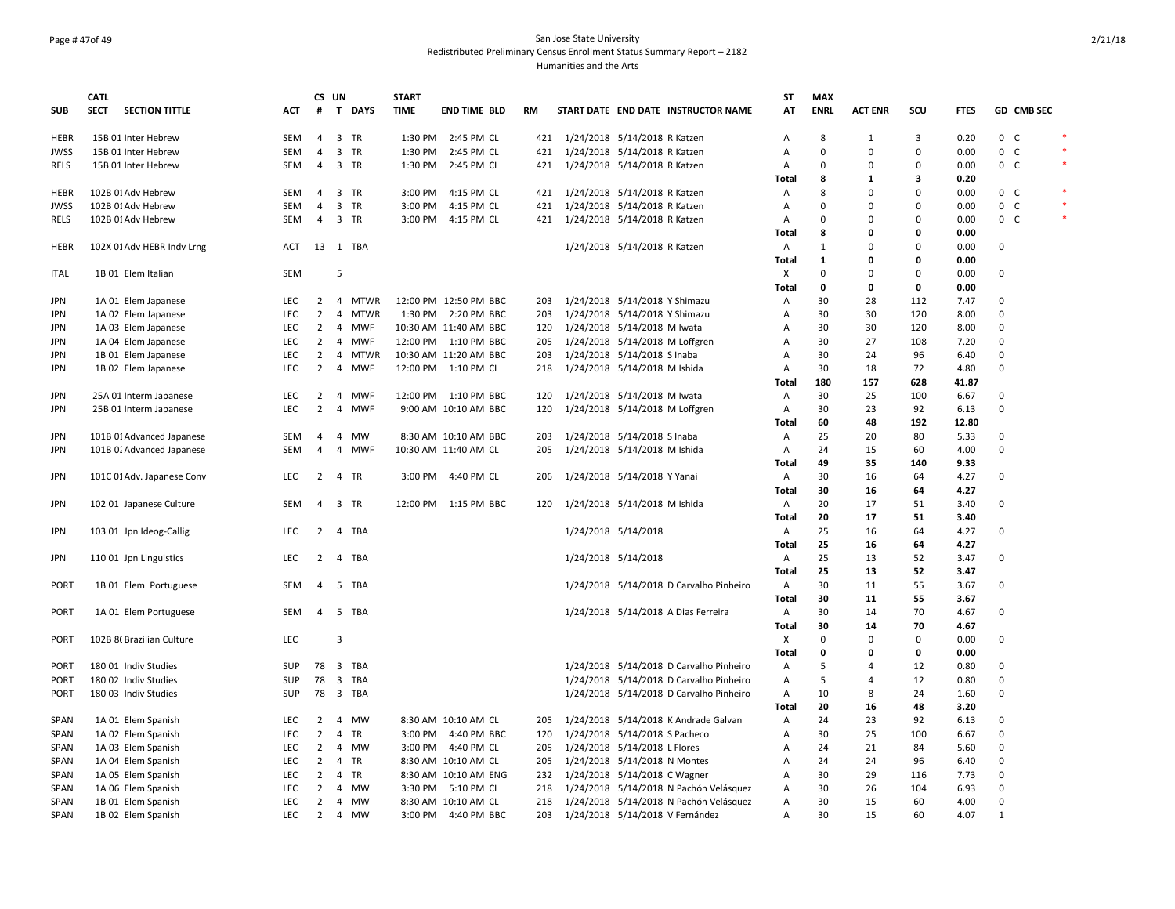### Page # 47of 49 San Jose State University Redistributed Preliminary Census Enrollment Status Summary Report – 2182 Humanities and the Arts

|             | <b>CATL</b>                              |            |                | CS UN          |             | <b>START</b> |                       |           |                                  |                                |                                                                           | <b>ST</b>      | <b>MAX</b>    |                |          |             |              |            |        |
|-------------|------------------------------------------|------------|----------------|----------------|-------------|--------------|-----------------------|-----------|----------------------------------|--------------------------------|---------------------------------------------------------------------------|----------------|---------------|----------------|----------|-------------|--------------|------------|--------|
| <b>SUB</b>  | <b>SECT</b><br><b>SECTION TITTLE</b>     | ACT        | #              |                | T DAYS      | <b>TIME</b>  | <b>END TIME BLD</b>   | <b>RM</b> |                                  |                                | START DATE END DATE INSTRUCTOR NAME                                       | AT             | <b>ENRL</b>   | <b>ACT ENR</b> | scu      | <b>FTES</b> |              | GD CMB SEC |        |
|             |                                          |            |                |                |             |              |                       |           |                                  |                                |                                                                           |                |               |                |          |             |              |            |        |
| <b>HEBR</b> | 15B 01 Inter Hebrew                      | SEM        | $\overline{4}$ |                | 3 TR        |              | 1:30 PM 2:45 PM CL    |           | 421 1/24/2018 5/14/2018 R Katzen |                                |                                                                           | Α              | 8<br>$\Omega$ | 1              | 3        | 0.20        | $0\quad C$   |            |        |
| JWSS        | 15B 01 Inter Hebrew                      | SEM        | $\overline{4}$ |                | 3 TR        | 1:30 PM      | 2:45 PM CL            | 421       | 1/24/2018 5/14/2018 R Katzen     |                                |                                                                           | Α              |               | $\Omega$       | 0        | 0.00        | $0\quad C$   |            | $\ast$ |
| <b>RELS</b> | 15B 01 Inter Hebrew                      | SEM        | $\overline{4}$ |                | 3 TR        | 1:30 PM      | 2:45 PM CL            | 421       |                                  | 1/24/2018 5/14/2018 R Katzen   |                                                                           | Α              | $\Omega$      | $\Omega$       | 0        | 0.00        | $0-$         |            |        |
|             |                                          |            |                |                |             |              |                       |           |                                  |                                |                                                                           | <b>Total</b>   | 8             | 1              | 3        | 0.20        |              |            |        |
| <b>HEBR</b> | 102B 01 Adv Hebrew                       | SEM        |                | 4              | 3 TR        | 3:00 PM      | 4:15 PM CL            | 421       |                                  | 1/24/2018 5/14/2018 R Katzen   |                                                                           | Α              | 8             | $\Omega$       | 0        | 0.00        | $0-$         |            | $\ast$ |
| <b>JWSS</b> | 102B 01 Adv Hebrew                       | <b>SEM</b> | $\overline{4}$ |                | 3 TR        | 3:00 PM      | 4:15 PM CL            |           | 421 1/24/2018 5/14/2018 R Katzen |                                |                                                                           | A              | $\Omega$      | $\Omega$       | $\Omega$ | 0.00        | $0\quad C$   |            |        |
| <b>RELS</b> | 102B 01 Adv Hebrew                       | <b>SEM</b> |                | $\overline{4}$ | 3 TR        | 3:00 PM      | 4:15 PM CL            |           | 421 1/24/2018 5/14/2018 R Katzen |                                |                                                                           | Α              | $\Omega$      | $\Omega$       | $\Omega$ | 0.00        | $0-$         |            |        |
|             |                                          |            |                |                |             |              |                       |           |                                  |                                |                                                                           | <b>Total</b>   | 8             | O              | 0        | 0.00        |              |            |        |
| HEBR        | 102X 01 Adv HEBR Indv Lrng               | ACT        |                |                | 13 1 TBA    |              |                       |           |                                  | 1/24/2018 5/14/2018 R Katzen   |                                                                           | Α              | 1             | $\Omega$       | 0        | 0.00        | 0            |            |        |
|             |                                          |            |                |                |             |              |                       |           |                                  |                                |                                                                           | Total          | 1             | O              | 0        | 0.00        |              |            |        |
| <b>ITAL</b> | 1B 01 Elem Italian                       | <b>SEM</b> |                | 5              |             |              |                       |           |                                  |                                |                                                                           | Х              | $\Omega$      | $\Omega$       | $\Omega$ | 0.00        | 0            |            |        |
|             |                                          |            |                |                |             |              |                       |           |                                  |                                |                                                                           | <b>Total</b>   | 0             | 0              | 0        | 0.00        |              |            |        |
| JPN         | 1A 01 Elem Japanese                      | <b>LEC</b> |                | $\mathbf{2}$   | 4 MTWR      |              | 12:00 PM 12:50 PM BBC | 203       |                                  | 1/24/2018 5/14/2018 Y Shimazu  |                                                                           | Α              | 30            | 28             | 112      | 7.47        | 0            |            |        |
| <b>JPN</b>  | 1A 02 Elem Japanese                      | <b>LEC</b> | 2              | $\overline{4}$ | <b>MTWR</b> |              | 1:30 PM 2:20 PM BBC   | 203       |                                  | 1/24/2018 5/14/2018 Y Shimazu  |                                                                           | Α              | 30            | 30             | 120      | 8.00        | 0            |            |        |
| <b>JPN</b>  | 1A 03 Elem Japanese                      | LEC        | 2              | $\overline{4}$ | MWF         |              | 10:30 AM 11:40 AM BBC | 120       |                                  | 1/24/2018 5/14/2018 M Iwata    |                                                                           | Α              | 30            | 30             | 120      | 8.00        | 0            |            |        |
| <b>JPN</b>  | 1A 04 Elem Japanese                      | LEC        | $\overline{2}$ | $\overline{4}$ | MWF         |              | 12:00 PM 1:10 PM BBC  | 205       |                                  | 1/24/2018 5/14/2018 M Loffgren |                                                                           | Α              | 30            | 27             | 108      | 7.20        | 0            |            |        |
| <b>JPN</b>  | 1B 01 Elem Japanese                      | LEC        | $\overline{2}$ | 4              | MTWR        |              | 10:30 AM 11:20 AM BBC | 203       |                                  | 1/24/2018 5/14/2018 S Inaba    |                                                                           | Α              | 30            | 24             | 96       | 6.40        | 0            |            |        |
| <b>JPN</b>  | 1B 02 Elem Japanese                      | LEC        | $\overline{2}$ | $\overline{4}$ | MWF         |              | 12:00 PM 1:10 PM CL   | 218       |                                  | 1/24/2018 5/14/2018 M Ishida   |                                                                           | Α              | 30            | 18             | 72       | 4.80        | 0            |            |        |
|             |                                          |            |                |                |             |              |                       |           |                                  |                                |                                                                           | <b>Total</b>   | 180           | 157            | 628      | 41.87       |              |            |        |
| <b>JPN</b>  | 25A 01 Interm Japanese                   | LEC        | $\overline{2}$ |                | 4 MWF       |              | 12:00 PM 1:10 PM BBC  | 120       |                                  | 1/24/2018 5/14/2018 M Iwata    |                                                                           | Α              | 30            | 25             | 100      | 6.67        | 0            |            |        |
| <b>JPN</b>  | 25B 01 Interm Japanese                   | LEC        | $\overline{2}$ | 4              | MWF         |              | 9:00 AM 10:10 AM BBC  | 120       |                                  | 1/24/2018 5/14/2018 M Loffgren |                                                                           | Α              | 30            | 23             | 92       | 6.13        | 0            |            |        |
|             |                                          |            |                |                |             |              |                       |           |                                  |                                |                                                                           | Total          | 60            | 48             | 192      | 12.80       |              |            |        |
| <b>JPN</b>  | 101B 01 Advanced Japanese                | SEM        | $\overline{4}$ | $\overline{4}$ | <b>MW</b>   |              | 8:30 AM 10:10 AM BBC  | 203       |                                  | 1/24/2018 5/14/2018 S Inaba    |                                                                           | Α              | 25            | 20             | 80       | 5.33        | $\Omega$     |            |        |
| <b>JPN</b>  | 101B 0. Advanced Japanese                | SEM        | $\overline{4}$ | $\overline{4}$ | <b>MWF</b>  |              | 10:30 AM 11:40 AM CL  | 205       |                                  | 1/24/2018 5/14/2018 M Ishida   |                                                                           | Α              | 24            | 15             | 60       | 4.00        | 0            |            |        |
|             |                                          |            |                |                |             |              |                       |           |                                  |                                |                                                                           | <b>Total</b>   | 49            | 35             | 140      | 9.33        |              |            |        |
| <b>JPN</b>  | 101C 01 Adv. Japanese Conv               | LEC        |                | $\overline{2}$ | 4 TR        |              | 3:00 PM 4:40 PM CL    | 206       |                                  | 1/24/2018 5/14/2018 Y Yanai    |                                                                           | Α              | 30            | 16             | 64       | 4.27        | 0            |            |        |
|             |                                          |            |                |                |             |              |                       |           |                                  |                                |                                                                           | <b>Total</b>   | 30            | 16             | 64       | 4.27        |              |            |        |
| <b>JPN</b>  | 102 01 Japanese Culture                  | SEM        |                | $\overline{4}$ | 3 TR        |              | 12:00 PM 1:15 PM BBC  | 120       |                                  | 1/24/2018 5/14/2018 M Ishida   |                                                                           | Α              | 20            | 17             | 51       | 3.40        | $\mathbf 0$  |            |        |
|             |                                          |            |                |                |             |              |                       |           |                                  |                                |                                                                           | Total          | 20            | 17             | 51       | 3.40        |              |            |        |
| <b>JPN</b>  | 103 01 Jpn Ideog-Callig                  | LEC        | 2              |                | 4 TBA       |              |                       |           | 1/24/2018 5/14/2018              |                                |                                                                           | Α              | 25            | 16             | 64       | 4.27        | 0            |            |        |
|             |                                          |            |                |                |             |              |                       |           |                                  |                                |                                                                           | <b>Total</b>   | 25            | 16             | 64       | 4.27        |              |            |        |
| JPN         | 110 01 Jpn Linguistics                   | LEC        | 2              | 4              | TBA         |              |                       |           | 1/24/2018 5/14/2018              |                                |                                                                           | Α              | 25            | 13             | 52       | 3.47        | $\mathbf 0$  |            |        |
|             |                                          |            |                |                |             |              |                       |           |                                  |                                |                                                                           | Total          | 25            | 13             | 52       | 3.47        |              |            |        |
| <b>PORT</b> | 1B 01 Elem Portuguese                    | <b>SEM</b> | 4              |                | 5 TBA       |              |                       |           |                                  |                                | 1/24/2018 5/14/2018 D Carvalho Pinheiro                                   | Α              | 30            | 11             | 55       | 3.67        | 0            |            |        |
|             |                                          |            |                |                |             |              |                       |           |                                  |                                |                                                                           | Total          | 30            | 11             | 55       | 3.67        |              |            |        |
| <b>PORT</b> | 1A 01 Elem Portuguese                    | SEM        |                |                | 4 5 TBA     |              |                       |           |                                  |                                | 1/24/2018 5/14/2018 A Dias Ferreira                                       | Α              | 30            | 14             | 70       | 4.67        | $\mathbf 0$  |            |        |
|             |                                          |            |                |                |             |              |                       |           |                                  |                                |                                                                           | Total          | 30            | 14             | 70       | 4.67        |              |            |        |
| <b>PORT</b> | 102B 8( Brazilian Culture                | <b>LEC</b> |                | $\overline{3}$ |             |              |                       |           |                                  |                                |                                                                           | Х              | $\Omega$      | 0              | $\Omega$ | 0.00        | 0            |            |        |
|             |                                          |            |                |                |             |              |                       |           |                                  |                                |                                                                           | Total          | $\Omega$      | $\Omega$       | 0        | 0.00        |              |            |        |
| <b>PORT</b> | 180 01 Indiv Studies                     | <b>SUP</b> | 78             |                | 3 TBA       |              |                       |           |                                  |                                | 1/24/2018 5/14/2018 D Carvalho Pinheiro                                   | Α              | 5             | 4              | 12       | 0.80        | 0            |            |        |
| <b>PORT</b> | 180 02 Indiv Studies                     | <b>SUP</b> | 78             |                | 3 TBA       |              |                       |           |                                  |                                | 1/24/2018 5/14/2018 D Carvalho Pinheiro                                   | Α              | 5             | 4              | 12       | 0.80        | 0            |            |        |
| <b>PORT</b> | 180 03 Indiv Studies                     | <b>SUP</b> | 78             |                | 3 TBA       |              |                       |           |                                  |                                | 1/24/2018 5/14/2018 D Carvalho Pinheiro                                   | Α              | 10            | 8              | 24       | 1.60        | $\mathbf 0$  |            |        |
|             |                                          |            |                |                |             |              |                       |           |                                  |                                |                                                                           | <b>Total</b>   | 20            | 16             | 48       | 3.20        |              |            |        |
| SPAN        | 1A 01 Elem Spanish                       | <b>LEC</b> | $\overline{2}$ | 4              | МW          |              | 8:30 AM 10:10 AM CL   | 205       |                                  |                                | 1/24/2018 5/14/2018 K Andrade Galvan                                      | Α              | 24            | 23             | 92       | 6.13        | 0            |            |        |
| SPAN        | 1A 02 Elem Spanish                       | <b>LEC</b> | $\overline{2}$ |                | 4 TR        |              | 3:00 PM 4:40 PM BBC   | 120       |                                  | 1/24/2018 5/14/2018 S Pacheco  |                                                                           | Α              | 30            | 25             | 100      | 6.67        | 0            |            |        |
| <b>SPAN</b> | 1A 03 Elem Spanish                       | <b>LEC</b> | $\overline{2}$ |                | 4 MW        |              | 3:00 PM 4:40 PM CL    | 205       |                                  | 1/24/2018 5/14/2018 L Flores   |                                                                           | $\overline{A}$ | 24            | 21             | 84       | 5.60        | 0            |            |        |
| SPAN        | 1A 04 Elem Spanish                       | LEC        | $\overline{2}$ |                | 4 TR        |              | 8:30 AM 10:10 AM CL   | 205       |                                  | 1/24/2018 5/14/2018 N Montes   |                                                                           | Α              | 24            | 24             | 96       | 6.40        | 0            |            |        |
| SPAN        | 1A 05 Elem Spanish                       | LEC        | $\overline{2}$ | 4              | TR          |              | 8:30 AM 10:10 AM ENG  | 232       |                                  | 1/24/2018 5/14/2018 C Wagner   |                                                                           | Α              | 30            | 29             | 116      | 7.73        | 0            |            |        |
| SPAN        | 1A 06 Elem Spanish                       | <b>LEC</b> | $\overline{2}$ |                | 4 MW        |              | 3:30 PM 5:10 PM CL    | 218       |                                  |                                | 1/24/2018 5/14/2018 N Pachón Velásquez                                    | Α              | 30            | 26             | 104      | 6.93        | 0            |            |        |
| <b>SPAN</b> |                                          | <b>LEC</b> | 2              |                | 4 MW        |              | 8:30 AM 10:10 AM CL   | 218       |                                  |                                |                                                                           | $\overline{A}$ | 30            | 15             | 60       | 4.00        | $\Omega$     |            |        |
| SPAN        | 1B 01 Elem Spanish<br>1B 02 Elem Spanish | LEC        | $\overline{2}$ |                | 4 MW        |              | 3:00 PM 4:40 PM BBC   | 203       |                                  |                                | 1/24/2018 5/14/2018 N Pachón Velásquez<br>1/24/2018 5/14/2018 V Fernández | Α              | 30            | 15             | 60       | 4.07        | $\mathbf{1}$ |            |        |
|             |                                          |            |                |                |             |              |                       |           |                                  |                                |                                                                           |                |               |                |          |             |              |            |        |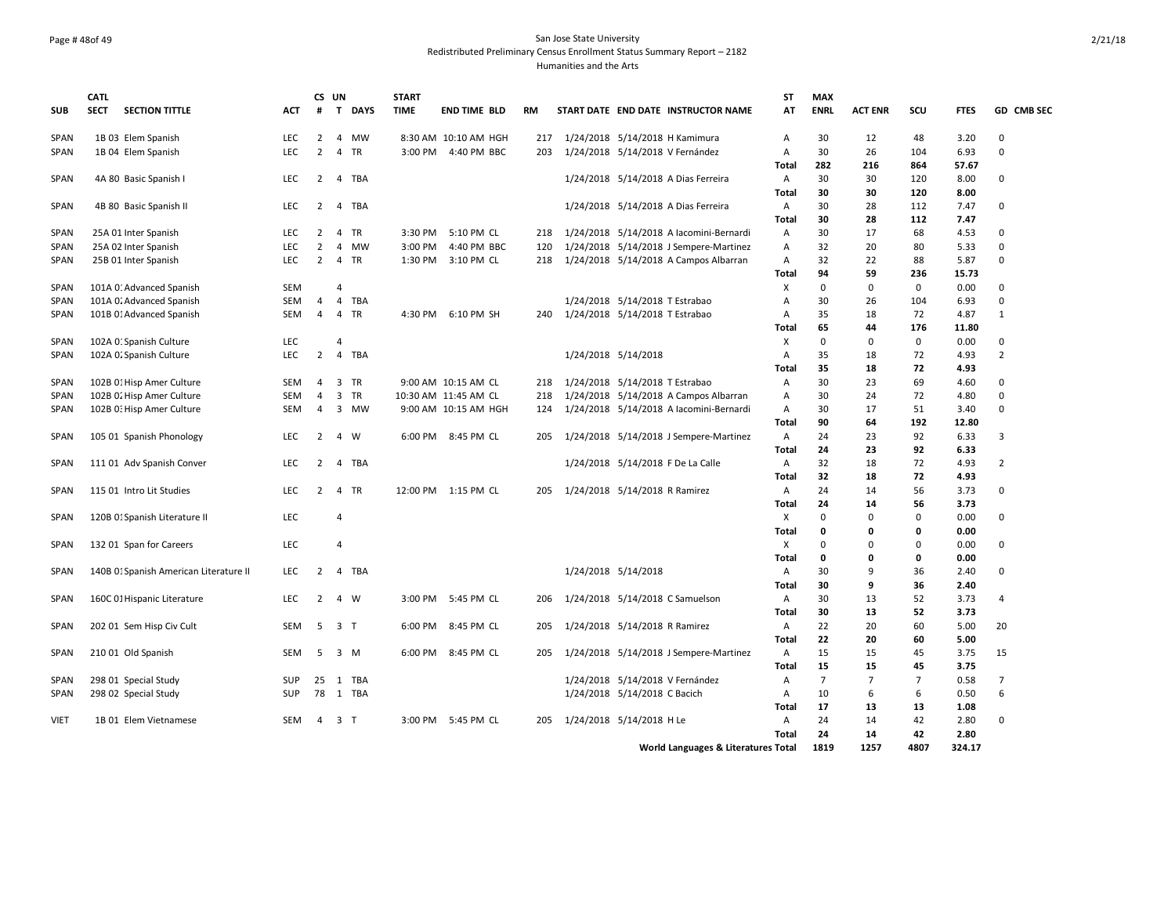### Page # 48of 49 San Jose State University Redistributed Preliminary Census Enrollment Status Summary Report – 2182 Humanities and the Arts

| <b>SUB</b><br><b>SPAN</b><br>SPAN<br><b>SPAN</b><br>SPAN | <b>SECTION TITTLE</b><br><b>SECT</b><br>1B 03 Elem Spanish<br>1B 04 Elem Spanish<br>4A 80 Basic Spanish I<br>4B 80 Basic Spanish II<br>25A 01 Inter Spanish<br>25A 02 Inter Spanish<br>25B 01 Inter Spanish<br>101A O: Advanced Spanish<br>101A O. Advanced Spanish<br>101B 01 Advanced Spanish | АСТ<br><b>LEC</b><br><b>LEC</b><br><b>LEC</b><br><b>LEC</b><br><b>LEC</b><br>LEC<br><b>LEC</b><br><b>SEM</b><br>SEM | #<br>$\overline{2}$<br>$\overline{2}$<br>2<br>2<br>2<br>$\overline{2}$<br>$\overline{2}$ | $\overline{4}$<br>$\overline{4}$<br>$\overline{4}$<br>$\overline{4}$<br>$\overline{4}$<br>4<br>4 | T DAYS<br><b>MW</b><br><b>TR</b><br><b>TBA</b><br><b>TBA</b><br>TR<br><b>MW</b><br>TR | <b>TIME</b><br>3:00 PM<br>3:30 PM<br>3:00 PM | <b>END TIME BLD</b><br>8:30 AM 10:10 AM HGH<br>4:40 PM BBC<br>5:10 PM CL | <b>RM</b><br>217<br>203 |                     | START DATE END DATE INSTRUCTOR NAME<br>1/24/2018 5/14/2018 H Kamimura<br>1/24/2018 5/14/2018 V Fernández<br>1/24/2018 5/14/2018 A Dias Ferreira<br>1/24/2018 5/14/2018 A Dias Ferreira | AT<br>Α<br>Α<br>Total<br>A<br>Total<br>A | <b>ENRL</b><br>30<br>30<br>282<br>30<br>30<br>30 | <b>ACT ENR</b><br>12<br>26<br>216<br>30<br>30<br>28 | scu<br>48<br>104<br>864<br>120<br>120<br>112 | <b>FTES</b><br>3.20<br>6.93<br>57.67<br>8.00<br>8.00<br>7.47 | GD CMB SEC<br>$\Omega$<br>$\Omega$<br>$\Omega$<br>$\Omega$ |
|----------------------------------------------------------|-------------------------------------------------------------------------------------------------------------------------------------------------------------------------------------------------------------------------------------------------------------------------------------------------|---------------------------------------------------------------------------------------------------------------------|------------------------------------------------------------------------------------------|--------------------------------------------------------------------------------------------------|---------------------------------------------------------------------------------------|----------------------------------------------|--------------------------------------------------------------------------|-------------------------|---------------------|----------------------------------------------------------------------------------------------------------------------------------------------------------------------------------------|------------------------------------------|--------------------------------------------------|-----------------------------------------------------|----------------------------------------------|--------------------------------------------------------------|------------------------------------------------------------|
|                                                          |                                                                                                                                                                                                                                                                                                 |                                                                                                                     |                                                                                          |                                                                                                  |                                                                                       |                                              |                                                                          |                         |                     |                                                                                                                                                                                        |                                          |                                                  |                                                     |                                              |                                                              |                                                            |
|                                                          |                                                                                                                                                                                                                                                                                                 |                                                                                                                     |                                                                                          |                                                                                                  |                                                                                       |                                              |                                                                          |                         |                     |                                                                                                                                                                                        |                                          |                                                  |                                                     |                                              |                                                              |                                                            |
|                                                          |                                                                                                                                                                                                                                                                                                 |                                                                                                                     |                                                                                          |                                                                                                  |                                                                                       |                                              |                                                                          |                         |                     |                                                                                                                                                                                        |                                          |                                                  |                                                     |                                              |                                                              |                                                            |
|                                                          |                                                                                                                                                                                                                                                                                                 |                                                                                                                     |                                                                                          |                                                                                                  |                                                                                       |                                              |                                                                          |                         |                     |                                                                                                                                                                                        |                                          |                                                  |                                                     |                                              |                                                              |                                                            |
|                                                          |                                                                                                                                                                                                                                                                                                 |                                                                                                                     |                                                                                          |                                                                                                  |                                                                                       |                                              |                                                                          |                         |                     |                                                                                                                                                                                        |                                          |                                                  |                                                     |                                              |                                                              |                                                            |
|                                                          |                                                                                                                                                                                                                                                                                                 |                                                                                                                     |                                                                                          |                                                                                                  |                                                                                       |                                              |                                                                          |                         |                     |                                                                                                                                                                                        |                                          |                                                  |                                                     |                                              |                                                              |                                                            |
|                                                          |                                                                                                                                                                                                                                                                                                 |                                                                                                                     |                                                                                          |                                                                                                  |                                                                                       |                                              |                                                                          |                         |                     |                                                                                                                                                                                        |                                          |                                                  |                                                     |                                              |                                                              |                                                            |
|                                                          |                                                                                                                                                                                                                                                                                                 |                                                                                                                     |                                                                                          |                                                                                                  |                                                                                       |                                              |                                                                          |                         |                     |                                                                                                                                                                                        | <b>Total</b>                             | 30                                               | 28                                                  | 112                                          | 7.47                                                         |                                                            |
| <b>SPAN</b>                                              |                                                                                                                                                                                                                                                                                                 |                                                                                                                     |                                                                                          |                                                                                                  |                                                                                       |                                              |                                                                          | 218                     |                     | 1/24/2018 5/14/2018 A lacomini-Bernardi                                                                                                                                                | Α                                        | 30                                               | 17                                                  | 68                                           | 4.53                                                         | 0                                                          |
| <b>SPAN</b>                                              |                                                                                                                                                                                                                                                                                                 |                                                                                                                     |                                                                                          |                                                                                                  |                                                                                       |                                              | 4:40 PM BBC                                                              | 120                     | 1/24/2018           | 5/14/2018 J Sempere-Martinez                                                                                                                                                           | Α                                        | 32                                               | 20                                                  | 80                                           | 5.33                                                         | 0                                                          |
| SPAN                                                     |                                                                                                                                                                                                                                                                                                 |                                                                                                                     |                                                                                          |                                                                                                  |                                                                                       |                                              | 1:30 PM 3:10 PM CL                                                       | 218                     |                     | 1/24/2018 5/14/2018 A Campos Albarran                                                                                                                                                  | Α                                        | 32                                               | 22                                                  | 88                                           | 5.87                                                         | 0                                                          |
|                                                          |                                                                                                                                                                                                                                                                                                 |                                                                                                                     |                                                                                          |                                                                                                  |                                                                                       |                                              |                                                                          |                         |                     |                                                                                                                                                                                        | Total                                    | 94                                               | 59                                                  | 236                                          | 15.73                                                        |                                                            |
| SPAN                                                     |                                                                                                                                                                                                                                                                                                 |                                                                                                                     |                                                                                          | $\overline{4}$                                                                                   |                                                                                       |                                              |                                                                          |                         |                     |                                                                                                                                                                                        | х                                        | 0                                                | 0                                                   | 0                                            | 0.00                                                         | 0                                                          |
| SPAN                                                     |                                                                                                                                                                                                                                                                                                 |                                                                                                                     | 4                                                                                        | 4                                                                                                | <b>TBA</b>                                                                            |                                              |                                                                          |                         |                     | 1/24/2018 5/14/2018 T Estrabao                                                                                                                                                         | Α                                        | 30                                               | 26                                                  | 104                                          | 6.93                                                         | 0                                                          |
| <b>SPAN</b>                                              |                                                                                                                                                                                                                                                                                                 | <b>SEM</b>                                                                                                          | 4                                                                                        | $\overline{4}$                                                                                   | <b>TR</b>                                                                             |                                              | 4:30 PM 6:10 PM SH                                                       | 240                     |                     | 1/24/2018 5/14/2018 T Estrabao                                                                                                                                                         | A                                        | 35                                               | 18                                                  | 72                                           | 4.87                                                         | $\mathbf{1}$                                               |
|                                                          |                                                                                                                                                                                                                                                                                                 |                                                                                                                     |                                                                                          |                                                                                                  |                                                                                       |                                              |                                                                          |                         |                     |                                                                                                                                                                                        | Total                                    | 65                                               | 44                                                  | 176                                          | 11.80                                                        |                                                            |
| <b>SPAN</b>                                              | 102A 0: Spanish Culture                                                                                                                                                                                                                                                                         | <b>LEC</b>                                                                                                          |                                                                                          | $\overline{a}$                                                                                   |                                                                                       |                                              |                                                                          |                         |                     |                                                                                                                                                                                        | x                                        | $\mathbf 0$                                      | $\Omega$                                            | $\mathbf 0$                                  | 0.00                                                         | 0                                                          |
| SPAN                                                     | 102A 0. Spanish Culture                                                                                                                                                                                                                                                                         | <b>LEC</b>                                                                                                          | $\overline{2}$                                                                           | $\overline{4}$                                                                                   | <b>TBA</b>                                                                            |                                              |                                                                          |                         | 1/24/2018 5/14/2018 |                                                                                                                                                                                        | A                                        | 35                                               | 18                                                  | 72                                           | 4.93                                                         | $\overline{2}$                                             |
|                                                          |                                                                                                                                                                                                                                                                                                 |                                                                                                                     |                                                                                          |                                                                                                  |                                                                                       |                                              |                                                                          |                         |                     |                                                                                                                                                                                        | <b>Total</b>                             | 35                                               | 18                                                  | 72                                           | 4.93                                                         |                                                            |
| SPAN                                                     | 102B 01 Hisp Amer Culture                                                                                                                                                                                                                                                                       | <b>SEM</b>                                                                                                          | 4                                                                                        | $\overline{3}$                                                                                   | TR                                                                                    |                                              | 9:00 AM 10:15 AM CL                                                      | 218                     |                     | 1/24/2018 5/14/2018 T Estrabao                                                                                                                                                         | Α                                        | 30                                               | 23                                                  | 69                                           | 4.60                                                         | $\Omega$<br>$\Omega$                                       |
| SPAN                                                     | 102B 0. Hisp Amer Culture                                                                                                                                                                                                                                                                       | <b>SEM</b>                                                                                                          | $\overline{4}$<br>$\overline{4}$                                                         | $\overline{3}$                                                                                   | <b>TR</b>                                                                             |                                              | 10:30 AM 11:45 AM CL                                                     | 218                     |                     | 1/24/2018 5/14/2018 A Campos Albarran                                                                                                                                                  | Α                                        | 30                                               | 24<br>17                                            | 72<br>51                                     | 4.80                                                         | $\Omega$                                                   |
| SPAN                                                     | 102B 0: Hisp Amer Culture                                                                                                                                                                                                                                                                       | <b>SEM</b>                                                                                                          |                                                                                          | 3                                                                                                | MW                                                                                    |                                              | 9:00 AM 10:15 AM HGH                                                     | 124                     |                     | 1/24/2018 5/14/2018 A lacomini-Bernardi                                                                                                                                                | Α                                        | 30                                               |                                                     | 192                                          | 3.40                                                         |                                                            |
|                                                          |                                                                                                                                                                                                                                                                                                 |                                                                                                                     | 2                                                                                        | $\overline{4}$                                                                                   | W                                                                                     |                                              | 6:00 PM 8:45 PM CL                                                       | 205                     |                     |                                                                                                                                                                                        | Total                                    | 90<br>24                                         | 64<br>23                                            | 92                                           | 12.80<br>6.33                                                | 3                                                          |
| SPAN                                                     | 105 01 Spanish Phonology                                                                                                                                                                                                                                                                        | LEC                                                                                                                 |                                                                                          |                                                                                                  |                                                                                       |                                              |                                                                          |                         |                     | 1/24/2018 5/14/2018 J Sempere-Martinez                                                                                                                                                 | Α<br>Total                               | 24                                               | 23                                                  | 92                                           | 6.33                                                         |                                                            |
| SPAN                                                     | 111 01 Adv Spanish Conver                                                                                                                                                                                                                                                                       | <b>LEC</b>                                                                                                          | $\overline{2}$                                                                           | 4                                                                                                | <b>TBA</b>                                                                            |                                              |                                                                          |                         |                     | 1/24/2018 5/14/2018 F De La Calle                                                                                                                                                      | Α                                        | 32                                               | 18                                                  | 72                                           | 4.93                                                         | $\overline{2}$                                             |
|                                                          |                                                                                                                                                                                                                                                                                                 |                                                                                                                     |                                                                                          |                                                                                                  |                                                                                       |                                              |                                                                          |                         |                     |                                                                                                                                                                                        | Total                                    | 32                                               | 18                                                  | 72                                           | 4.93                                                         |                                                            |
| SPAN                                                     | 115 01 Intro Lit Studies                                                                                                                                                                                                                                                                        | LEC.                                                                                                                | 2                                                                                        | $\overline{4}$                                                                                   | <b>TR</b>                                                                             |                                              | 12:00 PM 1:15 PM CL                                                      | 205                     |                     | 1/24/2018 5/14/2018 R Ramirez                                                                                                                                                          | Α                                        | 24                                               | 14                                                  | 56                                           | 3.73                                                         | 0                                                          |
|                                                          |                                                                                                                                                                                                                                                                                                 |                                                                                                                     |                                                                                          |                                                                                                  |                                                                                       |                                              |                                                                          |                         |                     |                                                                                                                                                                                        | Total                                    | 24                                               | 14                                                  | 56                                           | 3.73                                                         |                                                            |
| SPAN                                                     | 120B 01 Spanish Literature II                                                                                                                                                                                                                                                                   | <b>LEC</b>                                                                                                          |                                                                                          | $\overline{a}$                                                                                   |                                                                                       |                                              |                                                                          |                         |                     |                                                                                                                                                                                        | Χ                                        | 0                                                | $\Omega$                                            | 0                                            | 0.00                                                         | 0                                                          |
|                                                          |                                                                                                                                                                                                                                                                                                 |                                                                                                                     |                                                                                          |                                                                                                  |                                                                                       |                                              |                                                                          |                         |                     |                                                                                                                                                                                        | Total                                    | 0                                                | n                                                   | 0                                            | 0.00                                                         |                                                            |
| SPAN                                                     | 132 01 Span for Careers                                                                                                                                                                                                                                                                         | <b>LEC</b>                                                                                                          |                                                                                          | $\overline{4}$                                                                                   |                                                                                       |                                              |                                                                          |                         |                     |                                                                                                                                                                                        | X                                        | 0                                                | $\Omega$                                            | $\mathbf 0$                                  | 0.00                                                         | $\Omega$                                                   |
|                                                          |                                                                                                                                                                                                                                                                                                 |                                                                                                                     |                                                                                          |                                                                                                  |                                                                                       |                                              |                                                                          |                         |                     |                                                                                                                                                                                        | <b>Total</b>                             | 0                                                | n                                                   | $\mathbf 0$                                  | 0.00                                                         |                                                            |
| <b>SPAN</b>                                              | 140B 01 Spanish American Literature II                                                                                                                                                                                                                                                          | <b>LEC</b>                                                                                                          | $\overline{2}$                                                                           |                                                                                                  | 4 TBA                                                                                 |                                              |                                                                          |                         | 1/24/2018 5/14/2018 |                                                                                                                                                                                        | Α                                        | 30                                               | 9                                                   | 36                                           | 2.40                                                         | $\Omega$                                                   |
|                                                          |                                                                                                                                                                                                                                                                                                 |                                                                                                                     |                                                                                          |                                                                                                  |                                                                                       |                                              |                                                                          |                         |                     |                                                                                                                                                                                        | Total                                    | 30                                               | 9                                                   | 36                                           | 2.40                                                         |                                                            |
| <b>SPAN</b>                                              | 160C 01 Hispanic Literature                                                                                                                                                                                                                                                                     | <b>LEC</b>                                                                                                          | $\overline{2}$                                                                           | 4 W                                                                                              |                                                                                       |                                              | 3:00 PM 5:45 PM CL                                                       | 206                     |                     | 1/24/2018 5/14/2018 C Samuelson                                                                                                                                                        | Α                                        | 30                                               | 13                                                  | 52                                           | 3.73                                                         | $\overline{4}$                                             |
|                                                          |                                                                                                                                                                                                                                                                                                 |                                                                                                                     |                                                                                          |                                                                                                  |                                                                                       |                                              |                                                                          |                         |                     |                                                                                                                                                                                        | Total                                    | 30                                               | 13                                                  | 52                                           | 3.73                                                         |                                                            |
| SPAN                                                     | 202 01 Sem Hisp Civ Cult                                                                                                                                                                                                                                                                        | <b>SEM</b>                                                                                                          | -5                                                                                       | 3 T                                                                                              |                                                                                       | 6:00 PM                                      | 8:45 PM CL                                                               | 205                     |                     | 1/24/2018 5/14/2018 R Ramirez                                                                                                                                                          | Α                                        | 22                                               | 20                                                  | 60                                           | 5.00                                                         | 20                                                         |
|                                                          |                                                                                                                                                                                                                                                                                                 |                                                                                                                     |                                                                                          |                                                                                                  |                                                                                       |                                              |                                                                          |                         |                     |                                                                                                                                                                                        | Total                                    | 22                                               | 20                                                  | 60                                           | 5.00                                                         |                                                            |
| SPAN                                                     | 210 01 Old Spanish                                                                                                                                                                                                                                                                              | SEM                                                                                                                 | 5                                                                                        | 3 M                                                                                              |                                                                                       |                                              | 6:00 PM 8:45 PM CL                                                       | 205                     |                     | 1/24/2018 5/14/2018 J Sempere-Martinez                                                                                                                                                 | Α                                        | 15                                               | 15                                                  | 45                                           | 3.75                                                         | 15                                                         |
|                                                          |                                                                                                                                                                                                                                                                                                 |                                                                                                                     |                                                                                          |                                                                                                  |                                                                                       |                                              |                                                                          |                         |                     |                                                                                                                                                                                        | Total                                    | 15                                               | 15                                                  | 45                                           | 3.75                                                         |                                                            |
| SPAN                                                     | 298 01 Special Study                                                                                                                                                                                                                                                                            | <b>SUP</b>                                                                                                          | 25                                                                                       | 1                                                                                                | TBA                                                                                   |                                              |                                                                          |                         |                     | 1/24/2018 5/14/2018 V Fernández                                                                                                                                                        | Α                                        | $\overline{7}$                                   | $\overline{7}$                                      | $\overline{7}$                               | 0.58                                                         | 7                                                          |
| SPAN                                                     | 298 02 Special Study                                                                                                                                                                                                                                                                            | <b>SUP</b>                                                                                                          | 78                                                                                       |                                                                                                  | 1 TBA                                                                                 |                                              |                                                                          |                         |                     | 1/24/2018 5/14/2018 C Bacich                                                                                                                                                           | Α                                        | 10                                               | 6                                                   | 6                                            | 0.50                                                         | 6                                                          |
|                                                          |                                                                                                                                                                                                                                                                                                 |                                                                                                                     |                                                                                          |                                                                                                  |                                                                                       |                                              |                                                                          |                         |                     |                                                                                                                                                                                        | Total                                    | 17                                               | 13                                                  | 13                                           | 1.08                                                         |                                                            |
| <b>VIET</b>                                              | 1B 01 Elem Vietnamese                                                                                                                                                                                                                                                                           | <b>SEM</b>                                                                                                          | 4                                                                                        | 3 <sub>T</sub>                                                                                   |                                                                                       |                                              | 3:00 PM 5:45 PM CL                                                       | 205                     |                     | 1/24/2018 5/14/2018 H Le                                                                                                                                                               | Α                                        | 24                                               | 14                                                  | 42                                           | 2.80                                                         | 0                                                          |
|                                                          |                                                                                                                                                                                                                                                                                                 |                                                                                                                     |                                                                                          |                                                                                                  |                                                                                       |                                              |                                                                          |                         |                     |                                                                                                                                                                                        | Total                                    | 24                                               | 14                                                  | 42                                           | 2.80                                                         |                                                            |
|                                                          |                                                                                                                                                                                                                                                                                                 |                                                                                                                     |                                                                                          |                                                                                                  |                                                                                       |                                              |                                                                          |                         |                     | World Languages & Literatures Total                                                                                                                                                    |                                          | 1819                                             | 1257                                                | 4807                                         | 324.17                                                       |                                                            |